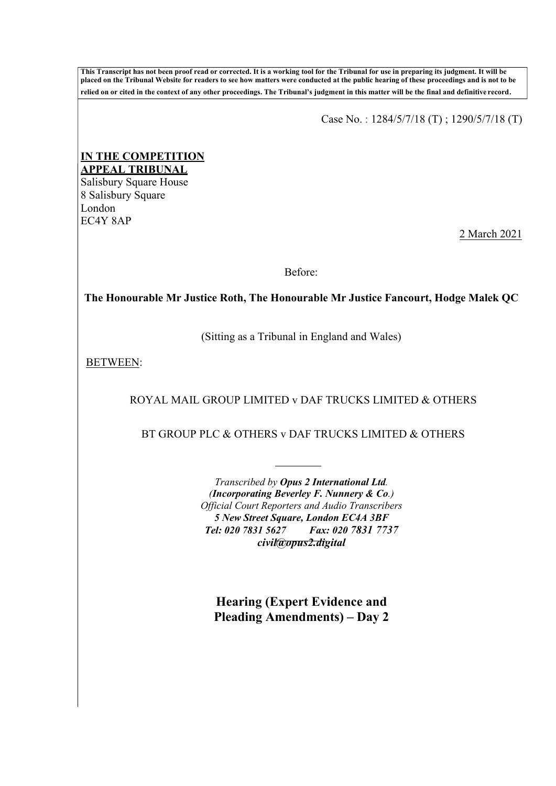**This Transcript has not been proof read or corrected. It is a working tool for the Tribunal for use in preparing its judgment. It will be placed on the Tribunal Website for readers to see how matters were conducted at the public hearing of these proceedings and is not to be relied on or cited in the context of any other proceedings. The Tribunal's judgment in this matter will be the final and definitive record**.

Case No. : 1284/5/7/18 (T) ; 1290/5/7/18 (T)

## **IN THE COMPETITION APPEAL TRIBUNAL**

Salisbury Square House 8 Salisbury Square London EC4Y 8AP

2 March 2021

Before:

**The Honourable Mr Justice Roth, The Honourable Mr Justice Fancourt, Hodge Malek QC**

(Sitting as a Tribunal in England and Wales)

BETWEEN:

ROYAL MAIL GROUP LIMITED v DAF TRUCKS LIMITED & OTHERS

BT GROUP PLC & OTHERS v DAF TRUCKS LIMITED & OTHERS

*Transcribed by Opus 2 International Ltd. (Incorporating Beverley F. Nunnery & Co.) Official Court Reporters and Audio Transcribers 5 New Street Square, London EC4A 3BF Tel: 020 7831 5627 Fax: 020 7831 7737 [civil@opus2.digital](mailto:civil@opus2.digital)* 

**Hearing (Expert Evidence and Pleading Amendments) – Day 2**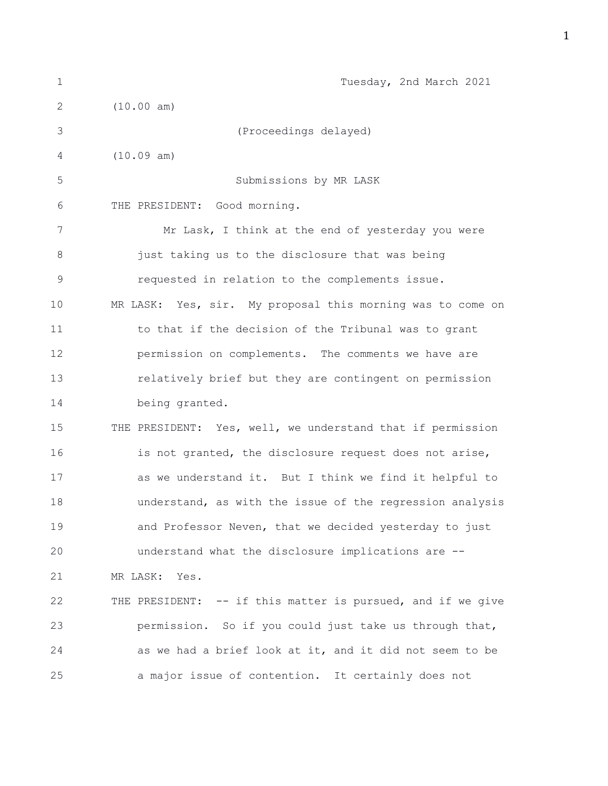| $\mathbf{1}$ | Tuesday, 2nd March 2021                                     |
|--------------|-------------------------------------------------------------|
| 2            | (10.00 am)                                                  |
| 3            | (Proceedings delayed)                                       |
| 4            | (10.09 am)                                                  |
| 5            | Submissions by MR LASK                                      |
| 6            | Good morning.<br>THE PRESIDENT:                             |
| 7            | Mr Lask, I think at the end of yesterday you were           |
| 8            | just taking us to the disclosure that was being             |
| $\mathsf 9$  | requested in relation to the complements issue.             |
| 10           | MR LASK: Yes, sir. My proposal this morning was to come on  |
| 11           | to that if the decision of the Tribunal was to grant        |
| 12           | permission on complements. The comments we have are         |
| 13           | relatively brief but they are contingent on permission      |
| 14           | being granted.                                              |
| 15           | THE PRESIDENT: Yes, well, we understand that if permission  |
| 16           | is not granted, the disclosure request does not arise,      |
| 17           | as we understand it. But I think we find it helpful to      |
| 18           | understand, as with the issue of the regression analysis    |
| 19           | and Professor Neven, that we decided yesterday to just      |
| 20           | understand what the disclosure implications are --          |
| 21           | MR LASK: Yes.                                               |
| 22           | THE PRESIDENT: -- if this matter is pursued, and if we give |
| 23           | permission. So if you could just take us through that,      |
| 24           | as we had a brief look at it, and it did not seem to be     |
| 25           | a major issue of contention. It certainly does not          |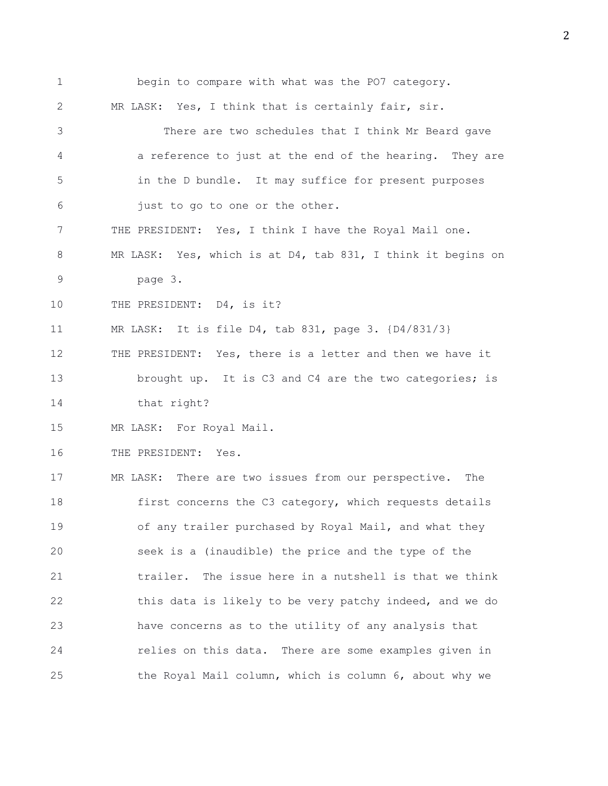1 begin to compare with what was the PO7 category. 2 MR LASK: Yes, I think that is certainly fair, sir. 3 There are two schedules that I think Mr Beard gave 4 a reference to just at the end of the hearing. They are 5 in the D bundle. It may suffice for present purposes 6 just to go to one or the other. 7 THE PRESIDENT: Yes, I think I have the Royal Mail one. 8 MR LASK: Yes, which is at D4, tab 831, I think it begins on 9 page 3. 10 THE PRESIDENT: D4, is it? 11 MR LASK: It is file D4, tab 831, page 3. {D4/831/3} 12 THE PRESIDENT: Yes, there is a letter and then we have it 13 brought up. It is C3 and C4 are the two categories; is 14 that right? 15 MR LASK: For Royal Mail. 16 THE PRESIDENT: Yes. 17 MR LASK: There are two issues from our perspective. The 18 first concerns the C3 category, which requests details 19 of any trailer purchased by Royal Mail, and what they 20 seek is a (inaudible) the price and the type of the 21 trailer. The issue here in a nutshell is that we think 22 this data is likely to be very patchy indeed, and we do 23 have concerns as to the utility of any analysis that 24 relies on this data. There are some examples given in 25 the Royal Mail column, which is column 6, about why we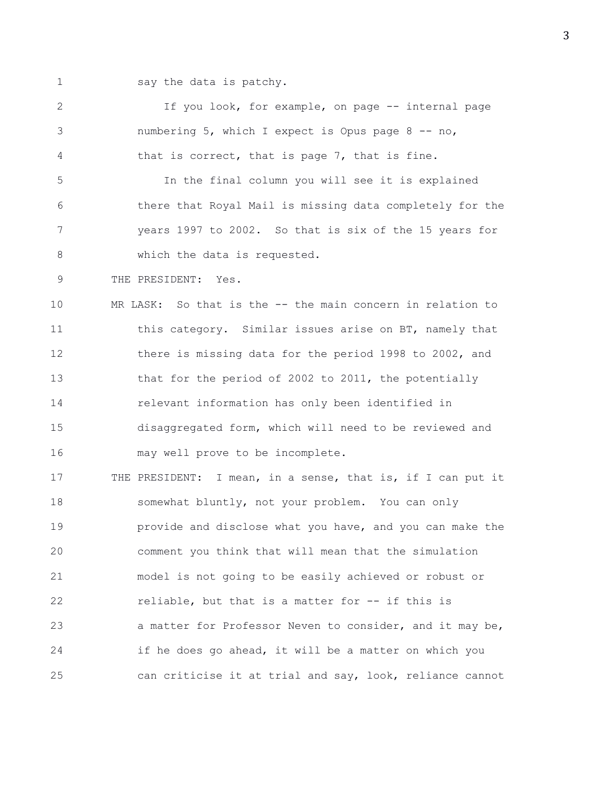1 say the data is patchy.

2 If you look, for example, on page -- internal page 3 numbering 5, which I expect is Opus page 8 -- no, 4 that is correct, that is page 7, that is fine. 5 In the final column you will see it is explained 6 there that Royal Mail is missing data completely for the 7 years 1997 to 2002. So that is six of the 15 years for 8 which the data is requested. 9 THE PRESIDENT: Yes. 10 MR LASK: So that is the -- the main concern in relation to 11 this category. Similar issues arise on BT, namely that 12 there is missing data for the period 1998 to 2002, and 13 that for the period of 2002 to 2011, the potentially 14 relevant information has only been identified in 15 disaggregated form, which will need to be reviewed and 16 may well prove to be incomplete. 17 THE PRESIDENT: I mean, in a sense, that is, if I can put it 18 somewhat bluntly, not your problem. You can only 19 **provide and disclose what you have, and you can make the** 20 comment you think that will mean that the simulation 21 model is not going to be easily achieved or robust or 22 reliable, but that is a matter for -- if this is 23 a matter for Professor Neven to consider, and it may be, 24 if he does go ahead, it will be a matter on which you 25 can criticise it at trial and say, look, reliance cannot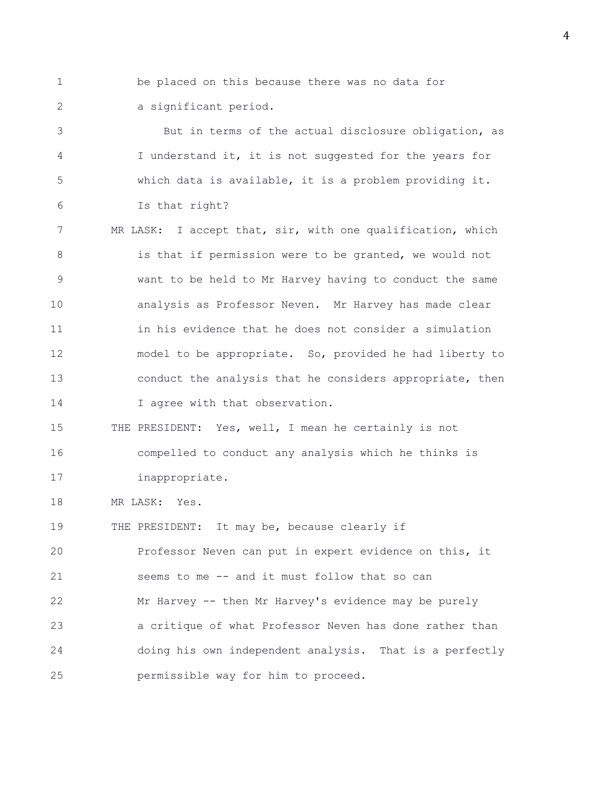1 be placed on this because there was no data for

2 a significant period.

3 But in terms of the actual disclosure obligation, as 4 I understand it, it is not suggested for the years for 5 which data is available, it is a problem providing it. 6 Is that right?

7 MR LASK: I accept that, sir, with one qualification, which 8 is that if permission were to be granted, we would not 9 want to be held to Mr Harvey having to conduct the same 10 analysis as Professor Neven. Mr Harvey has made clear 11 in his evidence that he does not consider a simulation 12 model to be appropriate. So, provided he had liberty to 13 conduct the analysis that he considers appropriate, then 14 I agree with that observation.

15 THE PRESIDENT: Yes, well, I mean he certainly is not 16 compelled to conduct any analysis which he thinks is 17 inappropriate.

18 MR LASK: Yes.

19 THE PRESIDENT: It may be, because clearly if 20 Professor Neven can put in expert evidence on this, it 21 seems to me -- and it must follow that so can 22 Mr Harvey -- then Mr Harvey's evidence may be purely 23 a critique of what Professor Neven has done rather than 24 doing his own independent analysis. That is a perfectly 25 permissible way for him to proceed.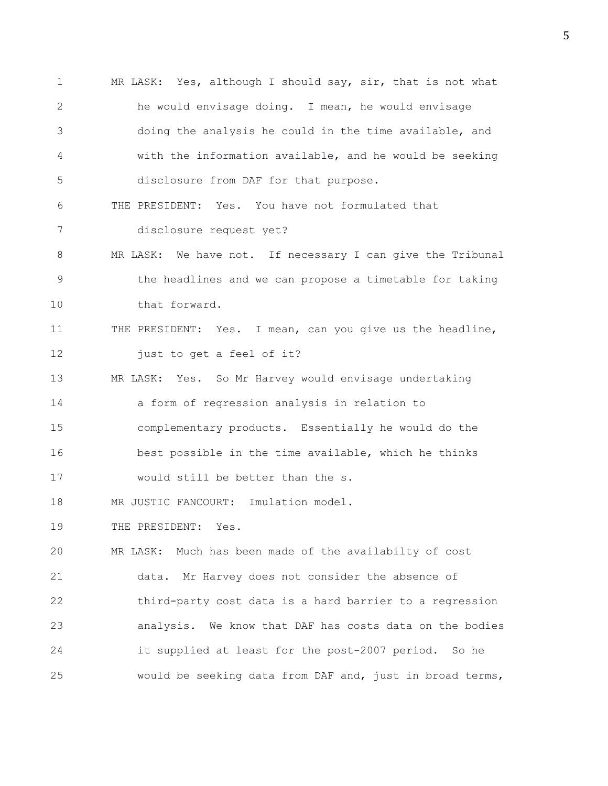1 MR LASK: Yes, although I should say, sir, that is not what 2 he would envisage doing. I mean, he would envisage 3 doing the analysis he could in the time available, and 4 with the information available, and he would be seeking 5 disclosure from DAF for that purpose. 6 THE PRESIDENT: Yes. You have not formulated that 7 disclosure request yet? 8 MR LASK: We have not. If necessary I can give the Tribunal 9 the headlines and we can propose a timetable for taking 10 that forward. 11 THE PRESIDENT: Yes. I mean, can you give us the headline, 12 just to get a feel of it? 13 MR LASK: Yes. So Mr Harvey would envisage undertaking 14 a form of regression analysis in relation to 15 complementary products. Essentially he would do the 16 best possible in the time available, which he thinks 17 would still be better than the s. 18 MR JUSTIC FANCOURT: Imulation model. 19 THE PRESIDENT: Yes. 20 MR LASK: Much has been made of the availabilty of cost 21 data. Mr Harvey does not consider the absence of 22 third-party cost data is a hard barrier to a regression 23 analysis. We know that DAF has costs data on the bodies 24 it supplied at least for the post-2007 period. So he 25 would be seeking data from DAF and, just in broad terms,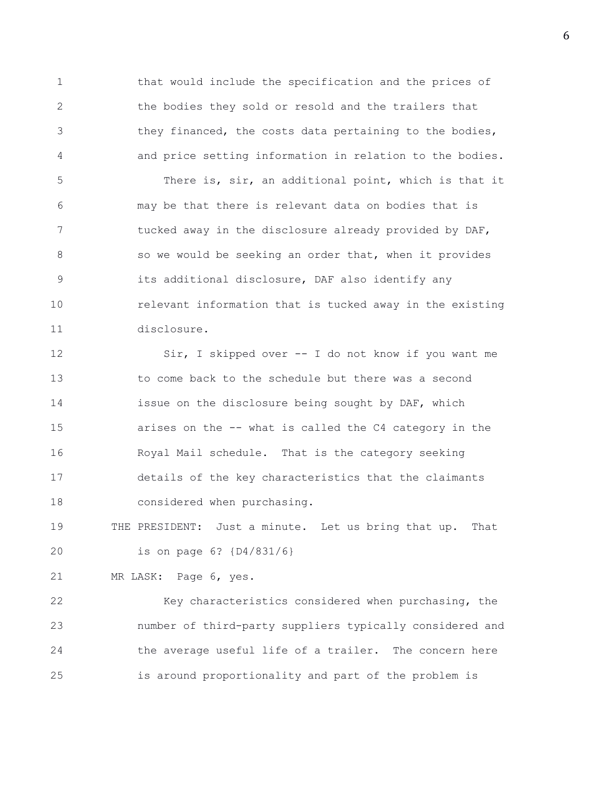1 that would include the specification and the prices of 2 the bodies they sold or resold and the trailers that 3 they financed, the costs data pertaining to the bodies, 4 and price setting information in relation to the bodies. 5 There is, sir, an additional point, which is that it 6 may be that there is relevant data on bodies that is 7 tucked away in the disclosure already provided by DAF, 8 so we would be seeking an order that, when it provides 9 its additional disclosure, DAF also identify any 10 relevant information that is tucked away in the existing 11 disclosure.

12 Sir, I skipped over -- I do not know if you want me 13 to come back to the schedule but there was a second 14 issue on the disclosure being sought by DAF, which 15 arises on the -- what is called the C4 category in the 16 Royal Mail schedule. That is the category seeking 17 details of the key characteristics that the claimants 18 considered when purchasing.

19 THE PRESIDENT: Just a minute. Let us bring that up. That 20 is on page 6? {D4/831/6}

21 MR LASK: Page 6, yes.

22 Key characteristics considered when purchasing, the 23 number of third-party suppliers typically considered and 24 the average useful life of a trailer. The concern here 25 is around proportionality and part of the problem is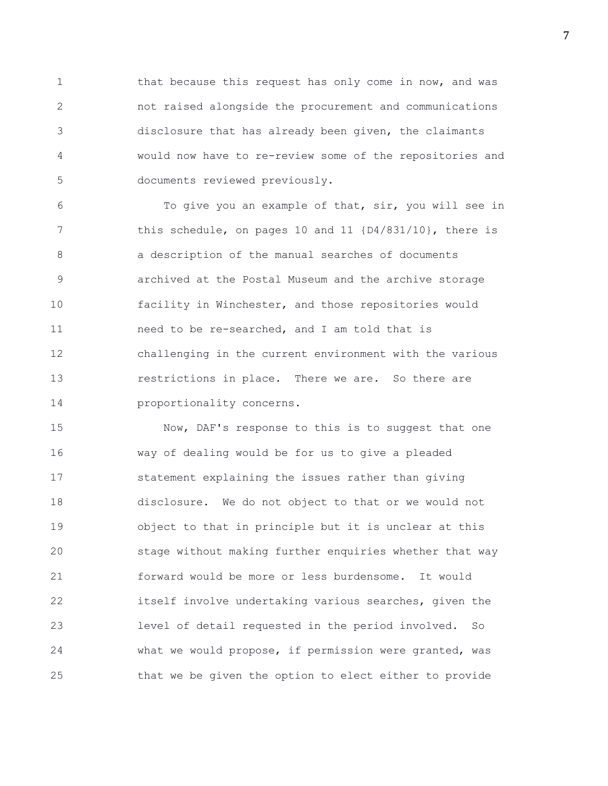1 that because this request has only come in now, and was 2 not raised alongside the procurement and communications 3 disclosure that has already been given, the claimants 4 would now have to re-review some of the repositories and 5 documents reviewed previously.

6 To give you an example of that, sir, you will see in 7 this schedule, on pages 10 and 11 {D4/831/10}, there is 8 a description of the manual searches of documents 9 archived at the Postal Museum and the archive storage 10 facility in Winchester, and those repositories would 11 need to be re-searched, and I am told that is 12 challenging in the current environment with the various 13 restrictions in place. There we are. So there are 14 proportionality concerns.

15 Now, DAF's response to this is to suggest that one 16 way of dealing would be for us to give a pleaded 17 statement explaining the issues rather than giving 18 disclosure. We do not object to that or we would not 19 object to that in principle but it is unclear at this 20 stage without making further enquiries whether that way 21 forward would be more or less burdensome. It would 22 itself involve undertaking various searches, given the 23 level of detail requested in the period involved. So 24 what we would propose, if permission were granted, was 25 that we be given the option to elect either to provide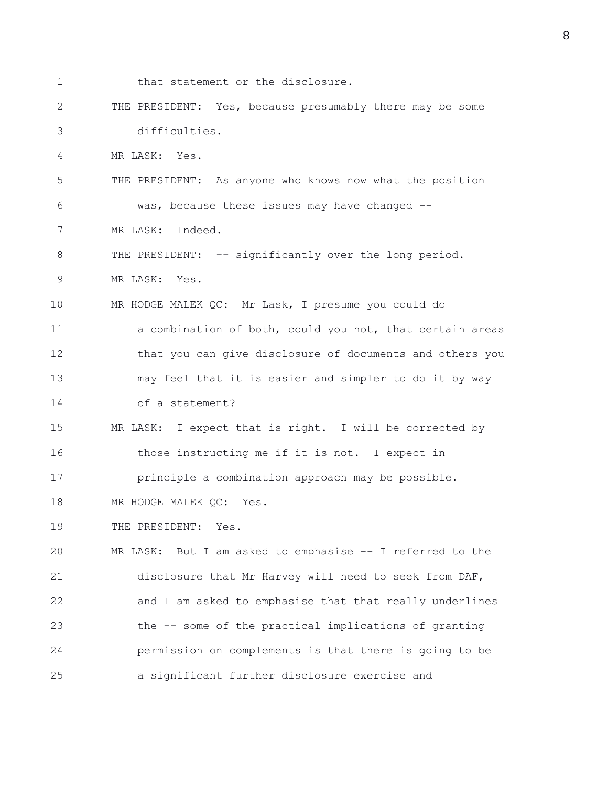1 that statement or the disclosure. 2 THE PRESIDENT: Yes, because presumably there may be some 3 difficulties. 4 MR LASK: Yes. 5 THE PRESIDENT: As anyone who knows now what the position 6 was, because these issues may have changed -- 7 MR LASK: Indeed. 8 THE PRESIDENT: -- significantly over the long period. 9 MR LASK: Yes. 10 MR HODGE MALEK QC: Mr Lask, I presume you could do 11 a combination of both, could you not, that certain areas 12 that you can give disclosure of documents and others you 13 may feel that it is easier and simpler to do it by way 14 of a statement? 15 MR LASK: I expect that is right. I will be corrected by 16 those instructing me if it is not. I expect in 17 principle a combination approach may be possible. 18 MR HODGE MALEK QC: Yes. 19 THE PRESIDENT: Yes. 20 MR LASK: But I am asked to emphasise -- I referred to the 21 disclosure that Mr Harvey will need to seek from DAF, 22 and I am asked to emphasise that that really underlines 23 the -- some of the practical implications of granting 24 permission on complements is that there is going to be 25 a significant further disclosure exercise and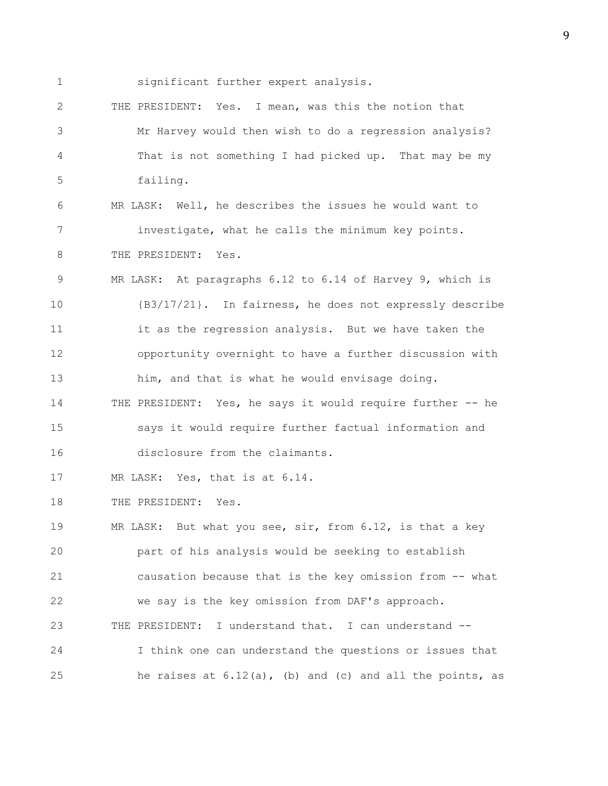1 significant further expert analysis.

2 THE PRESIDENT: Yes. I mean, was this the notion that 3 Mr Harvey would then wish to do a regression analysis? 4 That is not something I had picked up. That may be my 5 failing.

6 MR LASK: Well, he describes the issues he would want to 7 investigate, what he calls the minimum key points. 8 THE PRESIDENT: Yes.

9 MR LASK: At paragraphs 6.12 to 6.14 of Harvey 9, which is 10 {B3/17/21}. In fairness, he does not expressly describe 11 it as the regression analysis. But we have taken the 12 opportunity overnight to have a further discussion with 13 him, and that is what he would envisage doing. 14 THE PRESIDENT: Yes, he says it would require further -- he

15 says it would require further factual information and 16 disclosure from the claimants.

17 MR LASK: Yes, that is at 6.14.

18 THE PRESIDENT: Yes.

19 MR LASK: But what you see, sir, from 6.12, is that a key 20 part of his analysis would be seeking to establish 21 causation because that is the key omission from -- what 22 we say is the key omission from DAF's approach. 23 THE PRESIDENT: I understand that. I can understand -- 24 I think one can understand the questions or issues that 25 he raises at 6.12(a), (b) and (c) and all the points, as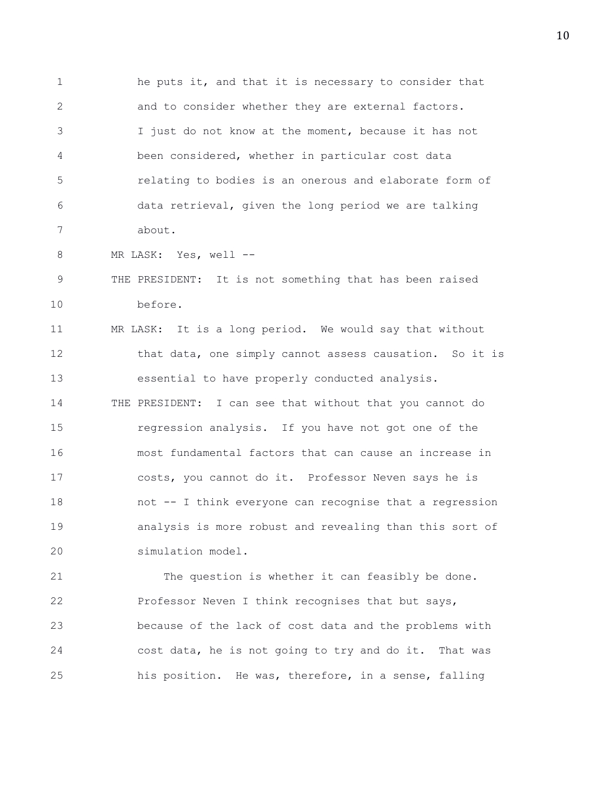1 he puts it, and that it is necessary to consider that 2 and to consider whether they are external factors. 3 I just do not know at the moment, because it has not 4 been considered, whether in particular cost data 5 relating to bodies is an onerous and elaborate form of 6 data retrieval, given the long period we are talking 7 about.

8 MR LASK: Yes, well --

9 THE PRESIDENT: It is not something that has been raised 10 before.

11 MR LASK: It is a long period. We would say that without 12 that data, one simply cannot assess causation. So it is 13 essential to have properly conducted analysis. 14 THE PRESIDENT: I can see that without that you cannot do 15 regression analysis. If you have not got one of the 16 most fundamental factors that can cause an increase in 17 costs, you cannot do it. Professor Neven says he is 18 not -- I think everyone can recognise that a regression 19 analysis is more robust and revealing than this sort of 20 simulation model.

21 The question is whether it can feasibly be done. 22 Professor Neven I think recognises that but says, 23 because of the lack of cost data and the problems with 24 cost data, he is not going to try and do it. That was 25 his position. He was, therefore, in a sense, falling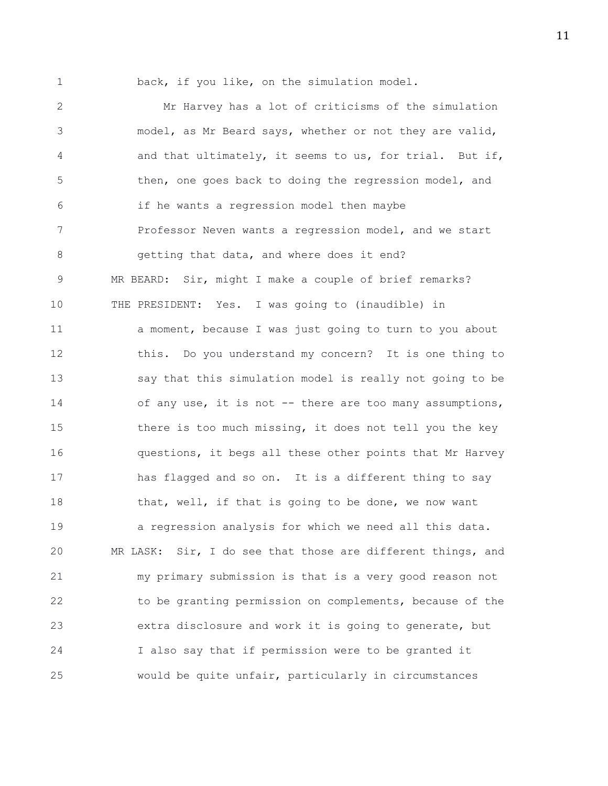1 back, if you like, on the simulation model.

2 Mr Harvey has a lot of criticisms of the simulation 3 model, as Mr Beard says, whether or not they are valid, 4 and that ultimately, it seems to us, for trial. But if, 5 then, one goes back to doing the regression model, and 6 if he wants a regression model then maybe 7 Professor Neven wants a regression model, and we start 8 getting that data, and where does it end? 9 MR BEARD: Sir, might I make a couple of brief remarks? 10 THE PRESIDENT: Yes. I was going to (inaudible) in 11 a moment, because I was just going to turn to you about 12 this. Do you understand my concern? It is one thing to 13 say that this simulation model is really not going to be 14 of any use, it is not -- there are too many assumptions, 15 there is too much missing, it does not tell you the key 16 questions, it begs all these other points that Mr Harvey 17 has flagged and so on. It is a different thing to say 18 that, well, if that is going to be done, we now want 19 a regression analysis for which we need all this data. 20 MR LASK: Sir, I do see that those are different things, and 21 my primary submission is that is a very good reason not 22 to be granting permission on complements, because of the 23 extra disclosure and work it is going to generate, but 24 I also say that if permission were to be granted it 25 would be quite unfair, particularly in circumstances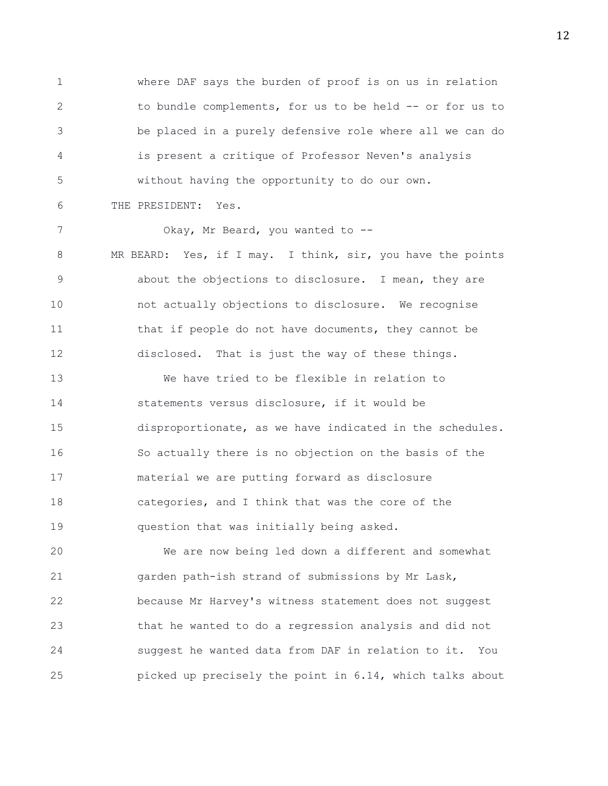1 where DAF says the burden of proof is on us in relation 2 to bundle complements, for us to be held -- or for us to 3 be placed in a purely defensive role where all we can do 4 is present a critique of Professor Neven's analysis 5 without having the opportunity to do our own. 6 THE PRESIDENT: Yes.

7 Okay, Mr Beard, you wanted to --8 MR BEARD: Yes, if I may. I think, sir, you have the points 9 about the objections to disclosure. I mean, they are 10 not actually objections to disclosure. We recognise 11 that if people do not have documents, they cannot be 12 disclosed. That is just the way of these things. 13 We have tried to be flexible in relation to 14 statements versus disclosure, if it would be 15 disproportionate, as we have indicated in the schedules.

16 So actually there is no objection on the basis of the 17 material we are putting forward as disclosure 18 categories, and I think that was the core of the 19 question that was initially being asked.

20 We are now being led down a different and somewhat 21 garden path-ish strand of submissions by Mr Lask, 22 because Mr Harvey's witness statement does not suggest 23 that he wanted to do a regression analysis and did not 24 suggest he wanted data from DAF in relation to it. You 25 picked up precisely the point in 6.14, which talks about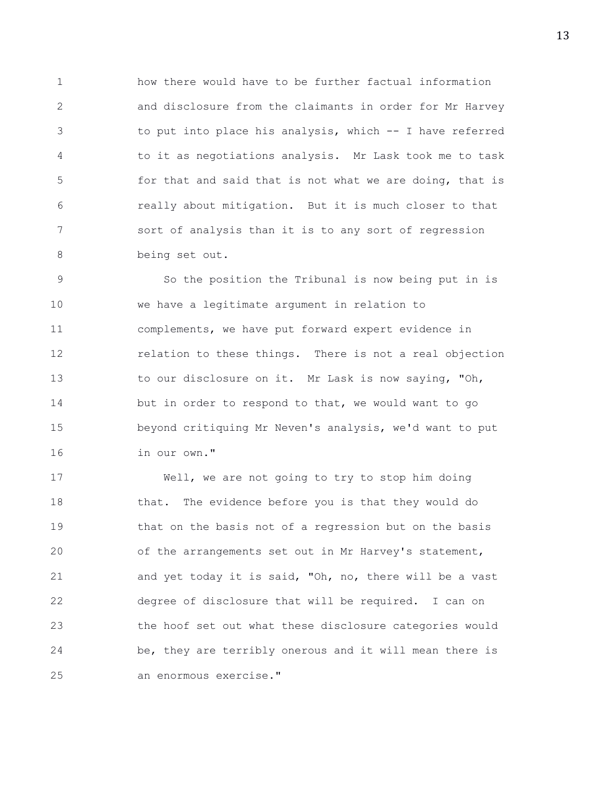1 how there would have to be further factual information 2 and disclosure from the claimants in order for Mr Harvey 3 to put into place his analysis, which -- I have referred 4 to it as negotiations analysis. Mr Lask took me to task 5 for that and said that is not what we are doing, that is 6 really about mitigation. But it is much closer to that 7 sort of analysis than it is to any sort of regression 8 being set out.

9 So the position the Tribunal is now being put in is 10 we have a legitimate argument in relation to 11 complements, we have put forward expert evidence in 12 relation to these things. There is not a real objection 13 to our disclosure on it. Mr Lask is now saying, "Oh, 14 but in order to respond to that, we would want to go 15 beyond critiquing Mr Neven's analysis, we'd want to put 16 in our own."

17 Well, we are not going to try to stop him doing 18 that. The evidence before you is that they would do 19 that on the basis not of a regression but on the basis 20 of the arrangements set out in Mr Harvey's statement, 21 and yet today it is said, "Oh, no, there will be a vast 22 degree of disclosure that will be required. I can on 23 the hoof set out what these disclosure categories would 24 be, they are terribly onerous and it will mean there is 25 an enormous exercise."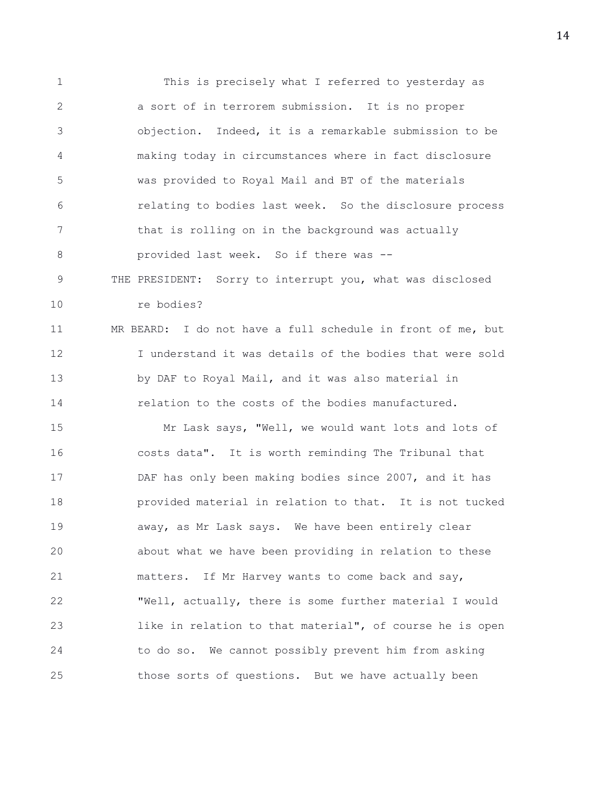1 This is precisely what I referred to yesterday as 2 a sort of in terrorem submission. It is no proper 3 objection. Indeed, it is a remarkable submission to be 4 making today in circumstances where in fact disclosure 5 was provided to Royal Mail and BT of the materials 6 relating to bodies last week. So the disclosure process 7 that is rolling on in the background was actually 8 **provided last week.** So if there was --9 THE PRESIDENT: Sorry to interrupt you, what was disclosed 10 re bodies? 11 MR BEARD: I do not have a full schedule in front of me, but 12 I understand it was details of the bodies that were sold 13 by DAF to Royal Mail, and it was also material in 14 relation to the costs of the bodies manufactured. 15 Mr Lask says, "Well, we would want lots and lots of 16 costs data". It is worth reminding The Tribunal that 17 DAF has only been making bodies since 2007, and it has 18 provided material in relation to that. It is not tucked 19 away, as Mr Lask says. We have been entirely clear 20 about what we have been providing in relation to these 21 matters. If Mr Harvey wants to come back and say, 22 "Well, actually, there is some further material I would 23 like in relation to that material", of course he is open 24 to do so. We cannot possibly prevent him from asking 25 those sorts of questions. But we have actually been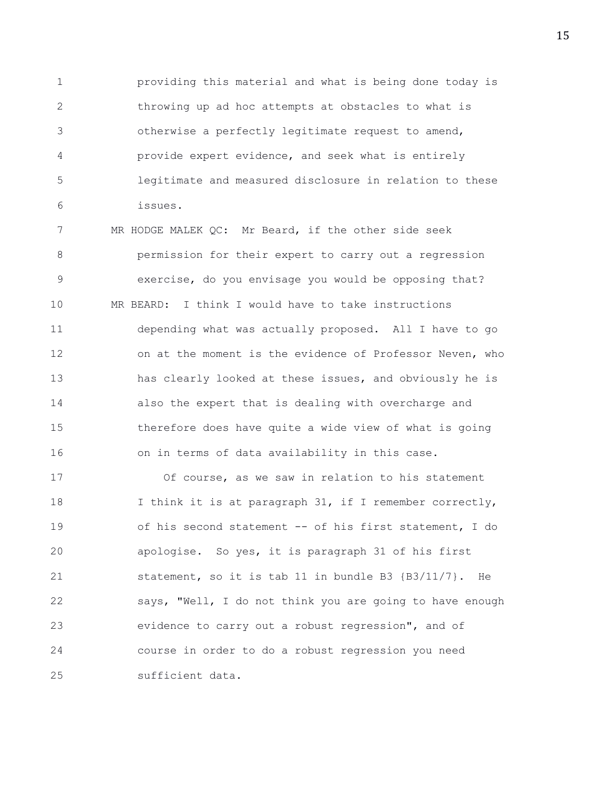1 providing this material and what is being done today is 2 throwing up ad hoc attempts at obstacles to what is 3 otherwise a perfectly legitimate request to amend, 4 provide expert evidence, and seek what is entirely 5 legitimate and measured disclosure in relation to these 6 issues.

7 MR HODGE MALEK QC: Mr Beard, if the other side seek 8 permission for their expert to carry out a regression 9 exercise, do you envisage you would be opposing that? 10 MR BEARD: I think I would have to take instructions 11 depending what was actually proposed. All I have to go 12 on at the moment is the evidence of Professor Neven, who 13 has clearly looked at these issues, and obviously he is 14 also the expert that is dealing with overcharge and 15 therefore does have quite a wide view of what is going 16 on in terms of data availability in this case.

17 Of course, as we saw in relation to his statement 18 I think it is at paragraph 31, if I remember correctly, 19 of his second statement -- of his first statement, I do 20 apologise. So yes, it is paragraph 31 of his first 21 statement, so it is tab 11 in bundle B3 {B3/11/7}. He 22 says, "Well, I do not think you are going to have enough 23 evidence to carry out a robust regression", and of 24 course in order to do a robust regression you need 25 sufficient data.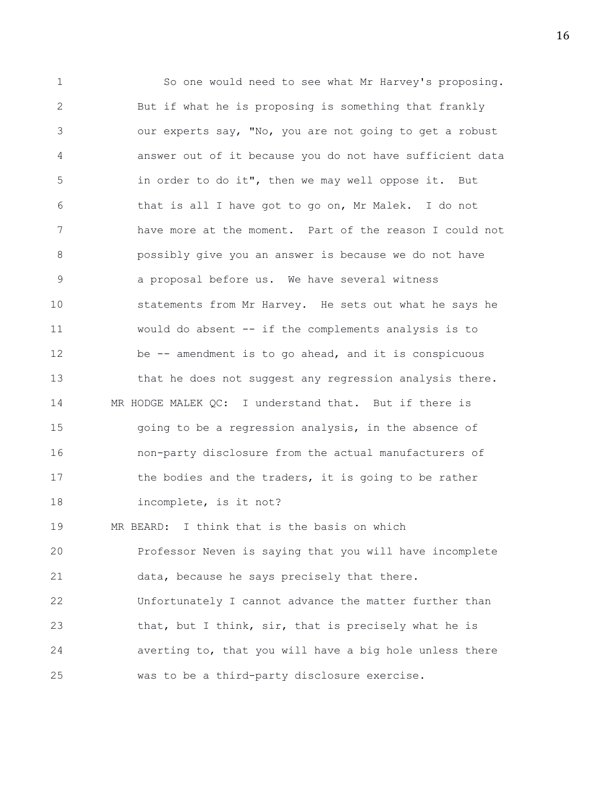1 So one would need to see what Mr Harvey's proposing. 2 But if what he is proposing is something that frankly 3 our experts say, "No, you are not going to get a robust 4 answer out of it because you do not have sufficient data 5 in order to do it", then we may well oppose it. But 6 that is all I have got to go on, Mr Malek. I do not 7 have more at the moment. Part of the reason I could not 8 possibly give you an answer is because we do not have 9 a proposal before us. We have several witness 10 statements from Mr Harvey. He sets out what he says he 11 would do absent -- if the complements analysis is to 12 be -- amendment is to go ahead, and it is conspicuous 13 that he does not suggest any regression analysis there. 14 MR HODGE MALEK QC: I understand that. But if there is 15 going to be a regression analysis, in the absence of 16 non-party disclosure from the actual manufacturers of 17 the bodies and the traders, it is going to be rather 18 incomplete, is it not? 19 MR BEARD: I think that is the basis on which 20 Professor Neven is saying that you will have incomplete 21 data, because he says precisely that there. 22 Unfortunately I cannot advance the matter further than 23 that, but I think, sir, that is precisely what he is 24 averting to, that you will have a big hole unless there 25 was to be a third-party disclosure exercise.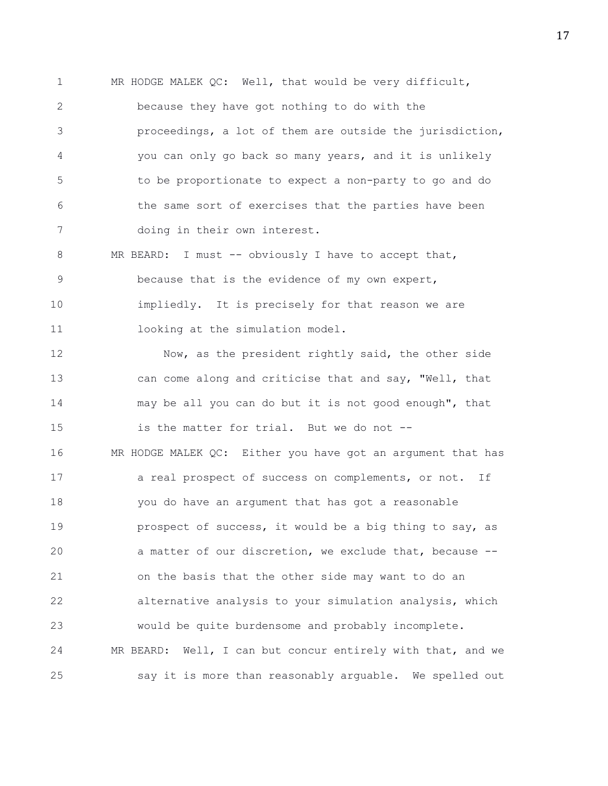1 MR HODGE MALEK QC: Well, that would be very difficult, 2 because they have got nothing to do with the 3 proceedings, a lot of them are outside the jurisdiction, 4 you can only go back so many years, and it is unlikely 5 to be proportionate to expect a non-party to go and do 6 the same sort of exercises that the parties have been 7 doing in their own interest.

8 MR BEARD: I must -- obviously I have to accept that, 9 because that is the evidence of my own expert, 10 impliedly. It is precisely for that reason we are 11 looking at the simulation model.

12 Now, as the president rightly said, the other side 13 can come along and criticise that and say, "Well, that 14 may be all you can do but it is not good enough", that 15 is the matter for trial. But we do not -- 16 MR HODGE MALEK QC: Either you have got an argument that has 17 a real prospect of success on complements, or not. If 18 you do have an argument that has got a reasonable 19 **prospect of success, it would be a big thing to say, as** 20 a matter of our discretion, we exclude that, because -- 21 on the basis that the other side may want to do an 22 alternative analysis to your simulation analysis, which 23 would be quite burdensome and probably incomplete. 24 MR BEARD: Well, I can but concur entirely with that, and we 25 say it is more than reasonably arguable. We spelled out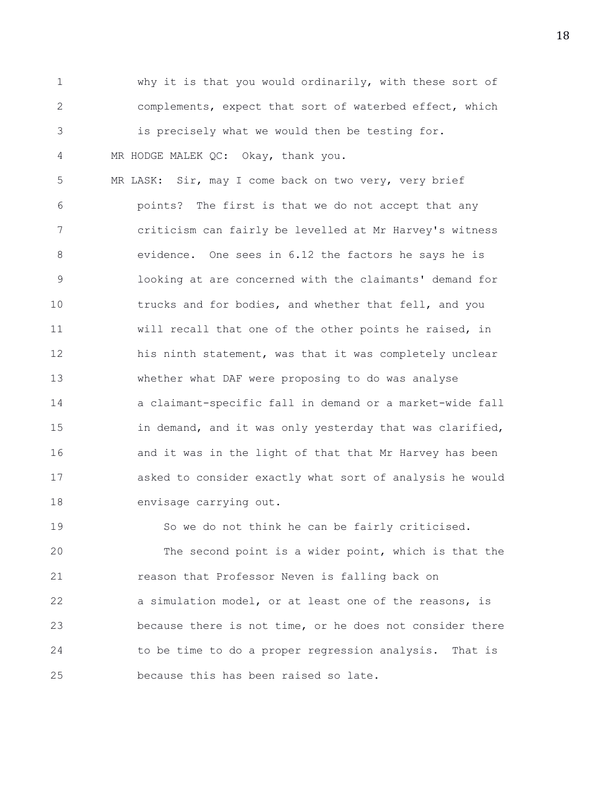1 why it is that you would ordinarily, with these sort of 2 complements, expect that sort of waterbed effect, which 3 is precisely what we would then be testing for. 4 MR HODGE MALEK QC: Okay, thank you.

5 MR LASK: Sir, may I come back on two very, very brief 6 points? The first is that we do not accept that any 7 criticism can fairly be levelled at Mr Harvey's witness 8 evidence. One sees in 6.12 the factors he says he is 9 looking at are concerned with the claimants' demand for 10 trucks and for bodies, and whether that fell, and you 11 will recall that one of the other points he raised, in 12 his ninth statement, was that it was completely unclear 13 whether what DAF were proposing to do was analyse 14 a claimant-specific fall in demand or a market-wide fall 15 in demand, and it was only yesterday that was clarified, 16 **and it was in the light of that that Mr Harvey has been** 17 asked to consider exactly what sort of analysis he would 18 envisage carrying out.

19 So we do not think he can be fairly criticised. 20 The second point is a wider point, which is that the 21 reason that Professor Neven is falling back on 22 a simulation model, or at least one of the reasons, is 23 because there is not time, or he does not consider there 24 to be time to do a proper regression analysis. That is 25 because this has been raised so late.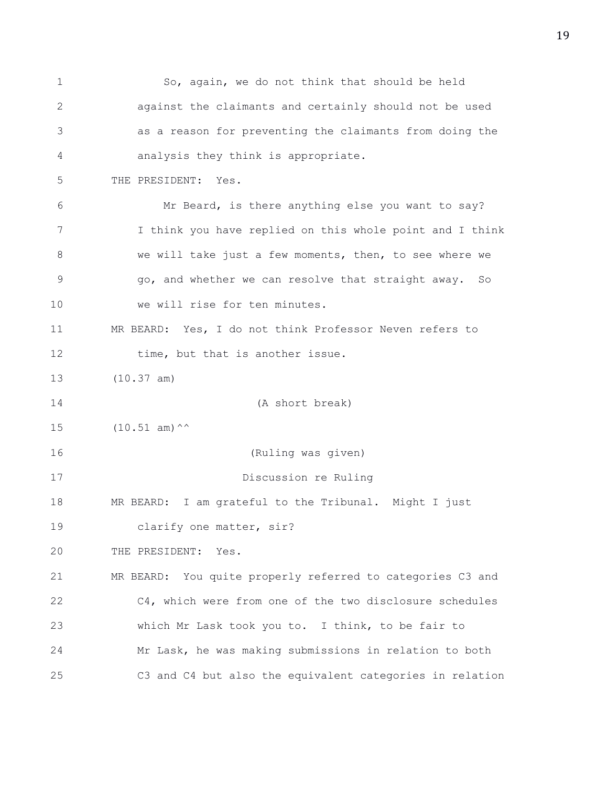1 So, again, we do not think that should be held 2 against the claimants and certainly should not be used 3 as a reason for preventing the claimants from doing the 4 analysis they think is appropriate. 5 THE PRESIDENT: Yes. 6 Mr Beard, is there anything else you want to say? 7 I think you have replied on this whole point and I think 8 we will take just a few moments, then, to see where we 9 go, and whether we can resolve that straight away. So 10 we will rise for ten minutes. 11 MR BEARD: Yes, I do not think Professor Neven refers to 12 time, but that is another issue. 13 (10.37 am) 14 (A short break)  $15$   $(10.51 \text{ am})^{\wedge \wedge}$ 16 (Ruling was given) 17 Discussion re Ruling 18 MR BEARD: I am grateful to the Tribunal. Might I just 19 clarify one matter, sir? 20 THE PRESIDENT: Yes. 21 MR BEARD: You quite properly referred to categories C3 and 22 C4, which were from one of the two disclosure schedules 23 which Mr Lask took you to. I think, to be fair to 24 Mr Lask, he was making submissions in relation to both 25 C3 and C4 but also the equivalent categories in relation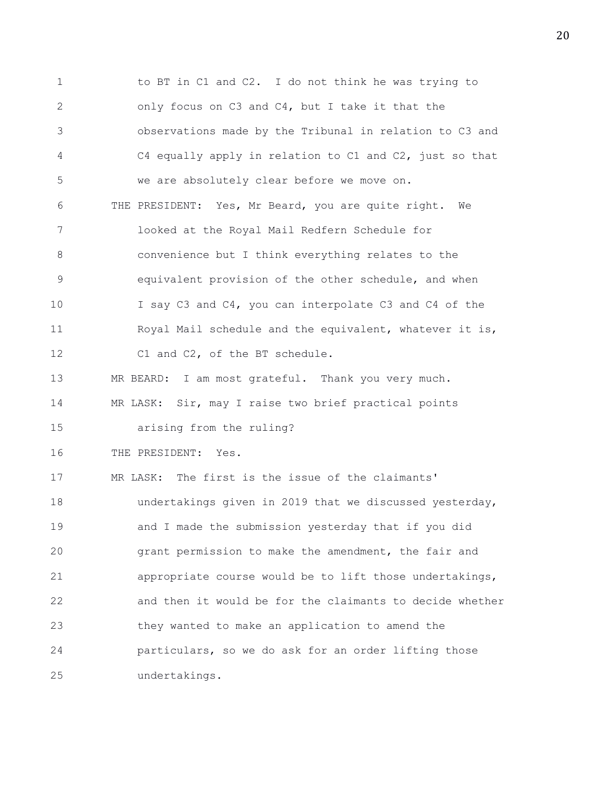1 to BT in C1 and C2. I do not think he was trying to 2 only focus on C3 and C4, but I take it that the 3 observations made by the Tribunal in relation to C3 and 4 C4 equally apply in relation to C1 and C2, just so that 5 we are absolutely clear before we move on. 6 THE PRESIDENT: Yes, Mr Beard, you are quite right. We 7 looked at the Royal Mail Redfern Schedule for 8 convenience but I think everything relates to the 9 equivalent provision of the other schedule, and when 10 I say C3 and C4, you can interpolate C3 and C4 of the 11 Royal Mail schedule and the equivalent, whatever it is, 12 C1 and C2, of the BT schedule. 13 MR BEARD: I am most grateful. Thank you very much. 14 MR LASK: Sir, may I raise two brief practical points 15 arising from the ruling? 16 THE PRESIDENT: Yes. 17 MR LASK: The first is the issue of the claimants' 18 undertakings given in 2019 that we discussed yesterday, 19 and I made the submission yesterday that if you did 20 grant permission to make the amendment, the fair and 21 appropriate course would be to lift those undertakings, 22 and then it would be for the claimants to decide whether 23 they wanted to make an application to amend the 24 particulars, so we do ask for an order lifting those 25 undertakings.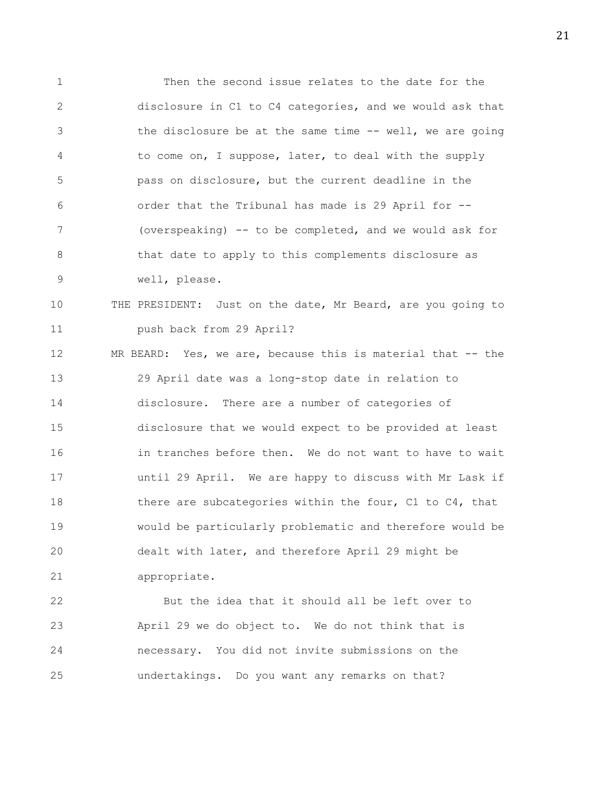1 Then the second issue relates to the date for the 2 disclosure in C1 to C4 categories, and we would ask that 3 the disclosure be at the same time -- well, we are going 4 to come on, I suppose, later, to deal with the supply 5 pass on disclosure, but the current deadline in the 6 order that the Tribunal has made is 29 April for -- 7 (overspeaking) -- to be completed, and we would ask for 8 that date to apply to this complements disclosure as 9 well, please.

## 10 THE PRESIDENT: Just on the date, Mr Beard, are you going to 11 push back from 29 April?

12 MR BEARD: Yes, we are, because this is material that -- the 13 29 April date was a long-stop date in relation to 14 disclosure. There are a number of categories of 15 disclosure that we would expect to be provided at least 16 in tranches before then. We do not want to have to wait 17 until 29 April. We are happy to discuss with Mr Lask if 18 there are subcategories within the four, C1 to C4, that 19 would be particularly problematic and therefore would be 20 dealt with later, and therefore April 29 might be 21 appropriate.

22 But the idea that it should all be left over to 23 April 29 we do object to. We do not think that is 24 necessary. You did not invite submissions on the 25 undertakings. Do you want any remarks on that?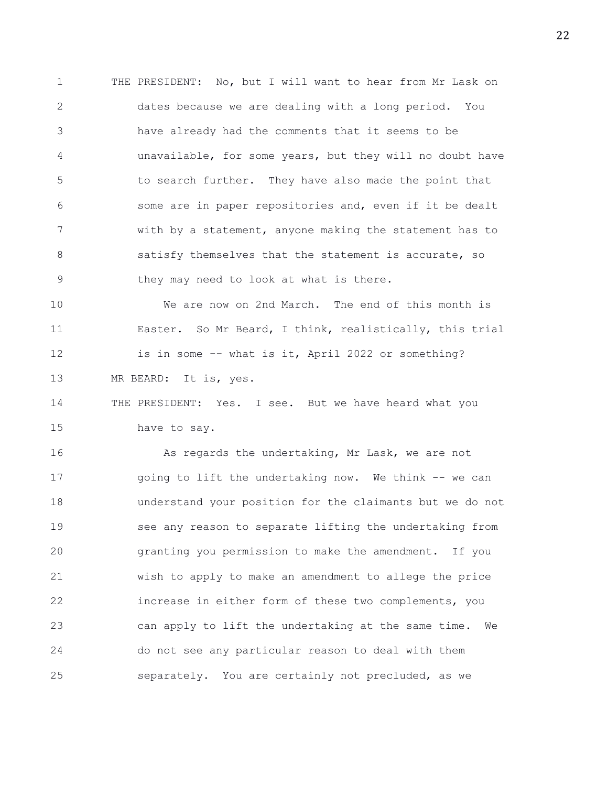1 THE PRESIDENT: No, but I will want to hear from Mr Lask on 2 dates because we are dealing with a long period. You 3 have already had the comments that it seems to be 4 unavailable, for some years, but they will no doubt have 5 to search further. They have also made the point that 6 some are in paper repositories and, even if it be dealt 7 with by a statement, anyone making the statement has to 8 3 8 satisfy themselves that the statement is accurate, so 9 they may need to look at what is there.

10 We are now on 2nd March. The end of this month is 11 Easter. So Mr Beard, I think, realistically, this trial 12 is in some -- what is it, April 2022 or something? 13 MR BEARD: It is, yes.

14 THE PRESIDENT: Yes. I see. But we have heard what you 15 have to say.

16 As regards the undertaking, Mr Lask, we are not 17 going to lift the undertaking now. We think -- we can 18 understand your position for the claimants but we do not 19 see any reason to separate lifting the undertaking from 20 granting you permission to make the amendment. If you 21 wish to apply to make an amendment to allege the price 22 increase in either form of these two complements, you 23 can apply to lift the undertaking at the same time. We 24 do not see any particular reason to deal with them 25 separately. You are certainly not precluded, as we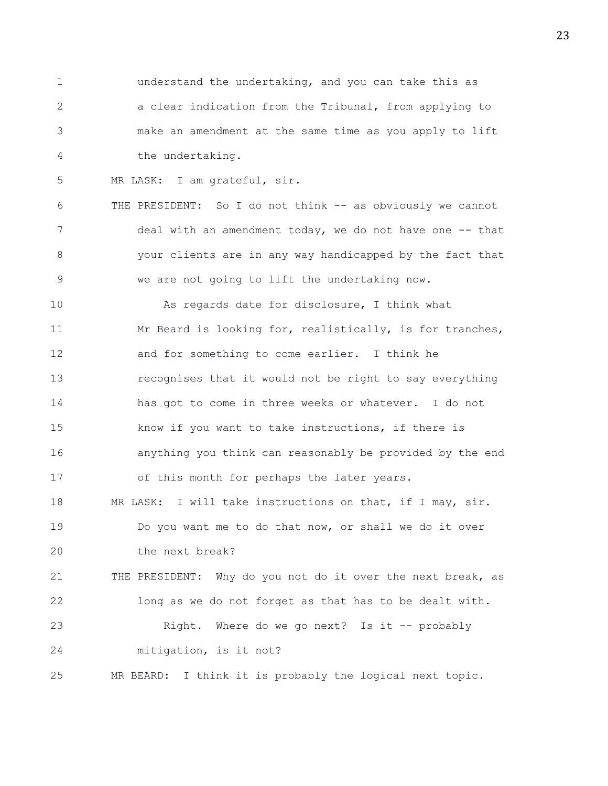1 understand the undertaking, and you can take this as 2 a clear indication from the Tribunal, from applying to 3 make an amendment at the same time as you apply to lift 4 the undertaking.

5 MR LASK: I am grateful, sir.

6 THE PRESIDENT: So I do not think -- as obviously we cannot 7 deal with an amendment today, we do not have one -- that 8 your clients are in any way handicapped by the fact that 9 we are not going to lift the undertaking now.

10 As regards date for disclosure, I think what 11 Mr Beard is looking for, realistically, is for tranches, 12 and for something to come earlier. I think he 13 recognises that it would not be right to say everything 14 has got to come in three weeks or whatever. I do not 15 know if you want to take instructions, if there is 16 anything you think can reasonably be provided by the end 17 of this month for perhaps the later years. 18 MR LASK: I will take instructions on that, if I may, sir. 19 Do you want me to do that now, or shall we do it over 20 the next break? 21 THE PRESIDENT: Why do you not do it over the next break, as 22 long as we do not forget as that has to be dealt with. 23 Right. Where do we go next? Is it -- probably 24 mitigation, is it not?

25 MR BEARD: I think it is probably the logical next topic.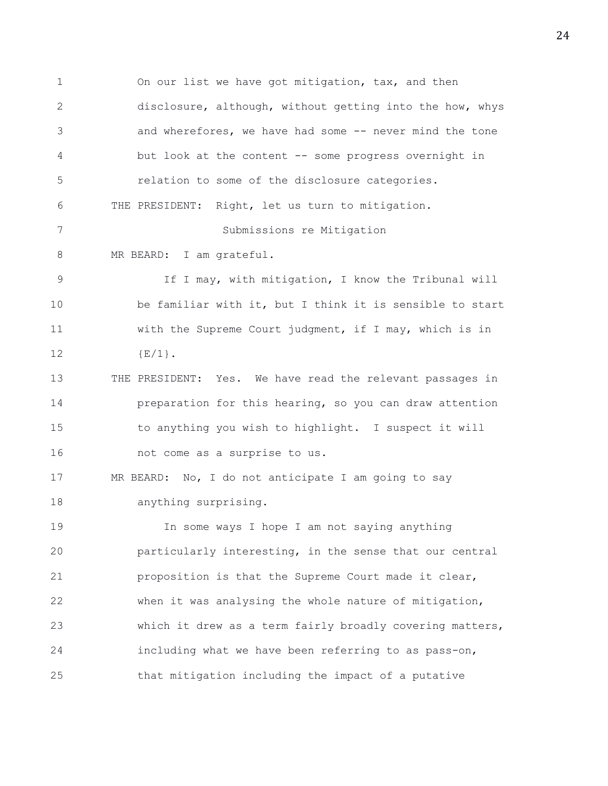1 On our list we have got mitigation, tax, and then 2 disclosure, although, without getting into the how, whys 3 and wherefores, we have had some -- never mind the tone 4 but look at the content -- some progress overnight in 5 relation to some of the disclosure categories. 6 THE PRESIDENT: Right, let us turn to mitigation. 7 Submissions re Mitigation 8 MR BEARD: I am grateful. 9 If I may, with mitigation, I know the Tribunal will 10 be familiar with it, but I think it is sensible to start 11 with the Supreme Court judgment, if I may, which is in 12  ${E/1}$ . 13 THE PRESIDENT: Yes. We have read the relevant passages in 14 preparation for this hearing, so you can draw attention 15 to anything you wish to highlight. I suspect it will 16 not come as a surprise to us. 17 MR BEARD: No, I do not anticipate I am going to say 18 anything surprising. 19 In some ways I hope I am not saying anything 20 particularly interesting, in the sense that our central 21 proposition is that the Supreme Court made it clear, 22 when it was analysing the whole nature of mitigation, 23 which it drew as a term fairly broadly covering matters, 24 including what we have been referring to as pass-on, 25 that mitigation including the impact of a putative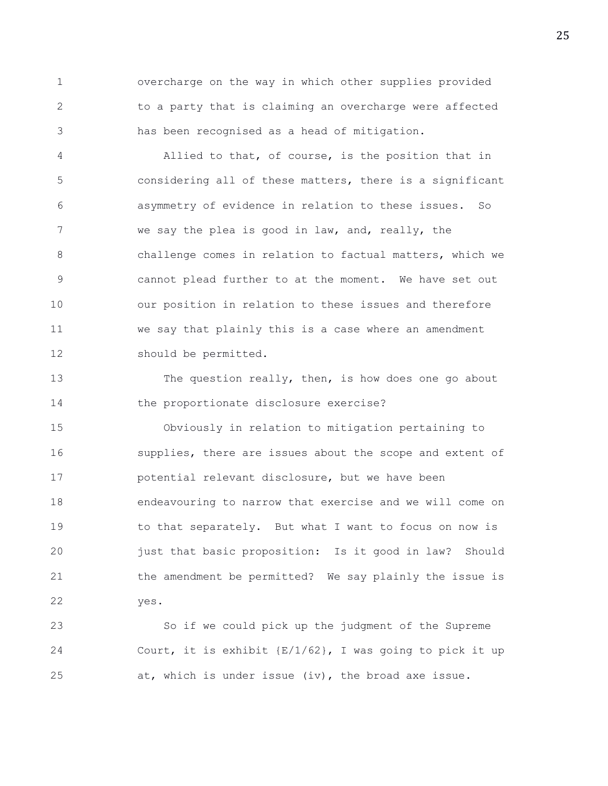1 overcharge on the way in which other supplies provided 2 to a party that is claiming an overcharge were affected 3 has been recognised as a head of mitigation.

4 Allied to that, of course, is the position that in 5 considering all of these matters, there is a significant 6 asymmetry of evidence in relation to these issues. So 7 we say the plea is good in law, and, really, the 8 challenge comes in relation to factual matters, which we 9 cannot plead further to at the moment. We have set out 10 our position in relation to these issues and therefore 11 we say that plainly this is a case where an amendment 12 should be permitted.

13 The question really, then, is how does one go about 14 the proportionate disclosure exercise?

15 Obviously in relation to mitigation pertaining to 16 supplies, there are issues about the scope and extent of 17 potential relevant disclosure, but we have been 18 endeavouring to narrow that exercise and we will come on 19 to that separately. But what I want to focus on now is 20 just that basic proposition: Is it good in law? Should 21 the amendment be permitted? We say plainly the issue is 22 yes.

23 So if we could pick up the judgment of the Supreme 24 Court, it is exhibit {E/1/62}, I was going to pick it up 25 at, which is under issue (iv), the broad axe issue.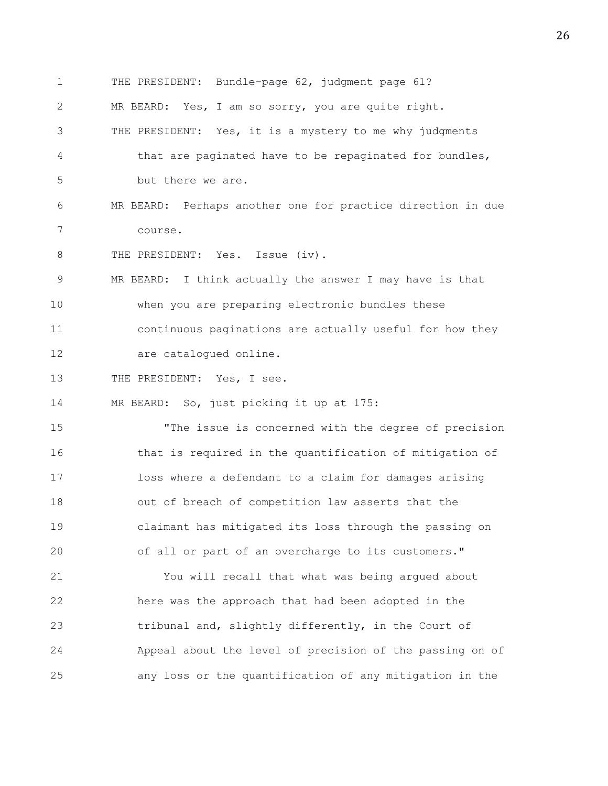1 THE PRESIDENT: Bundle-page 62, judgment page 61? 2 MR BEARD: Yes, I am so sorry, you are quite right. 3 THE PRESIDENT: Yes, it is a mystery to me why judgments 4 that are paginated have to be repaginated for bundles, 5 but there we are. 6 MR BEARD: Perhaps another one for practice direction in due 7 course. 8 THE PRESIDENT: Yes. Issue (iv). 9 MR BEARD: I think actually the answer I may have is that 10 when you are preparing electronic bundles these 11 continuous paginations are actually useful for how they 12 are catalogued online. 13 THE PRESIDENT: Yes, I see. 14 MR BEARD: So, just picking it up at 175: 15 "The issue is concerned with the degree of precision 16 that is required in the quantification of mitigation of 17 loss where a defendant to a claim for damages arising 18 out of breach of competition law asserts that the 19 claimant has mitigated its loss through the passing on 20 of all or part of an overcharge to its customers." 21 You will recall that what was being argued about 22 here was the approach that had been adopted in the 23 tribunal and, slightly differently, in the Court of 24 Appeal about the level of precision of the passing on of 25 any loss or the quantification of any mitigation in the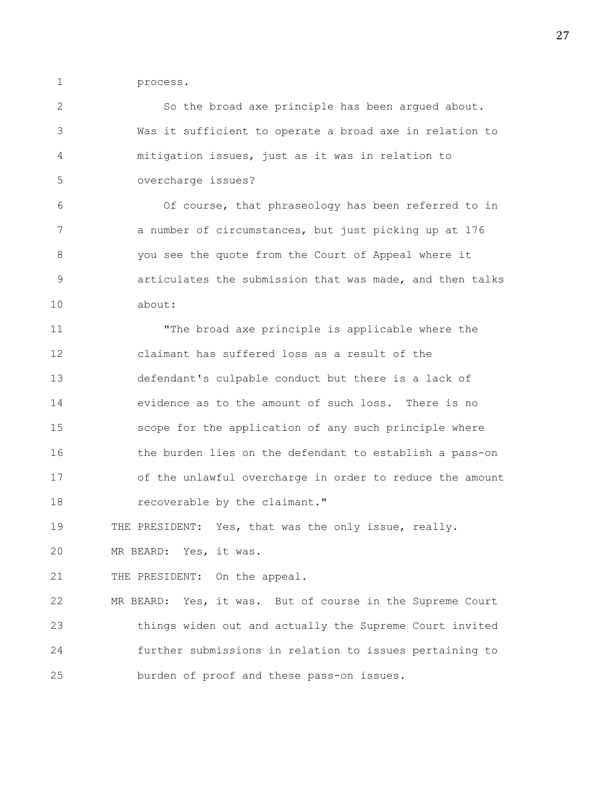1 process.

2 So the broad axe principle has been argued about. 3 Was it sufficient to operate a broad axe in relation to 4 mitigation issues, just as it was in relation to 5 overcharge issues? 6 Of course, that phraseology has been referred to in 7 a number of circumstances, but just picking up at 176 8 you see the quote from the Court of Appeal where it 9 articulates the submission that was made, and then talks 10 about: 11 "The broad axe principle is applicable where the 12 claimant has suffered loss as a result of the 13 defendant's culpable conduct but there is a lack of 14 evidence as to the amount of such loss. There is no 15 scope for the application of any such principle where 16 the burden lies on the defendant to establish a pass-on 17 of the unlawful overcharge in order to reduce the amount 18 recoverable by the claimant."

19 THE PRESIDENT: Yes, that was the only issue, really.

20 MR BEARD: Yes, it was.

21 THE PRESIDENT: On the appeal.

22 MR BEARD: Yes, it was. But of course in the Supreme Court 23 things widen out and actually the Supreme Court invited 24 further submissions in relation to issues pertaining to 25 burden of proof and these pass-on issues.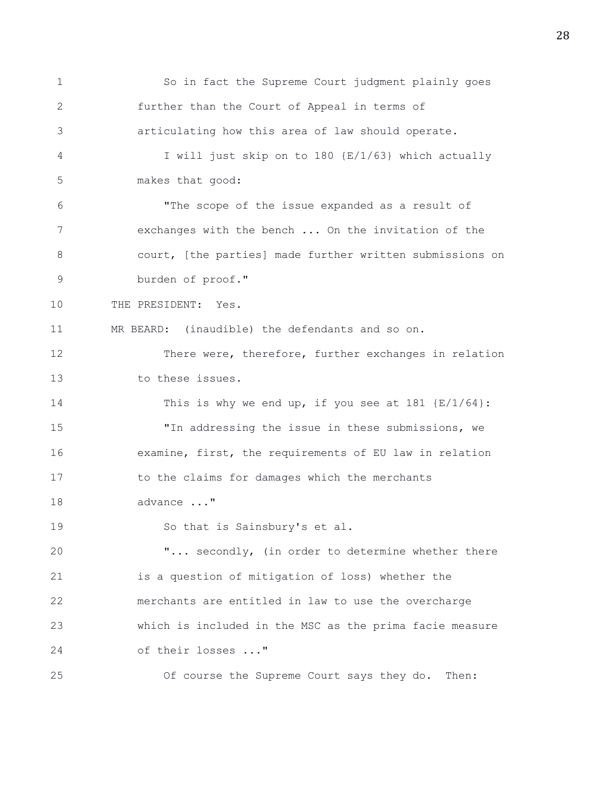1 So in fact the Supreme Court judgment plainly goes 2 further than the Court of Appeal in terms of 3 articulating how this area of law should operate. 4 I will just skip on to 180 {E/1/63} which actually 5 makes that good: 6 "The scope of the issue expanded as a result of 7 exchanges with the bench ... On the invitation of the 8 court, [the parties] made further written submissions on 9 burden of proof." 10 THE PRESIDENT: Yes. 11 MR BEARD: (inaudible) the defendants and so on. 12 There were, therefore, further exchanges in relation 13 to these issues. 14 This is why we end up, if you see at 181 {E/1/64}: 15 "In addressing the issue in these submissions, we 16 examine, first, the requirements of EU law in relation 17 to the claims for damages which the merchants 18 advance ..." 19 So that is Sainsbury's et al. 20 "... secondly, (in order to determine whether there 21 is a question of mitigation of loss) whether the 22 merchants are entitled in law to use the overcharge 23 which is included in the MSC as the prima facie measure 24 of their losses ..." 25 Of course the Supreme Court says they do. Then: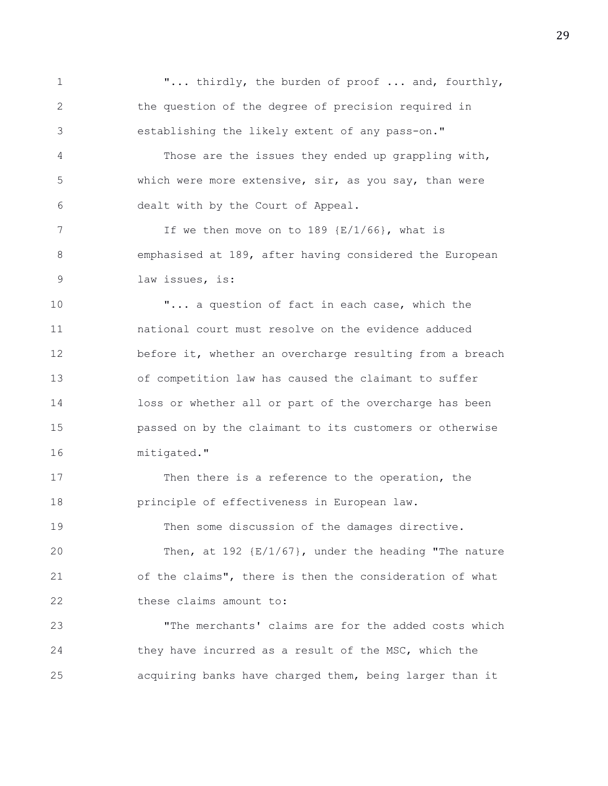1  $\ldots$  thirdly, the burden of proof ... and, fourthly, 2 the question of the degree of precision required in 3 establishing the likely extent of any pass-on." 4 Those are the issues they ended up grappling with, 5 which were more extensive, sir, as you say, than were 6 dealt with by the Court of Appeal. 7 If we then move on to 189 {E/1/66}, what is 8 emphasised at 189, after having considered the European 9 law issues, is: 10 "... a question of fact in each case, which the 11 national court must resolve on the evidence adduced 12 before it, whether an overcharge resulting from a breach 13 of competition law has caused the claimant to suffer 14 loss or whether all or part of the overcharge has been 15 passed on by the claimant to its customers or otherwise 16 mitigated." 17 Then there is a reference to the operation, the 18 principle of effectiveness in European law. 19 Then some discussion of the damages directive. 20 Then, at 192 {E/1/67}, under the heading "The nature 21 of the claims", there is then the consideration of what 22 these claims amount to: 23 "The merchants' claims are for the added costs which 24 they have incurred as a result of the MSC, which the

25 acquiring banks have charged them, being larger than it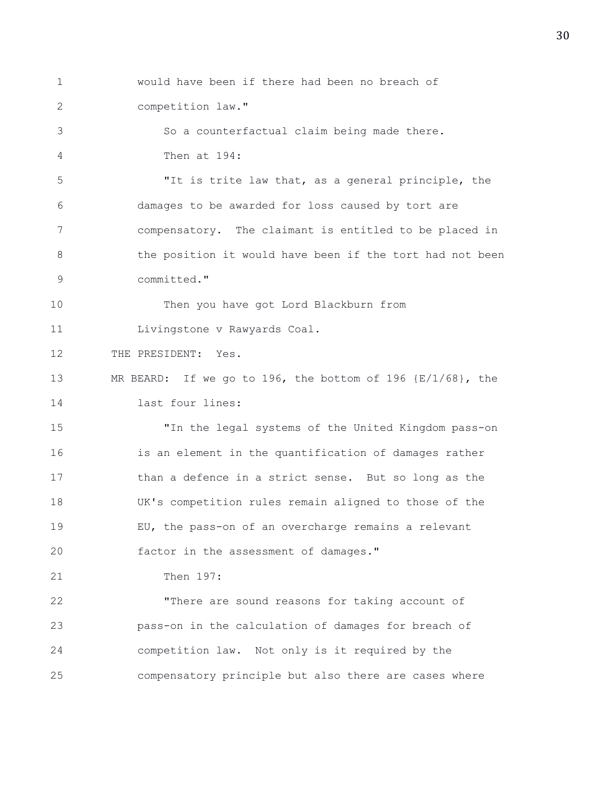- 1 would have been if there had been no breach of
- 2 competition law."

3 So a counterfactual claim being made there. 4 Then at 194:

5 "It is trite law that, as a general principle, the 6 damages to be awarded for loss caused by tort are 7 compensatory. The claimant is entitled to be placed in 8 the position it would have been if the tort had not been 9 committed."

10 Then you have got Lord Blackburn from

11 Livingstone v Rawyards Coal.

12 THE PRESIDENT: Yes.

13 MR BEARD: If we go to 196, the bottom of 196 {E/1/68}, the 14 last four lines:

15 "In the legal systems of the United Kingdom pass-on 16 is an element in the quantification of damages rather 17 than a defence in a strict sense. But so long as the 18 UK's competition rules remain aligned to those of the 19 EU, the pass-on of an overcharge remains a relevant 20 factor in the assessment of damages."

21 Then 197:

22 "There are sound reasons for taking account of 23 pass-on in the calculation of damages for breach of 24 competition law. Not only is it required by the 25 compensatory principle but also there are cases where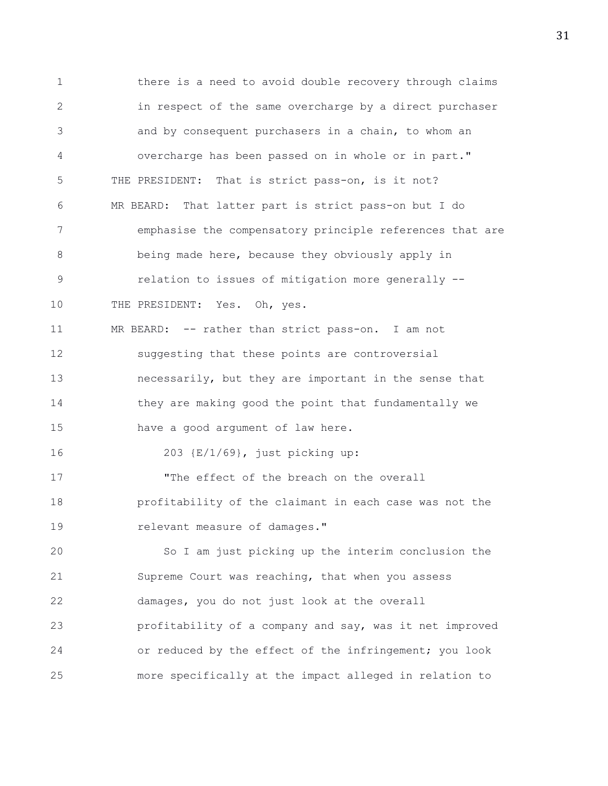1 there is a need to avoid double recovery through claims 2 in respect of the same overcharge by a direct purchaser 3 and by consequent purchasers in a chain, to whom an 4 overcharge has been passed on in whole or in part." 5 THE PRESIDENT: That is strict pass-on, is it not? 6 MR BEARD: That latter part is strict pass-on but I do 7 emphasise the compensatory principle references that are 8 being made here, because they obviously apply in 9 relation to issues of mitigation more generally -- 10 THE PRESIDENT: Yes. Oh, yes. 11 MR BEARD: -- rather than strict pass-on. I am not 12 suggesting that these points are controversial 13 necessarily, but they are important in the sense that 14 they are making good the point that fundamentally we 15 have a good argument of law here. 16 203 {E/1/69}, just picking up: 17 The effect of the breach on the overall 18 profitability of the claimant in each case was not the 19 relevant measure of damages." 20 So I am just picking up the interim conclusion the 21 Supreme Court was reaching, that when you assess 22 damages, you do not just look at the overall 23 profitability of a company and say, was it net improved 24 or reduced by the effect of the infringement; you look 25 more specifically at the impact alleged in relation to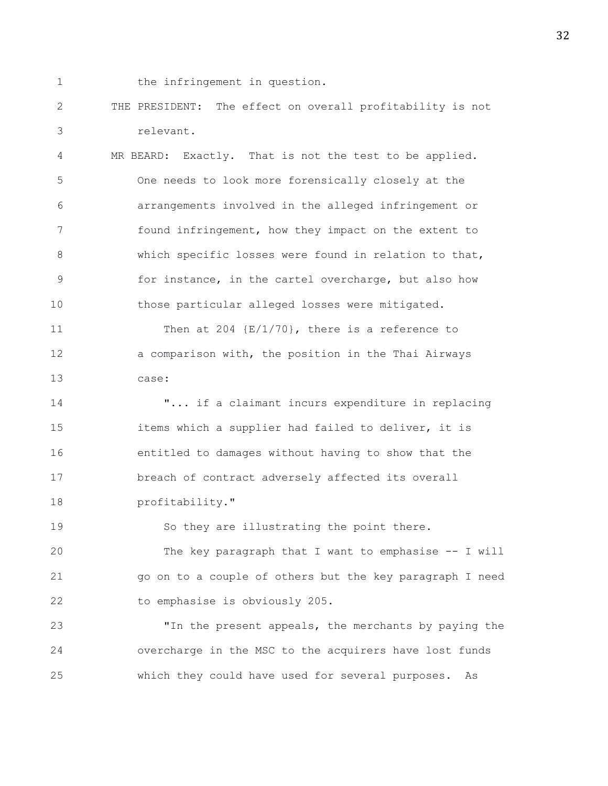1 the infringement in question.

2 THE PRESIDENT: The effect on overall profitability is not 3 relevant.

4 MR BEARD: Exactly. That is not the test to be applied. 5 One needs to look more forensically closely at the 6 arrangements involved in the alleged infringement or 7 found infringement, how they impact on the extent to 8 which specific losses were found in relation to that, 9 for instance, in the cartel overcharge, but also how 10 those particular alleged losses were mitigated.

11 Then at 204 {E/1/70}, there is a reference to 12 a comparison with, the position in the Thai Airways 13 case:

14 "... if a claimant incurs expenditure in replacing 15 items which a supplier had failed to deliver, it is 16 entitled to damages without having to show that the 17 breach of contract adversely affected its overall 18 profitability."

19 So they are illustrating the point there.

20 The key paragraph that I want to emphasise -- I will 21 go on to a couple of others but the key paragraph I need 22 to emphasise is obviously 205.

23 "In the present appeals, the merchants by paying the 24 overcharge in the MSC to the acquirers have lost funds 25 which they could have used for several purposes. As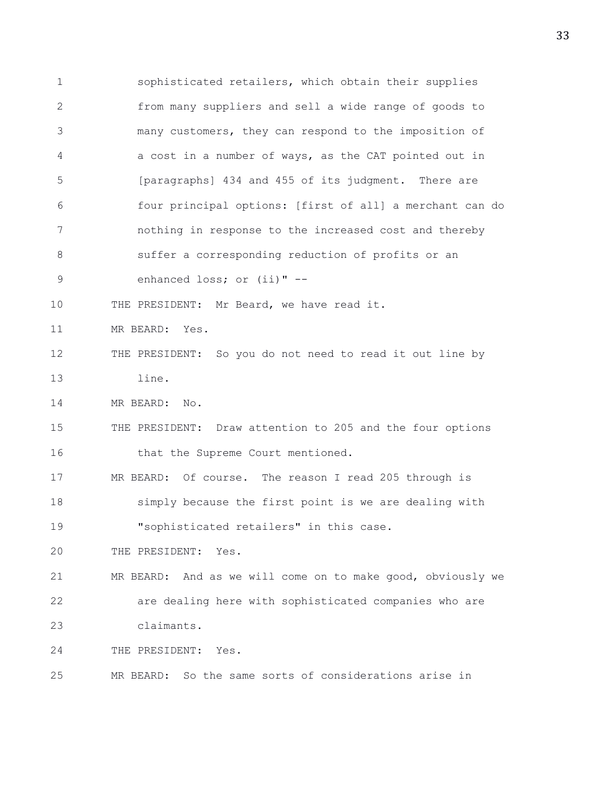1 sophisticated retailers, which obtain their supplies 2 from many suppliers and sell a wide range of goods to 3 many customers, they can respond to the imposition of 4 a cost in a number of ways, as the CAT pointed out in 5 [paragraphs] 434 and 455 of its judgment. There are 6 four principal options: [first of all] a merchant can do 7 nothing in response to the increased cost and thereby 8 suffer a corresponding reduction of profits or an 9 enhanced loss; or (ii)" -- 10 THE PRESIDENT: Mr Beard, we have read it. 11 MR BEARD: Yes. 12 THE PRESIDENT: So you do not need to read it out line by 13 line. 14 MR BEARD: No. 15 THE PRESIDENT: Draw attention to 205 and the four options 16 that the Supreme Court mentioned. 17 MR BEARD: Of course. The reason I read 205 through is 18 simply because the first point is we are dealing with 19 "sophisticated retailers" in this case. 20 THE PRESIDENT: Yes. 21 MR BEARD: And as we will come on to make good, obviously we 22 are dealing here with sophisticated companies who are 23 claimants. 24 THE PRESIDENT: Yes. 25 MR BEARD: So the same sorts of considerations arise in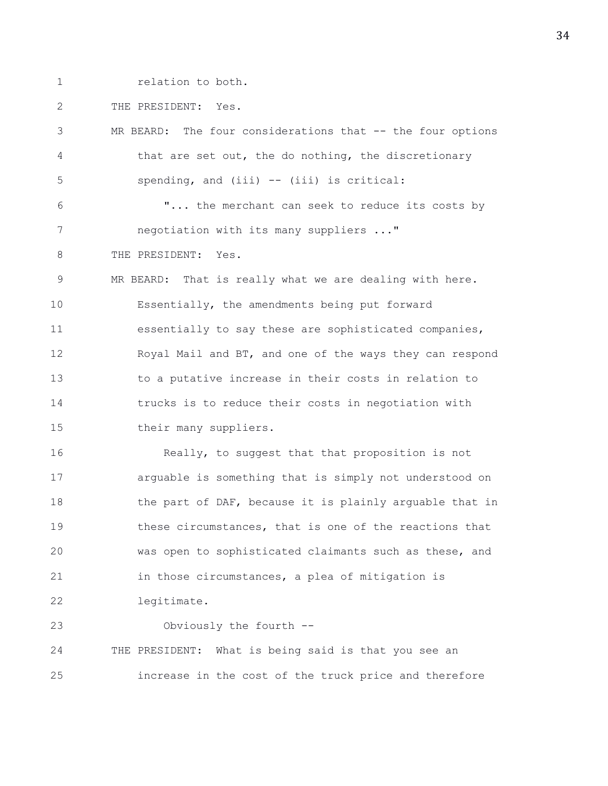1 **relation** to both.

2 THE PRESIDENT: Yes.

3 MR BEARD: The four considerations that -- the four options 4 that are set out, the do nothing, the discretionary 5 spending, and (iii) -- (iii) is critical: 6 "... the merchant can seek to reduce its costs by 7 negotiation with its many suppliers ..." 8 THE PRESIDENT: Yes. 9 MR BEARD: That is really what we are dealing with here. 10 Essentially, the amendments being put forward 11 essentially to say these are sophisticated companies, 12 Royal Mail and BT, and one of the ways they can respond 13 to a putative increase in their costs in relation to 14 trucks is to reduce their costs in negotiation with 15 their many suppliers. 16 Really, to suggest that that proposition is not 17 arguable is something that is simply not understood on 18 the part of DAF, because it is plainly arguable that in 19 these circumstances, that is one of the reactions that 20 was open to sophisticated claimants such as these, and 21 in those circumstances, a plea of mitigation is 22 legitimate. 23 Obviously the fourth -- 24 THE PRESIDENT: What is being said is that you see an 25 increase in the cost of the truck price and therefore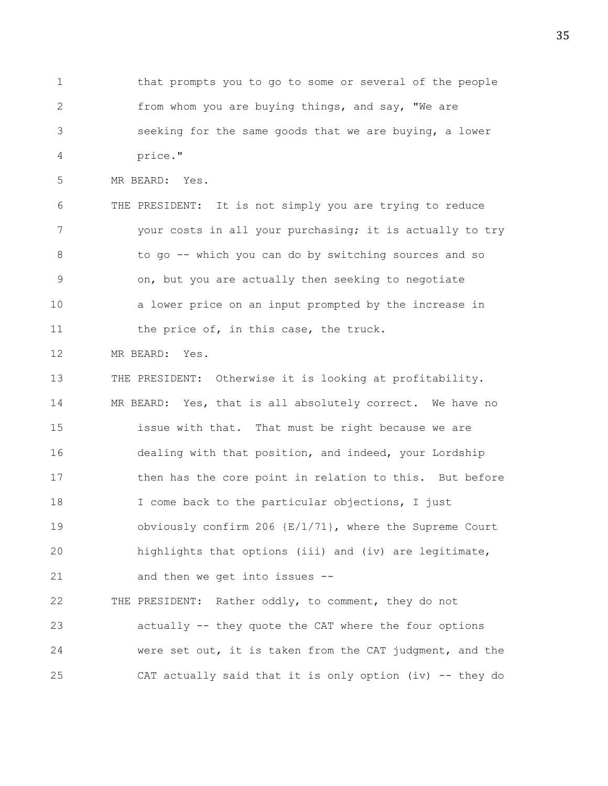1 that prompts you to go to some or several of the people 2 from whom you are buying things, and say, "We are 3 seeking for the same goods that we are buying, a lower 4 price."

5 MR BEARD: Yes.

6 THE PRESIDENT: It is not simply you are trying to reduce 7 your costs in all your purchasing; it is actually to try 8 to go -- which you can do by switching sources and so 9 on, but you are actually then seeking to negotiate 10 a lower price on an input prompted by the increase in 11 the price of, in this case, the truck.

12 MR BEARD: Yes.

13 THE PRESIDENT: Otherwise it is looking at profitability. 14 MR BEARD: Yes, that is all absolutely correct. We have no 15 issue with that. That must be right because we are 16 dealing with that position, and indeed, your Lordship 17 then has the core point in relation to this. But before 18 I come back to the particular objections, I just 19 obviously confirm 206 {E/1/71}, where the Supreme Court 20 highlights that options (iii) and (iv) are legitimate, 21 and then we get into issues --

22 THE PRESIDENT: Rather oddly, to comment, they do not 23 actually -- they quote the CAT where the four options 24 were set out, it is taken from the CAT judgment, and the 25 CAT actually said that it is only option (iv) -- they do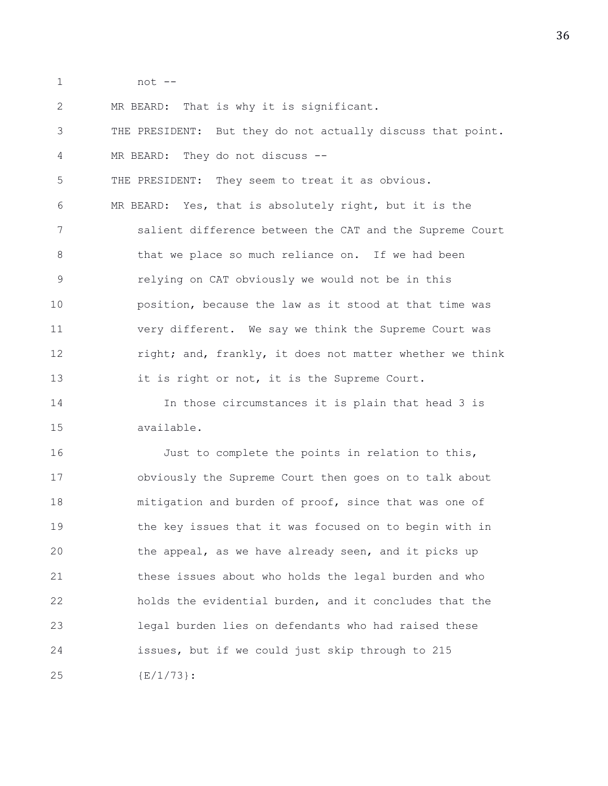1 not --

2 MR BEARD: That is why it is significant.

3 THE PRESIDENT: But they do not actually discuss that point. 4 MR BEARD: They do not discuss --

5 THE PRESIDENT: They seem to treat it as obvious.

6 MR BEARD: Yes, that is absolutely right, but it is the 7 salient difference between the CAT and the Supreme Court 8 that we place so much reliance on. If we had been 9 relying on CAT obviously we would not be in this 10 position, because the law as it stood at that time was 11 very different. We say we think the Supreme Court was 12 right; and, frankly, it does not matter whether we think 13 it is right or not, it is the Supreme Court.

14 In those circumstances it is plain that head 3 is 15 available.

16 Just to complete the points in relation to this, 17 obviously the Supreme Court then goes on to talk about 18 mitigation and burden of proof, since that was one of 19 the key issues that it was focused on to begin with in 20 the appeal, as we have already seen, and it picks up 21 these issues about who holds the legal burden and who 22 holds the evidential burden, and it concludes that the 23 legal burden lies on defendants who had raised these 24 issues, but if we could just skip through to 215 25 {E/1/73}: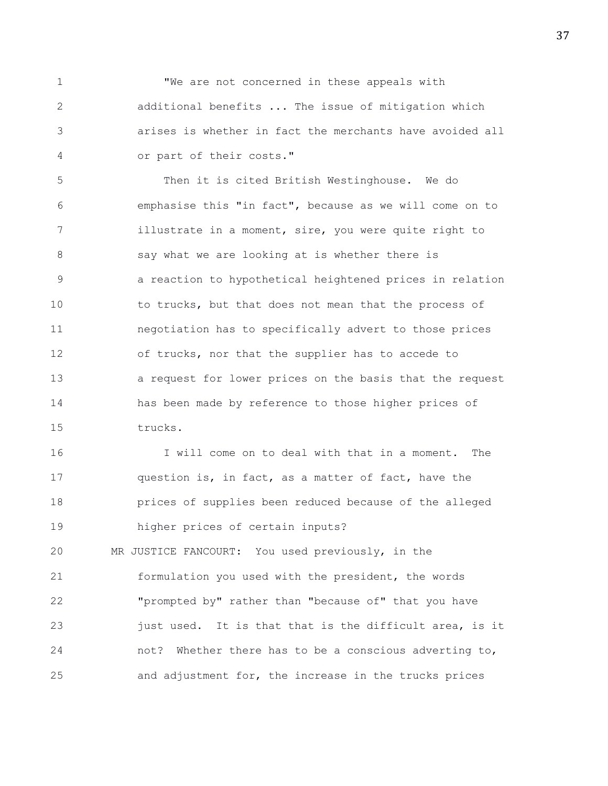1 **We are not concerned in these appeals with** 2 additional benefits ... The issue of mitigation which 3 arises is whether in fact the merchants have avoided all 4 or part of their costs."

5 Then it is cited British Westinghouse. We do 6 emphasise this "in fact", because as we will come on to 7 illustrate in a moment, sire, you were quite right to 8 say what we are looking at is whether there is 9 a reaction to hypothetical heightened prices in relation 10 to trucks, but that does not mean that the process of 11 negotiation has to specifically advert to those prices 12 of trucks, nor that the supplier has to accede to 13 a request for lower prices on the basis that the request 14 has been made by reference to those higher prices of 15 trucks.

16 I will come on to deal with that in a moment. The 17 question is, in fact, as a matter of fact, have the 18 prices of supplies been reduced because of the alleged 19 higher prices of certain inputs? 20 MR JUSTICE FANCOURT: You used previously, in the 21 formulation you used with the president, the words 22 "prompted by" rather than "because of" that you have 23 just used. It is that that is the difficult area, is it

24 not? Whether there has to be a conscious adverting to,

25 and adjustment for, the increase in the trucks prices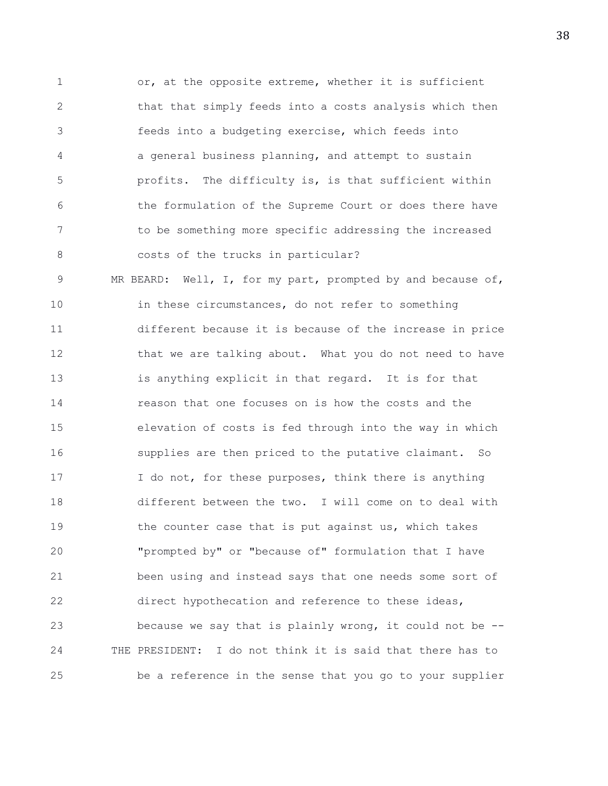1 or, at the opposite extreme, whether it is sufficient 2 that that simply feeds into a costs analysis which then 3 feeds into a budgeting exercise, which feeds into 4 a general business planning, and attempt to sustain 5 profits. The difficulty is, is that sufficient within 6 the formulation of the Supreme Court or does there have 7 to be something more specific addressing the increased 8 costs of the trucks in particular?

9 MR BEARD: Well, I, for my part, prompted by and because of, 10 in these circumstances, do not refer to something 11 different because it is because of the increase in price 12 that we are talking about. What you do not need to have 13 is anything explicit in that regard. It is for that 14 reason that one focuses on is how the costs and the 15 elevation of costs is fed through into the way in which 16 supplies are then priced to the putative claimant. So 17 I do not, for these purposes, think there is anything 18 different between the two. I will come on to deal with 19 the counter case that is put against us, which takes 20 "prompted by" or "because of" formulation that I have 21 been using and instead says that one needs some sort of 22 direct hypothecation and reference to these ideas, 23 because we say that is plainly wrong, it could not be -- 24 THE PRESIDENT: I do not think it is said that there has to 25 be a reference in the sense that you go to your supplier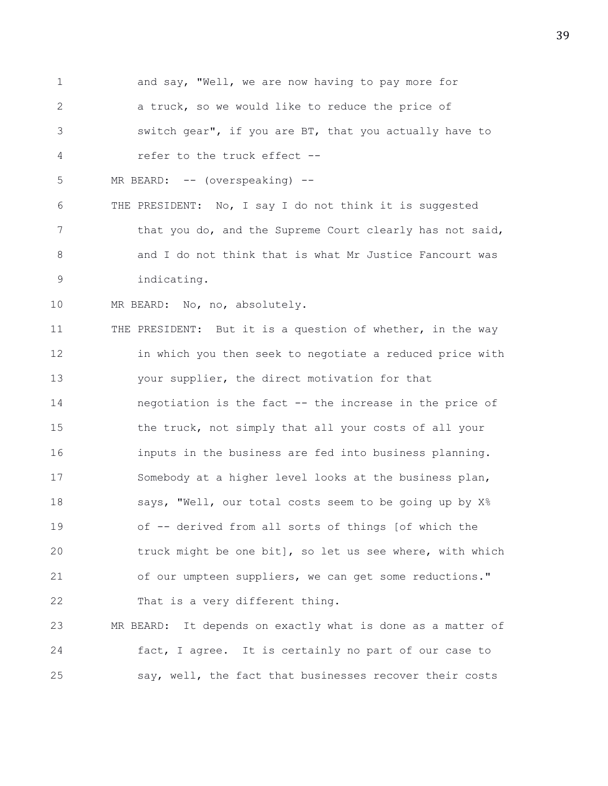1 and say, "Well, we are now having to pay more for 2 a truck, so we would like to reduce the price of 3 switch gear", if you are BT, that you actually have to 4 refer to the truck effect -- 5 MR BEARD: -- (overspeaking) --6 THE PRESIDENT: No, I say I do not think it is suggested 7 that you do, and the Supreme Court clearly has not said, 8 and I do not think that is what Mr Justice Fancourt was 9 indicating. 10 MR BEARD: No, no, absolutely. 11 THE PRESIDENT: But it is a question of whether, in the way 12 in which you then seek to negotiate a reduced price with 13 your supplier, the direct motivation for that 14 negotiation is the fact -- the increase in the price of 15 the truck, not simply that all your costs of all your 16 inputs in the business are fed into business planning. 17 Somebody at a higher level looks at the business plan, 18 says, "Well, our total costs seem to be going up by X% 19 of -- derived from all sorts of things [of which the 20 truck might be one bit], so let us see where, with which 21 of our umpteen suppliers, we can get some reductions." 22 That is a very different thing. 23 MR BEARD: It depends on exactly what is done as a matter of 24 fact, I agree. It is certainly no part of our case to 25 say, well, the fact that businesses recover their costs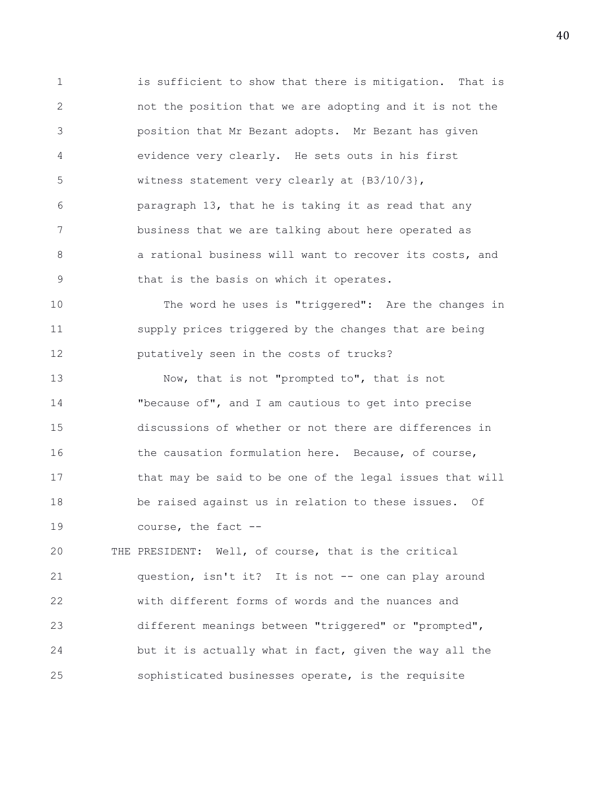1 is sufficient to show that there is mitigation. That is 2 not the position that we are adopting and it is not the 3 position that Mr Bezant adopts. Mr Bezant has given 4 evidence very clearly. He sets outs in his first 5 witness statement very clearly at {B3/10/3}, 6 paragraph 13, that he is taking it as read that any 7 business that we are talking about here operated as 8 **8 a** rational business will want to recover its costs, and 9 that is the basis on which it operates.

10 The word he uses is "triggered": Are the changes in 11 supply prices triggered by the changes that are being 12 putatively seen in the costs of trucks?

13 Now, that is not "prompted to", that is not 14 "because of", and I am cautious to get into precise 15 discussions of whether or not there are differences in 16 the causation formulation here. Because, of course, 17 that may be said to be one of the legal issues that will 18 be raised against us in relation to these issues. Of 19 course, the fact --

20 THE PRESIDENT: Well, of course, that is the critical 21 question, isn't it? It is not -- one can play around 22 with different forms of words and the nuances and 23 different meanings between "triggered" or "prompted", 24 but it is actually what in fact, given the way all the 25 sophisticated businesses operate, is the requisite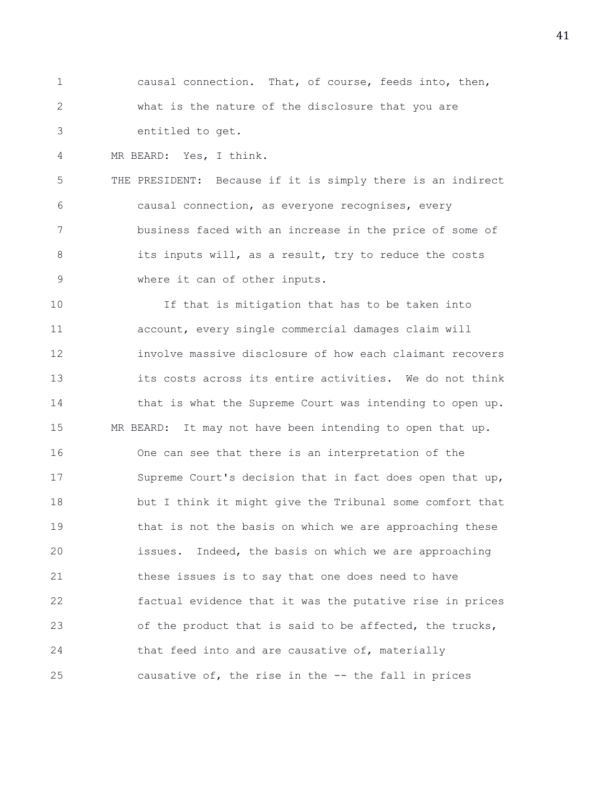1 causal connection. That, of course, feeds into, then, 2 what is the nature of the disclosure that you are 3 entitled to get.

4 MR BEARD: Yes, I think.

5 THE PRESIDENT: Because if it is simply there is an indirect 6 causal connection, as everyone recognises, every 7 business faced with an increase in the price of some of 8 its inputs will, as a result, try to reduce the costs 9 where it can of other inputs.

10 If that is mitigation that has to be taken into 11 account, every single commercial damages claim will 12 involve massive disclosure of how each claimant recovers 13 its costs across its entire activities. We do not think 14 that is what the Supreme Court was intending to open up. 15 MR BEARD: It may not have been intending to open that up. 16 One can see that there is an interpretation of the 17 Supreme Court's decision that in fact does open that up, 18 but I think it might give the Tribunal some comfort that 19 **that is not the basis on which we are approaching these** 20 issues. Indeed, the basis on which we are approaching 21 these issues is to say that one does need to have 22 factual evidence that it was the putative rise in prices 23 of the product that is said to be affected, the trucks, 24 that feed into and are causative of, materially 25 causative of, the rise in the -- the fall in prices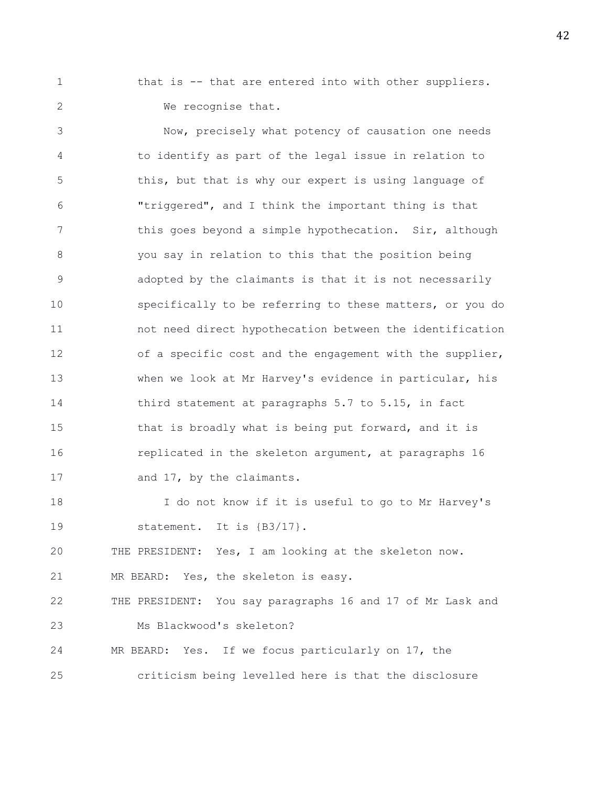1 that is -- that are entered into with other suppliers. 2 We recognise that.

3 Now, precisely what potency of causation one needs 4 to identify as part of the legal issue in relation to 5 this, but that is why our expert is using language of 6 "triggered", and I think the important thing is that 7 this goes beyond a simple hypothecation. Sir, although 8 you say in relation to this that the position being 9 adopted by the claimants is that it is not necessarily 10 specifically to be referring to these matters, or you do 11 not need direct hypothecation between the identification 12 of a specific cost and the engagement with the supplier, 13 when we look at Mr Harvey's evidence in particular, his 14 third statement at paragraphs 5.7 to 5.15, in fact 15 that is broadly what is being put forward, and it is 16 replicated in the skeleton argument, at paragraphs 16 17 and 17, by the claimants. 18 I do not know if it is useful to go to Mr Harvey's

19 statement. It is {B3/17}.

20 THE PRESIDENT: Yes, I am looking at the skeleton now.

21 MR BEARD: Yes, the skeleton is easy.

22 THE PRESIDENT: You say paragraphs 16 and 17 of Mr Lask and 23 Ms Blackwood's skeleton?

24 MR BEARD: Yes. If we focus particularly on 17, the 25 criticism being levelled here is that the disclosure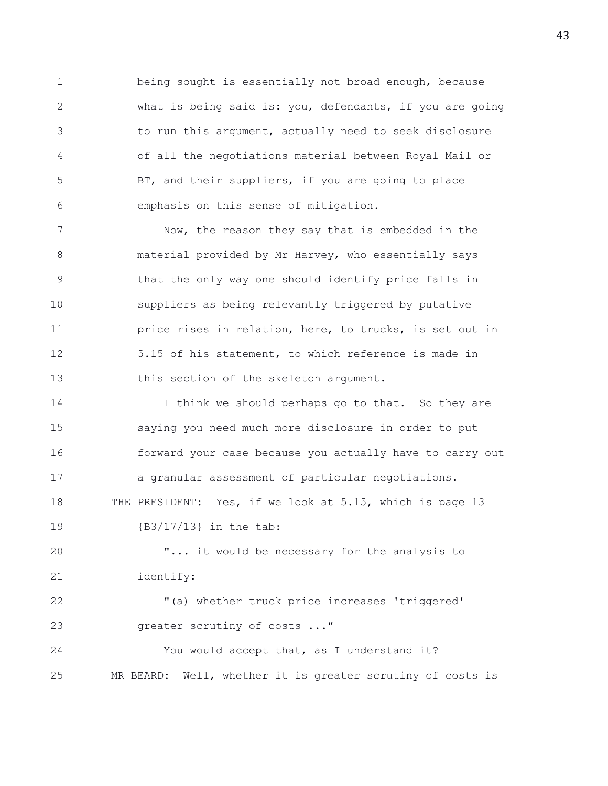1 being sought is essentially not broad enough, because 2 what is being said is: you, defendants, if you are going 3 to run this argument, actually need to seek disclosure 4 of all the negotiations material between Royal Mail or 5 BT, and their suppliers, if you are going to place 6 emphasis on this sense of mitigation.

7 Now, the reason they say that is embedded in the 8 material provided by Mr Harvey, who essentially says 9 that the only way one should identify price falls in 10 suppliers as being relevantly triggered by putative 11 **price rises in relation, here, to trucks, is set out in** 12 5.15 of his statement, to which reference is made in 13 this section of the skeleton argument.

14 I think we should perhaps go to that. So they are 15 saying you need much more disclosure in order to put 16 forward your case because you actually have to carry out 17 a granular assessment of particular negotiations. 18 THE PRESIDENT: Yes, if we look at 5.15, which is page 13 19 {B3/17/13} in the tab:

20 "... it would be necessary for the analysis to 21 identify:

22 "(a) whether truck price increases 'triggered' 23 greater scrutiny of costs ..."

24 You would accept that, as I understand it? 25 MR BEARD: Well, whether it is greater scrutiny of costs is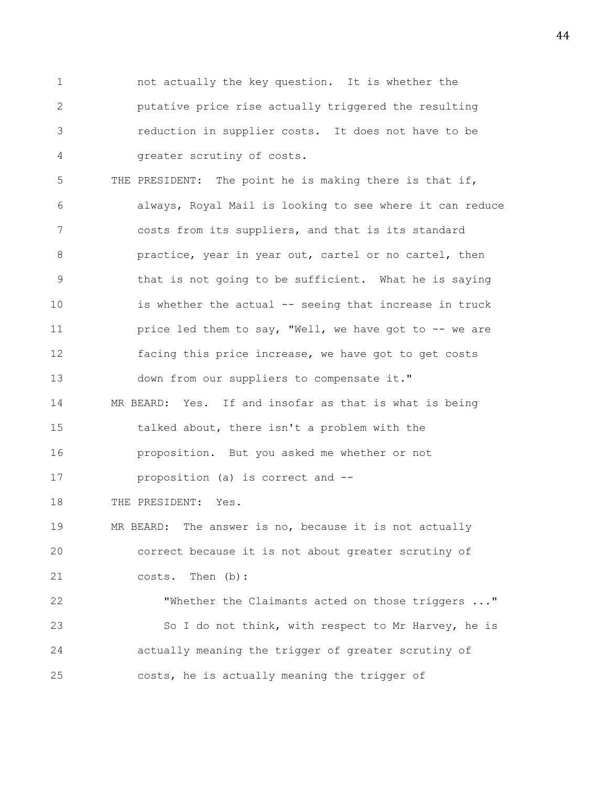1 not actually the key question. It is whether the 2 putative price rise actually triggered the resulting 3 reduction in supplier costs. It does not have to be 4 greater scrutiny of costs.

5 THE PRESIDENT: The point he is making there is that if, 6 always, Royal Mail is looking to see where it can reduce 7 costs from its suppliers, and that is its standard 8 practice, year in year out, cartel or no cartel, then 9 that is not going to be sufficient. What he is saying 10 is whether the actual -- seeing that increase in truck 11 **price led them to say, "Well, we have got to -- we are** 12 facing this price increase, we have got to get costs 13 down from our suppliers to compensate it." 14 MR BEARD: Yes. If and insofar as that is what is being 15 talked about, there isn't a problem with the 16 proposition. But you asked me whether or not 17 proposition (a) is correct and -- 18 THE PRESIDENT: Yes. 19 MR BEARD: The answer is no, because it is not actually 20 correct because it is not about greater scrutiny of 21 costs. Then (b): 22 "Whether the Claimants acted on those triggers ..." 23 So I do not think, with respect to Mr Harvey, he is

25 costs, he is actually meaning the trigger of

24 actually meaning the trigger of greater scrutiny of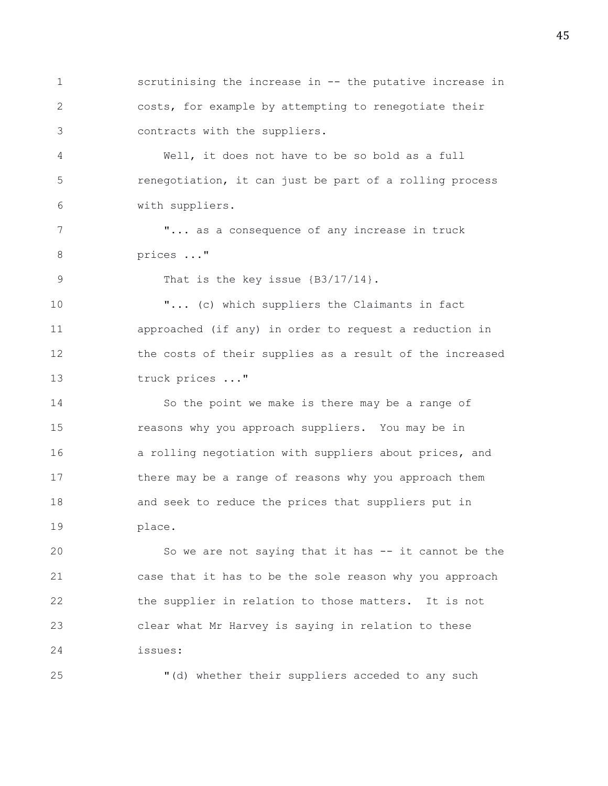1 scrutinising the increase in -- the putative increase in 2 costs, for example by attempting to renegotiate their 3 contracts with the suppliers.

4 Well, it does not have to be so bold as a full 5 renegotiation, it can just be part of a rolling process 6 with suppliers.

7 The state of any increase in truck 8 prices ..."

9 That is the key issue  $\{B3/17/14\}$ .

10 "... (c) which suppliers the Claimants in fact 11 approached (if any) in order to request a reduction in 12 the costs of their supplies as a result of the increased 13 truck prices ..."

14 So the point we make is there may be a range of 15 reasons why you approach suppliers. You may be in 16 a rolling negotiation with suppliers about prices, and 17 there may be a range of reasons why you approach them 18 and seek to reduce the prices that suppliers put in 19 place.

20 So we are not saying that it has -- it cannot be the 21 case that it has to be the sole reason why you approach 22 the supplier in relation to those matters. It is not 23 clear what Mr Harvey is saying in relation to these 24 issues:

25 "(d) whether their suppliers acceded to any such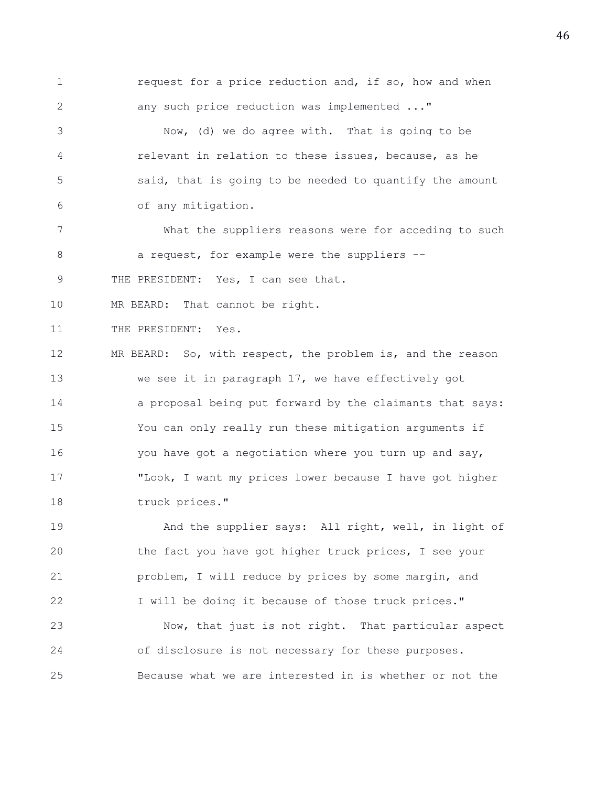1 **1** request for a price reduction and, if so, how and when 2 any such price reduction was implemented ..." 3 Now, (d) we do agree with. That is going to be 4 relevant in relation to these issues, because, as he 5 said, that is going to be needed to quantify the amount 6 of any mitigation. 7 What the suppliers reasons were for acceding to such 8 a request, for example were the suppliers --9 THE PRESIDENT: Yes, I can see that. 10 MR BEARD: That cannot be right. 11 THE PRESIDENT: Yes. 12 MR BEARD: So, with respect, the problem is, and the reason

13 we see it in paragraph 17, we have effectively got 14 a proposal being put forward by the claimants that says: 15 You can only really run these mitigation arguments if 16 you have got a negotiation where you turn up and say, 17 "Look, I want my prices lower because I have got higher 18 truck prices."

19 And the supplier says: All right, well, in light of 20 the fact you have got higher truck prices, I see your 21 problem, I will reduce by prices by some margin, and 22 I will be doing it because of those truck prices."

23 Now, that just is not right. That particular aspect 24 of disclosure is not necessary for these purposes. 25 Because what we are interested in is whether or not the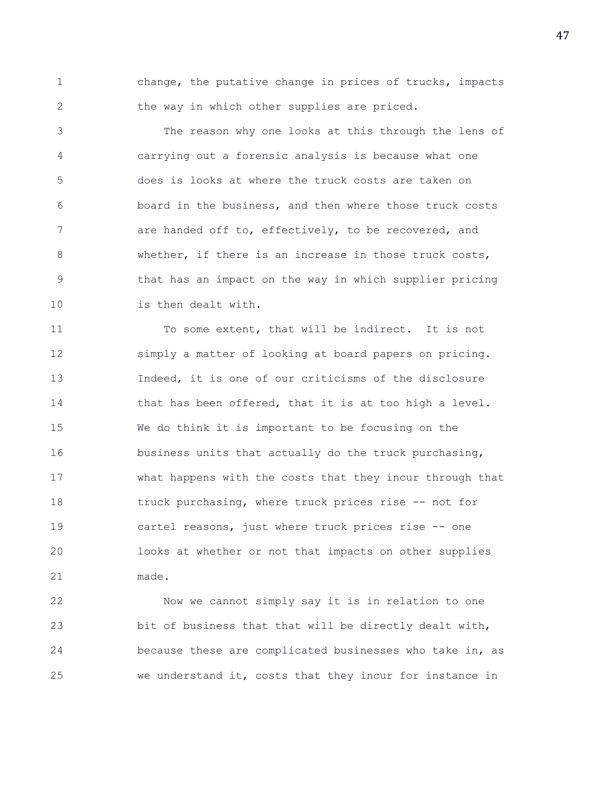1 change, the putative change in prices of trucks, impacts 2 the way in which other supplies are priced.

3 The reason why one looks at this through the lens of 4 carrying out a forensic analysis is because what one 5 does is looks at where the truck costs are taken on 6 board in the business, and then where those truck costs 7 are handed off to, effectively, to be recovered, and 8 whether, if there is an increase in those truck costs, 9 that has an impact on the way in which supplier pricing 10 is then dealt with.

11 To some extent, that will be indirect. It is not 12 simply a matter of looking at board papers on pricing. 13 Indeed, it is one of our criticisms of the disclosure 14 that has been offered, that it is at too high a level. 15 We do think it is important to be focusing on the 16 business units that actually do the truck purchasing, 17 what happens with the costs that they incur through that 18 truck purchasing, where truck prices rise -- not for 19 cartel reasons, just where truck prices rise -- one 20 looks at whether or not that impacts on other supplies 21 made.

22 Now we cannot simply say it is in relation to one 23 bit of business that that will be directly dealt with, 24 because these are complicated businesses who take in, as 25 we understand it, costs that they incur for instance in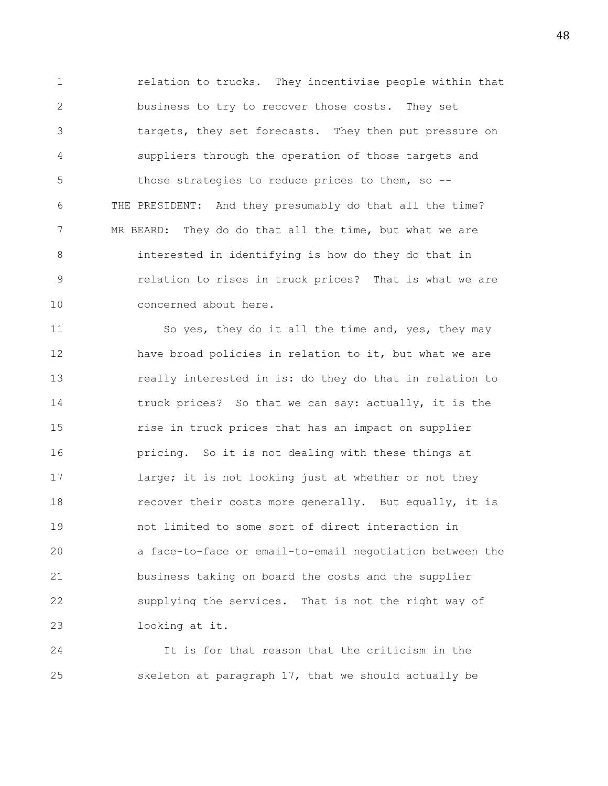1 relation to trucks. They incentivise people within that 2 business to try to recover those costs. They set 3 targets, they set forecasts. They then put pressure on 4 suppliers through the operation of those targets and 5 those strategies to reduce prices to them, so -- 6 THE PRESIDENT: And they presumably do that all the time? 7 MR BEARD: They do do that all the time, but what we are 8 interested in identifying is how do they do that in 9 relation to rises in truck prices? That is what we are 10 concerned about here.

11 So yes, they do it all the time and, yes, they may 12 have broad policies in relation to it, but what we are 13 really interested in is: do they do that in relation to 14 truck prices? So that we can say: actually, it is the 15 rise in truck prices that has an impact on supplier 16 pricing. So it is not dealing with these things at 17 large; it is not looking just at whether or not they 18 **recover their costs more generally.** But equally, it is 19 not limited to some sort of direct interaction in 20 a face-to-face or email-to-email negotiation between the 21 business taking on board the costs and the supplier 22 supplying the services. That is not the right way of 23 looking at it.

24 It is for that reason that the criticism in the 25 skeleton at paragraph 17, that we should actually be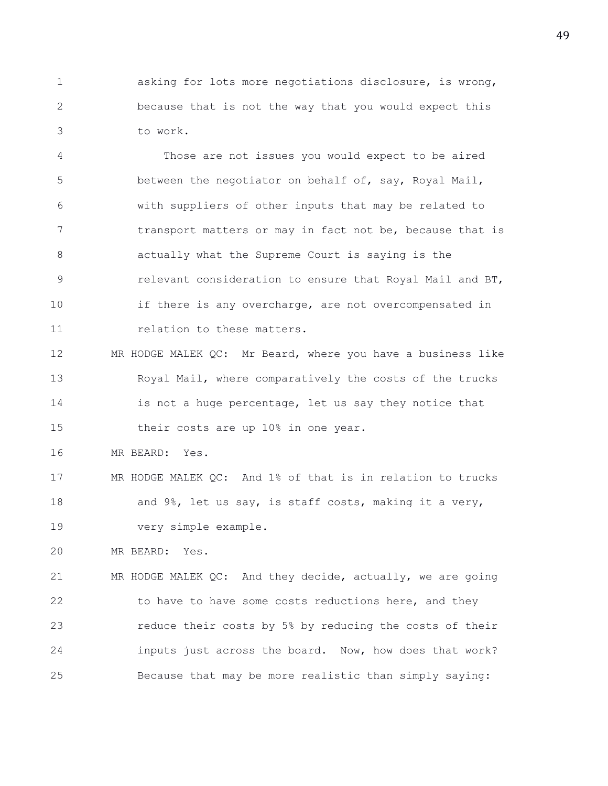1 asking for lots more negotiations disclosure, is wrong, 2 because that is not the way that you would expect this 3 to work.

4 Those are not issues you would expect to be aired 5 between the negotiator on behalf of, say, Royal Mail, 6 with suppliers of other inputs that may be related to 7 transport matters or may in fact not be, because that is 8 actually what the Supreme Court is saying is the 9 relevant consideration to ensure that Royal Mail and BT, 10 if there is any overcharge, are not overcompensated in 11 relation to these matters.

12 MR HODGE MALEK QC: Mr Beard, where you have a business like 13 Royal Mail, where comparatively the costs of the trucks 14 is not a huge percentage, let us say they notice that 15 their costs are up 10% in one year.

16 MR BEARD: Yes.

17 MR HODGE MALEK QC: And 1% of that is in relation to trucks 18 and 9%, let us say, is staff costs, making it a very, 19 very simple example.

20 MR BEARD: Yes.

21 MR HODGE MALEK QC: And they decide, actually, we are going 22 to have to have some costs reductions here, and they 23 reduce their costs by 5% by reducing the costs of their 24 inputs just across the board. Now, how does that work? 25 Because that may be more realistic than simply saying: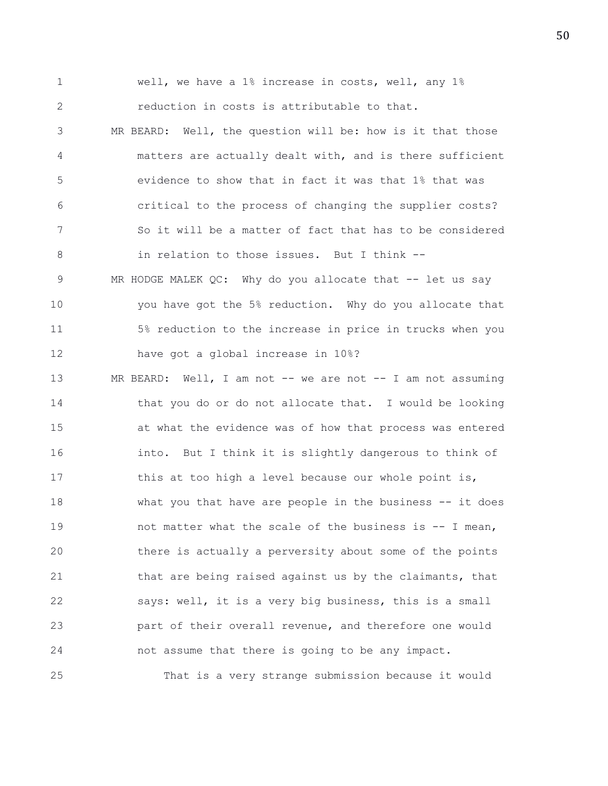1 well, we have a 1% increase in costs, well, any 1% 2 reduction in costs is attributable to that. 3 MR BEARD: Well, the question will be: how is it that those 4 matters are actually dealt with, and is there sufficient 5 evidence to show that in fact it was that 1% that was 6 critical to the process of changing the supplier costs? 7 So it will be a matter of fact that has to be considered 8 in relation to those issues. But I think -- 9 MR HODGE MALEK QC: Why do you allocate that -- let us say 10 you have got the 5% reduction. Why do you allocate that 11 5% reduction to the increase in price in trucks when you 12 have got a global increase in 10%? 13 MR BEARD: Well, I am not -- we are not -- I am not assuming 14 that you do or do not allocate that. I would be looking 15 at what the evidence was of how that process was entered 16 into. But I think it is slightly dangerous to think of 17 this at too high a level because our whole point is, 18 what you that have are people in the business -- it does 19 hot matter what the scale of the business is  $-$  I mean, 20 there is actually a perversity about some of the points 21 that are being raised against us by the claimants, that 22 says: well, it is a very big business, this is a small 23 part of their overall revenue, and therefore one would 24 not assume that there is going to be any impact.

25 That is a very strange submission because it would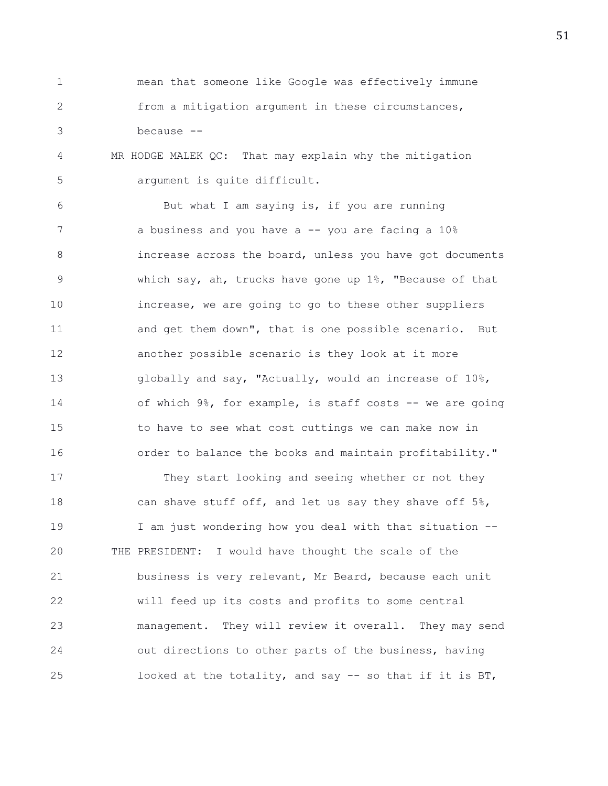1 mean that someone like Google was effectively immune 2 from a mitigation argument in these circumstances, 3 because --

4 MR HODGE MALEK QC: That may explain why the mitigation 5 argument is quite difficult.

6 But what I am saying is, if you are running 7 a business and you have a -- you are facing a 10% 8 increase across the board, unless you have got documents 9 which say, ah, trucks have gone up 1%, "Because of that 10 increase, we are going to go to these other suppliers 11 and get them down", that is one possible scenario. But 12 another possible scenario is they look at it more 13 globally and say, "Actually, would an increase of 10%, 14 of which 9%, for example, is staff costs -- we are going 15 to have to see what cost cuttings we can make now in 16 order to balance the books and maintain profitability."

17 They start looking and seeing whether or not they 18 can shave stuff off, and let us say they shave off 5%, 19 I am just wondering how you deal with that situation -- 20 THE PRESIDENT: I would have thought the scale of the 21 business is very relevant, Mr Beard, because each unit 22 will feed up its costs and profits to some central 23 management. They will review it overall. They may send 24 out directions to other parts of the business, having 25 looked at the totality, and say -- so that if it is BT,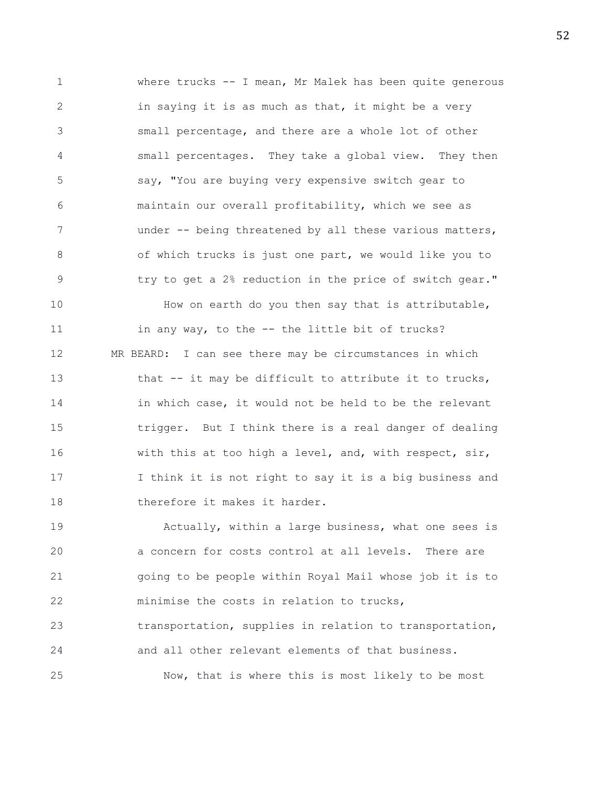1 where trucks -- I mean, Mr Malek has been quite generous 2 in saying it is as much as that, it might be a very 3 small percentage, and there are a whole lot of other 4 small percentages. They take a global view. They then 5 say, "You are buying very expensive switch gear to 6 maintain our overall profitability, which we see as 7 under -- being threatened by all these various matters, 8 of which trucks is just one part, we would like you to 9 try to get a 2% reduction in the price of switch gear." 10 How on earth do you then say that is attributable, 11 in any way, to the -- the little bit of trucks? 12 MR BEARD: I can see there may be circumstances in which 13 that -- it may be difficult to attribute it to trucks, 14 **in which case, it would not be held to be the relevant** 15 trigger. But I think there is a real danger of dealing 16 with this at too high a level, and, with respect, sir, 17 I think it is not right to say it is a big business and 18 therefore it makes it harder.

19 Actually, within a large business, what one sees is 20 a concern for costs control at all levels. There are 21 going to be people within Royal Mail whose job it is to 22 minimise the costs in relation to trucks, 23 transportation, supplies in relation to transportation, 24 and all other relevant elements of that business. 25 Now, that is where this is most likely to be most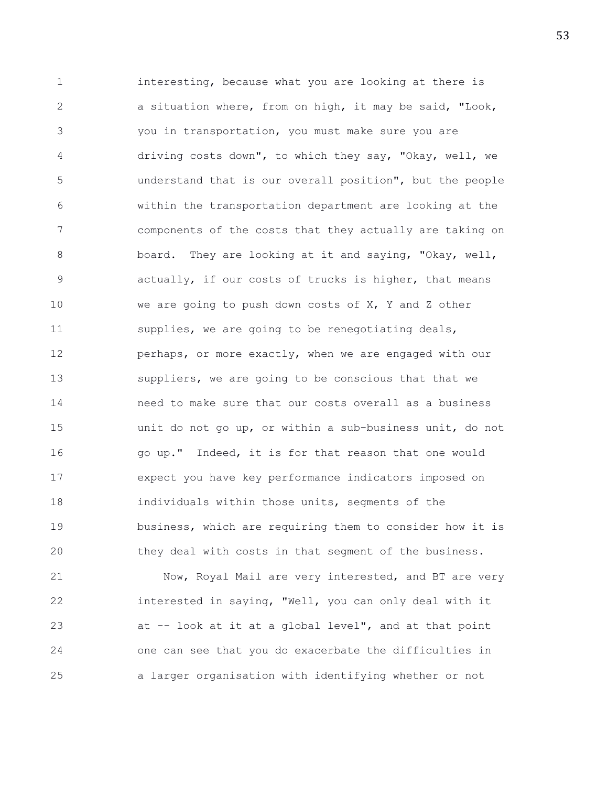1 interesting, because what you are looking at there is 2 a situation where, from on high, it may be said, "Look, 3 you in transportation, you must make sure you are 4 driving costs down", to which they say, "Okay, well, we 5 understand that is our overall position", but the people 6 within the transportation department are looking at the 7 components of the costs that they actually are taking on 8 board. They are looking at it and saying, "Okay, well, 9 actually, if our costs of trucks is higher, that means 10 we are going to push down costs of X, Y and Z other 11 supplies, we are going to be renegotiating deals, 12 perhaps, or more exactly, when we are engaged with our 13 suppliers, we are going to be conscious that that we 14 need to make sure that our costs overall as a business 15 unit do not go up, or within a sub-business unit, do not 16 go up." Indeed, it is for that reason that one would 17 expect you have key performance indicators imposed on 18 individuals within those units, segments of the 19 business, which are requiring them to consider how it is 20 they deal with costs in that segment of the business.

21 Now, Royal Mail are very interested, and BT are very 22 interested in saying, "Well, you can only deal with it 23 at -- look at it at a global level", and at that point 24 one can see that you do exacerbate the difficulties in 25 a larger organisation with identifying whether or not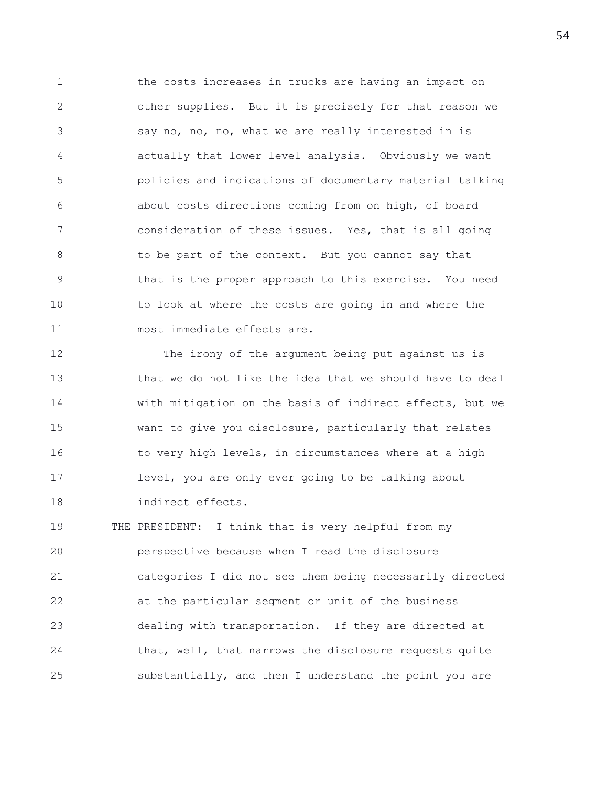1 the costs increases in trucks are having an impact on 2 other supplies. But it is precisely for that reason we 3 say no, no, no, what we are really interested in is 4 actually that lower level analysis. Obviously we want 5 policies and indications of documentary material talking 6 about costs directions coming from on high, of board 7 consideration of these issues. Yes, that is all going 8 to be part of the context. But you cannot say that 9 that is the proper approach to this exercise. You need 10 to look at where the costs are going in and where the 11 most immediate effects are.

12 The irony of the argument being put against us is 13 that we do not like the idea that we should have to deal 14 with mitigation on the basis of indirect effects, but we 15 want to give you disclosure, particularly that relates 16 to very high levels, in circumstances where at a high 17 level, you are only ever going to be talking about 18 indirect effects.

19 THE PRESIDENT: I think that is very helpful from my 20 perspective because when I read the disclosure 21 categories I did not see them being necessarily directed 22 at the particular segment or unit of the business 23 dealing with transportation. If they are directed at 24 that, well, that narrows the disclosure requests quite 25 substantially, and then I understand the point you are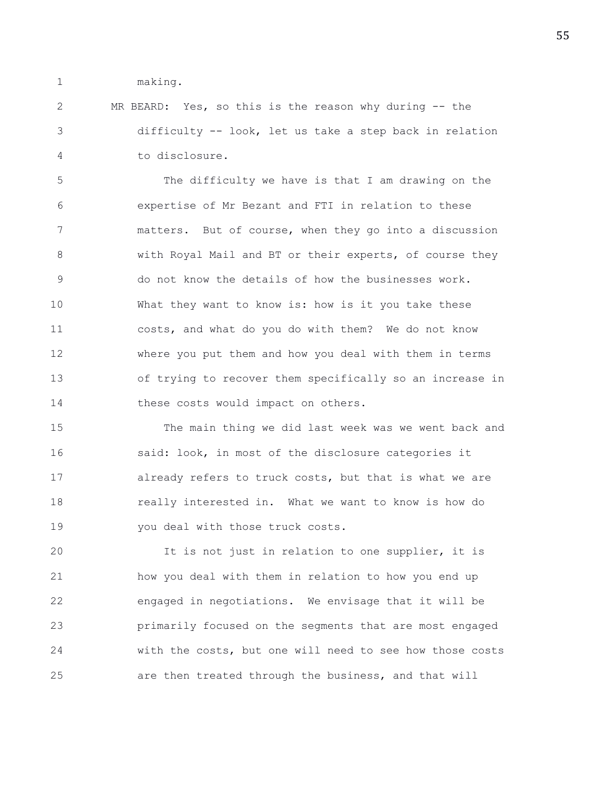1 making.

2 MR BEARD: Yes, so this is the reason why during -- the 3 difficulty -- look, let us take a step back in relation 4 to disclosure.

5 The difficulty we have is that I am drawing on the 6 expertise of Mr Bezant and FTI in relation to these 7 matters. But of course, when they go into a discussion 8 with Royal Mail and BT or their experts, of course they 9 do not know the details of how the businesses work. 10 What they want to know is: how is it you take these 11 costs, and what do you do with them? We do not know 12 where you put them and how you deal with them in terms 13 of trying to recover them specifically so an increase in 14 these costs would impact on others.

15 The main thing we did last week was we went back and 16 said: look, in most of the disclosure categories it 17 already refers to truck costs, but that is what we are 18 really interested in. What we want to know is how do 19 you deal with those truck costs.

20 It is not just in relation to one supplier, it is 21 how you deal with them in relation to how you end up 22 engaged in negotiations. We envisage that it will be 23 primarily focused on the segments that are most engaged 24 with the costs, but one will need to see how those costs 25 are then treated through the business, and that will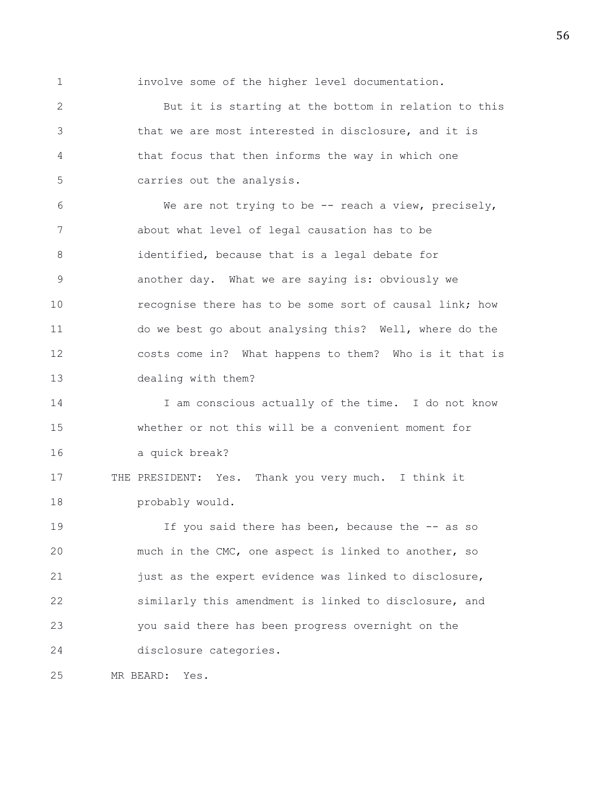1 involve some of the higher level documentation.

2 But it is starting at the bottom in relation to this 3 that we are most interested in disclosure, and it is 4 that focus that then informs the way in which one 5 carries out the analysis.

6 We are not trying to be -- reach a view, precisely, 7 about what level of legal causation has to be 8 identified, because that is a legal debate for 9 another day. What we are saying is: obviously we 10 recognise there has to be some sort of causal link; how 11 do we best go about analysing this? Well, where do the 12 costs come in? What happens to them? Who is it that is 13 dealing with them?

14 I am conscious actually of the time. I do not know 15 whether or not this will be a convenient moment for 16 a quick break?

17 THE PRESIDENT: Yes. Thank you very much. I think it 18 probably would.

19 If you said there has been, because the -- as so 20 much in the CMC, one aspect is linked to another, so 21 just as the expert evidence was linked to disclosure, 22 similarly this amendment is linked to disclosure, and 23 you said there has been progress overnight on the 24 disclosure categories.

25 MR BEARD: Yes.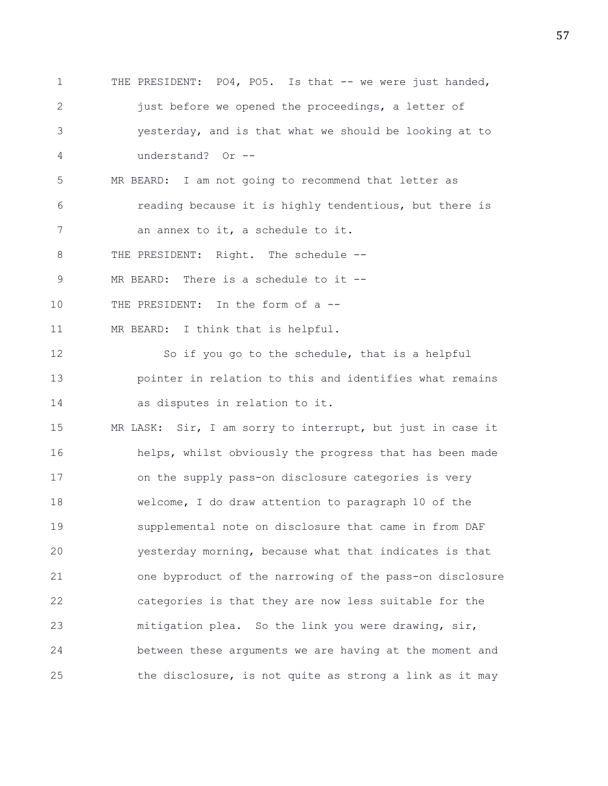1 THE PRESIDENT: PO4, PO5. Is that -- we were just handed, 2 iust before we opened the proceedings, a letter of 3 yesterday, and is that what we should be looking at to 4 understand? Or -- 5 MR BEARD: I am not going to recommend that letter as 6 reading because it is highly tendentious, but there is 7 an annex to it, a schedule to it. 8 THE PRESIDENT: Right. The schedule --9 MR BEARD: There is a schedule to it --10 THE PRESIDENT: In the form of a --11 MR BEARD: I think that is helpful. 12 So if you go to the schedule, that is a helpful 13 pointer in relation to this and identifies what remains 14 as disputes in relation to it. 15 MR LASK: Sir, I am sorry to interrupt, but just in case it 16 helps, whilst obviously the progress that has been made 17 on the supply pass-on disclosure categories is very 18 welcome, I do draw attention to paragraph 10 of the 19 supplemental note on disclosure that came in from DAF 20 yesterday morning, because what that indicates is that 21 one byproduct of the narrowing of the pass-on disclosure 22 categories is that they are now less suitable for the 23 mitigation plea. So the link you were drawing, sir, 24 between these arguments we are having at the moment and 25 the disclosure, is not quite as strong a link as it may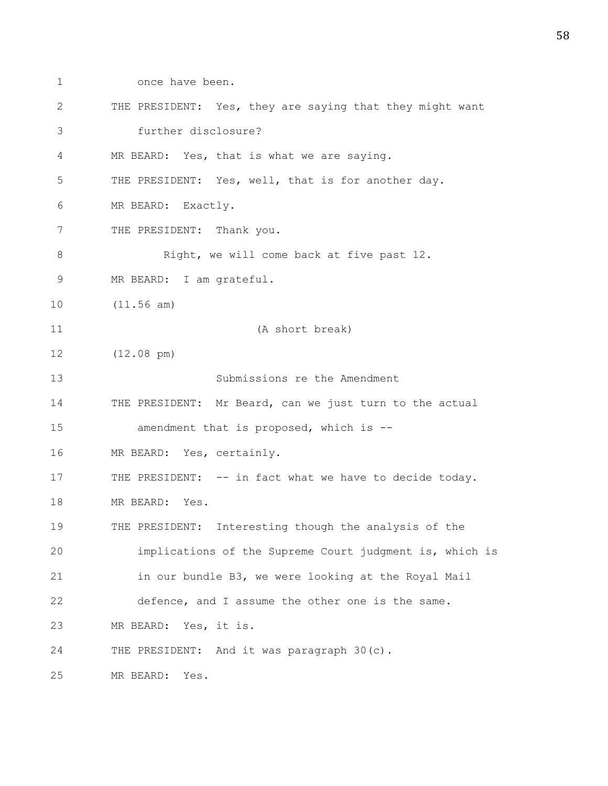1 once have been. 2 THE PRESIDENT: Yes, they are saying that they might want 3 further disclosure? 4 MR BEARD: Yes, that is what we are saying. 5 THE PRESIDENT: Yes, well, that is for another day. 6 MR BEARD: Exactly. 7 THE PRESIDENT: Thank you. 8 Right, we will come back at five past 12. 9 MR BEARD: I am grateful. 10 (11.56 am) 11 (A short break) 12 (12.08 pm) 13 Submissions re the Amendment 14 THE PRESIDENT: Mr Beard, can we just turn to the actual 15 amendment that is proposed, which is -- 16 MR BEARD: Yes, certainly. 17 THE PRESIDENT: -- in fact what we have to decide today. 18 MR BEARD: Yes. 19 THE PRESIDENT: Interesting though the analysis of the 20 implications of the Supreme Court judgment is, which is 21 in our bundle B3, we were looking at the Royal Mail 22 defence, and I assume the other one is the same. 23 MR BEARD: Yes, it is. 24 THE PRESIDENT: And it was paragraph 30(c). 25 MR BEARD: Yes.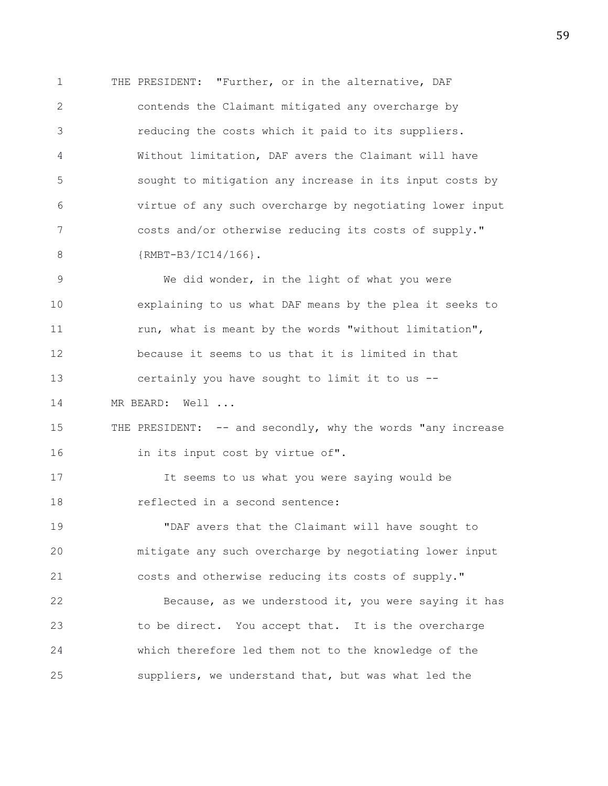1 THE PRESIDENT: "Further, or in the alternative, DAF 2 contends the Claimant mitigated any overcharge by 3 reducing the costs which it paid to its suppliers. 4 Without limitation, DAF avers the Claimant will have 5 sought to mitigation any increase in its input costs by 6 virtue of any such overcharge by negotiating lower input 7 costs and/or otherwise reducing its costs of supply." 8 {RMBT-B3/IC14/166}.

9 We did wonder, in the light of what you were 10 explaining to us what DAF means by the plea it seeks to 11 run, what is meant by the words "without limitation", 12 because it seems to us that it is limited in that 13 certainly you have sought to limit it to us -- 14 MR BEARD: Well ...

15 THE PRESIDENT: -- and secondly, why the words "any increase 16 in its input cost by virtue of".

17 It seems to us what you were saying would be 18 reflected in a second sentence:

19 "DAF avers that the Claimant will have sought to 20 mitigate any such overcharge by negotiating lower input 21 costs and otherwise reducing its costs of supply."

22 Because, as we understood it, you were saying it has 23 to be direct. You accept that. It is the overcharge 24 which therefore led them not to the knowledge of the 25 suppliers, we understand that, but was what led the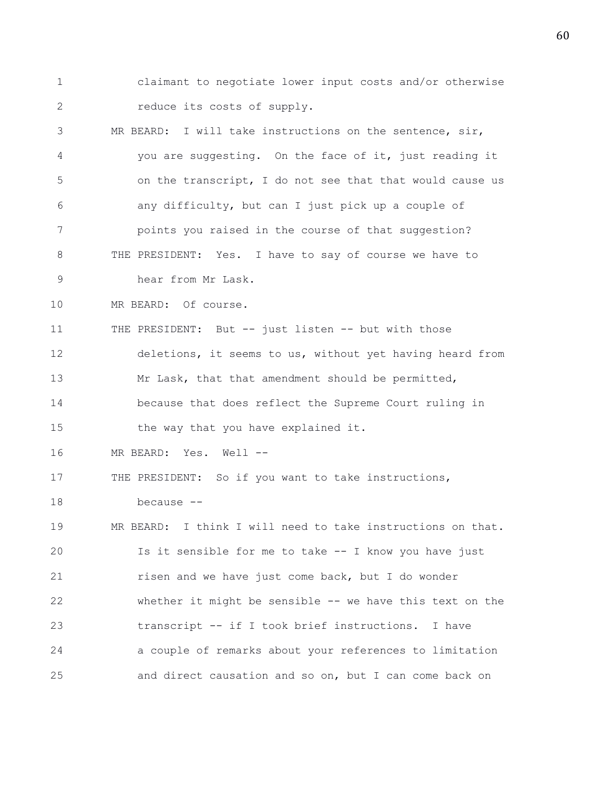- 1 claimant to negotiate lower input costs and/or otherwise 2 reduce its costs of supply.
- 3 MR BEARD: I will take instructions on the sentence, sir, 4 you are suggesting. On the face of it, just reading it 5 on the transcript, I do not see that that would cause us 6 any difficulty, but can I just pick up a couple of 7 points you raised in the course of that suggestion? 8 THE PRESIDENT: Yes. I have to say of course we have to 9 hear from Mr Lask.
- 10 MR BEARD: Of course.

11 THE PRESIDENT: But -- just listen -- but with those 12 deletions, it seems to us, without yet having heard from 13 Mr Lask, that that amendment should be permitted, 14 because that does reflect the Supreme Court ruling in

15 the way that you have explained it.

16 MR BEARD: Yes. Well --

17 THE PRESIDENT: So if you want to take instructions,

18 because --

19 MR BEARD: I think I will need to take instructions on that. 20 Is it sensible for me to take -- I know you have just 21 risen and we have just come back, but I do wonder 22 whether it might be sensible -- we have this text on the 23 transcript -- if I took brief instructions. I have 24 a couple of remarks about your references to limitation 25 and direct causation and so on, but I can come back on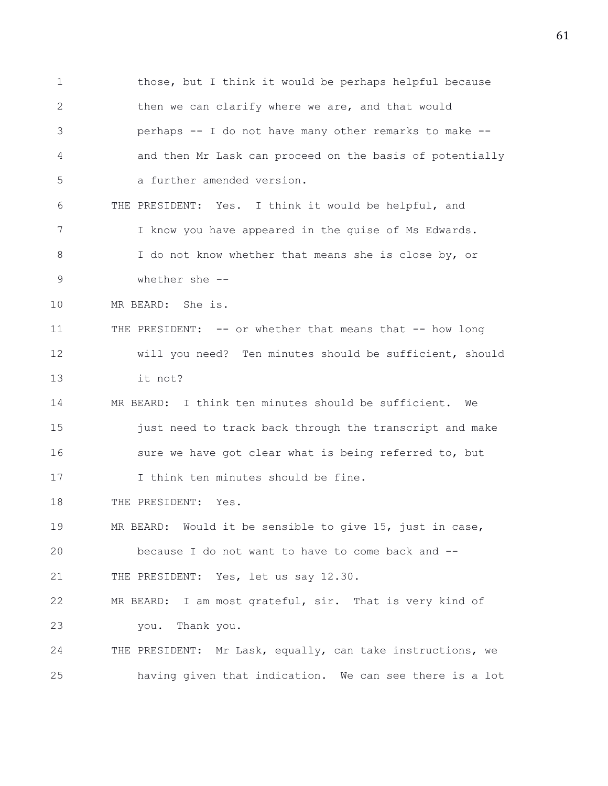1 those, but I think it would be perhaps helpful because 2 then we can clarify where we are, and that would 3 perhaps -- I do not have many other remarks to make -- 4 and then Mr Lask can proceed on the basis of potentially 5 a further amended version. 6 THE PRESIDENT: Yes. I think it would be helpful, and 7 I know you have appeared in the guise of Ms Edwards. 8 I do not know whether that means she is close by, or 9 whether she -- 10 MR BEARD: She is. 11 THE PRESIDENT: -- or whether that means that -- how long 12 will you need? Ten minutes should be sufficient, should 13 it not? 14 MR BEARD: I think ten minutes should be sufficient. We 15 just need to track back through the transcript and make 16 sure we have got clear what is being referred to, but 17 I think ten minutes should be fine. 18 THE PRESIDENT: Yes. 19 MR BEARD: Would it be sensible to give 15, just in case, 20 because I do not want to have to come back and -- 21 THE PRESIDENT: Yes, let us say 12.30. 22 MR BEARD: I am most grateful, sir. That is very kind of 23 you. Thank you. 24 THE PRESIDENT: Mr Lask, equally, can take instructions, we 25 having given that indication. We can see there is a lot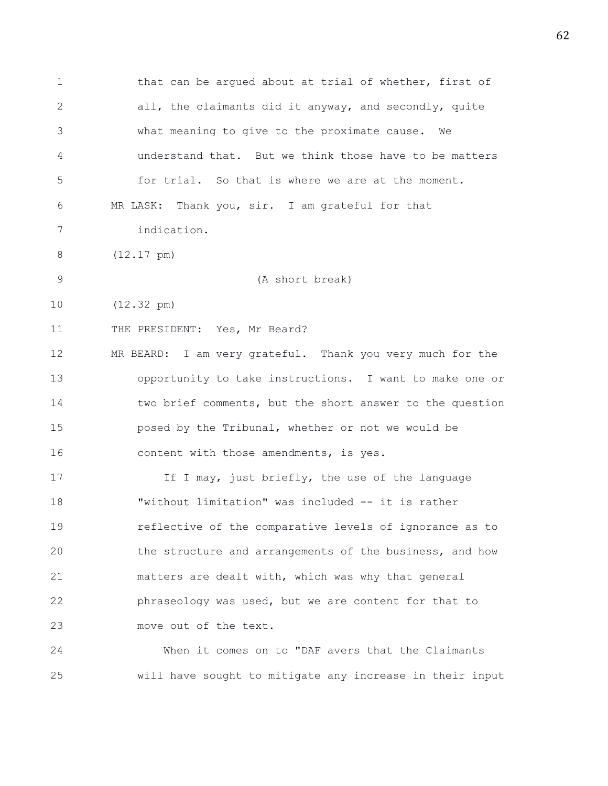1 that can be argued about at trial of whether, first of 2 all, the claimants did it anyway, and secondly, quite 3 what meaning to give to the proximate cause. We 4 understand that. But we think those have to be matters 5 for trial. So that is where we are at the moment. 6 MR LASK: Thank you, sir. I am grateful for that 7 indication. 8 (12.17 pm) 9 (A short break) 10 (12.32 pm) 11 THE PRESIDENT: Yes, Mr Beard? 12 MR BEARD: I am very grateful. Thank you very much for the 13 opportunity to take instructions. I want to make one or 14 two brief comments, but the short answer to the question 15 posed by the Tribunal, whether or not we would be 16 content with those amendments, is yes. 17 17 If I may, just briefly, the use of the language 18 "without limitation" was included -- it is rather 19 reflective of the comparative levels of ignorance as to 20 the structure and arrangements of the business, and how 21 matters are dealt with, which was why that general 22 phraseology was used, but we are content for that to 23 move out of the text. 24 When it comes on to "DAF avers that the Claimants

25 will have sought to mitigate any increase in their input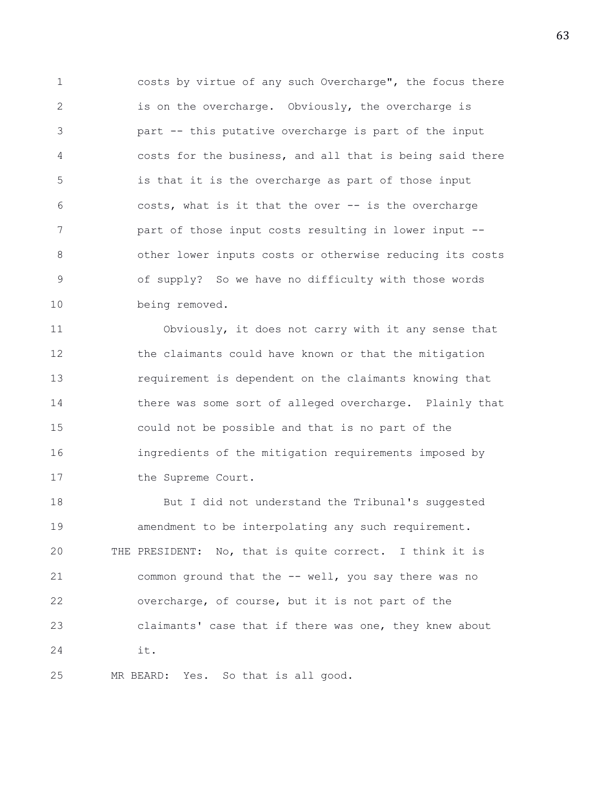1 costs by virtue of any such Overcharge", the focus there 2 is on the overcharge. Obviously, the overcharge is 3 part -- this putative overcharge is part of the input 4 costs for the business, and all that is being said there 5 is that it is the overcharge as part of those input 6 costs, what is it that the over -- is the overcharge 7 part of those input costs resulting in lower input -- 8 other lower inputs costs or otherwise reducing its costs 9 of supply? So we have no difficulty with those words 10 being removed.

11 Obviously, it does not carry with it any sense that 12 the claimants could have known or that the mitigation 13 requirement is dependent on the claimants knowing that 14 there was some sort of alleged overcharge. Plainly that 15 could not be possible and that is no part of the 16 ingredients of the mitigation requirements imposed by 17 the Supreme Court.

18 But I did not understand the Tribunal's suggested 19 amendment to be interpolating any such requirement. 20 THE PRESIDENT: No, that is quite correct. I think it is 21 common ground that the -- well, you say there was no 22 overcharge, of course, but it is not part of the 23 claimants' case that if there was one, they knew about 24 it.

25 MR BEARD: Yes. So that is all good.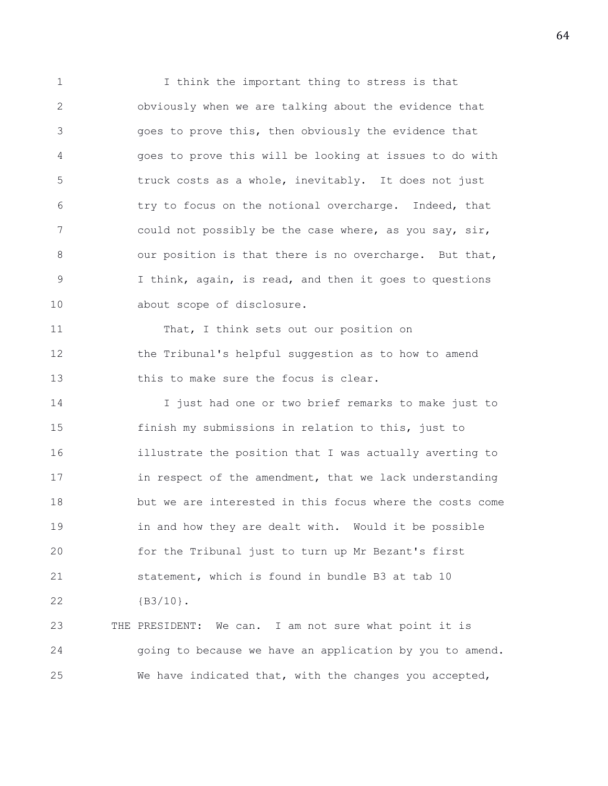1 I think the important thing to stress is that 2 obviously when we are talking about the evidence that 3 goes to prove this, then obviously the evidence that 4 goes to prove this will be looking at issues to do with 5 truck costs as a whole, inevitably. It does not just 6 try to focus on the notional overcharge. Indeed, that 7 could not possibly be the case where, as you say, sir, 8 our position is that there is no overcharge. But that, 9 I think, again, is read, and then it goes to questions 10 about scope of disclosure.

11 That, I think sets out our position on 12 the Tribunal's helpful suggestion as to how to amend 13 this to make sure the focus is clear.

14 I just had one or two brief remarks to make just to 15 finish my submissions in relation to this, just to 16 illustrate the position that I was actually averting to 17 in respect of the amendment, that we lack understanding 18 but we are interested in this focus where the costs come 19 in and how they are dealt with. Would it be possible 20 for the Tribunal just to turn up Mr Bezant's first 21 statement, which is found in bundle B3 at tab 10 22 {B3/10}.

23 THE PRESIDENT: We can. I am not sure what point it is 24 going to because we have an application by you to amend. 25 We have indicated that, with the changes you accepted,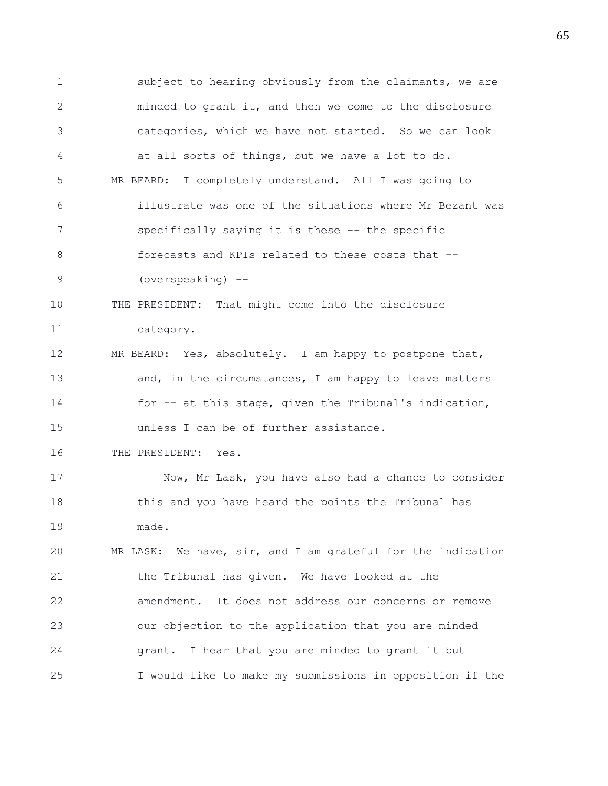1 subject to hearing obviously from the claimants, we are 2 minded to grant it, and then we come to the disclosure 3 categories, which we have not started. So we can look 4 at all sorts of things, but we have a lot to do. 5 MR BEARD: I completely understand. All I was going to 6 illustrate was one of the situations where Mr Bezant was 7 specifically saying it is these -- the specific 8 forecasts and KPIs related to these costs that -- 9 (overspeaking) -- 10 THE PRESIDENT: That might come into the disclosure 11 category. 12 MR BEARD: Yes, absolutely. I am happy to postpone that, 13 and, in the circumstances, I am happy to leave matters 14 for -- at this stage, given the Tribunal's indication, 15 unless I can be of further assistance. 16 THE PRESIDENT: Yes. 17 Now, Mr Lask, you have also had a chance to consider 18 this and you have heard the points the Tribunal has 19 made. 20 MR LASK: We have, sir, and I am grateful for the indication 21 the Tribunal has given. We have looked at the 22 amendment. It does not address our concerns or remove 23 our objection to the application that you are minded 24 grant. I hear that you are minded to grant it but 25 I would like to make my submissions in opposition if the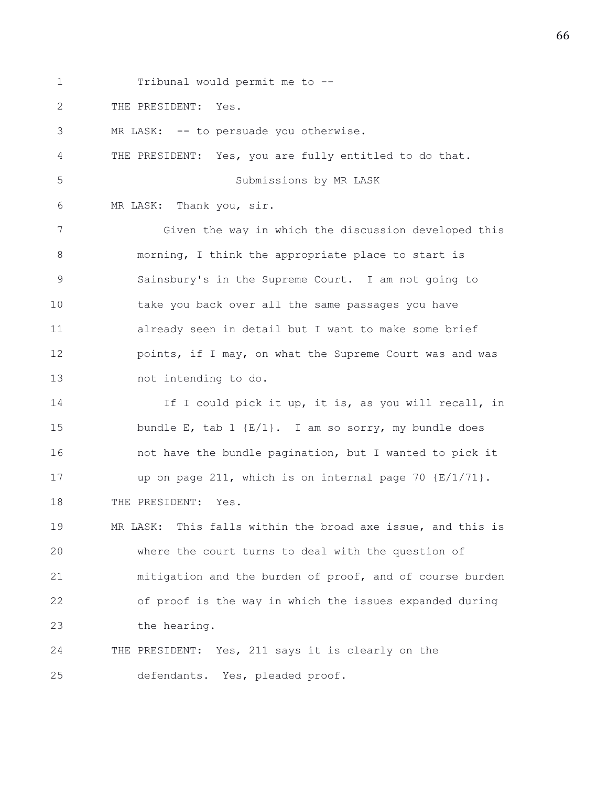1 Tribunal would permit me to -- 2 THE PRESIDENT: Yes. 3 MR LASK: -- to persuade you otherwise. 4 THE PRESIDENT: Yes, you are fully entitled to do that. 5 Submissions by MR LASK 6 MR LASK: Thank you, sir. 7 Given the way in which the discussion developed this 8 morning, I think the appropriate place to start is 9 Sainsbury's in the Supreme Court. I am not going to 10 take you back over all the same passages you have 11 already seen in detail but I want to make some brief 12 **points, if I may, on what the Supreme Court was and was** 13 not intending to do. 14 If I could pick it up, it is, as you will recall, in 15 bundle E, tab 1 {E/1}. I am so sorry, my bundle does 16 16 not have the bundle pagination, but I wanted to pick it 17 up on page 211, which is on internal page 70 {E/1/71}. 18 THE PRESIDENT: Yes. 19 MR LASK: This falls within the broad axe issue, and this is 20 where the court turns to deal with the question of 21 mitigation and the burden of proof, and of course burden 22 of proof is the way in which the issues expanded during 23 the hearing. 24 THE PRESIDENT: Yes, 211 says it is clearly on the 25 defendants. Yes, pleaded proof.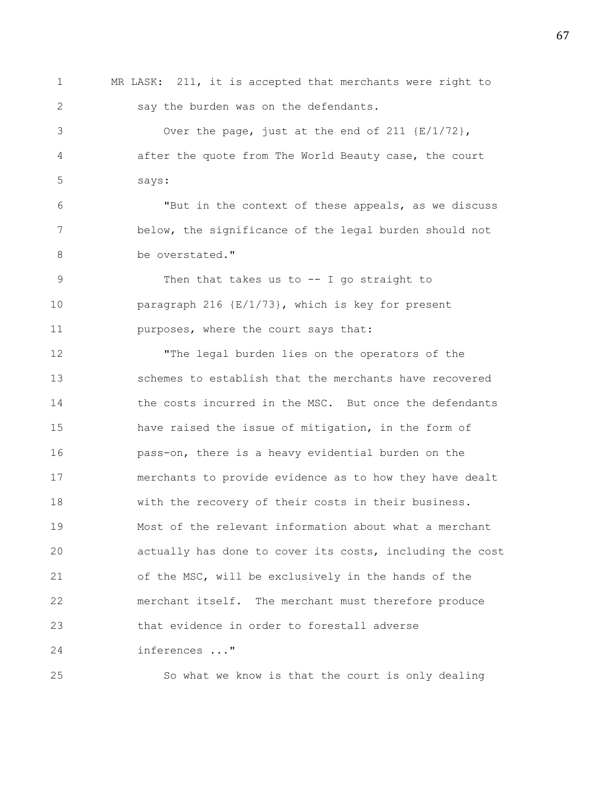1 MR LASK: 211, it is accepted that merchants were right to 2 say the burden was on the defendants.

3 Over the page, just at the end of 211 {E/1/72}, 4 after the quote from The World Beauty case, the court 5 says:

6 "But in the context of these appeals, as we discuss 7 below, the significance of the legal burden should not 8 be overstated."

9 Then that takes us to -- I go straight to 10 paragraph 216 {E/1/73}, which is key for present 11 **purposes, where the court says that:** 

12 "The legal burden lies on the operators of the 13 schemes to establish that the merchants have recovered 14 the costs incurred in the MSC. But once the defendants 15 have raised the issue of mitigation, in the form of 16 pass-on, there is a heavy evidential burden on the 17 merchants to provide evidence as to how they have dealt 18 with the recovery of their costs in their business. 19 Most of the relevant information about what a merchant 20 actually has done to cover its costs, including the cost 21 of the MSC, will be exclusively in the hands of the 22 merchant itself. The merchant must therefore produce 23 that evidence in order to forestall adverse 24 inferences ..."

25 So what we know is that the court is only dealing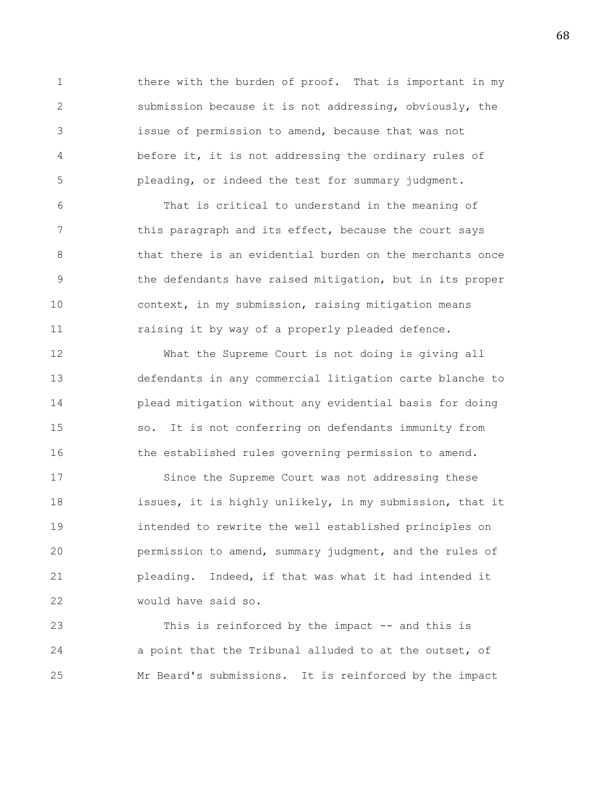1 there with the burden of proof. That is important in my 2 submission because it is not addressing, obviously, the 3 issue of permission to amend, because that was not 4 before it, it is not addressing the ordinary rules of 5 pleading, or indeed the test for summary judgment.

6 That is critical to understand in the meaning of 7 this paragraph and its effect, because the court says 8 **b** that there is an evidential burden on the merchants once 9 the defendants have raised mitigation, but in its proper 10 context, in my submission, raising mitigation means 11 raising it by way of a properly pleaded defence.

12 What the Supreme Court is not doing is giving all 13 defendants in any commercial litigation carte blanche to 14 plead mitigation without any evidential basis for doing 15 so. It is not conferring on defendants immunity from 16 the established rules governing permission to amend.

17 Since the Supreme Court was not addressing these 18 issues, it is highly unlikely, in my submission, that it 19 intended to rewrite the well established principles on 20 permission to amend, summary judgment, and the rules of 21 pleading. Indeed, if that was what it had intended it 22 would have said so.

23 This is reinforced by the impact -- and this is 24 a point that the Tribunal alluded to at the outset, of 25 Mr Beard's submissions. It is reinforced by the impact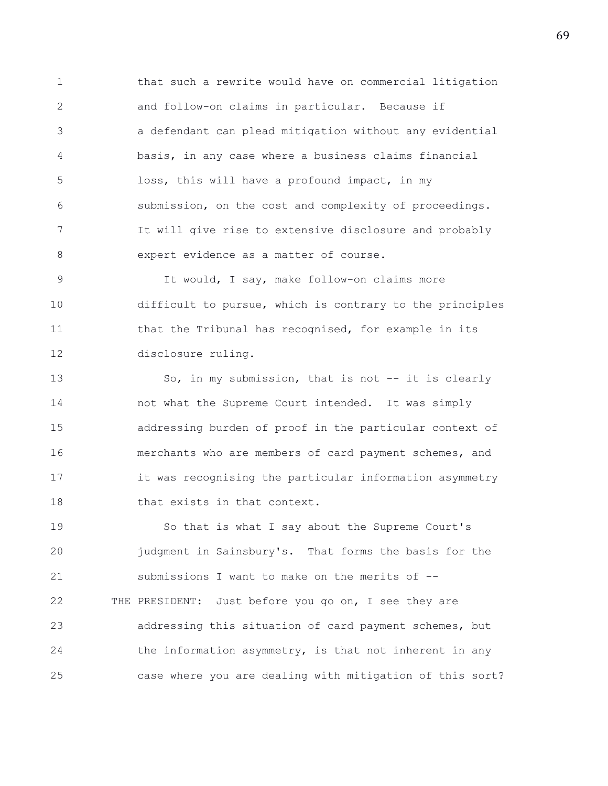1 that such a rewrite would have on commercial litigation 2 and follow-on claims in particular. Because if 3 a defendant can plead mitigation without any evidential 4 basis, in any case where a business claims financial 5 loss, this will have a profound impact, in my 6 submission, on the cost and complexity of proceedings. 7 It will give rise to extensive disclosure and probably 8 expert evidence as a matter of course.

9 It would, I say, make follow-on claims more 10 difficult to pursue, which is contrary to the principles 11 that the Tribunal has recognised, for example in its 12 disclosure ruling.

13 So, in my submission, that is not -- it is clearly 14 not what the Supreme Court intended. It was simply 15 addressing burden of proof in the particular context of 16 merchants who are members of card payment schemes, and 17 it was recognising the particular information asymmetry 18 that exists in that context.

19 So that is what I say about the Supreme Court's 20 judgment in Sainsbury's. That forms the basis for the 21 submissions I want to make on the merits of -- 22 THE PRESIDENT: Just before you go on, I see they are 23 addressing this situation of card payment schemes, but 24 the information asymmetry, is that not inherent in any 25 case where you are dealing with mitigation of this sort?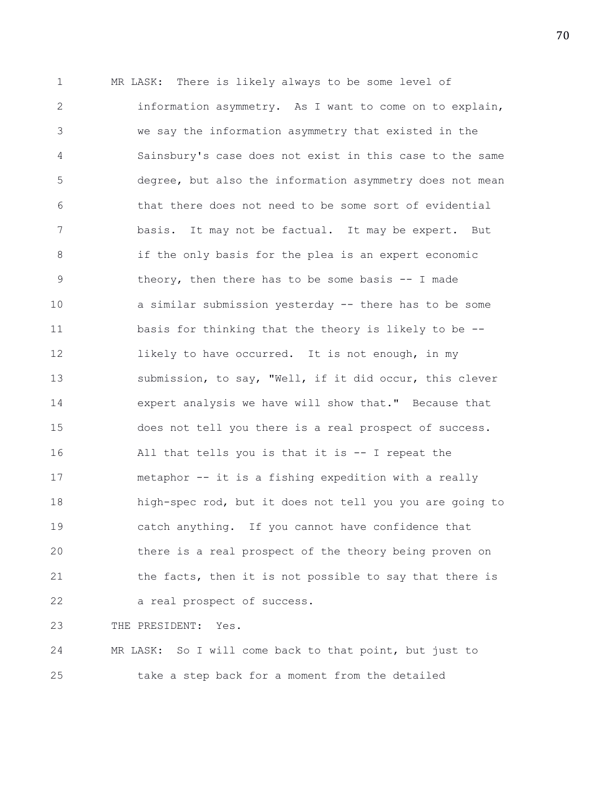1 MR LASK: There is likely always to be some level of 2 information asymmetry. As I want to come on to explain, 3 we say the information asymmetry that existed in the 4 Sainsbury's case does not exist in this case to the same 5 degree, but also the information asymmetry does not mean 6 that there does not need to be some sort of evidential 7 basis. It may not be factual. It may be expert. But 8 if the only basis for the plea is an expert economic 9 theory, then there has to be some basis -- I made 10 a similar submission yesterday -- there has to be some 11 basis for thinking that the theory is likely to be -- 12 likely to have occurred. It is not enough, in my 13 submission, to say, "Well, if it did occur, this clever 14 expert analysis we have will show that." Because that 15 does not tell you there is a real prospect of success. 16 All that tells you is that it is -- I repeat the 17 metaphor -- it is a fishing expedition with a really 18 high-spec rod, but it does not tell you you are going to 19 catch anything. If you cannot have confidence that 20 there is a real prospect of the theory being proven on 21 the facts, then it is not possible to say that there is 22 a real prospect of success.

23 THE PRESIDENT: Yes.

24 MR LASK: So I will come back to that point, but just to 25 take a step back for a moment from the detailed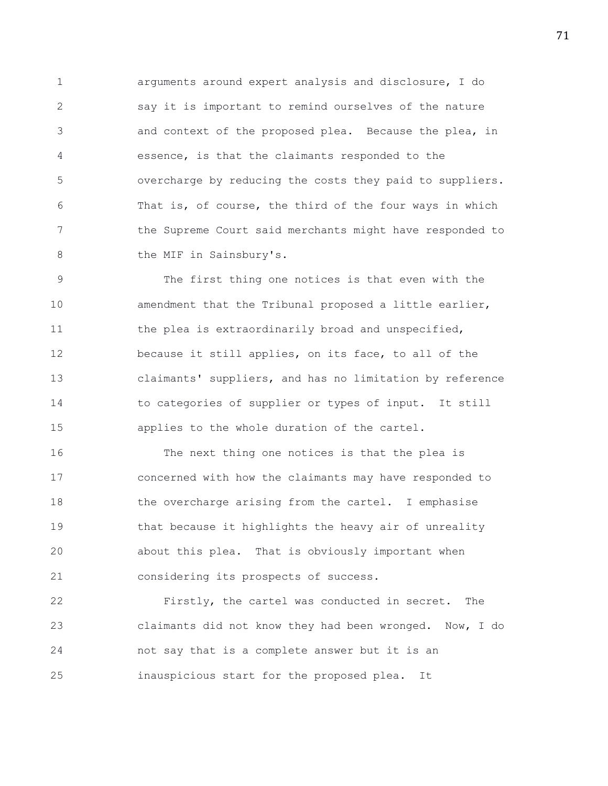1 arguments around expert analysis and disclosure, I do 2 say it is important to remind ourselves of the nature 3 and context of the proposed plea. Because the plea, in 4 essence, is that the claimants responded to the 5 overcharge by reducing the costs they paid to suppliers. 6 That is, of course, the third of the four ways in which 7 the Supreme Court said merchants might have responded to 8 the MIF in Sainsbury's.

9 The first thing one notices is that even with the 10 amendment that the Tribunal proposed a little earlier, 11 the plea is extraordinarily broad and unspecified, 12 because it still applies, on its face, to all of the 13 claimants' suppliers, and has no limitation by reference 14 to categories of supplier or types of input. It still 15 applies to the whole duration of the cartel.

16 The next thing one notices is that the plea is 17 concerned with how the claimants may have responded to 18 the overcharge arising from the cartel. I emphasise 19 that because it highlights the heavy air of unreality 20 about this plea. That is obviously important when 21 considering its prospects of success.

22 Firstly, the cartel was conducted in secret. The 23 claimants did not know they had been wronged. Now, I do 24 not say that is a complete answer but it is an 25 inauspicious start for the proposed plea. It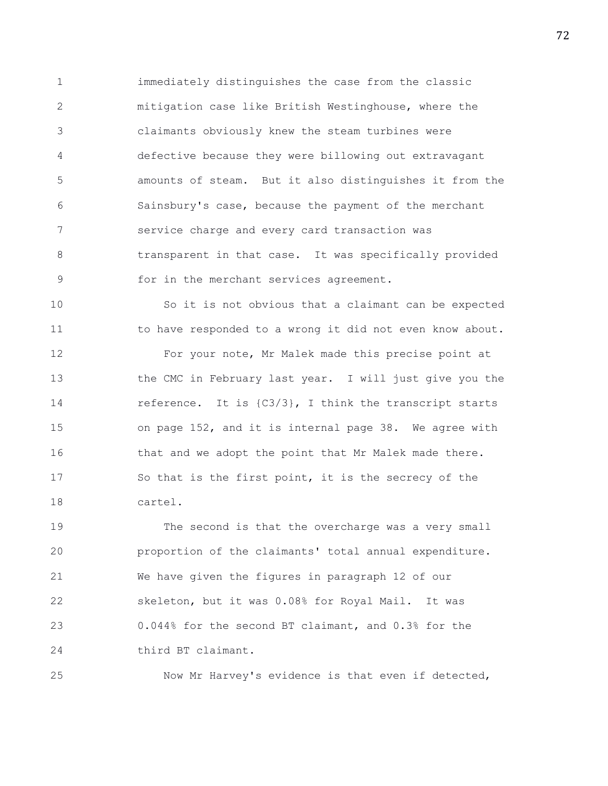1 immediately distinguishes the case from the classic 2 mitigation case like British Westinghouse, where the 3 claimants obviously knew the steam turbines were 4 defective because they were billowing out extravagant 5 amounts of steam. But it also distinguishes it from the 6 Sainsbury's case, because the payment of the merchant 7 service charge and every card transaction was 8 transparent in that case. It was specifically provided 9 for in the merchant services agreement.

10 So it is not obvious that a claimant can be expected 11 to have responded to a wrong it did not even know about.

12 For your note, Mr Malek made this precise point at 13 the CMC in February last year. I will just give you the 14 reference. It is  $(C3/3)$ , I think the transcript starts 15 on page 152, and it is internal page 38. We agree with 16 that and we adopt the point that Mr Malek made there. 17 So that is the first point, it is the secrecy of the 18 cartel.

19 The second is that the overcharge was a very small 20 proportion of the claimants' total annual expenditure. 21 We have given the figures in paragraph 12 of our 22 skeleton, but it was 0.08% for Royal Mail. It was 23 0.044% for the second BT claimant, and 0.3% for the 24 third BT claimant.

25 Now Mr Harvey's evidence is that even if detected,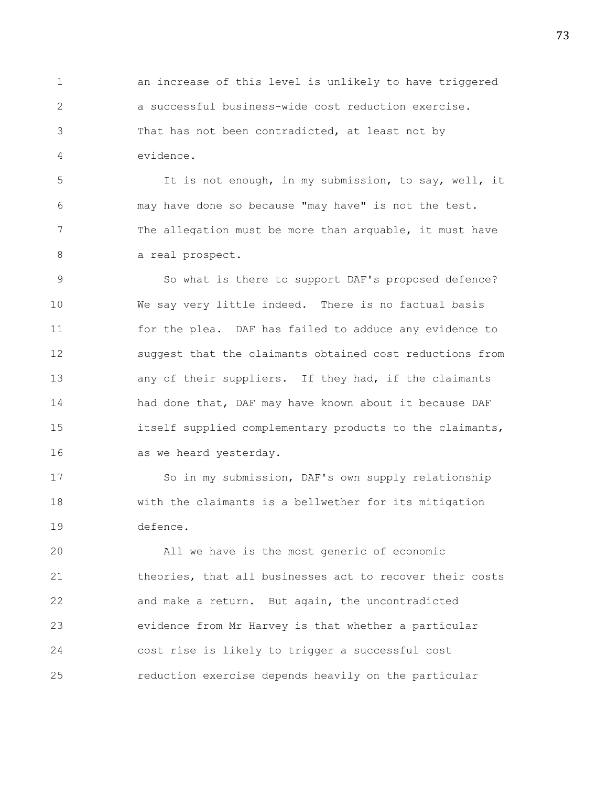1 an increase of this level is unlikely to have triggered 2 a successful business-wide cost reduction exercise. 3 That has not been contradicted, at least not by 4 evidence.

5 It is not enough, in my submission, to say, well, it 6 may have done so because "may have" is not the test. 7 The allegation must be more than arguable, it must have 8 a real prospect.

9 So what is there to support DAF's proposed defence? 10 We say very little indeed. There is no factual basis 11 for the plea. DAF has failed to adduce any evidence to 12 suggest that the claimants obtained cost reductions from 13 any of their suppliers. If they had, if the claimants 14 had done that, DAF may have known about it because DAF 15 itself supplied complementary products to the claimants, 16 as we heard yesterday.

17 So in my submission, DAF's own supply relationship 18 with the claimants is a bellwether for its mitigation 19 defence.

20 All we have is the most generic of economic 21 theories, that all businesses act to recover their costs 22 and make a return. But again, the uncontradicted 23 evidence from Mr Harvey is that whether a particular 24 cost rise is likely to trigger a successful cost 25 reduction exercise depends heavily on the particular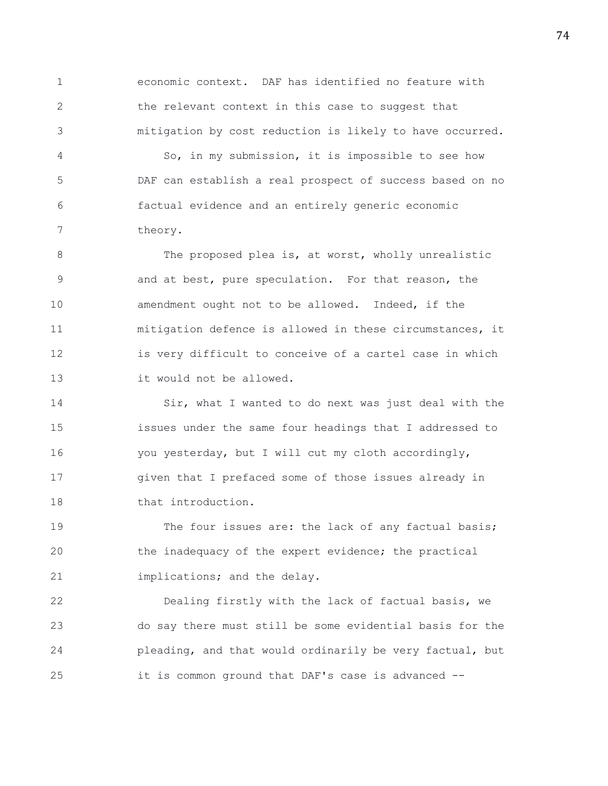1 economic context. DAF has identified no feature with 2 the relevant context in this case to suggest that 3 mitigation by cost reduction is likely to have occurred.

4 So, in my submission, it is impossible to see how 5 DAF can establish a real prospect of success based on no 6 factual evidence and an entirely generic economic 7 theory.

8 The proposed plea is, at worst, wholly unrealistic 9 and at best, pure speculation. For that reason, the 10 **amendment** ought not to be allowed. Indeed, if the 11 mitigation defence is allowed in these circumstances, it 12 is very difficult to conceive of a cartel case in which 13 it would not be allowed.

14 Sir, what I wanted to do next was just deal with the 15 issues under the same four headings that I addressed to 16 you yesterday, but I will cut my cloth accordingly, 17 given that I prefaced some of those issues already in 18 that introduction.

19 The four issues are: the lack of any factual basis; 20 the inadequacy of the expert evidence; the practical 21 implications; and the delay.

22 Dealing firstly with the lack of factual basis, we 23 do say there must still be some evidential basis for the 24 pleading, and that would ordinarily be very factual, but 25 it is common ground that DAF's case is advanced --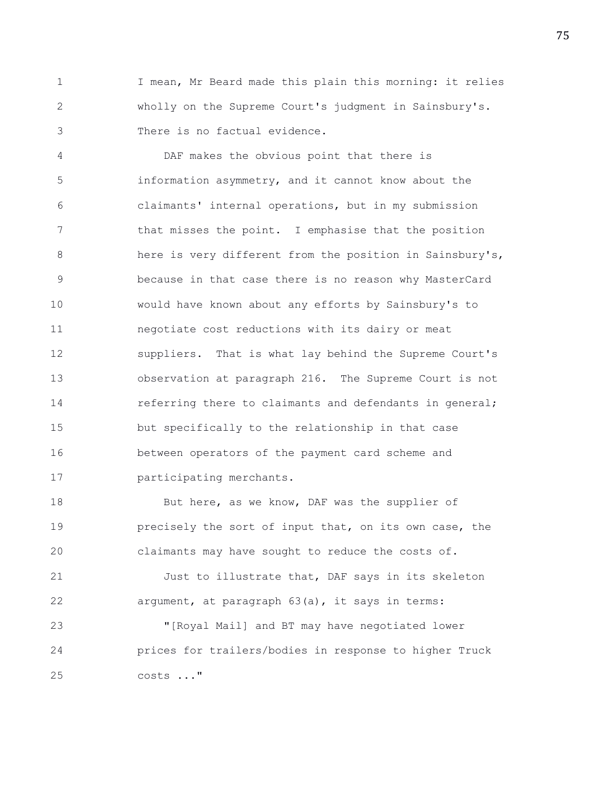1 I mean, Mr Beard made this plain this morning: it relies 2 wholly on the Supreme Court's judgment in Sainsbury's. 3 There is no factual evidence.

4 DAF makes the obvious point that there is 5 information asymmetry, and it cannot know about the 6 claimants' internal operations, but in my submission 7 that misses the point. I emphasise that the position 8 here is very different from the position in Sainsbury's, 9 because in that case there is no reason why MasterCard 10 would have known about any efforts by Sainsbury's to 11 negotiate cost reductions with its dairy or meat 12 suppliers. That is what lay behind the Supreme Court's 13 observation at paragraph 216. The Supreme Court is not 14 **referring there to claimants and defendants in general;** 15 but specifically to the relationship in that case 16 between operators of the payment card scheme and 17 participating merchants.

18 But here, as we know, DAF was the supplier of 19 **precisely the sort of input that, on its own case, the** 20 claimants may have sought to reduce the costs of.

21 Just to illustrate that, DAF says in its skeleton 22 argument, at paragraph 63(a), it says in terms:

23 "[Royal Mail] and BT may have negotiated lower 24 prices for trailers/bodies in response to higher Truck 25 costs ..."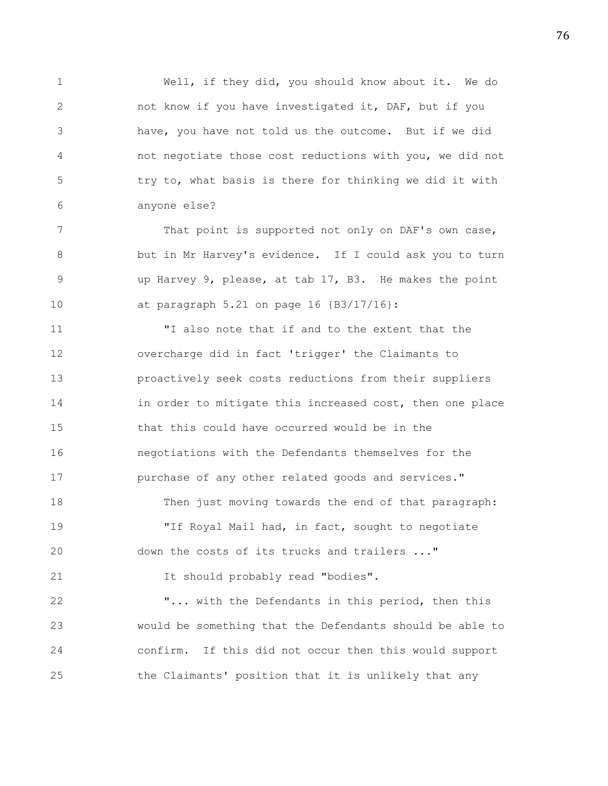1 Well, if they did, you should know about it. We do 2 not know if you have investigated it, DAF, but if you 3 have, you have not told us the outcome. But if we did 4 not negotiate those cost reductions with you, we did not 5 try to, what basis is there for thinking we did it with 6 anyone else?

7 That point is supported not only on DAF's own case, 8 but in Mr Harvey's evidence. If I could ask you to turn 9 up Harvey 9, please, at tab 17, B3. He makes the point 10 at paragraph 5.21 on page 16 {B3/17/16}:

11 "I also note that if and to the extent that the 12 overcharge did in fact 'trigger' the Claimants to 13 proactively seek costs reductions from their suppliers 14 in order to mitigate this increased cost, then one place 15 that this could have occurred would be in the 16 negotiations with the Defendants themselves for the 17 purchase of any other related goods and services." 18 Then just moving towards the end of that paragraph: 19 "If Royal Mail had, in fact, sought to negotiate 20 down the costs of its trucks and trailers ..." 21 It should probably read "bodies". 22 "... with the Defendants in this period, then this

23 would be something that the Defendants should be able to 24 confirm. If this did not occur then this would support 25 the Claimants' position that it is unlikely that any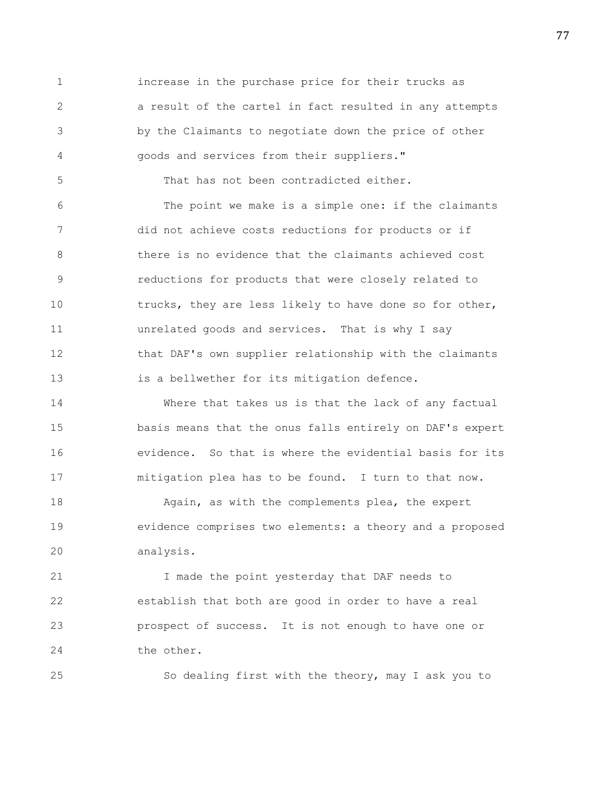1 increase in the purchase price for their trucks as 2 a result of the cartel in fact resulted in any attempts 3 by the Claimants to negotiate down the price of other 4 goods and services from their suppliers."

5 That has not been contradicted either.

6 The point we make is a simple one: if the claimants 7 did not achieve costs reductions for products or if 8 there is no evidence that the claimants achieved cost 9 reductions for products that were closely related to 10 trucks, they are less likely to have done so for other, 11 unrelated goods and services. That is why I say 12 that DAF's own supplier relationship with the claimants 13 is a bellwether for its mitigation defence.

14 Where that takes us is that the lack of any factual 15 basis means that the onus falls entirely on DAF's expert 16 evidence. So that is where the evidential basis for its 17 mitigation plea has to be found. I turn to that now.

18 Again, as with the complements plea, the expert 19 evidence comprises two elements: a theory and a proposed 20 analysis.

21 I made the point yesterday that DAF needs to 22 establish that both are good in order to have a real 23 prospect of success. It is not enough to have one or 24 the other.

25 So dealing first with the theory, may I ask you to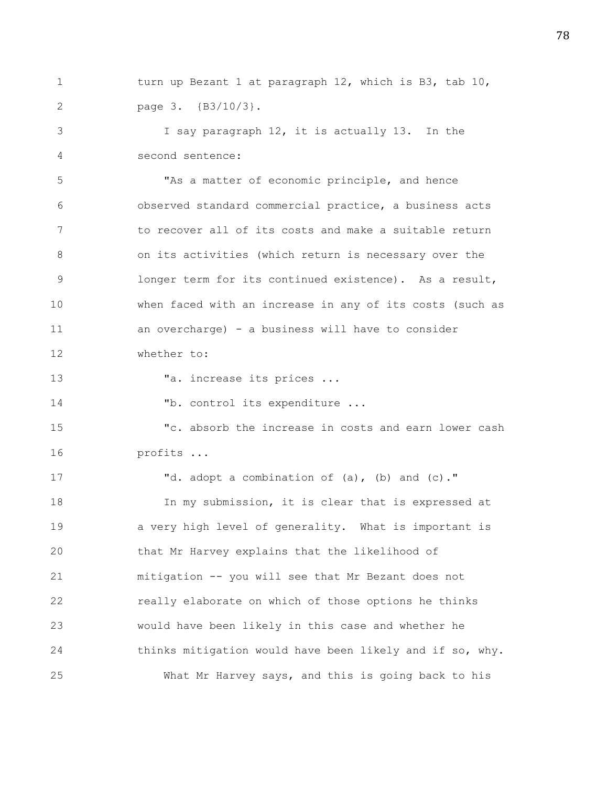1 turn up Bezant 1 at paragraph 12, which is B3, tab 10, 2 page 3. {B3/10/3}.

3 I say paragraph 12, it is actually 13. In the 4 second sentence:

5 "As a matter of economic principle, and hence 6 observed standard commercial practice, a business acts 7 to recover all of its costs and make a suitable return 8 on its activities (which return is necessary over the 9 longer term for its continued existence). As a result, 10 when faced with an increase in any of its costs (such as 11 an overcharge) - a business will have to consider

12 whether to:

13 Ta. increase its prices ...

14 Tb. control its expenditure ...

15 "c. absorb the increase in costs and earn lower cash 16 profits ...

17 **d.** adopt a combination of (a), (b) and (c)." 18 In my submission, it is clear that is expressed at 19 a very high level of generality. What is important is 20 that Mr Harvey explains that the likelihood of 21 mitigation -- you will see that Mr Bezant does not 22 really elaborate on which of those options he thinks 23 would have been likely in this case and whether he 24 thinks mitigation would have been likely and if so, why. 25 What Mr Harvey says, and this is going back to his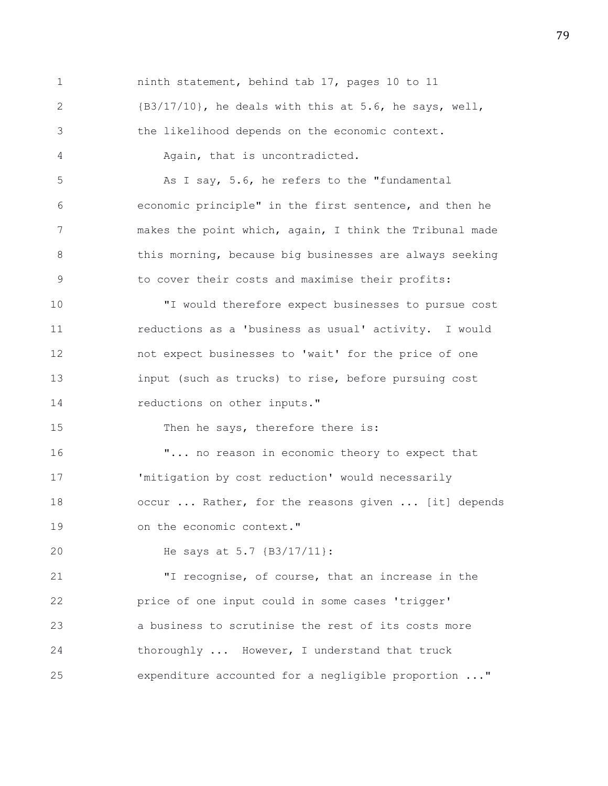1 ninth statement, behind tab 17, pages 10 to 11 2 {B3/17/10}, he deals with this at 5.6, he says, well, 3 the likelihood depends on the economic context. 4 Again, that is uncontradicted. 5 As I say, 5.6, he refers to the "fundamental 6 economic principle" in the first sentence, and then he 7 makes the point which, again, I think the Tribunal made 8 this morning, because big businesses are always seeking 9 to cover their costs and maximise their profits: 10 "I would therefore expect businesses to pursue cost 11 reductions as a 'business as usual' activity. I would 12 not expect businesses to 'wait' for the price of one 13 input (such as trucks) to rise, before pursuing cost 14 reductions on other inputs." 15 Then he says, therefore there is: 16 "... no reason in economic theory to expect that 17 'mitigation by cost reduction' would necessarily 18 occur ... Rather, for the reasons given ... [it] depends 19 on the economic context." 20 He says at 5.7 {B3/17/11}: 21 "I recognise, of course, that an increase in the 22 price of one input could in some cases 'trigger' 23 a business to scrutinise the rest of its costs more 24 thoroughly ... However, I understand that truck 25 expenditure accounted for a negligible proportion ..."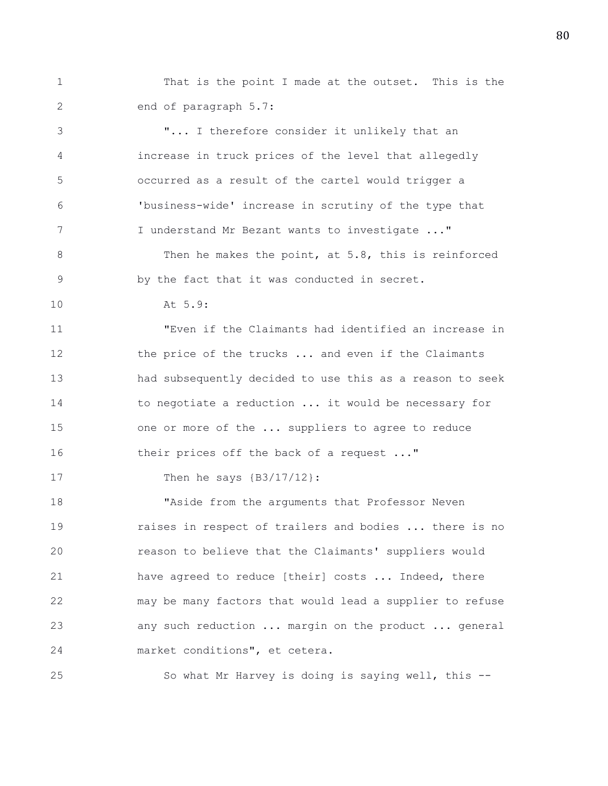1 That is the point I made at the outset. This is the 2 end of paragraph 5.7:

3 "... I therefore consider it unlikely that an 4 increase in truck prices of the level that allegedly 5 occurred as a result of the cartel would trigger a 6 'business-wide' increase in scrutiny of the type that 7 I understand Mr Bezant wants to investigate ..." 8 Then he makes the point, at 5.8, this is reinforced 9 by the fact that it was conducted in secret. 10 At 5.9: 11 "Even if the Claimants had identified an increase in 12 the price of the trucks ... and even if the Claimants 13 had subsequently decided to use this as a reason to seek 14 to negotiate a reduction ... it would be necessary for 15 one or more of the ... suppliers to agree to reduce 16 their prices off the back of a request ..." 17 Then he says  ${B3/17/12}$ : 18 "Aside from the arguments that Professor Neven 19 raises in respect of trailers and bodies ... there is no

20 reason to believe that the Claimants' suppliers would 21 have agreed to reduce [their] costs ... Indeed, there 22 may be many factors that would lead a supplier to refuse 23 any such reduction ... margin on the product ... general 24 market conditions", et cetera.

25 So what Mr Harvey is doing is saying well, this --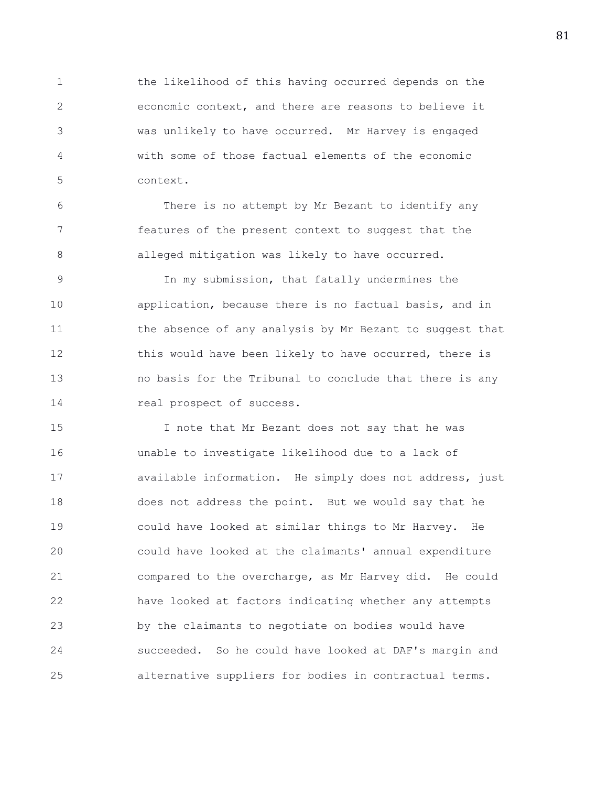1 the likelihood of this having occurred depends on the 2 economic context, and there are reasons to believe it 3 was unlikely to have occurred. Mr Harvey is engaged 4 with some of those factual elements of the economic 5 context.

6 There is no attempt by Mr Bezant to identify any 7 features of the present context to suggest that the 8 **alleged mitigation was likely to have occurred.** 

9 In my submission, that fatally undermines the 10 application, because there is no factual basis, and in 11 the absence of any analysis by Mr Bezant to suggest that 12 this would have been likely to have occurred, there is 13 no basis for the Tribunal to conclude that there is any 14 real prospect of success.

15 I note that Mr Bezant does not say that he was 16 unable to investigate likelihood due to a lack of 17 available information. He simply does not address, just 18 does not address the point. But we would say that he 19 could have looked at similar things to Mr Harvey. He 20 could have looked at the claimants' annual expenditure 21 compared to the overcharge, as Mr Harvey did. He could 22 have looked at factors indicating whether any attempts 23 by the claimants to negotiate on bodies would have 24 succeeded. So he could have looked at DAF's margin and 25 alternative suppliers for bodies in contractual terms.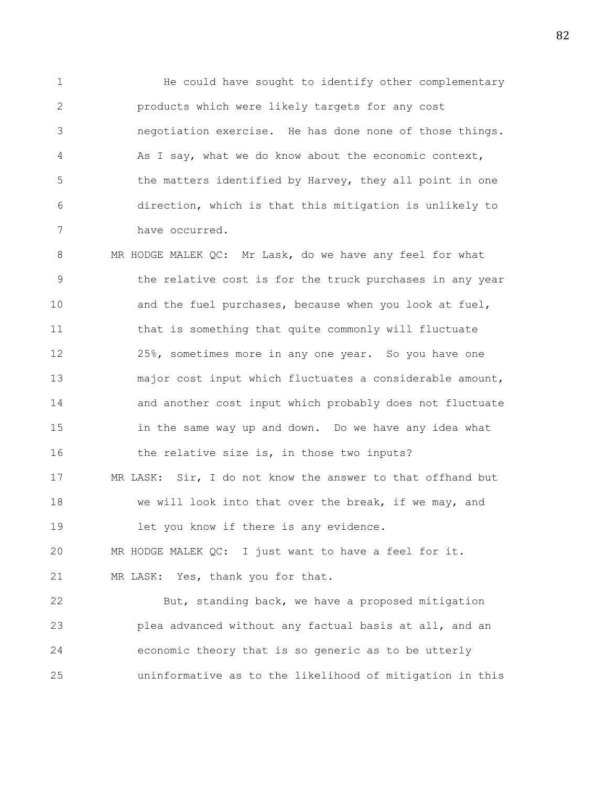1 He could have sought to identify other complementary 2 products which were likely targets for any cost 3 negotiation exercise. He has done none of those things. 4 As I say, what we do know about the economic context, 5 the matters identified by Harvey, they all point in one 6 direction, which is that this mitigation is unlikely to 7 have occurred.

8 MR HODGE MALEK QC: Mr Lask, do we have any feel for what 9 the relative cost is for the truck purchases in any year 10 and the fuel purchases, because when you look at fuel, 11 that is something that quite commonly will fluctuate 12 25%, sometimes more in any one year. So you have one 13 major cost input which fluctuates a considerable amount, 14 and another cost input which probably does not fluctuate 15 in the same way up and down. Do we have any idea what 16 the relative size is, in those two inputs? 17 MR LASK: Sir, I do not know the answer to that offhand but 18 we will look into that over the break, if we may, and 19 let you know if there is any evidence. 20 MR HODGE MALEK QC: I just want to have a feel for it. 21 MR LASK: Yes, thank you for that. 22 But, standing back, we have a proposed mitigation

23 plea advanced without any factual basis at all, and an 24 economic theory that is so generic as to be utterly 25 uninformative as to the likelihood of mitigation in this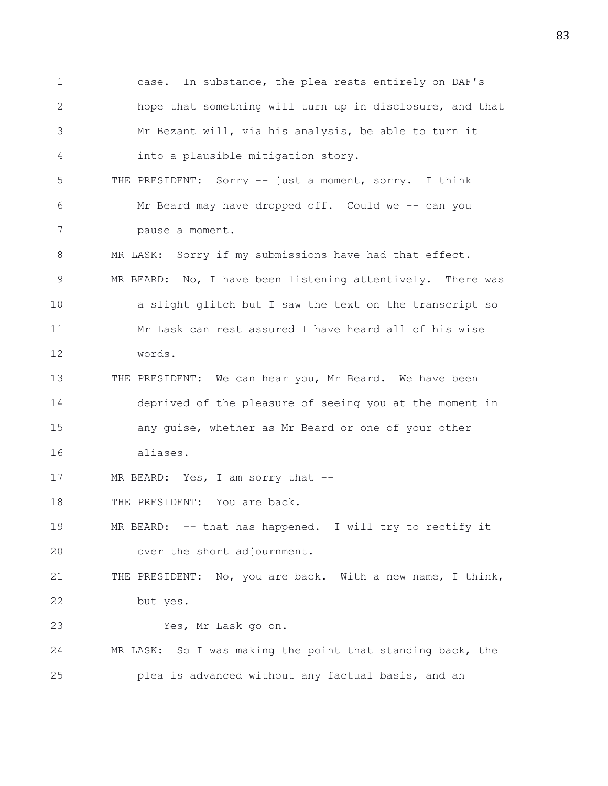1 case. In substance, the plea rests entirely on DAF's 2 hope that something will turn up in disclosure, and that 3 Mr Bezant will, via his analysis, be able to turn it 4 into a plausible mitigation story. 5 THE PRESIDENT: Sorry -- just a moment, sorry. I think 6 Mr Beard may have dropped off. Could we -- can you 7 pause a moment. 8 MR LASK: Sorry if my submissions have had that effect. 9 MR BEARD: No, I have been listening attentively. There was 10 a slight glitch but I saw the text on the transcript so 11 Mr Lask can rest assured I have heard all of his wise 12 words. 13 THE PRESIDENT: We can hear you, Mr Beard. We have been 14 deprived of the pleasure of seeing you at the moment in 15 any guise, whether as Mr Beard or one of your other 16 aliases. 17 MR BEARD: Yes, I am sorry that --18 THE PRESIDENT: You are back. 19 MR BEARD: -- that has happened. I will try to rectify it 20 over the short adjournment. 21 THE PRESIDENT: No, you are back. With a new name, I think, 22 but yes. 23 Yes, Mr Lask go on. 24 MR LASK: So I was making the point that standing back, the 25 plea is advanced without any factual basis, and an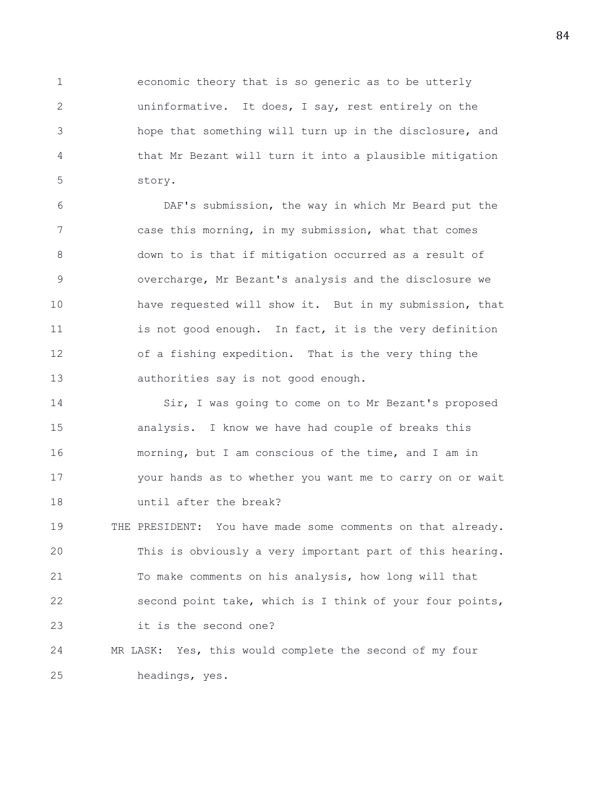1 economic theory that is so generic as to be utterly 2 uninformative. It does, I say, rest entirely on the 3 hope that something will turn up in the disclosure, and 4 that Mr Bezant will turn it into a plausible mitigation 5 story.

6 DAF's submission, the way in which Mr Beard put the 7 case this morning, in my submission, what that comes 8 down to is that if mitigation occurred as a result of 9 overcharge, Mr Bezant's analysis and the disclosure we 10 have requested will show it. But in my submission, that 11 is not good enough. In fact, it is the very definition 12 of a fishing expedition. That is the very thing the 13 authorities say is not good enough.

14 Sir, I was going to come on to Mr Bezant's proposed 15 analysis. I know we have had couple of breaks this 16 morning, but I am conscious of the time, and I am in 17 your hands as to whether you want me to carry on or wait 18 until after the break?

19 THE PRESIDENT: You have made some comments on that already. 20 This is obviously a very important part of this hearing. 21 To make comments on his analysis, how long will that 22 second point take, which is I think of your four points, 23 it is the second one?

24 MR LASK: Yes, this would complete the second of my four 25 headings, yes.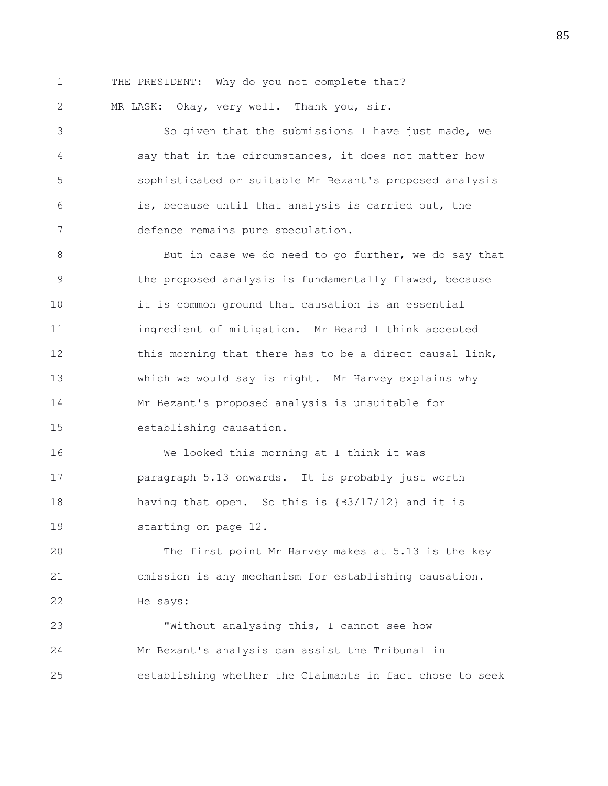1 THE PRESIDENT: Why do you not complete that?

2 MR LASK: Okay, very well. Thank you, sir.

3 So given that the submissions I have just made, we 4 say that in the circumstances, it does not matter how 5 sophisticated or suitable Mr Bezant's proposed analysis 6 is, because until that analysis is carried out, the 7 defence remains pure speculation.

8 But in case we do need to go further, we do say that 9 the proposed analysis is fundamentally flawed, because 10 it is common ground that causation is an essential 11 ingredient of mitigation. Mr Beard I think accepted 12 this morning that there has to be a direct causal link, 13 which we would say is right. Mr Harvey explains why 14 Mr Bezant's proposed analysis is unsuitable for 15 establishing causation.

16 We looked this morning at I think it was 17 paragraph 5.13 onwards. It is probably just worth 18 having that open. So this is {B3/17/12} and it is 19 starting on page 12.

20 The first point Mr Harvey makes at 5.13 is the key 21 omission is any mechanism for establishing causation. 22 He says:

23 "Without analysing this, I cannot see how 24 Mr Bezant's analysis can assist the Tribunal in 25 establishing whether the Claimants in fact chose to seek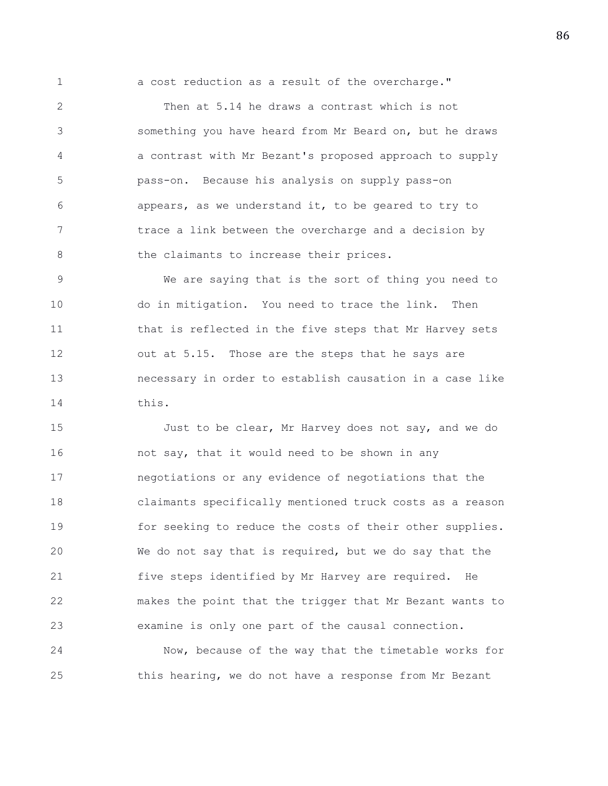1 a cost reduction as a result of the overcharge."

2 Then at 5.14 he draws a contrast which is not 3 something you have heard from Mr Beard on, but he draws 4 a contrast with Mr Bezant's proposed approach to supply 5 pass-on. Because his analysis on supply pass-on 6 appears, as we understand it, to be geared to try to 7 trace a link between the overcharge and a decision by 8 the claimants to increase their prices.

9 We are saying that is the sort of thing you need to 10 do in mitigation. You need to trace the link. Then 11 that is reflected in the five steps that Mr Harvey sets 12 out at 5.15. Those are the steps that he says are 13 necessary in order to establish causation in a case like 14 this.

15 Just to be clear, Mr Harvey does not say, and we do 16 **hourch in the say, that it would need to be shown in any** 17 negotiations or any evidence of negotiations that the 18 claimants specifically mentioned truck costs as a reason 19 for seeking to reduce the costs of their other supplies. 20 We do not say that is required, but we do say that the 21 five steps identified by Mr Harvey are required. He 22 makes the point that the trigger that Mr Bezant wants to 23 examine is only one part of the causal connection.

24 Now, because of the way that the timetable works for 25 this hearing, we do not have a response from Mr Bezant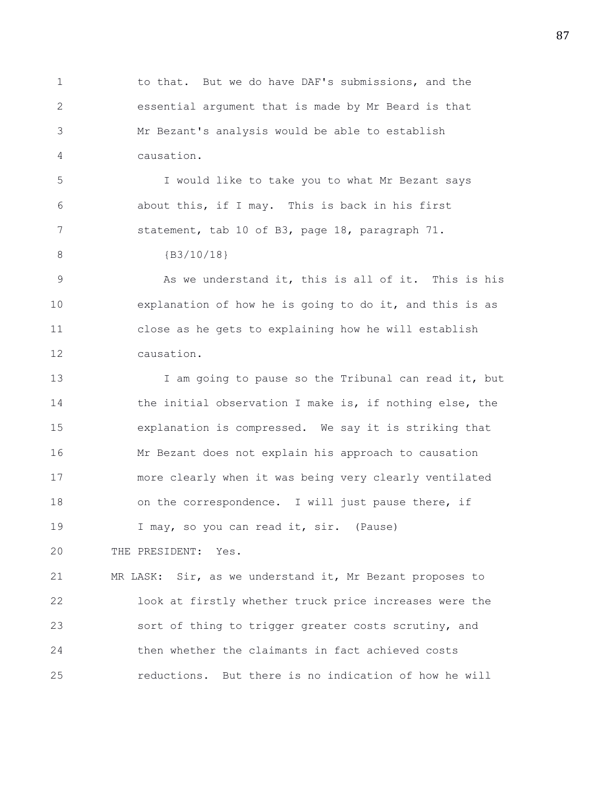1 to that. But we do have DAF's submissions, and the 2 essential argument that is made by Mr Beard is that 3 Mr Bezant's analysis would be able to establish 4 causation.

5 I would like to take you to what Mr Bezant says 6 about this, if I may. This is back in his first 7 statement, tab 10 of B3, page 18, paragraph 71.

8 **{B3/10/18}** 

9 As we understand it, this is all of it. This is his 10 explanation of how he is going to do it, and this is as 11 close as he gets to explaining how he will establish 12 causation.

13 I am going to pause so the Tribunal can read it, but 14 the initial observation I make is, if nothing else, the 15 explanation is compressed. We say it is striking that 16 Mr Bezant does not explain his approach to causation 17 more clearly when it was being very clearly ventilated 18 on the correspondence. I will just pause there, if 19 I may, so you can read it, sir. (Pause)

20 THE PRESIDENT: Yes.

21 MR LASK: Sir, as we understand it, Mr Bezant proposes to 22 look at firstly whether truck price increases were the 23 sort of thing to trigger greater costs scrutiny, and 24 then whether the claimants in fact achieved costs 25 reductions. But there is no indication of how he will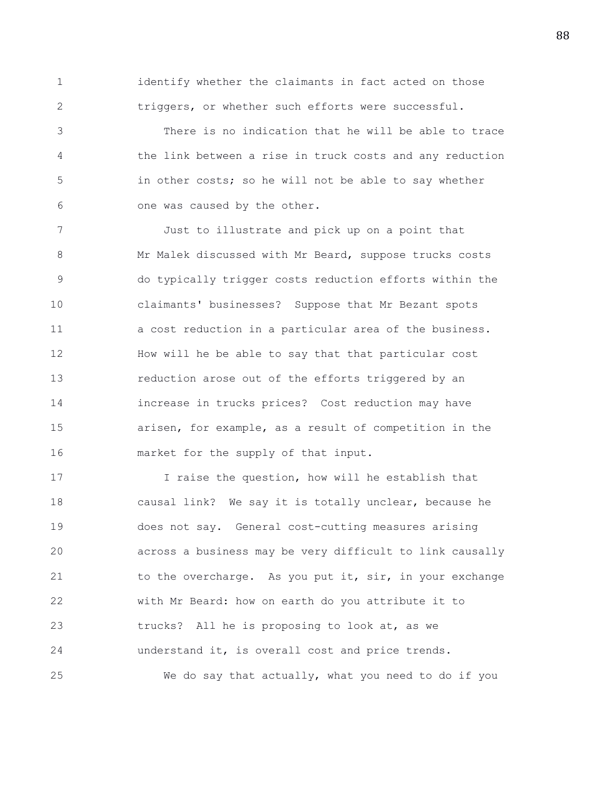1 identify whether the claimants in fact acted on those 2 triggers, or whether such efforts were successful.

3 There is no indication that he will be able to trace 4 the link between a rise in truck costs and any reduction 5 in other costs; so he will not be able to say whether 6 one was caused by the other.

7 Just to illustrate and pick up on a point that 8 Mr Malek discussed with Mr Beard, suppose trucks costs 9 do typically trigger costs reduction efforts within the 10 claimants' businesses? Suppose that Mr Bezant spots 11 a cost reduction in a particular area of the business. 12 How will he be able to say that that particular cost 13 reduction arose out of the efforts triggered by an 14 increase in trucks prices? Cost reduction may have 15 arisen, for example, as a result of competition in the 16 market for the supply of that input.

17 I raise the question, how will he establish that 18 causal link? We say it is totally unclear, because he 19 does not say. General cost-cutting measures arising 20 across a business may be very difficult to link causally 21 to the overcharge. As you put it, sir, in your exchange 22 with Mr Beard: how on earth do you attribute it to 23 trucks? All he is proposing to look at, as we 24 understand it, is overall cost and price trends. 25 We do say that actually, what you need to do if you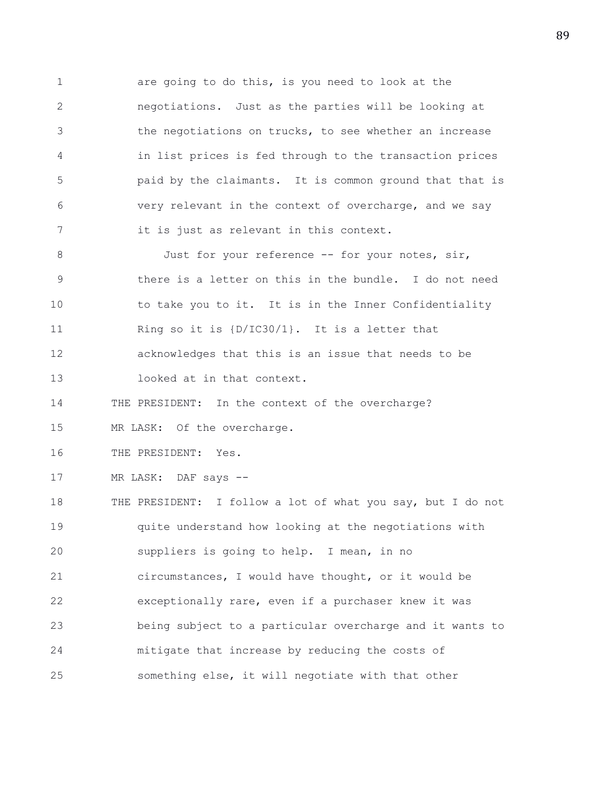1 are going to do this, is you need to look at the 2 negotiations. Just as the parties will be looking at 3 the negotiations on trucks, to see whether an increase 4 in list prices is fed through to the transaction prices 5 paid by the claimants. It is common ground that that is 6 very relevant in the context of overcharge, and we say 7 it is just as relevant in this context.

8 Just for your reference -- for your notes, sir, 9 there is a letter on this in the bundle. I do not need 10 to take you to it. It is in the Inner Confidentiality 11 Ring so it is {D/IC30/1}. It is a letter that 12 acknowledges that this is an issue that needs to be 13 looked at in that context.

14 THE PRESIDENT: In the context of the overcharge?

15 MR LASK: Of the overcharge.

16 THE PRESIDENT: Yes.

17 MR LASK: DAF says --

18 THE PRESIDENT: I follow a lot of what you say, but I do not 19 quite understand how looking at the negotiations with 20 suppliers is going to help. I mean, in no 21 circumstances, I would have thought, or it would be 22 exceptionally rare, even if a purchaser knew it was 23 being subject to a particular overcharge and it wants to 24 mitigate that increase by reducing the costs of 25 something else, it will negotiate with that other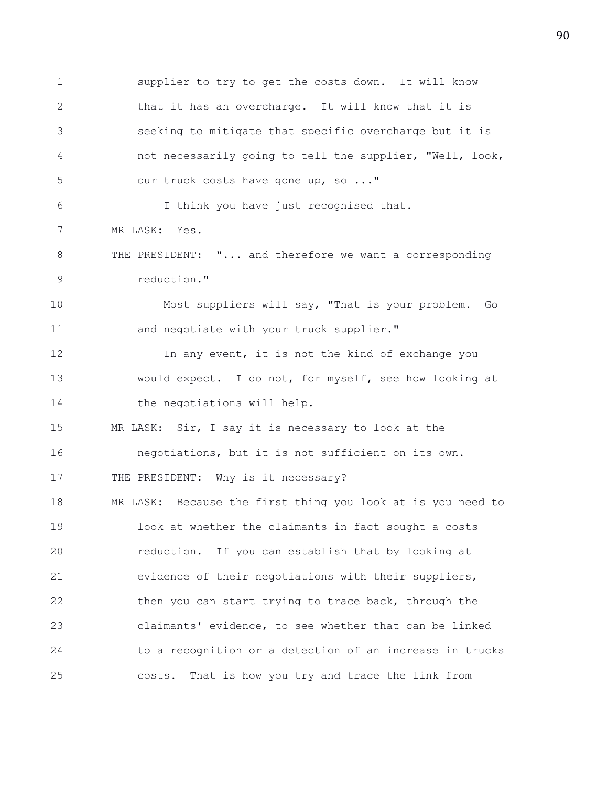1 supplier to try to get the costs down. It will know 2 that it has an overcharge. It will know that it is 3 seeking to mitigate that specific overcharge but it is 4 not necessarily going to tell the supplier, "Well, look, 5 our truck costs have gone up, so ..." 6 I think you have just recognised that. 7 MR LASK: Yes. 8 THE PRESIDENT: "... and therefore we want a corresponding 9 reduction." 10 Most suppliers will say, "That is your problem. Go 11 and negotiate with your truck supplier." 12 **In any event, it is not the kind of exchange you** 13 would expect. I do not, for myself, see how looking at 14 the negotiations will help. 15 MR LASK: Sir, I say it is necessary to look at the 16 negotiations, but it is not sufficient on its own. 17 THE PRESIDENT: Why is it necessary? 18 MR LASK: Because the first thing you look at is you need to 19 look at whether the claimants in fact sought a costs 20 reduction. If you can establish that by looking at 21 evidence of their negotiations with their suppliers, 22 then you can start trying to trace back, through the 23 claimants' evidence, to see whether that can be linked 24 to a recognition or a detection of an increase in trucks 25 costs. That is how you try and trace the link from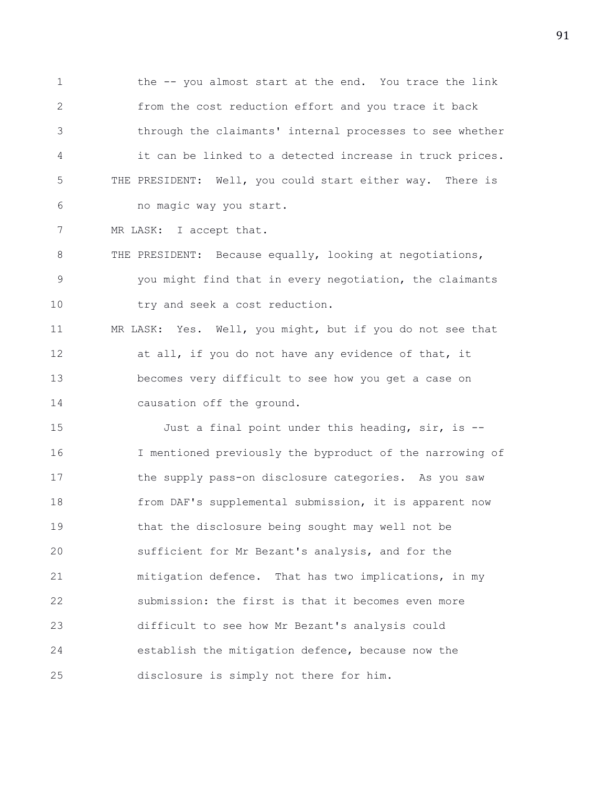1 the -- you almost start at the end. You trace the link 2 from the cost reduction effort and you trace it back 3 through the claimants' internal processes to see whether 4 it can be linked to a detected increase in truck prices. 5 THE PRESIDENT: Well, you could start either way. There is 6 no magic way you start.

7 MR LASK: I accept that.

8 THE PRESIDENT: Because equally, looking at negotiations, 9 you might find that in every negotiation, the claimants 10 try and seek a cost reduction.

11 MR LASK: Yes. Well, you might, but if you do not see that 12 at all, if you do not have any evidence of that, it 13 becomes very difficult to see how you get a case on 14 causation off the ground.

15 Just a final point under this heading, sir, is -- 16 I mentioned previously the byproduct of the narrowing of 17 the supply pass-on disclosure categories. As you saw 18 from DAF's supplemental submission, it is apparent now 19 that the disclosure being sought may well not be 20 sufficient for Mr Bezant's analysis, and for the 21 mitigation defence. That has two implications, in my 22 submission: the first is that it becomes even more 23 difficult to see how Mr Bezant's analysis could 24 establish the mitigation defence, because now the 25 disclosure is simply not there for him.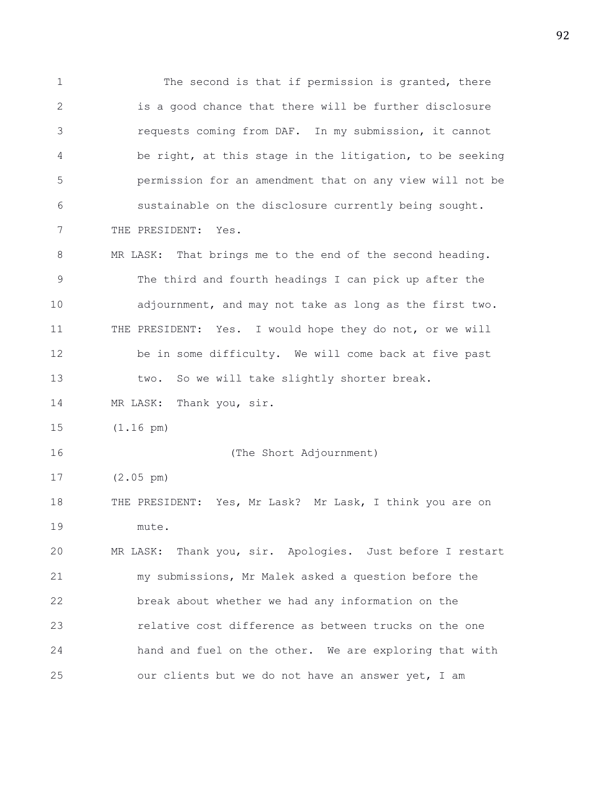1 The second is that if permission is granted, there 2 is a good chance that there will be further disclosure 3 requests coming from DAF. In my submission, it cannot 4 be right, at this stage in the litigation, to be seeking 5 permission for an amendment that on any view will not be 6 sustainable on the disclosure currently being sought. 7 THE PRESIDENT: Yes. 8 MR LASK: That brings me to the end of the second heading. 9 The third and fourth headings I can pick up after the 10 adjournment, and may not take as long as the first two. 11 THE PRESIDENT: Yes. I would hope they do not, or we will 12 be in some difficulty. We will come back at five past 13 two. So we will take slightly shorter break. 14 MR LASK: Thank you, sir. 15 (1.16 pm) 16 (The Short Adjournment) 17 (2.05 pm) 18 THE PRESIDENT: Yes, Mr Lask? Mr Lask, I think you are on 19 mute. 20 MR LASK: Thank you, sir. Apologies. Just before I restart 21 my submissions, Mr Malek asked a question before the 22 break about whether we had any information on the 23 relative cost difference as between trucks on the one 24 hand and fuel on the other. We are exploring that with 25 our clients but we do not have an answer yet, I am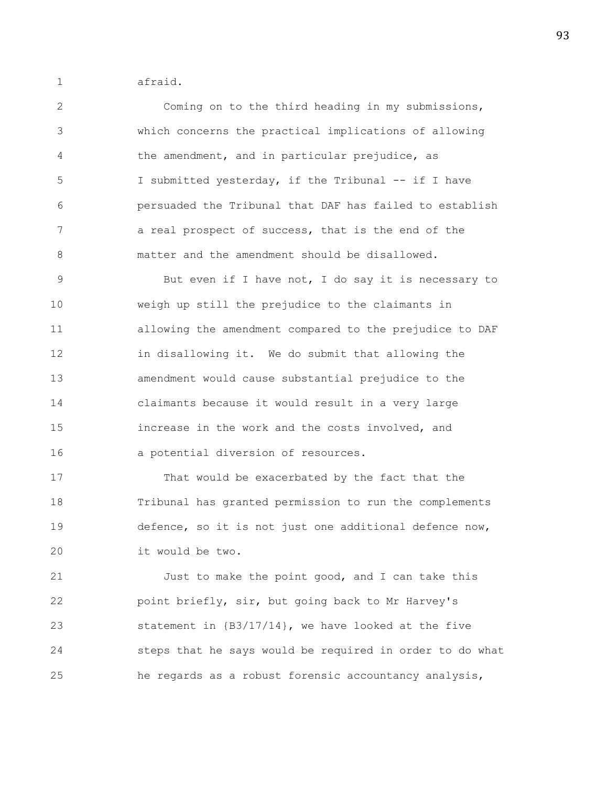1 afraid.

2 Coming on to the third heading in my submissions, 3 which concerns the practical implications of allowing 4 the amendment, and in particular prejudice, as 5 I submitted yesterday, if the Tribunal -- if I have 6 persuaded the Tribunal that DAF has failed to establish 7 a real prospect of success, that is the end of the 8 matter and the amendment should be disallowed.

9 But even if I have not, I do say it is necessary to 10 weigh up still the prejudice to the claimants in 11 allowing the amendment compared to the prejudice to DAF 12 in disallowing it. We do submit that allowing the 13 amendment would cause substantial prejudice to the 14 claimants because it would result in a very large 15 increase in the work and the costs involved, and 16 a potential diversion of resources.

17 That would be exacerbated by the fact that the 18 Tribunal has granted permission to run the complements 19 defence, so it is not just one additional defence now, 20 it would be two.

21 Just to make the point good, and I can take this 22 point briefly, sir, but going back to Mr Harvey's 23 statement in {B3/17/14}, we have looked at the five 24 steps that he says would be required in order to do what 25 he regards as a robust forensic accountancy analysis,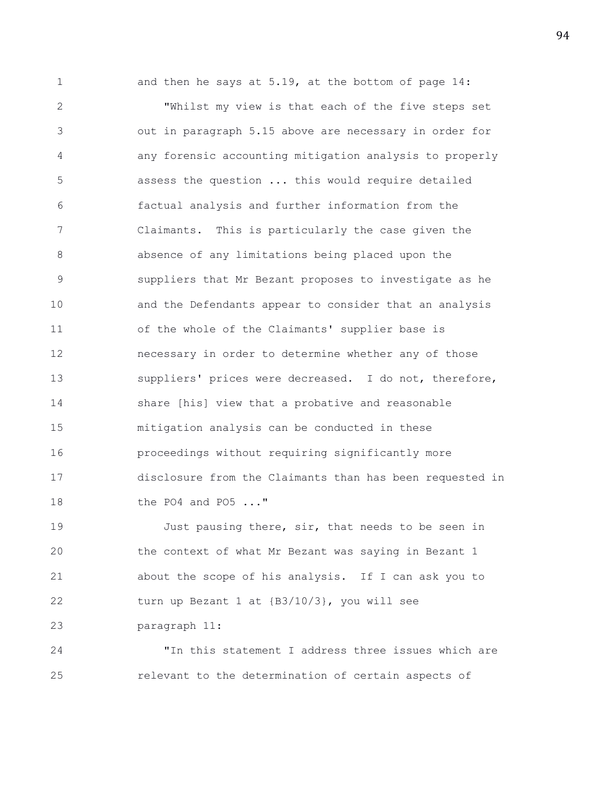1 and then he says at 5.19, at the bottom of page 14: 2 "Whilst my view is that each of the five steps set 3 out in paragraph 5.15 above are necessary in order for 4 any forensic accounting mitigation analysis to properly 5 assess the question ... this would require detailed 6 factual analysis and further information from the 7 Claimants. This is particularly the case given the 8 absence of any limitations being placed upon the 9 suppliers that Mr Bezant proposes to investigate as he 10 and the Defendants appear to consider that an analysis 11 of the whole of the Claimants' supplier base is 12 necessary in order to determine whether any of those 13 suppliers' prices were decreased. I do not, therefore, 14 share [his] view that a probative and reasonable 15 mitigation analysis can be conducted in these 16 proceedings without requiring significantly more 17 disclosure from the Claimants than has been requested in 18 the PO4 and PO5 ..."

19 Just pausing there, sir, that needs to be seen in 20 the context of what Mr Bezant was saying in Bezant 1 21 about the scope of his analysis. If I can ask you to 22 turn up Bezant 1 at {B3/10/3}, you will see 23 paragraph 11:

24 "In this statement I address three issues which are 25 relevant to the determination of certain aspects of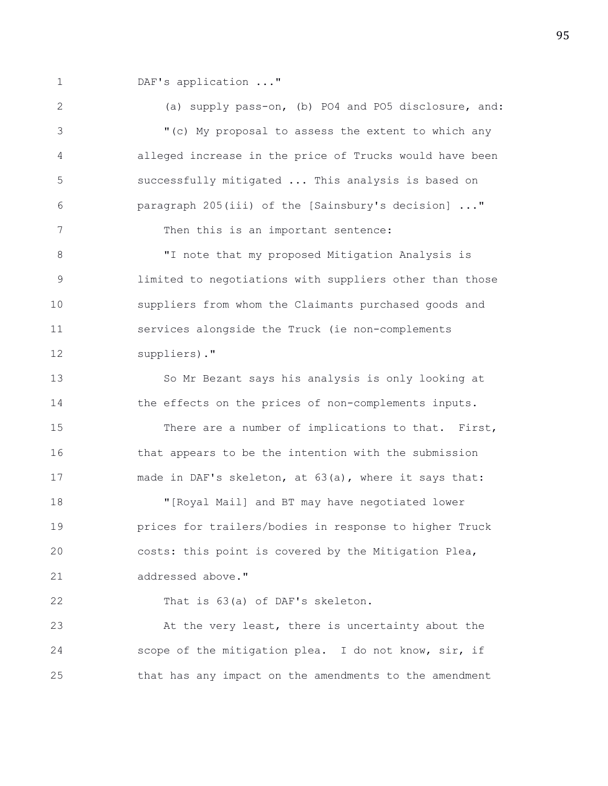1 DAF's application ..."

2 (a) supply pass-on, (b) PO4 and PO5 disclosure, and: 3 "(c) My proposal to assess the extent to which any 4 alleged increase in the price of Trucks would have been 5 successfully mitigated ... This analysis is based on 6 paragraph 205(iii) of the [Sainsbury's decision] ..." 7 Then this is an important sentence: 8 "I note that my proposed Mitigation Analysis is 9 limited to negotiations with suppliers other than those 10 suppliers from whom the Claimants purchased goods and 11 services alongside the Truck (ie non-complements 12 suppliers)." 13 So Mr Bezant says his analysis is only looking at 14 the effects on the prices of non-complements inputs. 15 There are a number of implications to that. First, 16 that appears to be the intention with the submission 17 made in DAF's skeleton, at 63(a), where it says that: 18 "[Royal Mail] and BT may have negotiated lower 19 prices for trailers/bodies in response to higher Truck 20 costs: this point is covered by the Mitigation Plea, 21 addressed above." 22 That is 63(a) of DAF's skeleton. 23 At the very least, there is uncertainty about the 24 scope of the mitigation plea. I do not know, sir, if

25 that has any impact on the amendments to the amendment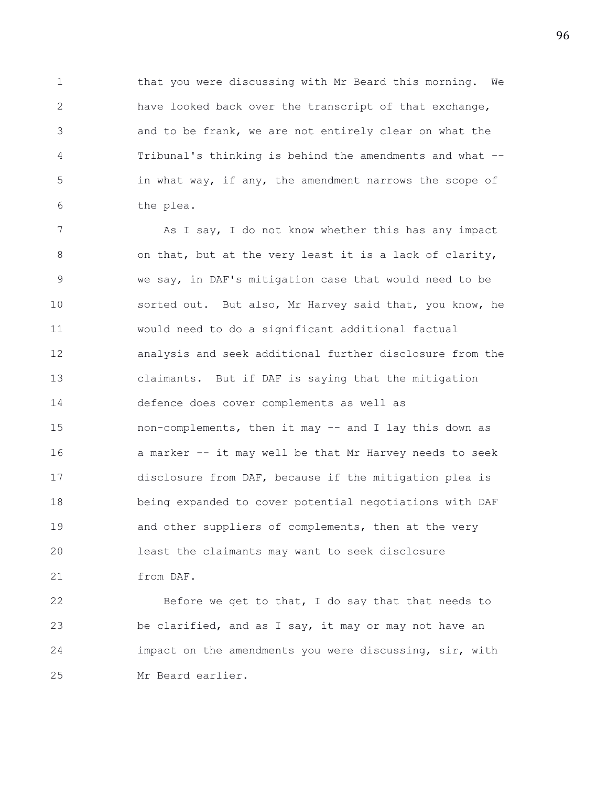1 that you were discussing with Mr Beard this morning. We 2 have looked back over the transcript of that exchange, 3 and to be frank, we are not entirely clear on what the 4 Tribunal's thinking is behind the amendments and what -- 5 in what way, if any, the amendment narrows the scope of 6 the plea.

7 As I say, I do not know whether this has any impact 8 on that, but at the very least it is a lack of clarity, 9 we say, in DAF's mitigation case that would need to be 10 sorted out. But also, Mr Harvey said that, you know, he 11 would need to do a significant additional factual 12 analysis and seek additional further disclosure from the 13 claimants. But if DAF is saying that the mitigation 14 defence does cover complements as well as 15 non-complements, then it may -- and I lay this down as 16 a marker -- it may well be that Mr Harvey needs to seek 17 disclosure from DAF, because if the mitigation plea is 18 being expanded to cover potential negotiations with DAF 19 and other suppliers of complements, then at the very 20 least the claimants may want to seek disclosure 21 from DAF.

22 Before we get to that, I do say that that needs to 23 be clarified, and as I say, it may or may not have an 24 impact on the amendments you were discussing, sir, with 25 Mr Beard earlier.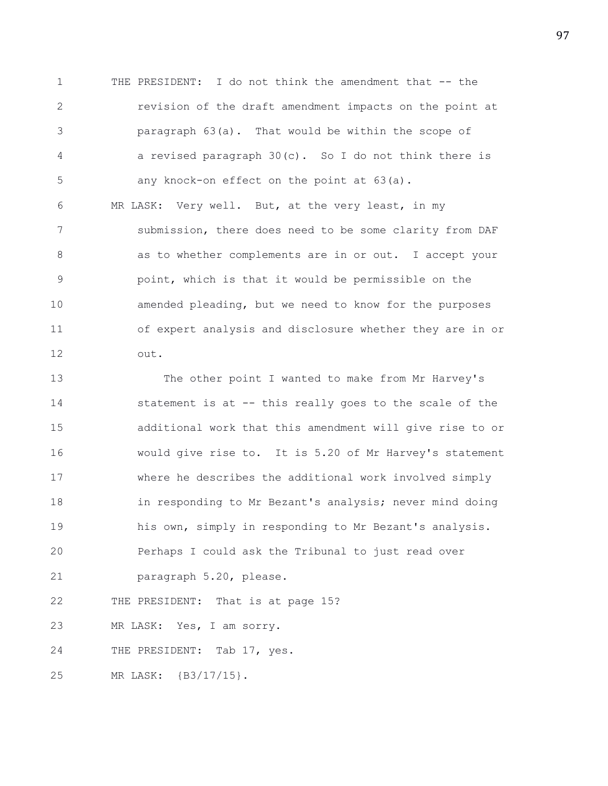1 THE PRESIDENT: I do not think the amendment that -- the 2 revision of the draft amendment impacts on the point at 3 paragraph 63(a). That would be within the scope of 4 a revised paragraph 30(c). So I do not think there is 5 any knock-on effect on the point at 63(a).

6 MR LASK: Very well. But, at the very least, in my 7 submission, there does need to be some clarity from DAF 8 as to whether complements are in or out. I accept your 9 point, which is that it would be permissible on the 10 amended pleading, but we need to know for the purposes 11 of expert analysis and disclosure whether they are in or 12 out.

13 The other point I wanted to make from Mr Harvey's 14 statement is at -- this really goes to the scale of the 15 additional work that this amendment will give rise to or 16 would give rise to. It is 5.20 of Mr Harvey's statement 17 where he describes the additional work involved simply 18 in responding to Mr Bezant's analysis; never mind doing 19 his own, simply in responding to Mr Bezant's analysis. 20 Perhaps I could ask the Tribunal to just read over 21 paragraph 5.20, please. 22 THE PRESIDENT: That is at page 15?

23 MR LASK: Yes, I am sorry.

24 THE PRESIDENT: Tab 17, yes.

25 MR LASK: {B3/17/15}.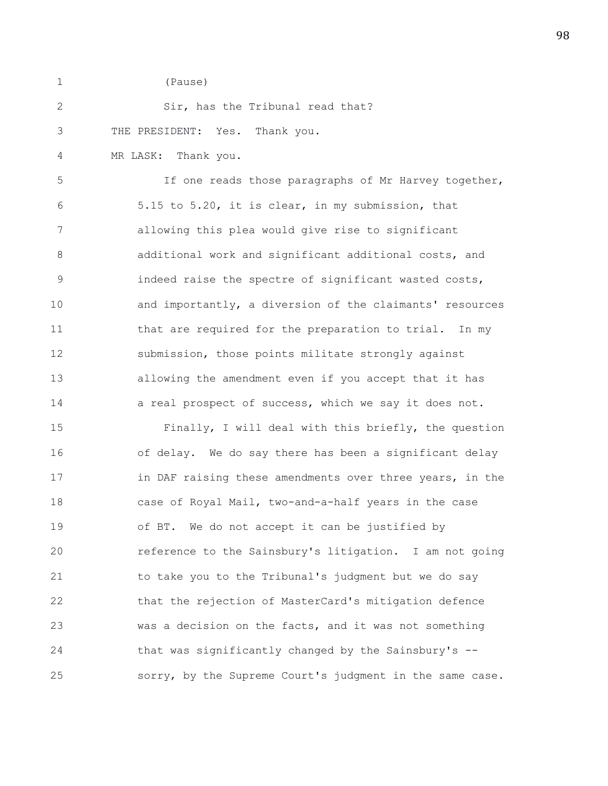1 (Pause)

| 2 |                                |  | Sir, has the Tribunal read that? |  |
|---|--------------------------------|--|----------------------------------|--|
| 3 | THE PRESIDENT: Yes. Thank you. |  |                                  |  |

4 MR LASK: Thank you.

5 If one reads those paragraphs of Mr Harvey together, 6 5.15 to 5.20, it is clear, in my submission, that 7 allowing this plea would give rise to significant 8 additional work and significant additional costs, and 9 indeed raise the spectre of significant wasted costs, 10 and importantly, a diversion of the claimants' resources 11 that are required for the preparation to trial. In my 12 submission, those points militate strongly against 13 allowing the amendment even if you accept that it has 14 a real prospect of success, which we say it does not.

15 Finally, I will deal with this briefly, the question 16 of delay. We do say there has been a significant delay 17 **in DAF raising these amendments over three years, in the** 18 case of Royal Mail, two-and-a-half years in the case 19 of BT. We do not accept it can be justified by 20 reference to the Sainsbury's litigation. I am not going 21 to take you to the Tribunal's judgment but we do say 22 that the rejection of MasterCard's mitigation defence 23 was a decision on the facts, and it was not something 24 that was significantly changed by the Sainsbury's -- 25 sorry, by the Supreme Court's judgment in the same case.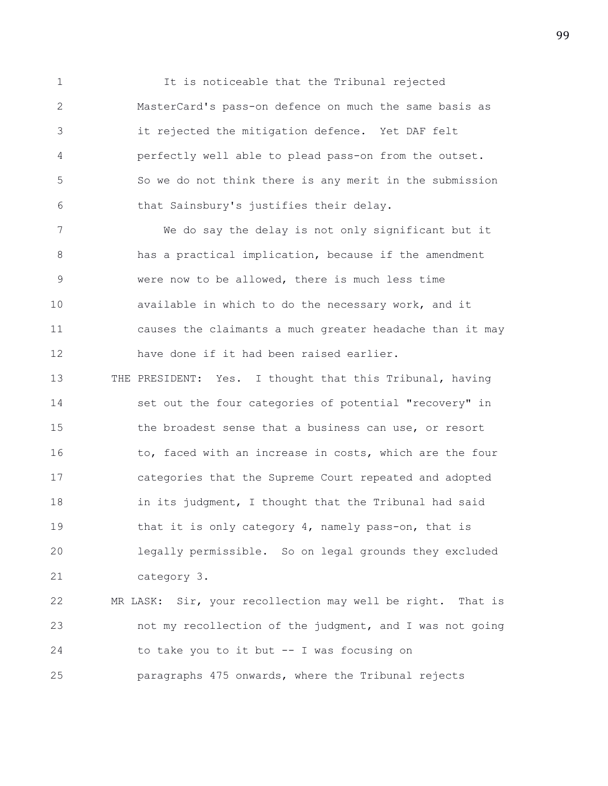1 It is noticeable that the Tribunal rejected 2 MasterCard's pass-on defence on much the same basis as 3 it rejected the mitigation defence. Yet DAF felt 4 perfectly well able to plead pass-on from the outset. 5 So we do not think there is any merit in the submission 6 that Sainsbury's justifies their delay.

7 We do say the delay is not only significant but it 8 has a practical implication, because if the amendment 9 were now to be allowed, there is much less time 10 available in which to do the necessary work, and it 11 causes the claimants a much greater headache than it may 12 have done if it had been raised earlier.

13 THE PRESIDENT: Yes. I thought that this Tribunal, having 14 set out the four categories of potential "recovery" in 15 the broadest sense that a business can use, or resort 16 to, faced with an increase in costs, which are the four 17 categories that the Supreme Court repeated and adopted 18 in its judgment, I thought that the Tribunal had said 19 that it is only category 4, namely pass-on, that is 20 legally permissible. So on legal grounds they excluded 21 category 3.

22 MR LASK: Sir, your recollection may well be right. That is 23 not my recollection of the judgment, and I was not going 24 to take you to it but -- I was focusing on 25 paragraphs 475 onwards, where the Tribunal rejects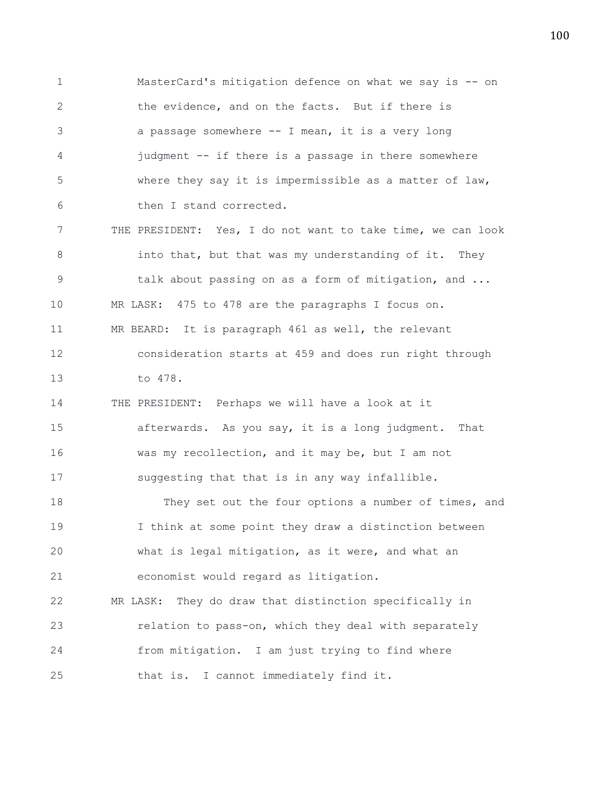1 MasterCard's mitigation defence on what we say is -- on 2 the evidence, and on the facts. But if there is 3 a passage somewhere -- I mean, it is a very long 4 judgment -- if there is a passage in there somewhere 5 where they say it is impermissible as a matter of law, 6 then I stand corrected. 7 THE PRESIDENT: Yes, I do not want to take time, we can look 8 into that, but that was my understanding of it. They 9 talk about passing on as a form of mitigation, and ... 10 MR LASK: 475 to 478 are the paragraphs I focus on. 11 MR BEARD: It is paragraph 461 as well, the relevant 12 consideration starts at 459 and does run right through 13 to 478. 14 THE PRESIDENT: Perhaps we will have a look at it 15 afterwards. As you say, it is a long judgment. That 16 was my recollection, and it may be, but I am not 17 suggesting that that is in any way infallible. 18 They set out the four options a number of times, and 19 I think at some point they draw a distinction between 20 what is legal mitigation, as it were, and what an 21 economist would regard as litigation. 22 MR LASK: They do draw that distinction specifically in 23 relation to pass-on, which they deal with separately 24 from mitigation. I am just trying to find where 25 that is. I cannot immediately find it.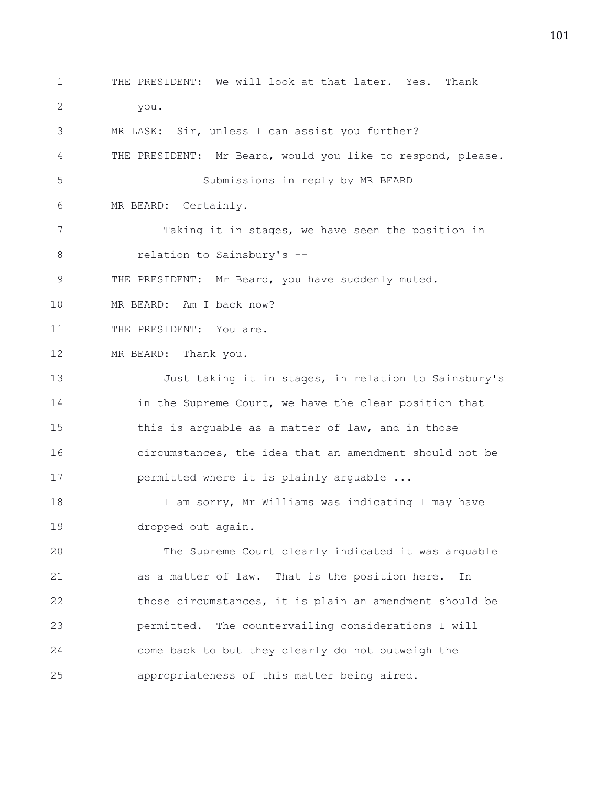1 THE PRESIDENT: We will look at that later. Yes. Thank 2 you. 3 MR LASK: Sir, unless I can assist you further? 4 THE PRESIDENT: Mr Beard, would you like to respond, please. 5 Submissions in reply by MR BEARD 6 MR BEARD: Certainly. 7 Taking it in stages, we have seen the position in 8 relation to Sainsbury's --9 THE PRESIDENT: Mr Beard, you have suddenly muted. 10 MR BEARD: Am I back now? 11 THE PRESIDENT: You are. 12 MR BEARD: Thank you. 13 Just taking it in stages, in relation to Sainsbury's 14 in the Supreme Court, we have the clear position that 15 this is arguable as a matter of law, and in those 16 circumstances, the idea that an amendment should not be 17 permitted where it is plainly arguable ... 18 I am sorry, Mr Williams was indicating I may have 19 dropped out again. 20 The Supreme Court clearly indicated it was arguable 21 as a matter of law. That is the position here. In 22 those circumstances, it is plain an amendment should be 23 permitted. The countervailing considerations I will 24 come back to but they clearly do not outweigh the

25 appropriateness of this matter being aired.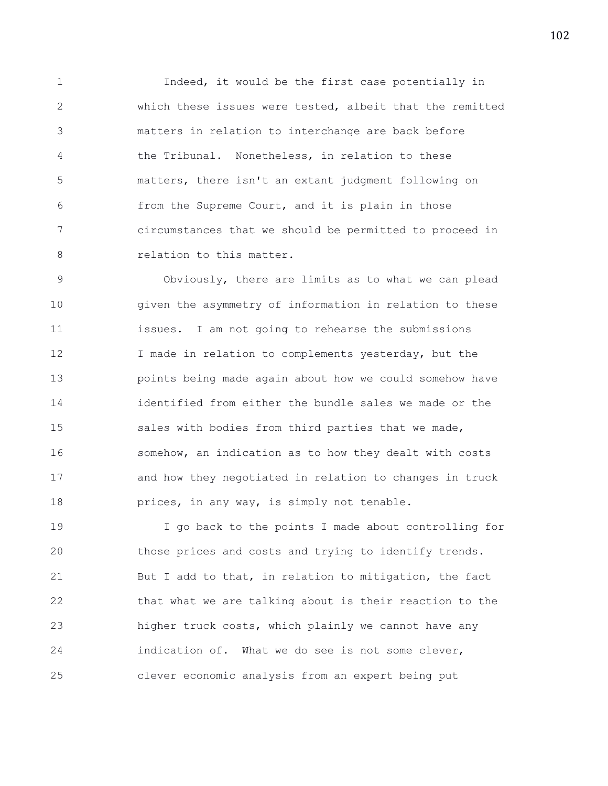1 Indeed, it would be the first case potentially in 2 which these issues were tested, albeit that the remitted 3 matters in relation to interchange are back before 4 the Tribunal. Nonetheless, in relation to these 5 matters, there isn't an extant judgment following on 6 from the Supreme Court, and it is plain in those 7 circumstances that we should be permitted to proceed in 8 relation to this matter.

9 Obviously, there are limits as to what we can plead 10 given the asymmetry of information in relation to these 11 issues. I am not going to rehearse the submissions 12 I made in relation to complements yesterday, but the 13 points being made again about how we could somehow have 14 identified from either the bundle sales we made or the 15 sales with bodies from third parties that we made, 16 somehow, an indication as to how they dealt with costs 17 and how they negotiated in relation to changes in truck 18 prices, in any way, is simply not tenable.

19 I go back to the points I made about controlling for 20 those prices and costs and trying to identify trends. 21 But I add to that, in relation to mitigation, the fact 22 that what we are talking about is their reaction to the 23 higher truck costs, which plainly we cannot have any 24 indication of. What we do see is not some clever, 25 clever economic analysis from an expert being put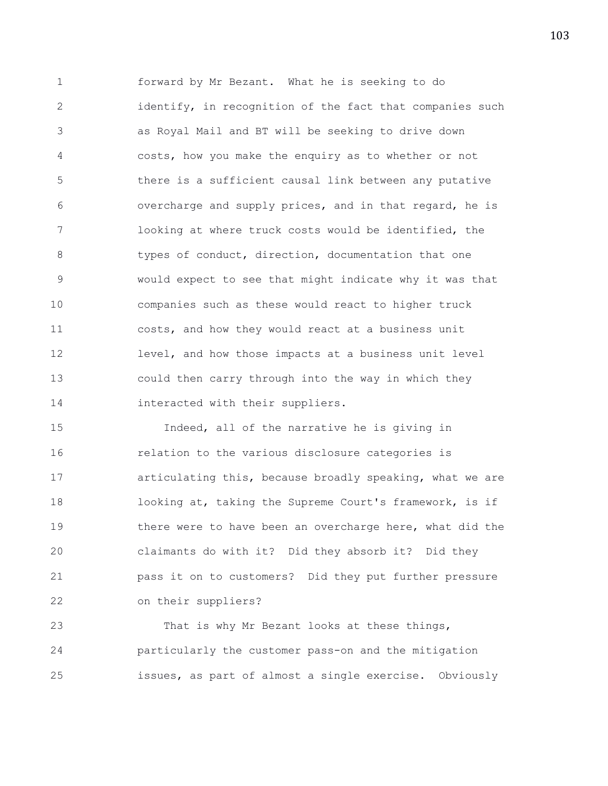1 forward by Mr Bezant. What he is seeking to do 2 identify, in recognition of the fact that companies such 3 as Royal Mail and BT will be seeking to drive down 4 costs, how you make the enquiry as to whether or not 5 there is a sufficient causal link between any putative 6 overcharge and supply prices, and in that regard, he is 7 looking at where truck costs would be identified, the 8 types of conduct, direction, documentation that one 9 would expect to see that might indicate why it was that 10 companies such as these would react to higher truck 11 costs, and how they would react at a business unit 12 level, and how those impacts at a business unit level 13 could then carry through into the way in which they 14 interacted with their suppliers.

15 Indeed, all of the narrative he is giving in 16 relation to the various disclosure categories is 17 articulating this, because broadly speaking, what we are 18 looking at, taking the Supreme Court's framework, is if 19 **there were to have been an overcharge here, what did the** 20 claimants do with it? Did they absorb it? Did they 21 pass it on to customers? Did they put further pressure 22 on their suppliers?

23 That is why Mr Bezant looks at these things, 24 particularly the customer pass-on and the mitigation 25 issues, as part of almost a single exercise. Obviously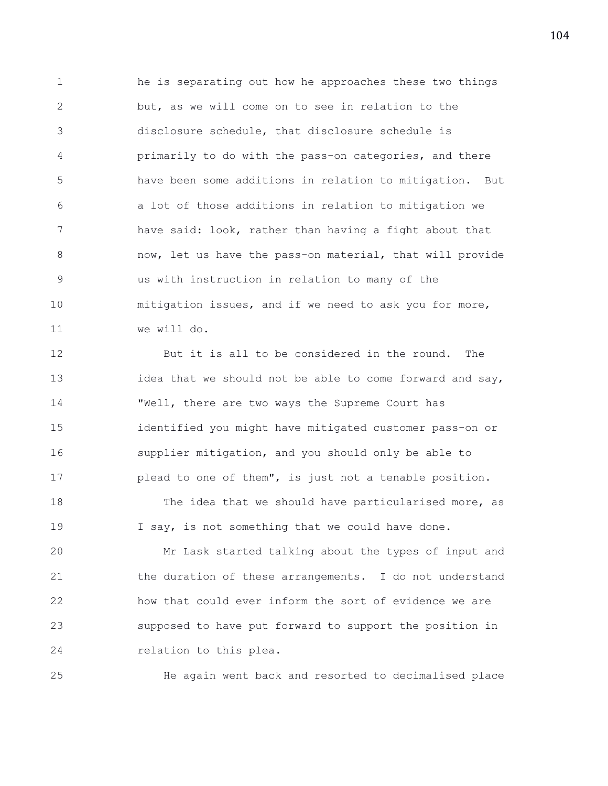1 he is separating out how he approaches these two things 2 but, as we will come on to see in relation to the 3 disclosure schedule, that disclosure schedule is 4 primarily to do with the pass-on categories, and there 5 have been some additions in relation to mitigation. But 6 a lot of those additions in relation to mitigation we 7 have said: look, rather than having a fight about that 8 18 now, let us have the pass-on material, that will provide 9 us with instruction in relation to many of the 10 mitigation issues, and if we need to ask you for more, 11 we will do.

12 But it is all to be considered in the round. The 13 idea that we should not be able to come forward and say, 14 "Well, there are two ways the Supreme Court has 15 identified you might have mitigated customer pass-on or 16 supplier mitigation, and you should only be able to 17 plead to one of them", is just not a tenable position.

18 The idea that we should have particularised more, as 19 I say, is not something that we could have done.

20 Mr Lask started talking about the types of input and 21 the duration of these arrangements. I do not understand 22 how that could ever inform the sort of evidence we are 23 supposed to have put forward to support the position in 24 relation to this plea.

25 He again went back and resorted to decimalised place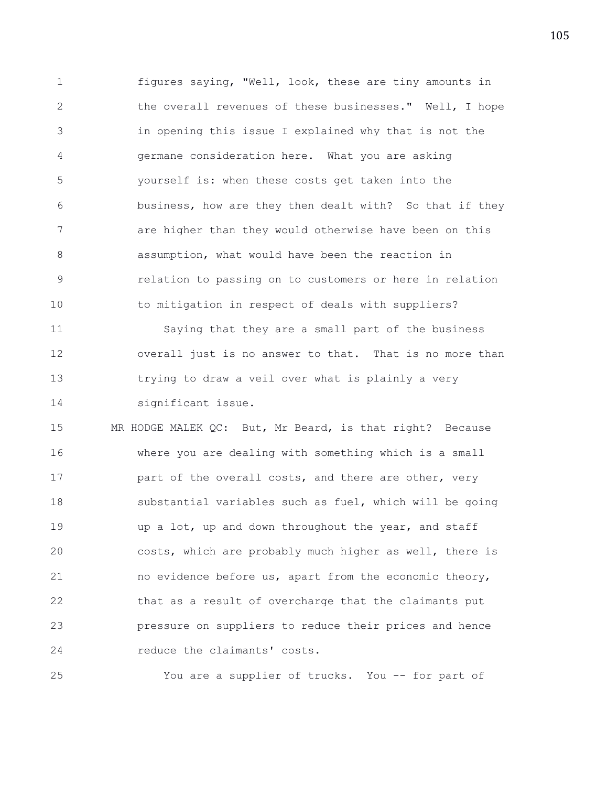1 figures saying, "Well, look, these are tiny amounts in 2 the overall revenues of these businesses." Well, I hope 3 in opening this issue I explained why that is not the 4 germane consideration here. What you are asking 5 yourself is: when these costs get taken into the 6 business, how are they then dealt with? So that if they 7 are higher than they would otherwise have been on this 8 assumption, what would have been the reaction in 9 relation to passing on to customers or here in relation 10 to mitigation in respect of deals with suppliers?

11 Saying that they are a small part of the business 12 overall just is no answer to that. That is no more than 13 trying to draw a veil over what is plainly a very 14 significant issue.

15 MR HODGE MALEK QC: But, Mr Beard, is that right? Because 16 where you are dealing with something which is a small 17 **part of the overall costs, and there are other, very** 18 substantial variables such as fuel, which will be going 19 **up a lot, up and down throughout the year, and staff** 20 costs, which are probably much higher as well, there is 21 no evidence before us, apart from the economic theory, 22 that as a result of overcharge that the claimants put 23 pressure on suppliers to reduce their prices and hence 24 reduce the claimants' costs.

25 You are a supplier of trucks. You -- for part of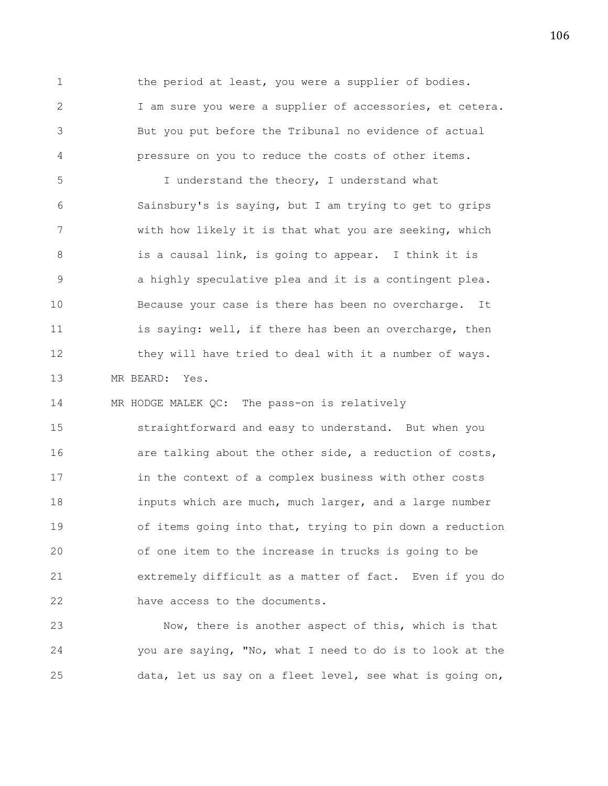1 the period at least, you were a supplier of bodies. 2 I am sure you were a supplier of accessories, et cetera. 3 But you put before the Tribunal no evidence of actual 4 pressure on you to reduce the costs of other items.

5 I understand the theory, I understand what 6 Sainsbury's is saying, but I am trying to get to grips 7 with how likely it is that what you are seeking, which 8 is a causal link, is going to appear. I think it is 9 a highly speculative plea and it is a contingent plea. 10 Because your case is there has been no overcharge. It 11 is saying: well, if there has been an overcharge, then 12 they will have tried to deal with it a number of ways. 13 MR BEARD: Yes.

14 MR HODGE MALEK QC: The pass-on is relatively

15 straightforward and easy to understand. But when you 16 **are talking about the other side, a reduction of costs,** 17 in the context of a complex business with other costs 18 **inputs which are much, much larger, and a large number** 19 of items going into that, trying to pin down a reduction 20 of one item to the increase in trucks is going to be 21 extremely difficult as a matter of fact. Even if you do 22 have access to the documents.

23 Now, there is another aspect of this, which is that 24 you are saying, "No, what I need to do is to look at the 25 data, let us say on a fleet level, see what is going on,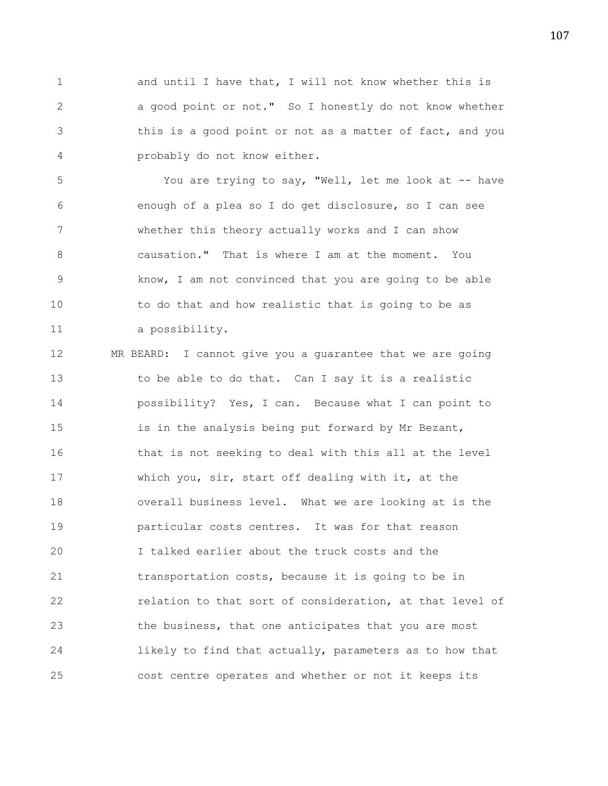1 and until I have that, I will not know whether this is 2 a good point or not." So I honestly do not know whether 3 this is a good point or not as a matter of fact, and you 4 probably do not know either.

5 You are trying to say, "Well, let me look at -- have 6 enough of a plea so I do get disclosure, so I can see 7 whether this theory actually works and I can show 8 causation." That is where I am at the moment. You 9 know, I am not convinced that you are going to be able 10 to do that and how realistic that is going to be as 11 a possibility.

12 MR BEARD: I cannot give you a guarantee that we are going 13 to be able to do that. Can I say it is a realistic 14 possibility? Yes, I can. Because what I can point to 15 is in the analysis being put forward by Mr Bezant, 16 that is not seeking to deal with this all at the level 17 which you, sir, start off dealing with it, at the 18 overall business level. What we are looking at is the 19 particular costs centres. It was for that reason 20 I talked earlier about the truck costs and the 21 transportation costs, because it is going to be in 22 relation to that sort of consideration, at that level of 23 the business, that one anticipates that you are most 24 likely to find that actually, parameters as to how that 25 cost centre operates and whether or not it keeps its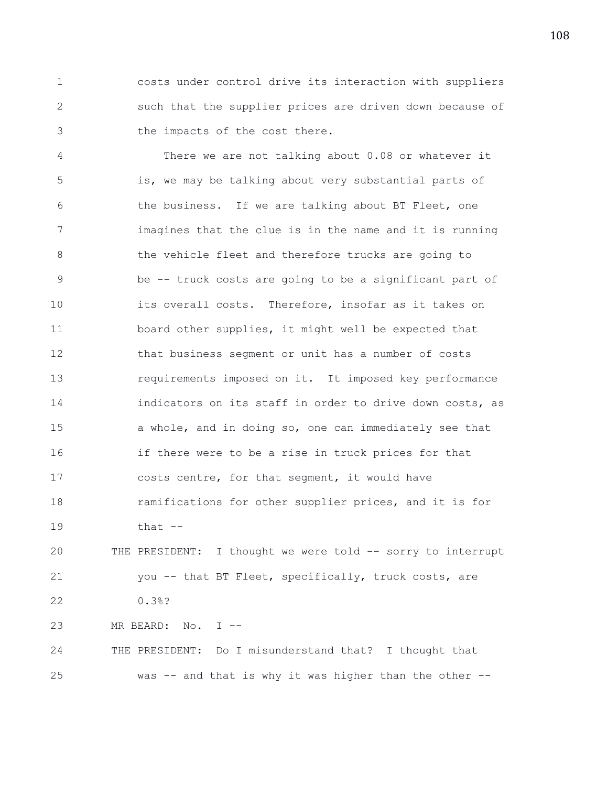1 costs under control drive its interaction with suppliers 2 such that the supplier prices are driven down because of 3 the impacts of the cost there.

4 There we are not talking about 0.08 or whatever it 5 is, we may be talking about very substantial parts of 6 the business. If we are talking about BT Fleet, one 7 imagines that the clue is in the name and it is running 8 the vehicle fleet and therefore trucks are going to 9 be -- truck costs are going to be a significant part of 10 its overall costs. Therefore, insofar as it takes on 11 board other supplies, it might well be expected that 12 that business segment or unit has a number of costs 13 requirements imposed on it. It imposed key performance 14 indicators on its staff in order to drive down costs, as 15 a whole, and in doing so, one can immediately see that 16 if there were to be a rise in truck prices for that 17 costs centre, for that segment, it would have 18 ramifications for other supplier prices, and it is for 19 that -- 20 THE PRESIDENT: I thought we were told -- sorry to interrupt

21 you -- that BT Fleet, specifically, truck costs, are 22 0.3%?

25 was -- and that is why it was higher than the other --

24 THE PRESIDENT: Do I misunderstand that? I thought that

23 MR BEARD: No. I --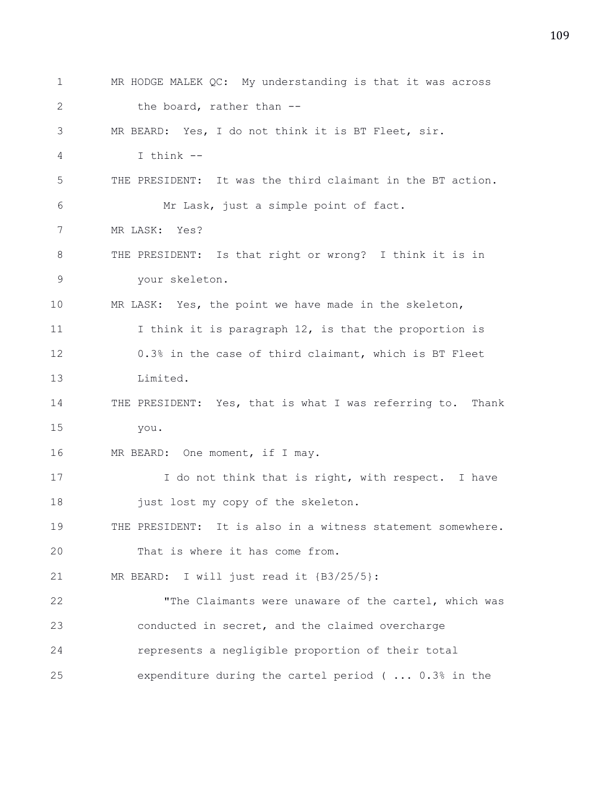1 MR HODGE MALEK QC: My understanding is that it was across 2 the board, rather than --3 MR BEARD: Yes, I do not think it is BT Fleet, sir. 4 I think -- 5 THE PRESIDENT: It was the third claimant in the BT action. 6 Mr Lask, just a simple point of fact. 7 MR LASK: Yes? 8 THE PRESIDENT: Is that right or wrong? I think it is in 9 your skeleton. 10 MR LASK: Yes, the point we have made in the skeleton, 11 I think it is paragraph 12, is that the proportion is 12 0.3% in the case of third claimant, which is BT Fleet 13 Limited. 14 THE PRESIDENT: Yes, that is what I was referring to. Thank 15 you. 16 MR BEARD: One moment, if I may. 17 I do not think that is right, with respect. I have 18 just lost my copy of the skeleton. 19 THE PRESIDENT: It is also in a witness statement somewhere. 20 That is where it has come from. 21 MR BEARD: I will just read it {B3/25/5}: 22 "The Claimants were unaware of the cartel, which was 23 conducted in secret, and the claimed overcharge 24 represents a negligible proportion of their total 25 expenditure during the cartel period ( ... 0.3% in the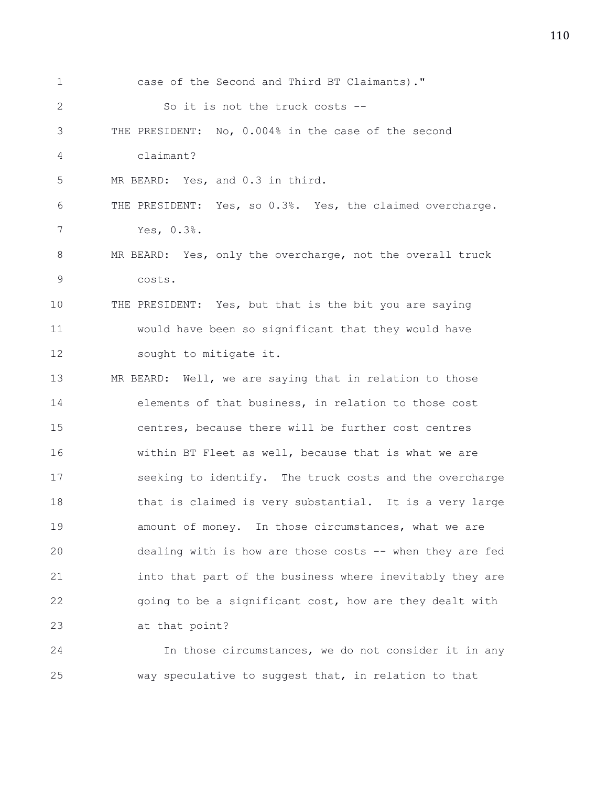| $\mathbf 1$  | case of the Second and Third BT Claimants)."              |
|--------------|-----------------------------------------------------------|
| $\mathbf{2}$ | So it is not the truck costs --                           |
| 3            | THE PRESIDENT: No, 0.004% in the case of the second       |
| 4            | claimant?                                                 |
| 5            | MR BEARD: Yes, and 0.3 in third.                          |
| 6            | THE PRESIDENT: Yes, so 0.3%. Yes, the claimed overcharge. |
| 7            | Yes, 0.3%.                                                |
| 8            | MR BEARD: Yes, only the overcharge, not the overall truck |
| 9            | costs.                                                    |
| 10           | THE PRESIDENT: Yes, but that is the bit you are saying    |
| 11           | would have been so significant that they would have       |
| 12           | sought to mitigate it.                                    |
| 13           | MR BEARD: Well, we are saying that in relation to those   |
| 14           | elements of that business, in relation to those cost      |
| 15           | centres, because there will be further cost centres       |
| 16           | within BT Fleet as well, because that is what we are      |
| 17           | seeking to identify. The truck costs and the overcharge   |
| 18           | that is claimed is very substantial. It is a very large   |
| 19           | amount of money. In those circumstances, what we are      |
| 20           | dealing with is how are those costs -- when they are fed  |
| 21           | into that part of the business where inevitably they are  |
| 22           | going to be a significant cost, how are they dealt with   |
| 23           | at that point?                                            |
| 24           | In those circumstances, we do not consider it in any      |

25 way speculative to suggest that, in relation to that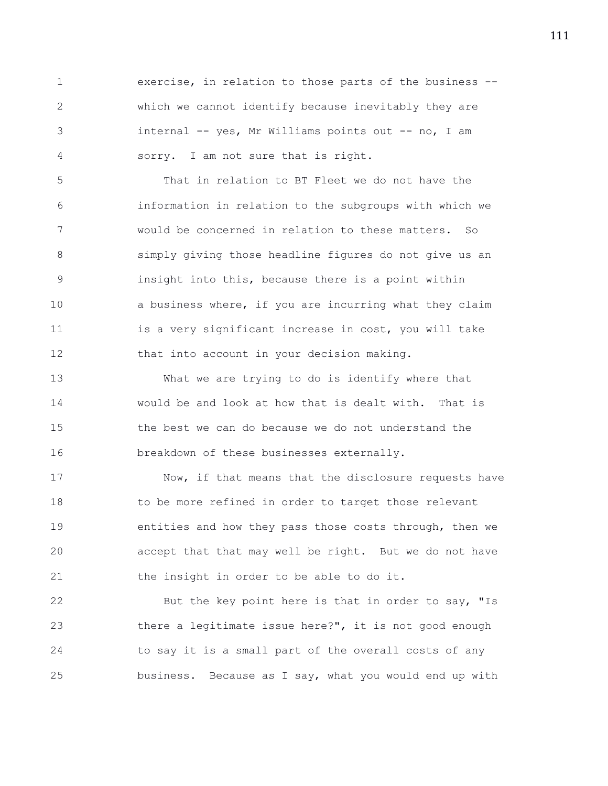1 exercise, in relation to those parts of the business -- 2 which we cannot identify because inevitably they are 3 internal -- yes, Mr Williams points out -- no, I am 4 sorry. I am not sure that is right.

5 That in relation to BT Fleet we do not have the 6 information in relation to the subgroups with which we 7 would be concerned in relation to these matters. So 8 simply giving those headline figures do not give us an 9 insight into this, because there is a point within 10 **a** business where, if you are incurring what they claim 11 is a very significant increase in cost, you will take 12 that into account in your decision making.

13 What we are trying to do is identify where that 14 would be and look at how that is dealt with. That is 15 the best we can do because we do not understand the 16 breakdown of these businesses externally.

17 Now, if that means that the disclosure requests have 18 to be more refined in order to target those relevant 19 entities and how they pass those costs through, then we 20 accept that that may well be right. But we do not have 21 the insight in order to be able to do it.

22 But the key point here is that in order to say, "Is 23 there a legitimate issue here?", it is not good enough 24 to say it is a small part of the overall costs of any 25 business. Because as I say, what you would end up with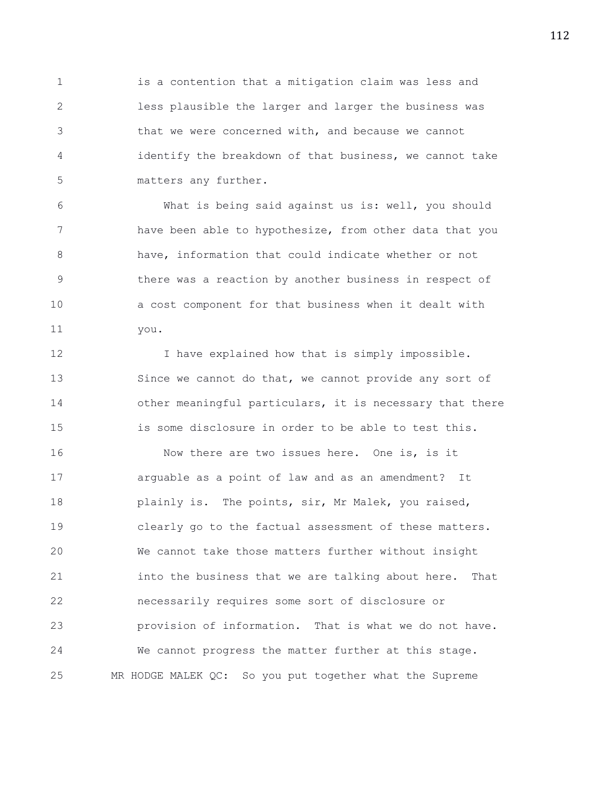1 is a contention that a mitigation claim was less and 2 less plausible the larger and larger the business was 3 that we were concerned with, and because we cannot 4 identify the breakdown of that business, we cannot take 5 matters any further.

6 What is being said against us is: well, you should 7 have been able to hypothesize, from other data that you 8 have, information that could indicate whether or not 9 there was a reaction by another business in respect of 10 a cost component for that business when it dealt with 11 you.

12 I have explained how that is simply impossible. 13 Since we cannot do that, we cannot provide any sort of 14 other meaningful particulars, it is necessary that there 15 is some disclosure in order to be able to test this. 16 Now there are two issues here. One is, is it 17 arguable as a point of law and as an amendment? It 18 **plainly is.** The points, sir, Mr Malek, you raised, 19 clearly go to the factual assessment of these matters. 20 We cannot take those matters further without insight 21 into the business that we are talking about here. That 22 necessarily requires some sort of disclosure or 23 provision of information. That is what we do not have.

25 MR HODGE MALEK QC: So you put together what the Supreme

24 We cannot progress the matter further at this stage.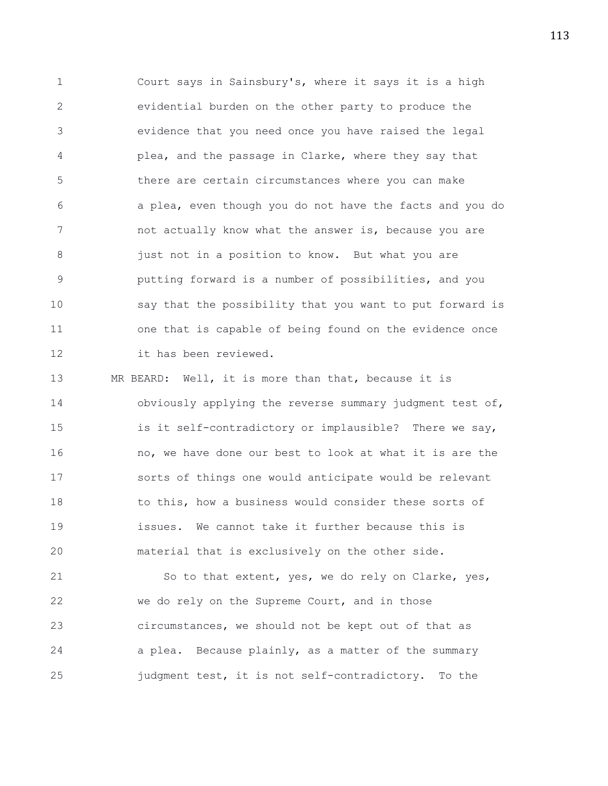1 Court says in Sainsbury's, where it says it is a high 2 evidential burden on the other party to produce the 3 evidence that you need once you have raised the legal 4 plea, and the passage in Clarke, where they say that 5 there are certain circumstances where you can make 6 a plea, even though you do not have the facts and you do 7 hot actually know what the answer is, because you are 8 **just not in a position to know.** But what you are 9 putting forward is a number of possibilities, and you 10 say that the possibility that you want to put forward is 11 one that is capable of being found on the evidence once 12 it has been reviewed.

13 MR BEARD: Well, it is more than that, because it is 14 obviously applying the reverse summary judgment test of, 15 is it self-contradictory or implausible? There we say, 16 no, we have done our best to look at what it is are the 17 sorts of things one would anticipate would be relevant 18 to this, how a business would consider these sorts of 19 issues. We cannot take it further because this is 20 material that is exclusively on the other side.

21 So to that extent, yes, we do rely on Clarke, yes, 22 we do rely on the Supreme Court, and in those 23 circumstances, we should not be kept out of that as 24 a plea. Because plainly, as a matter of the summary 25 judgment test, it is not self-contradictory. To the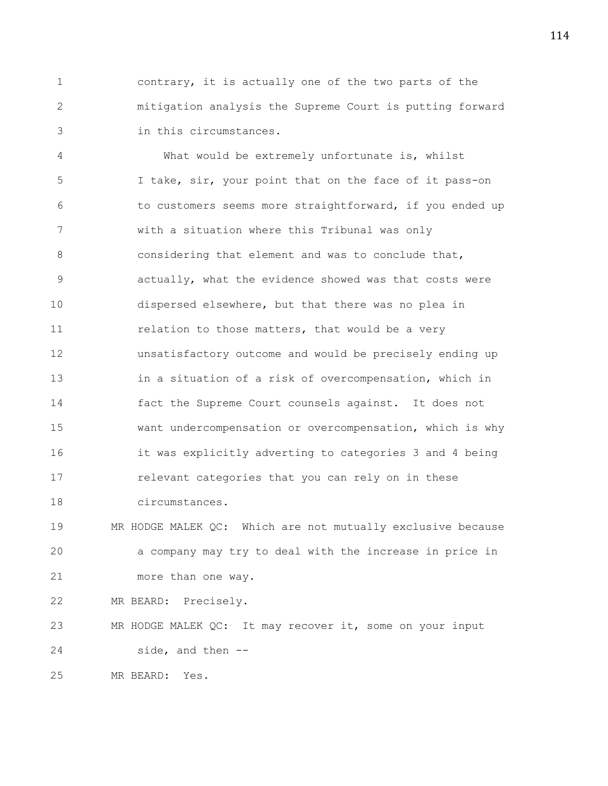1 contrary, it is actually one of the two parts of the 2 mitigation analysis the Supreme Court is putting forward 3 in this circumstances.

4 What would be extremely unfortunate is, whilst 5 I take, sir, your point that on the face of it pass-on 6 to customers seems more straightforward, if you ended up 7 with a situation where this Tribunal was only 8 considering that element and was to conclude that, 9 actually, what the evidence showed was that costs were 10 dispersed elsewhere, but that there was no plea in 11 **11** relation to those matters, that would be a very 12 unsatisfactory outcome and would be precisely ending up 13 in a situation of a risk of overcompensation, which in 14 fact the Supreme Court counsels against. It does not 15 want undercompensation or overcompensation, which is why 16 it was explicitly adverting to categories 3 and 4 being 17 relevant categories that you can rely on in these 18 circumstances.

19 MR HODGE MALEK QC: Which are not mutually exclusive because 20 a company may try to deal with the increase in price in 21 more than one way.

22 MR BEARD: Precisely.

23 MR HODGE MALEK QC: It may recover it, some on your input 24 side, and then --

25 MR BEARD: Yes.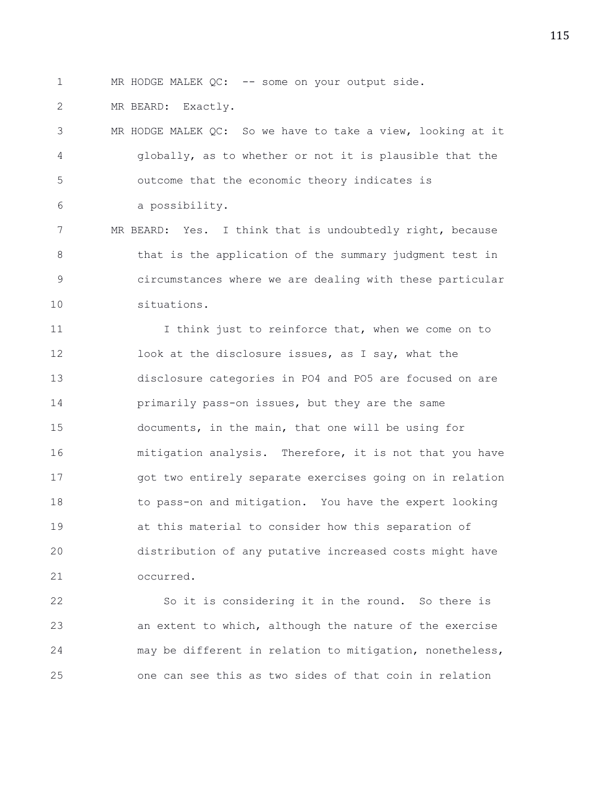1 MR HODGE MALEK QC: -- some on your output side.

2 MR BEARD: Exactly.

3 MR HODGE MALEK QC: So we have to take a view, looking at it 4 globally, as to whether or not it is plausible that the 5 outcome that the economic theory indicates is 6 a possibility.

7 MR BEARD: Yes. I think that is undoubtedly right, because 8 that is the application of the summary judgment test in 9 circumstances where we are dealing with these particular 10 situations.

11 I think just to reinforce that, when we come on to 12 look at the disclosure issues, as I say, what the 13 disclosure categories in PO4 and PO5 are focused on are 14 **primarily pass-on issues, but they are the same** 15 documents, in the main, that one will be using for 16 mitigation analysis. Therefore, it is not that you have 17 got two entirely separate exercises going on in relation 18 to pass-on and mitigation. You have the expert looking 19 at this material to consider how this separation of 20 distribution of any putative increased costs might have 21 occurred.

22 So it is considering it in the round. So there is 23 an extent to which, although the nature of the exercise 24 may be different in relation to mitigation, nonetheless, 25 one can see this as two sides of that coin in relation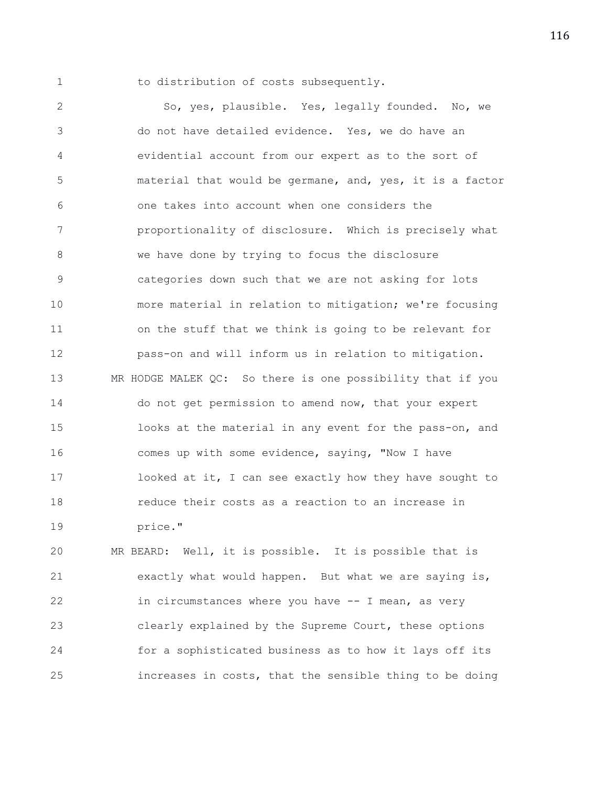1 to distribution of costs subsequently.

2 So, yes, plausible. Yes, legally founded. No, we 3 do not have detailed evidence. Yes, we do have an 4 evidential account from our expert as to the sort of 5 material that would be germane, and, yes, it is a factor 6 one takes into account when one considers the 7 proportionality of disclosure. Which is precisely what 8 we have done by trying to focus the disclosure 9 categories down such that we are not asking for lots 10 more material in relation to mitigation; we're focusing 11 on the stuff that we think is going to be relevant for 12 pass-on and will inform us in relation to mitigation. 13 MR HODGE MALEK QC: So there is one possibility that if you 14 do not get permission to amend now, that your expert 15 looks at the material in any event for the pass-on, and 16 comes up with some evidence, saying, "Now I have 17 looked at it, I can see exactly how they have sought to 18 reduce their costs as a reaction to an increase in 19 price."

20 MR BEARD: Well, it is possible. It is possible that is 21 exactly what would happen. But what we are saying is, 22 in circumstances where you have -- I mean, as very 23 clearly explained by the Supreme Court, these options 24 for a sophisticated business as to how it lays off its 25 increases in costs, that the sensible thing to be doing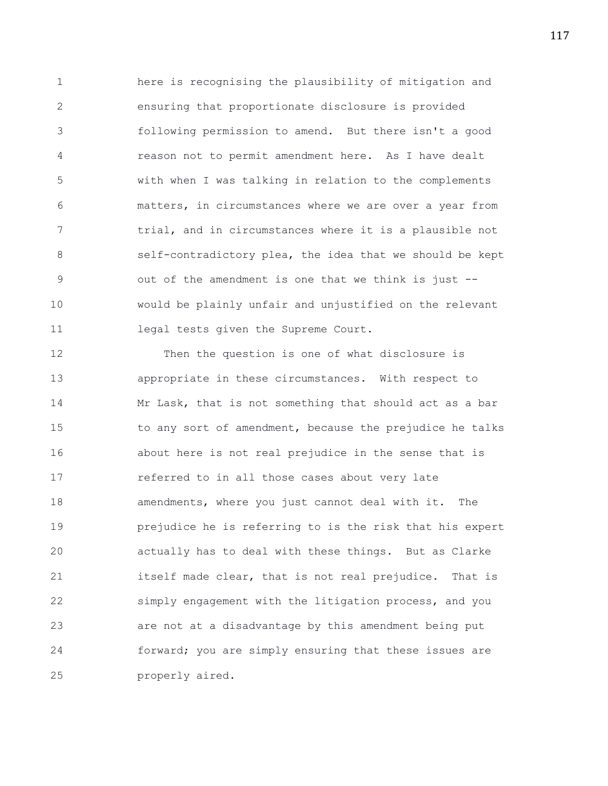1 here is recognising the plausibility of mitigation and 2 ensuring that proportionate disclosure is provided 3 following permission to amend. But there isn't a good 4 reason not to permit amendment here. As I have dealt 5 with when I was talking in relation to the complements 6 matters, in circumstances where we are over a year from 7 trial, and in circumstances where it is a plausible not 8 self-contradictory plea, the idea that we should be kept 9 out of the amendment is one that we think is just -- 10 would be plainly unfair and unjustified on the relevant 11 legal tests given the Supreme Court.

12 Then the question is one of what disclosure is 13 appropriate in these circumstances. With respect to 14 Mr Lask, that is not something that should act as a bar 15 to any sort of amendment, because the prejudice he talks 16 about here is not real prejudice in the sense that is 17 referred to in all those cases about very late 18 amendments, where you just cannot deal with it. The 19 prejudice he is referring to is the risk that his expert 20 actually has to deal with these things. But as Clarke 21 itself made clear, that is not real prejudice. That is 22 simply engagement with the litigation process, and you 23 are not at a disadvantage by this amendment being put 24 forward; you are simply ensuring that these issues are 25 properly aired.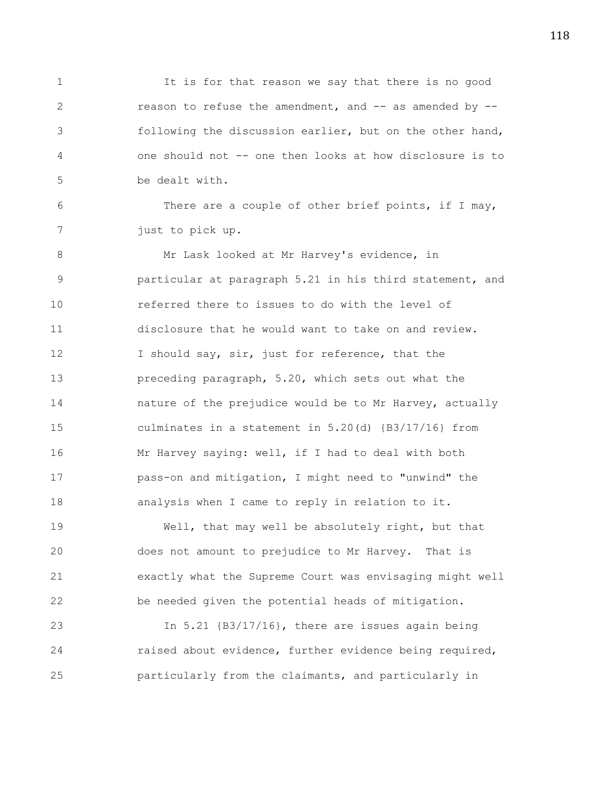1 It is for that reason we say that there is no good 2 reason to refuse the amendment, and -- as amended by -- 3 following the discussion earlier, but on the other hand, 4 one should not -- one then looks at how disclosure is to 5 be dealt with.

6 There are a couple of other brief points, if I may, 7 just to pick up.

8 Mr Lask looked at Mr Harvey's evidence, in 9 particular at paragraph 5.21 in his third statement, and 10 referred there to issues to do with the level of 11 disclosure that he would want to take on and review. 12 I should say, sir, just for reference, that the 13 preceding paragraph, 5.20, which sets out what the 14 nature of the prejudice would be to Mr Harvey, actually 15 culminates in a statement in 5.20(d) {B3/17/16} from 16 Mr Harvey saying: well, if I had to deal with both 17 pass-on and mitigation, I might need to "unwind" the 18 analysis when I came to reply in relation to it.

19 Well, that may well be absolutely right, but that 20 does not amount to prejudice to Mr Harvey. That is 21 exactly what the Supreme Court was envisaging might well 22 be needed given the potential heads of mitigation.

23 In 5.21 {B3/17/16}, there are issues again being 24 raised about evidence, further evidence being required, 25 particularly from the claimants, and particularly in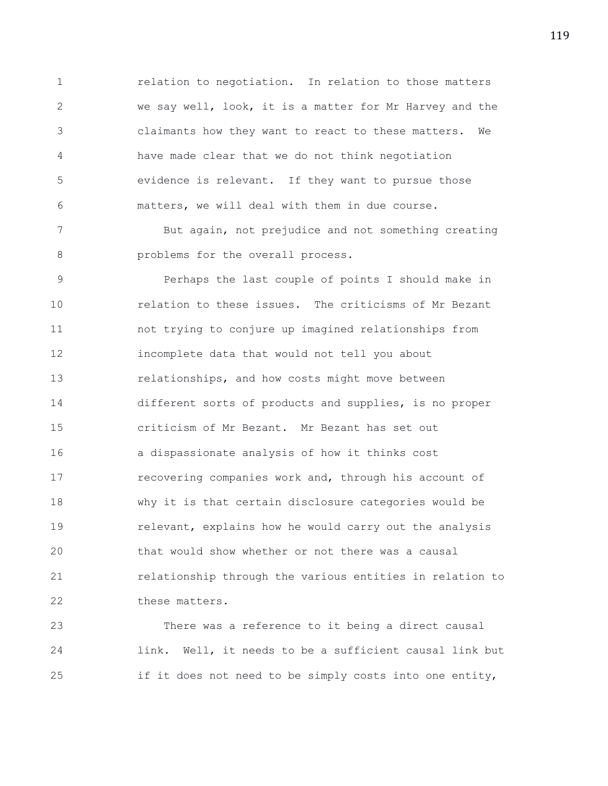1 relation to negotiation. In relation to those matters 2 we say well, look, it is a matter for Mr Harvey and the 3 claimants how they want to react to these matters. We 4 have made clear that we do not think negotiation 5 evidence is relevant. If they want to pursue those 6 matters, we will deal with them in due course.

7 But again, not prejudice and not something creating 8 **budge problems** for the overall process.

9 Perhaps the last couple of points I should make in 10 relation to these issues. The criticisms of Mr Bezant 11 not trying to conjure up imagined relationships from 12 incomplete data that would not tell you about 13 relationships, and how costs might move between 14 different sorts of products and supplies, is no proper 15 criticism of Mr Bezant. Mr Bezant has set out 16 a dispassionate analysis of how it thinks cost 17 recovering companies work and, through his account of 18 why it is that certain disclosure categories would be 19 **19** relevant, explains how he would carry out the analysis 20 that would show whether or not there was a causal 21 relationship through the various entities in relation to 22 these matters.

23 There was a reference to it being a direct causal 24 link. Well, it needs to be a sufficient causal link but 25 if it does not need to be simply costs into one entity,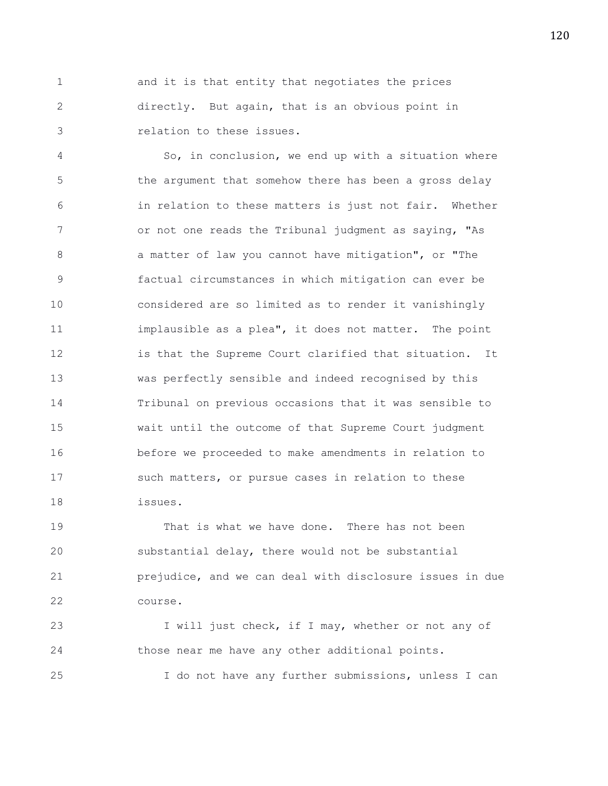1 and it is that entity that negotiates the prices 2 directly. But again, that is an obvious point in 3 relation to these issues.

4 So, in conclusion, we end up with a situation where 5 the argument that somehow there has been a gross delay 6 in relation to these matters is just not fair. Whether 7 or not one reads the Tribunal judgment as saying, "As 8 a matter of law you cannot have mitigation", or "The 9 factual circumstances in which mitigation can ever be 10 considered are so limited as to render it vanishingly 11 implausible as a plea", it does not matter. The point 12 is that the Supreme Court clarified that situation. It 13 was perfectly sensible and indeed recognised by this 14 Tribunal on previous occasions that it was sensible to 15 wait until the outcome of that Supreme Court judgment 16 before we proceeded to make amendments in relation to 17 such matters, or pursue cases in relation to these 18 issues.

19 That is what we have done. There has not been 20 substantial delay, there would not be substantial 21 prejudice, and we can deal with disclosure issues in due 22 course.

23 I will just check, if I may, whether or not any of 24 those near me have any other additional points. 25 I do not have any further submissions, unless I can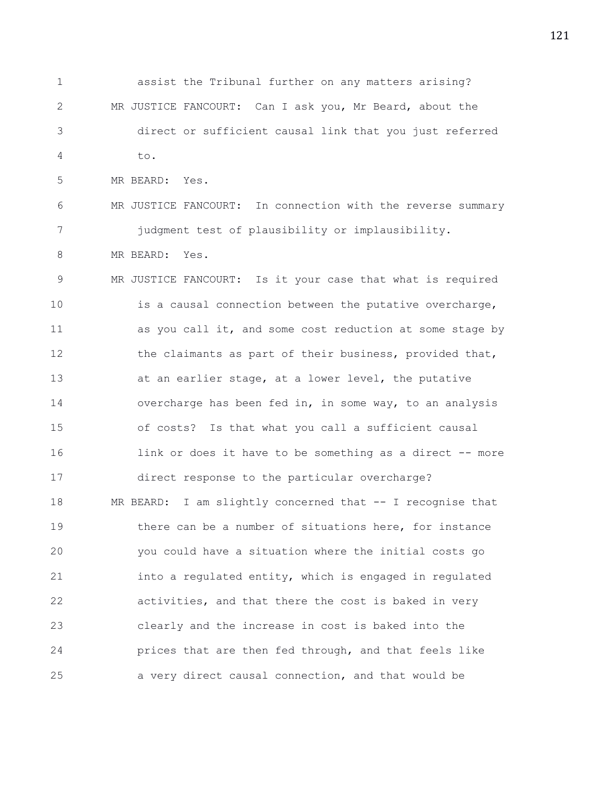1 assist the Tribunal further on any matters arising? 2 MR JUSTICE FANCOURT: Can I ask you, Mr Beard, about the 3 direct or sufficient causal link that you just referred 4 to.

5 MR BEARD: Yes.

6 MR JUSTICE FANCOURT: In connection with the reverse summary 7 judgment test of plausibility or implausibility.

8 MR BEARD: Yes.

9 MR JUSTICE FANCOURT: Is it your case that what is required 10 is a causal connection between the putative overcharge, 11 as you call it, and some cost reduction at some stage by 12 the claimants as part of their business, provided that, 13 at an earlier stage, at a lower level, the putative 14 overcharge has been fed in, in some way, to an analysis 15 of costs? Is that what you call a sufficient causal 16 16 link or does it have to be something as a direct -- more 17 direct response to the particular overcharge? 18 MR BEARD: I am slightly concerned that -- I recognise that 19 there can be a number of situations here, for instance 20 you could have a situation where the initial costs go 21 into a regulated entity, which is engaged in regulated 22 activities, and that there the cost is baked in very 23 clearly and the increase in cost is baked into the 24 prices that are then fed through, and that feels like 25 a very direct causal connection, and that would be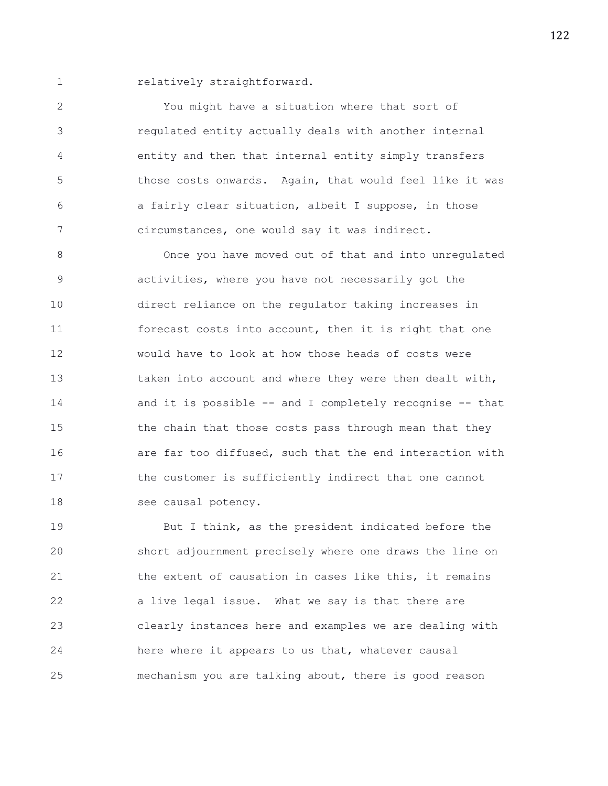1 relatively straightforward.

2 You might have a situation where that sort of 3 regulated entity actually deals with another internal 4 entity and then that internal entity simply transfers 5 those costs onwards. Again, that would feel like it was 6 a fairly clear situation, albeit I suppose, in those 7 circumstances, one would say it was indirect.

8 Once you have moved out of that and into unregulated 9 activities, where you have not necessarily got the 10 direct reliance on the regulator taking increases in 11 forecast costs into account, then it is right that one 12 would have to look at how those heads of costs were 13 taken into account and where they were then dealt with, 14 and it is possible -- and I completely recognise -- that 15 the chain that those costs pass through mean that they 16 are far too diffused, such that the end interaction with 17 the customer is sufficiently indirect that one cannot 18 see causal potency.

19 But I think, as the president indicated before the 20 short adjournment precisely where one draws the line on 21 the extent of causation in cases like this, it remains 22 a live legal issue. What we say is that there are 23 clearly instances here and examples we are dealing with 24 here where it appears to us that, whatever causal 25 mechanism you are talking about, there is good reason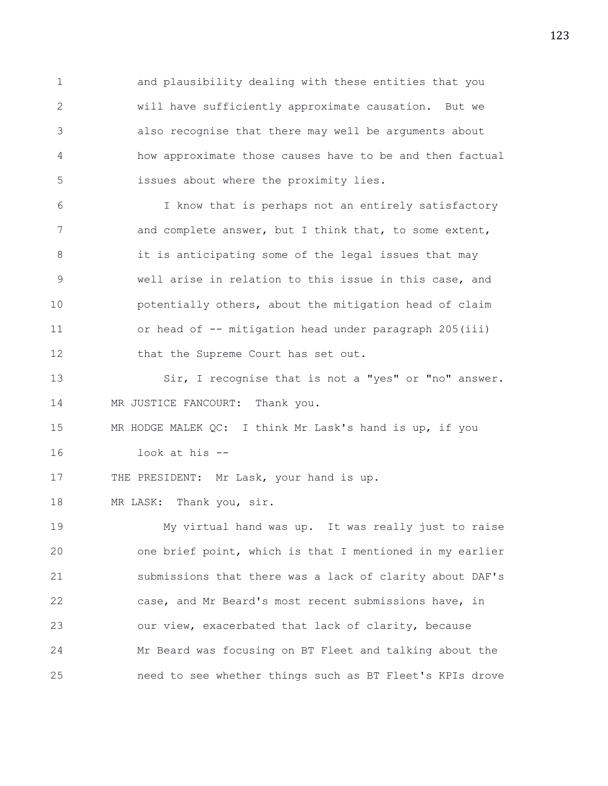1 and plausibility dealing with these entities that you 2 will have sufficiently approximate causation. But we 3 also recognise that there may well be arguments about 4 how approximate those causes have to be and then factual 5 issues about where the proximity lies.

6 I know that is perhaps not an entirely satisfactory 7 and complete answer, but I think that, to some extent, 8 it is anticipating some of the legal issues that may 9 well arise in relation to this issue in this case, and 10 **potentially others, about the mitigation head of claim** 11 or head of -- mitigation head under paragraph 205(iii) 12 that the Supreme Court has set out.

13 Sir, I recognise that is not a "yes" or "no" answer. 14 MR JUSTICE FANCOURT: Thank you.

15 MR HODGE MALEK QC: I think Mr Lask's hand is up, if you 16 look at his --

17 THE PRESIDENT: Mr Lask, your hand is up.

18 MR LASK: Thank you, sir.

19 My virtual hand was up. It was really just to raise 20 one brief point, which is that I mentioned in my earlier 21 submissions that there was a lack of clarity about DAF's 22 case, and Mr Beard's most recent submissions have, in 23 our view, exacerbated that lack of clarity, because 24 Mr Beard was focusing on BT Fleet and talking about the 25 need to see whether things such as BT Fleet's KPIs drove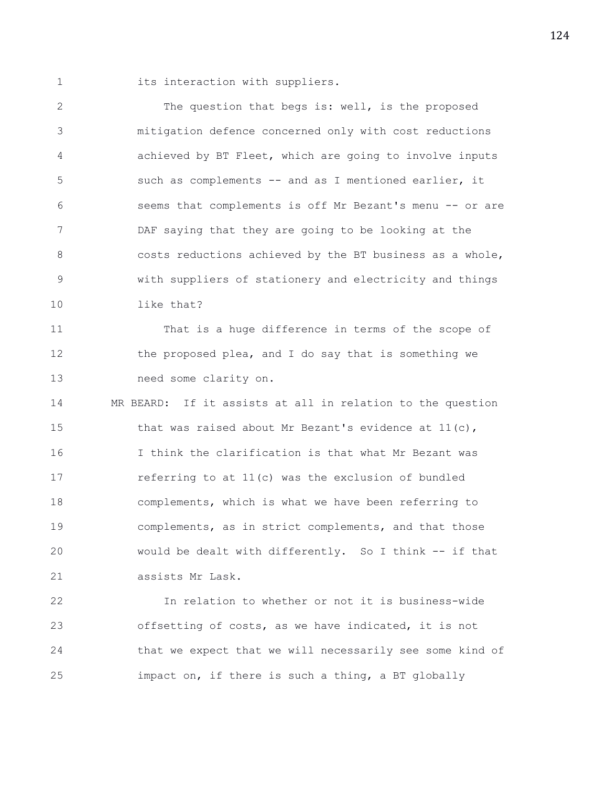1 its interaction with suppliers.

2 The question that begs is: well, is the proposed 3 mitigation defence concerned only with cost reductions 4 achieved by BT Fleet, which are going to involve inputs 5 such as complements -- and as I mentioned earlier, it 6 seems that complements is off Mr Bezant's menu -- or are 7 DAF saying that they are going to be looking at the 8 costs reductions achieved by the BT business as a whole, 9 with suppliers of stationery and electricity and things 10 like that?

11 That is a huge difference in terms of the scope of 12 the proposed plea, and I do say that is something we 13 need some clarity on.

14 MR BEARD: If it assists at all in relation to the question 15 that was raised about Mr Bezant's evidence at 11(c), 16 I think the clarification is that what Mr Bezant was 17 referring to at 11(c) was the exclusion of bundled 18 complements, which is what we have been referring to 19 complements, as in strict complements, and that those 20 would be dealt with differently. So I think -- if that 21 assists Mr Lask.

22 In relation to whether or not it is business-wide 23 offsetting of costs, as we have indicated, it is not 24 that we expect that we will necessarily see some kind of 25 impact on, if there is such a thing, a BT globally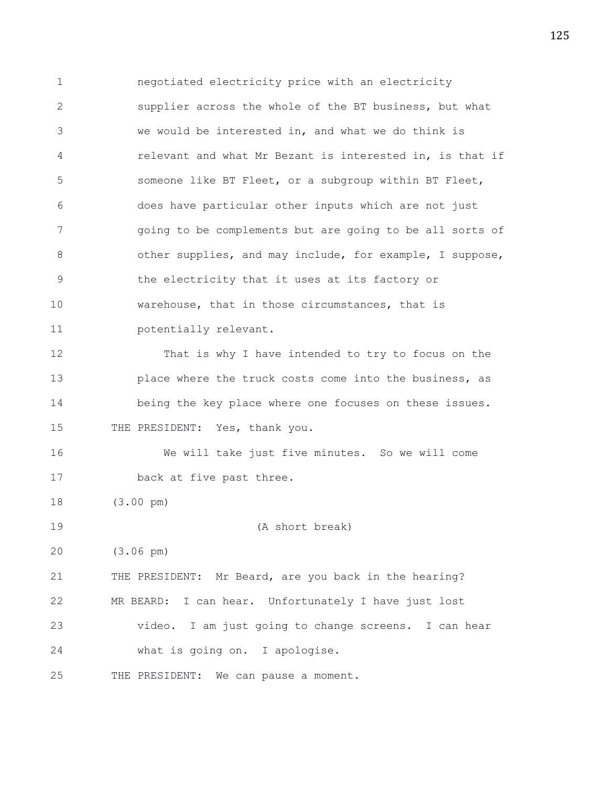1 negotiated electricity price with an electricity 2 supplier across the whole of the BT business, but what 3 we would be interested in, and what we do think is 4 relevant and what Mr Bezant is interested in, is that if 5 someone like BT Fleet, or a subgroup within BT Fleet, 6 does have particular other inputs which are not just 7 going to be complements but are going to be all sorts of 8 other supplies, and may include, for example, I suppose, 9 the electricity that it uses at its factory or 10 warehouse, that in those circumstances, that is 11 potentially relevant. 12 That is why I have intended to try to focus on the 13 place where the truck costs come into the business, as 14 being the key place where one focuses on these issues. 15 THE PRESIDENT: Yes, thank you. 16 We will take just five minutes. So we will come 17 back at five past three. 18 (3.00 pm) 19 (A short break) 20 (3.06 pm) 21 THE PRESIDENT: Mr Beard, are you back in the hearing? 22 MR BEARD: I can hear. Unfortunately I have just lost 23 video. I am just going to change screens. I can hear 24 what is going on. I apologise. 25 THE PRESIDENT: We can pause a moment.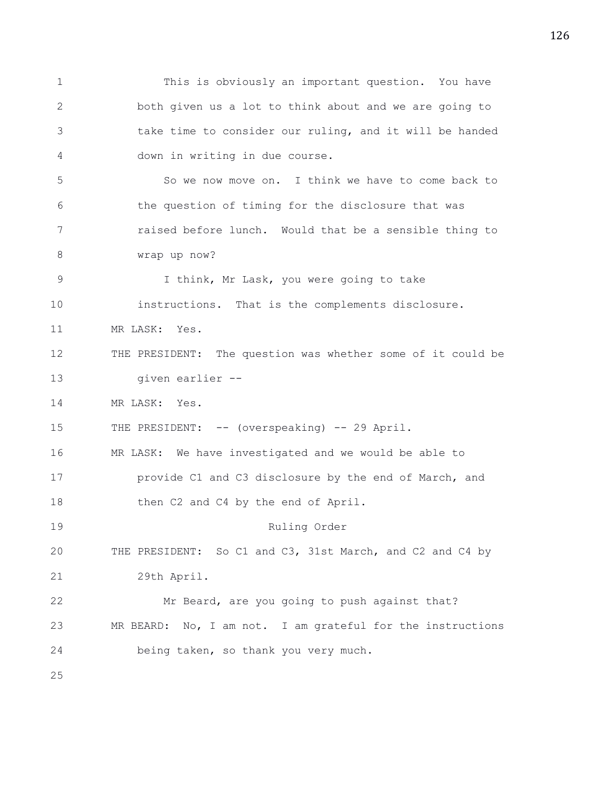1 This is obviously an important question. You have 2 both given us a lot to think about and we are going to 3 take time to consider our ruling, and it will be handed 4 down in writing in due course. 5 So we now move on. I think we have to come back to 6 the question of timing for the disclosure that was 7 raised before lunch. Would that be a sensible thing to 8 wrap up now? 9 I think, Mr Lask, you were going to take 10 instructions. That is the complements disclosure. 11 MR LASK: Yes. 12 THE PRESIDENT: The question was whether some of it could be 13 given earlier -- 14 MR LASK: Yes. 15 THE PRESIDENT: -- (overspeaking) -- 29 April. 16 MR LASK: We have investigated and we would be able to 17 provide C1 and C3 disclosure by the end of March, and 18 then C2 and C4 by the end of April. 19 Ruling Order 20 THE PRESIDENT: So C1 and C3, 31st March, and C2 and C4 by 21 29th April. 22 Mr Beard, are you going to push against that? 23 MR BEARD: No, I am not. I am grateful for the instructions 24 being taken, so thank you very much. 25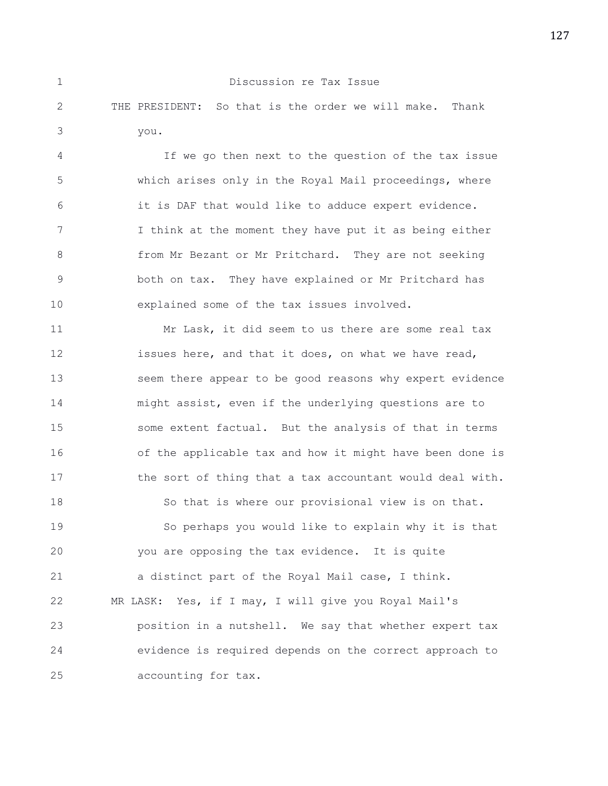|      | Discussion re Tax Issue                                 |  |
|------|---------------------------------------------------------|--|
|      | THE PRESIDENT: So that is the order we will make. Thank |  |
| vou. |                                                         |  |

4 If we go then next to the question of the tax issue 5 which arises only in the Royal Mail proceedings, where 6 it is DAF that would like to adduce expert evidence. 7 I think at the moment they have put it as being either 8 from Mr Bezant or Mr Pritchard. They are not seeking 9 both on tax. They have explained or Mr Pritchard has 10 explained some of the tax issues involved.

11 Mr Lask, it did seem to us there are some real tax 12 issues here, and that it does, on what we have read, 13 seem there appear to be good reasons why expert evidence 14 might assist, even if the underlying questions are to 15 some extent factual. But the analysis of that in terms 16 of the applicable tax and how it might have been done is 17 the sort of thing that a tax accountant would deal with. 18 So that is where our provisional view is on that. 19 So perhaps you would like to explain why it is that 20 you are opposing the tax evidence. It is quite 21 a distinct part of the Royal Mail case, I think. 22 MR LASK: Yes, if I may, I will give you Royal Mail's 23 position in a nutshell. We say that whether expert tax 24 evidence is required depends on the correct approach to 25 accounting for tax.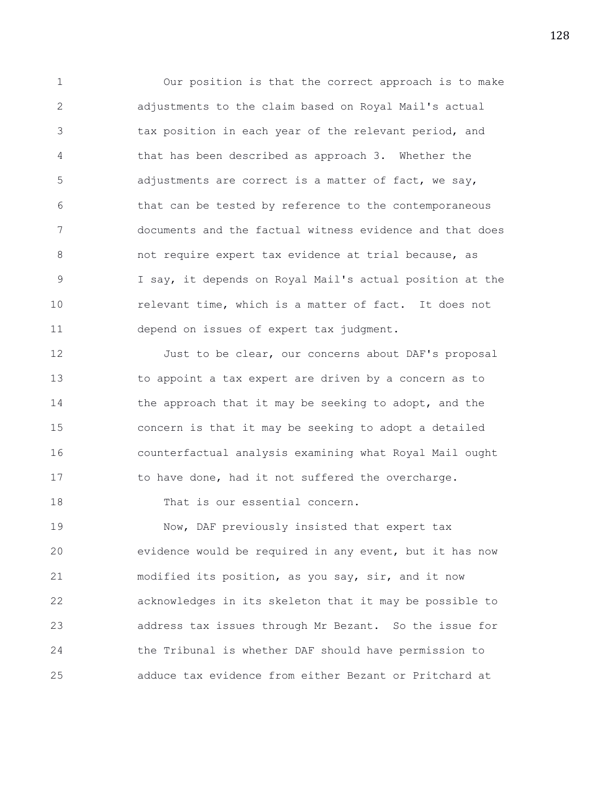1 Our position is that the correct approach is to make 2 adjustments to the claim based on Royal Mail's actual 3 tax position in each year of the relevant period, and 4 that has been described as approach 3. Whether the 5 adjustments are correct is a matter of fact, we say, 6 that can be tested by reference to the contemporaneous 7 documents and the factual witness evidence and that does 8 not require expert tax evidence at trial because, as 9 I say, it depends on Royal Mail's actual position at the 10 relevant time, which is a matter of fact. It does not 11 depend on issues of expert tax judgment.

12 Just to be clear, our concerns about DAF's proposal 13 to appoint a tax expert are driven by a concern as to 14 the approach that it may be seeking to adopt, and the 15 concern is that it may be seeking to adopt a detailed 16 counterfactual analysis examining what Royal Mail ought 17 to have done, had it not suffered the overcharge.

18 That is our essential concern.

19 Now, DAF previously insisted that expert tax 20 evidence would be required in any event, but it has now 21 modified its position, as you say, sir, and it now 22 acknowledges in its skeleton that it may be possible to 23 address tax issues through Mr Bezant. So the issue for 24 the Tribunal is whether DAF should have permission to 25 adduce tax evidence from either Bezant or Pritchard at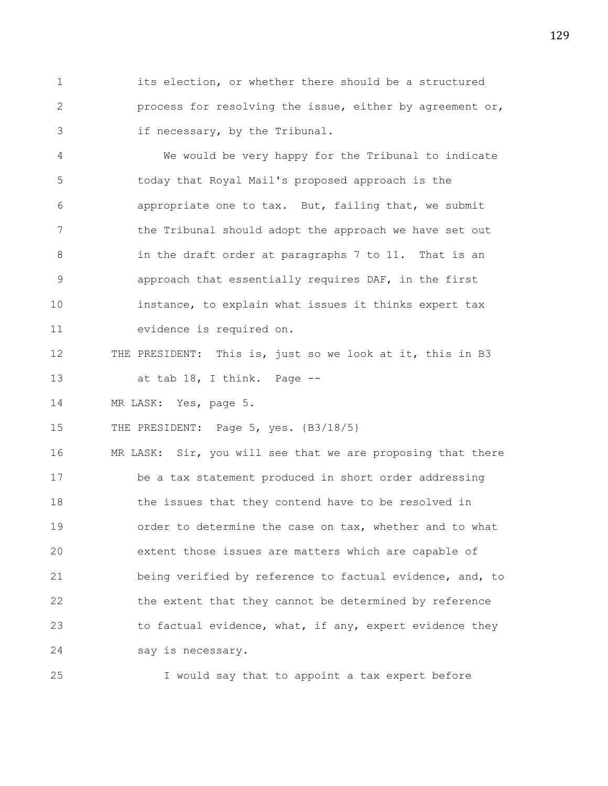1 its election, or whether there should be a structured 2 process for resolving the issue, either by agreement or, 3 if necessary, by the Tribunal.

4 We would be very happy for the Tribunal to indicate 5 today that Royal Mail's proposed approach is the 6 appropriate one to tax. But, failing that, we submit 7 the Tribunal should adopt the approach we have set out 8 in the draft order at paragraphs 7 to 11. That is an 9 approach that essentially requires DAF, in the first 10 instance, to explain what issues it thinks expert tax 11 evidence is required on.

- 12 THE PRESIDENT: This is, just so we look at it, this in B3 13 at tab 18, I think. Page --
- 

14 MR LASK: Yes, page 5.

15 THE PRESIDENT: Page 5, yes.  $\{B3/18/5\}$ 

16 MR LASK: Sir, you will see that we are proposing that there 17 be a tax statement produced in short order addressing 18 the issues that they contend have to be resolved in 19 order to determine the case on tax, whether and to what 20 extent those issues are matters which are capable of 21 being verified by reference to factual evidence, and, to 22 the extent that they cannot be determined by reference 23 to factual evidence, what, if any, expert evidence they 24 say is necessary.

25 I would say that to appoint a tax expert before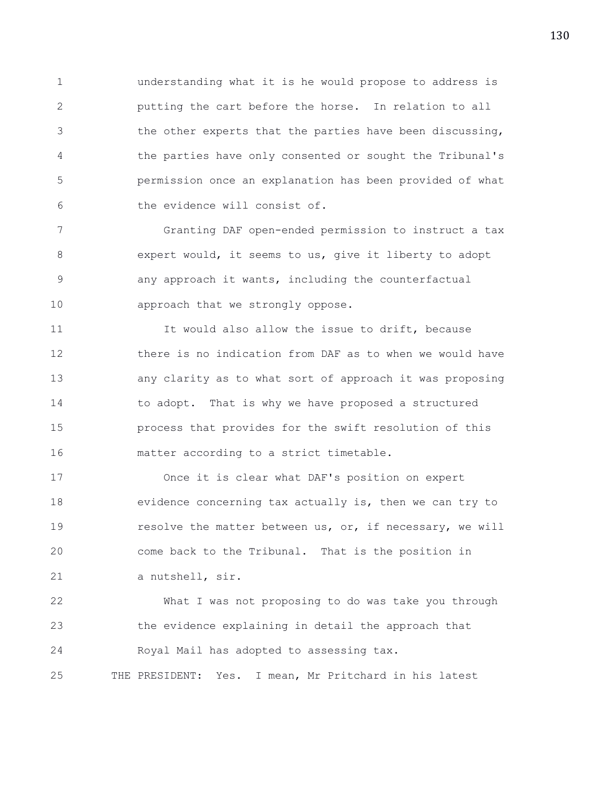1 understanding what it is he would propose to address is 2 putting the cart before the horse. In relation to all 3 the other experts that the parties have been discussing, 4 the parties have only consented or sought the Tribunal's 5 permission once an explanation has been provided of what 6 the evidence will consist of.

7 Granting DAF open-ended permission to instruct a tax 8 expert would, it seems to us, give it liberty to adopt 9 any approach it wants, including the counterfactual 10 approach that we strongly oppose.

11 It would also allow the issue to drift, because 12 there is no indication from DAF as to when we would have 13 any clarity as to what sort of approach it was proposing 14 to adopt. That is why we have proposed a structured 15 process that provides for the swift resolution of this 16 matter according to a strict timetable.

17 Once it is clear what DAF's position on expert 18 evidence concerning tax actually is, then we can try to 19 resolve the matter between us, or, if necessary, we will 20 come back to the Tribunal. That is the position in 21 a nutshell, sir.

22 What I was not proposing to do was take you through 23 the evidence explaining in detail the approach that 24 Royal Mail has adopted to assessing tax. 25 THE PRESIDENT: Yes. I mean, Mr Pritchard in his latest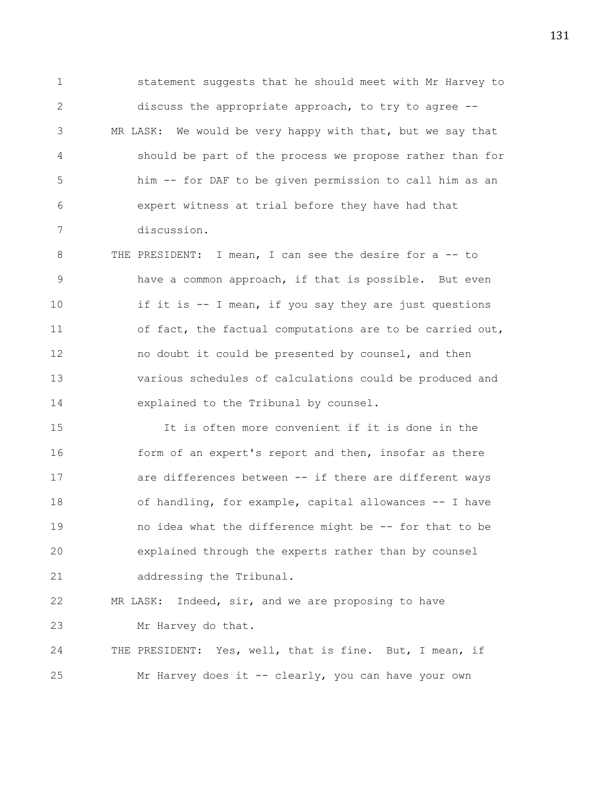1 statement suggests that he should meet with Mr Harvey to 2 discuss the appropriate approach, to try to agree -- 3 MR LASK: We would be very happy with that, but we say that 4 should be part of the process we propose rather than for 5 him -- for DAF to be given permission to call him as an 6 expert witness at trial before they have had that 7 discussion.

8 THE PRESIDENT: I mean, I can see the desire for a -- to 9 have a common approach, if that is possible. But even 10 if it is -- I mean, if you say they are just questions 11 of fact, the factual computations are to be carried out, 12 no doubt it could be presented by counsel, and then 13 various schedules of calculations could be produced and 14 explained to the Tribunal by counsel.

15 It is often more convenient if it is done in the 16 form of an expert's report and then, insofar as there 17 are differences between -- if there are different ways 18 of handling, for example, capital allowances -- I have 19 no idea what the difference might be -- for that to be 20 explained through the experts rather than by counsel 21 addressing the Tribunal.

22 MR LASK: Indeed, sir, and we are proposing to have 23 Mr Harvey do that.

24 THE PRESIDENT: Yes, well, that is fine. But, I mean, if 25 Mr Harvey does it -- clearly, you can have your own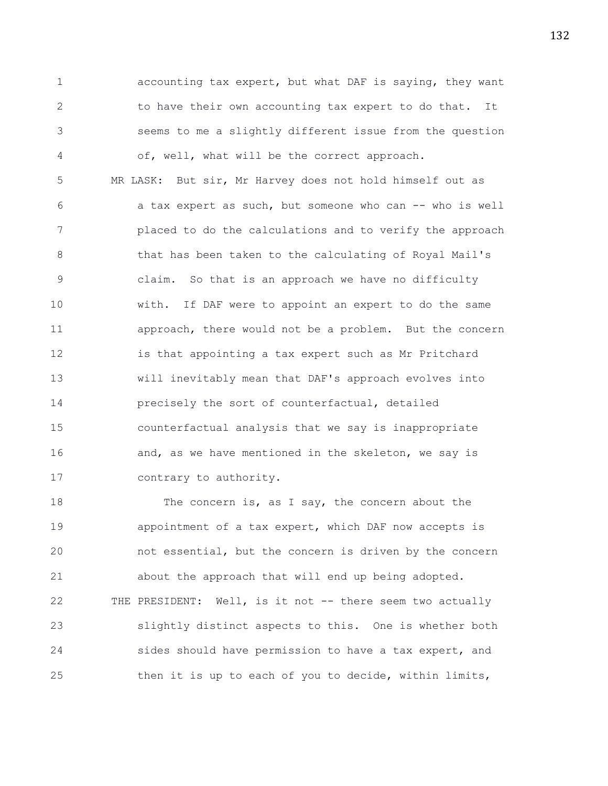1 accounting tax expert, but what DAF is saying, they want 2 to have their own accounting tax expert to do that. It 3 seems to me a slightly different issue from the question 4 of, well, what will be the correct approach.

5 MR LASK: But sir, Mr Harvey does not hold himself out as 6 a tax expert as such, but someone who can -- who is well 7 placed to do the calculations and to verify the approach 8 that has been taken to the calculating of Royal Mail's 9 claim. So that is an approach we have no difficulty 10 with. If DAF were to appoint an expert to do the same 11 approach, there would not be a problem. But the concern 12 is that appointing a tax expert such as Mr Pritchard 13 will inevitably mean that DAF's approach evolves into 14 precisely the sort of counterfactual, detailed 15 counterfactual analysis that we say is inappropriate 16 and, as we have mentioned in the skeleton, we say is 17 contrary to authority.

18 The concern is, as I say, the concern about the 19 appointment of a tax expert, which DAF now accepts is 20 not essential, but the concern is driven by the concern 21 about the approach that will end up being adopted. 22 THE PRESIDENT: Well, is it not -- there seem two actually 23 slightly distinct aspects to this. One is whether both 24 sides should have permission to have a tax expert, and 25 then it is up to each of you to decide, within limits,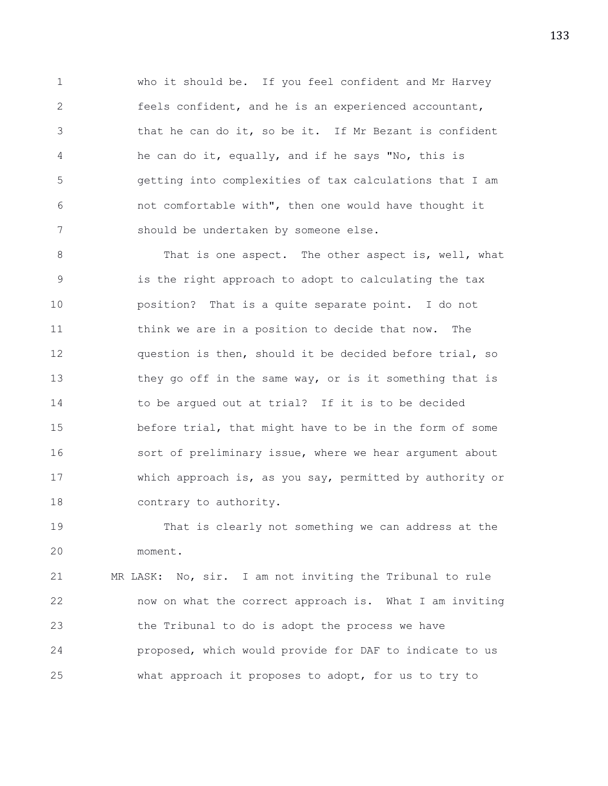1 who it should be. If you feel confident and Mr Harvey 2 feels confident, and he is an experienced accountant, 3 that he can do it, so be it. If Mr Bezant is confident 4 he can do it, equally, and if he says "No, this is 5 getting into complexities of tax calculations that I am 6 not comfortable with", then one would have thought it 7 should be undertaken by someone else.

8 That is one aspect. The other aspect is, well, what 9 is the right approach to adopt to calculating the tax 10 position? That is a quite separate point. I do not 11 think we are in a position to decide that now. The 12 question is then, should it be decided before trial, so 13 they go off in the same way, or is it something that is 14 to be argued out at trial? If it is to be decided 15 before trial, that might have to be in the form of some 16 sort of preliminary issue, where we hear argument about 17 which approach is, as you say, permitted by authority or 18 contrary to authority.

19 That is clearly not something we can address at the 20 moment.

21 MR LASK: No, sir. I am not inviting the Tribunal to rule 22 now on what the correct approach is. What I am inviting 23 the Tribunal to do is adopt the process we have 24 proposed, which would provide for DAF to indicate to us 25 what approach it proposes to adopt, for us to try to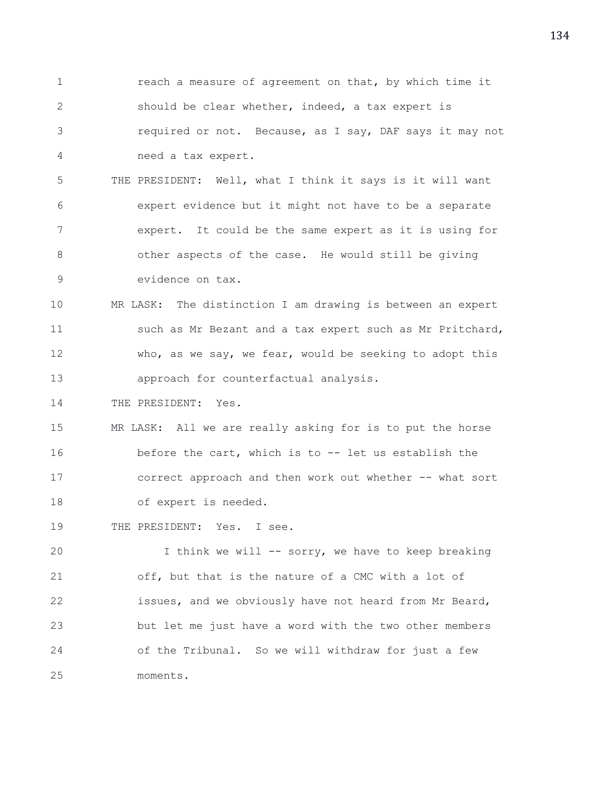1 reach a measure of agreement on that, by which time it 2 should be clear whether, indeed, a tax expert is 3 required or not. Because, as I say, DAF says it may not 4 need a tax expert.

5 THE PRESIDENT: Well, what I think it says is it will want 6 expert evidence but it might not have to be a separate 7 expert. It could be the same expert as it is using for 8 other aspects of the case. He would still be giving 9 evidence on tax.

10 MR LASK: The distinction I am drawing is between an expert 11 such as Mr Bezant and a tax expert such as Mr Pritchard, 12 who, as we say, we fear, would be seeking to adopt this 13 approach for counterfactual analysis.

14 THE PRESIDENT: Yes.

15 MR LASK: All we are really asking for is to put the horse 16 before the cart, which is to -- let us establish the 17 correct approach and then work out whether -- what sort 18 of expert is needed.

19 THE PRESIDENT: Yes. I see.

20 I think we will -- sorry, we have to keep breaking 21 off, but that is the nature of a CMC with a lot of 22 issues, and we obviously have not heard from Mr Beard, 23 but let me just have a word with the two other members 24 of the Tribunal. So we will withdraw for just a few 25 moments.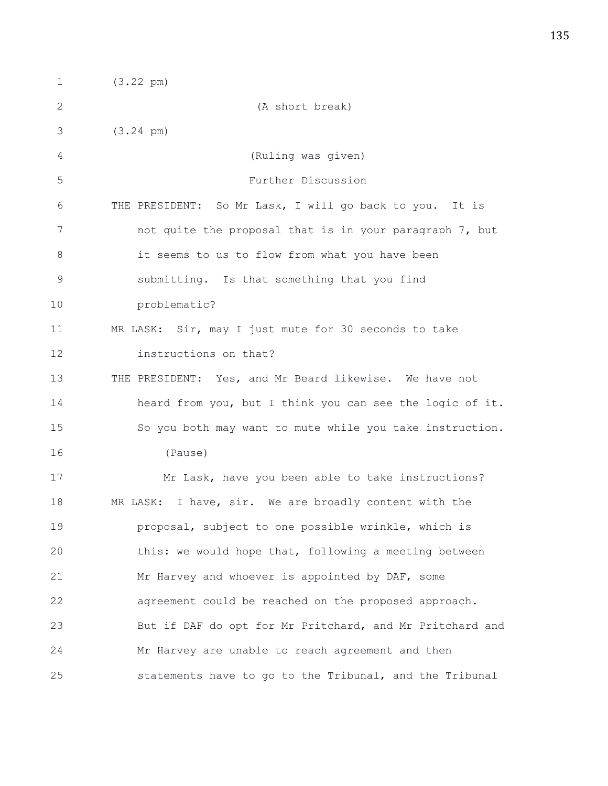1 (3.22 pm) 2 (A short break) 3 (3.24 pm) 4 (Ruling was given) 5 Further Discussion 6 THE PRESIDENT: So Mr Lask, I will go back to you. It is 7 not quite the proposal that is in your paragraph 7, but 8 it seems to us to flow from what you have been 9 submitting. Is that something that you find 10 problematic? 11 MR LASK: Sir, may I just mute for 30 seconds to take 12 instructions on that? 13 THE PRESIDENT: Yes, and Mr Beard likewise. We have not 14 heard from you, but I think you can see the logic of it. 15 So you both may want to mute while you take instruction. 16 (Pause) 17 Mr Lask, have you been able to take instructions? 18 MR LASK: I have, sir. We are broadly content with the 19 proposal, subject to one possible wrinkle, which is 20 this: we would hope that, following a meeting between 21 Mr Harvey and whoever is appointed by DAF, some 22 agreement could be reached on the proposed approach. 23 But if DAF do opt for Mr Pritchard, and Mr Pritchard and 24 Mr Harvey are unable to reach agreement and then 25 statements have to go to the Tribunal, and the Tribunal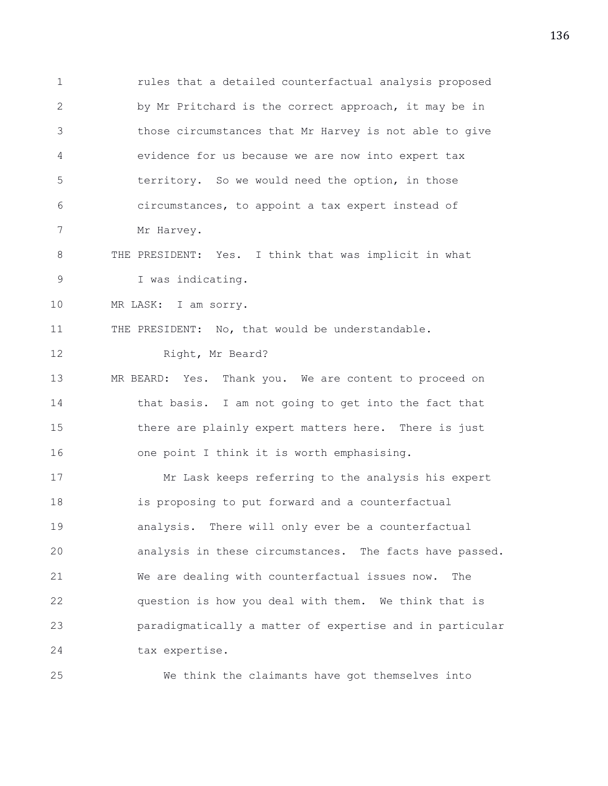1 rules that a detailed counterfactual analysis proposed 2 by Mr Pritchard is the correct approach, it may be in 3 those circumstances that Mr Harvey is not able to give 4 evidence for us because we are now into expert tax 5 territory. So we would need the option, in those 6 circumstances, to appoint a tax expert instead of 7 Mr Harvey. 8 THE PRESIDENT: Yes. I think that was implicit in what 9 I was indicating. 10 MR LASK: I am sorry. 11 THE PRESIDENT: No, that would be understandable. 12 Right, Mr Beard? 13 MR BEARD: Yes. Thank you. We are content to proceed on 14 that basis. I am not going to get into the fact that 15 there are plainly expert matters here. There is just 16 one point I think it is worth emphasising. 17 Mr Lask keeps referring to the analysis his expert 18 is proposing to put forward and a counterfactual 19 analysis. There will only ever be a counterfactual 20 analysis in these circumstances. The facts have passed. 21 We are dealing with counterfactual issues now. The 22 question is how you deal with them. We think that is 23 paradigmatically a matter of expertise and in particular 24 tax expertise. 25 We think the claimants have got themselves into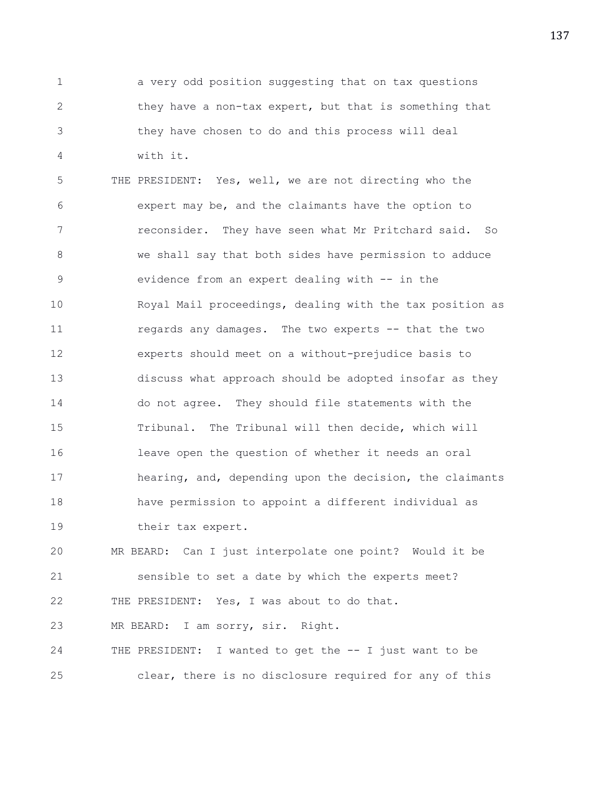1 a very odd position suggesting that on tax questions 2 they have a non-tax expert, but that is something that 3 they have chosen to do and this process will deal 4 with it.

5 THE PRESIDENT: Yes, well, we are not directing who the 6 expert may be, and the claimants have the option to 7 reconsider. They have seen what Mr Pritchard said. So 8 we shall say that both sides have permission to adduce 9 evidence from an expert dealing with -- in the 10 Royal Mail proceedings, dealing with the tax position as 11 regards any damages. The two experts -- that the two 12 experts should meet on a without-prejudice basis to 13 discuss what approach should be adopted insofar as they 14 do not agree. They should file statements with the 15 Tribunal. The Tribunal will then decide, which will 16 leave open the question of whether it needs an oral 17 hearing, and, depending upon the decision, the claimants 18 have permission to appoint a different individual as 19 their tax expert.

20 MR BEARD: Can I just interpolate one point? Would it be 21 sensible to set a date by which the experts meet? 22 THE PRESIDENT: Yes, I was about to do that.

23 MR BEARD: I am sorry, sir. Right.

24 THE PRESIDENT: I wanted to get the -- I just want to be 25 clear, there is no disclosure required for any of this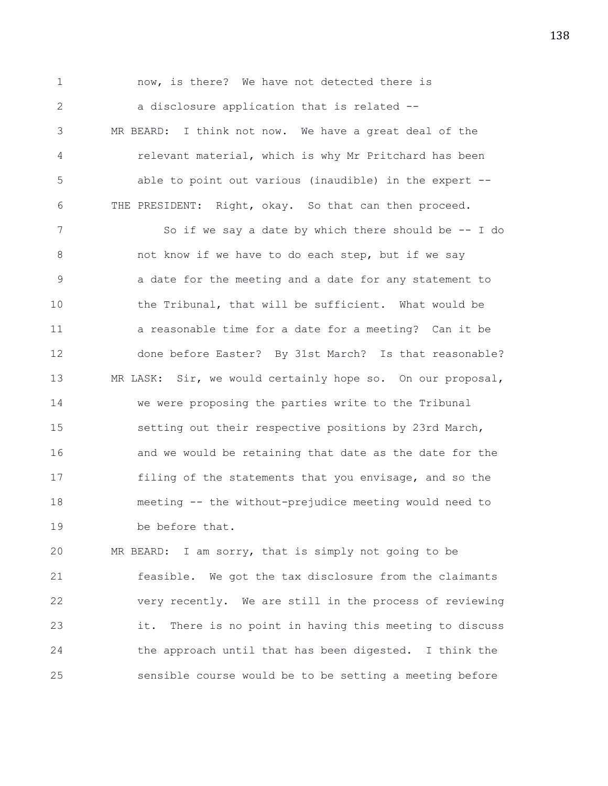1 now, is there? We have not detected there is 2 a disclosure application that is related --3 MR BEARD: I think not now. We have a great deal of the 4 relevant material, which is why Mr Pritchard has been 5 able to point out various (inaudible) in the expert -- 6 THE PRESIDENT: Right, okay. So that can then proceed. 7 So if we say a date by which there should be -- I do 8 not know if we have to do each step, but if we say 9 a date for the meeting and a date for any statement to 10 the Tribunal, that will be sufficient. What would be 11 a reasonable time for a date for a meeting? Can it be 12 done before Easter? By 31st March? Is that reasonable? 13 MR LASK: Sir, we would certainly hope so. On our proposal, 14 we were proposing the parties write to the Tribunal 15 setting out their respective positions by 23rd March, 16 **and we would be retaining that date as the date for the** 17 filing of the statements that you envisage, and so the 18 meeting -- the without-prejudice meeting would need to 19 be before that.

20 MR BEARD: I am sorry, that is simply not going to be 21 feasible. We got the tax disclosure from the claimants 22 very recently. We are still in the process of reviewing 23 it. There is no point in having this meeting to discuss 24 the approach until that has been digested. I think the 25 sensible course would be to be setting a meeting before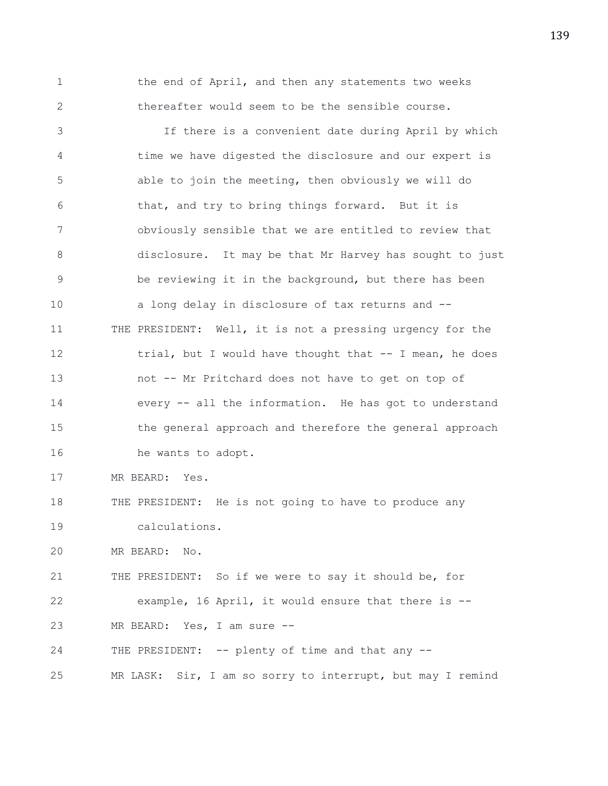1 the end of April, and then any statements two weeks 2 thereafter would seem to be the sensible course.

3 If there is a convenient date during April by which 4 time we have digested the disclosure and our expert is 5 able to join the meeting, then obviously we will do 6 that, and try to bring things forward. But it is 7 obviously sensible that we are entitled to review that 8 disclosure. It may be that Mr Harvey has sought to just 9 be reviewing it in the background, but there has been 10 a long delay in disclosure of tax returns and -- 11 THE PRESIDENT: Well, it is not a pressing urgency for the 12 trial, but I would have thought that -- I mean, he does 13 not -- Mr Pritchard does not have to get on top of 14 every -- all the information. He has got to understand 15 the general approach and therefore the general approach 16 he wants to adopt. 17 MR BEARD: Yes. 18 THE PRESIDENT: He is not going to have to produce any 19 calculations. 20 MR BEARD: No. 21 THE PRESIDENT: So if we were to say it should be, for 22 example, 16 April, it would ensure that there is --

23 MR BEARD: Yes, I am sure --

24 THE PRESIDENT: -- plenty of time and that any --

25 MR LASK: Sir, I am so sorry to interrupt, but may I remind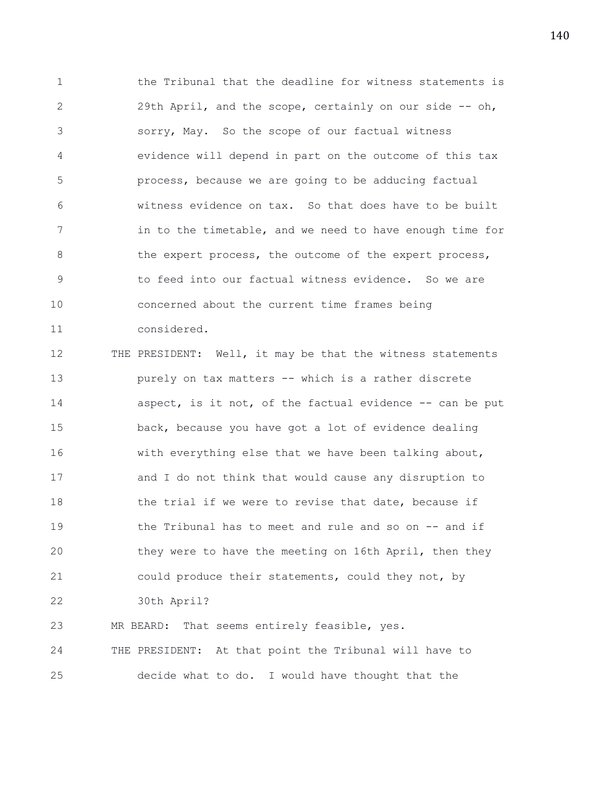1 the Tribunal that the deadline for witness statements is 2 29th April, and the scope, certainly on our side -- oh, 3 sorry, May. So the scope of our factual witness 4 evidence will depend in part on the outcome of this tax 5 process, because we are going to be adducing factual 6 witness evidence on tax. So that does have to be built 7 in to the timetable, and we need to have enough time for 8 the expert process, the outcome of the expert process, 9 to feed into our factual witness evidence. So we are 10 concerned about the current time frames being 11 considered.

12 THE PRESIDENT: Well, it may be that the witness statements 13 purely on tax matters -- which is a rather discrete 14 aspect, is it not, of the factual evidence -- can be put 15 back, because you have got a lot of evidence dealing 16 with everything else that we have been talking about, 17 and I do not think that would cause any disruption to 18 the trial if we were to revise that date, because if 19 the Tribunal has to meet and rule and so on -- and if 20 they were to have the meeting on 16th April, then they 21 could produce their statements, could they not, by 22 30th April? 23 MR BEARD: That seems entirely feasible, yes. 24 THE PRESIDENT: At that point the Tribunal will have to

25 decide what to do. I would have thought that the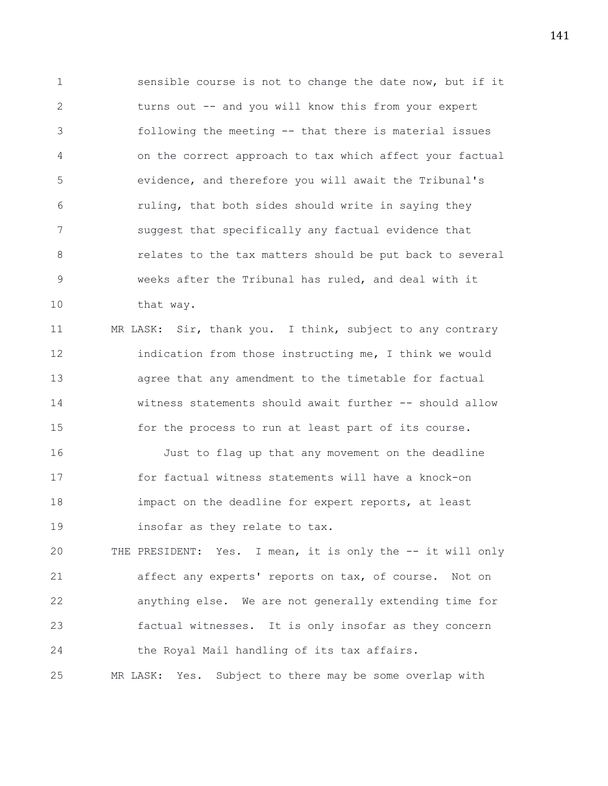1 sensible course is not to change the date now, but if it 2 turns out -- and you will know this from your expert 3 following the meeting -- that there is material issues 4 on the correct approach to tax which affect your factual 5 evidence, and therefore you will await the Tribunal's 6 ruling, that both sides should write in saying they 7 suggest that specifically any factual evidence that 8 **8** relates to the tax matters should be put back to several 9 weeks after the Tribunal has ruled, and deal with it 10 that way.

11 MR LASK: Sir, thank you. I think, subject to any contrary 12 indication from those instructing me, I think we would 13 agree that any amendment to the timetable for factual 14 witness statements should await further -- should allow 15 for the process to run at least part of its course. 16 Just to flag up that any movement on the deadline 17 for factual witness statements will have a knock-on 18 impact on the deadline for expert reports, at least

20 THE PRESIDENT: Yes. I mean, it is only the -- it will only 21 affect any experts' reports on tax, of course. Not on 22 anything else. We are not generally extending time for 23 factual witnesses. It is only insofar as they concern 24 the Royal Mail handling of its tax affairs. 25 MR LASK: Yes. Subject to there may be some overlap with

19 insofar as they relate to tax.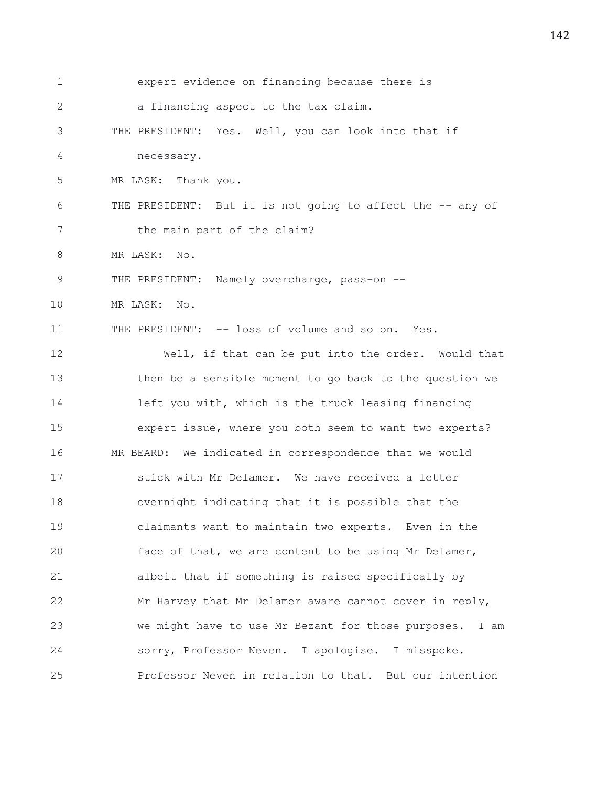| 1           | expert evidence on financing because there is              |
|-------------|------------------------------------------------------------|
| 2           | a financing aspect to the tax claim.                       |
| 3           | THE PRESIDENT: Yes. Well, you can look into that if        |
| 4           | necessary.                                                 |
| 5           | MR LASK: Thank you.                                        |
| 6           | THE PRESIDENT: But it is not going to affect the -- any of |
| 7           | the main part of the claim?                                |
| 8           | MR LASK:<br>No.                                            |
| $\mathsf 9$ | THE PRESIDENT: Namely overcharge, pass-on --               |
| 10          | MR LASK:<br>$\mathbb{N} \circ$ .                           |
| 11          | THE PRESIDENT: -- loss of volume and so on. Yes.           |
| 12          | Well, if that can be put into the order. Would that        |
| 13          | then be a sensible moment to go back to the question we    |
| 14          | left you with, which is the truck leasing financing        |
| 15          | expert issue, where you both seem to want two experts?     |
| 16          | MR BEARD: We indicated in correspondence that we would     |
| 17          | stick with Mr Delamer. We have received a letter           |
| 18          | overnight indicating that it is possible that the          |
| 19          | claimants want to maintain two experts. Even in the        |
| 20          | face of that, we are content to be using Mr Delamer,       |
| 21          | albeit that if something is raised specifically by         |
| 22          | Mr Harvey that Mr Delamer aware cannot cover in reply,     |
| 23          | we might have to use Mr Bezant for those purposes. I am    |
| 24          | sorry, Professor Neven. I apologise. I misspoke.           |
| 25          | Professor Neven in relation to that. But our intention     |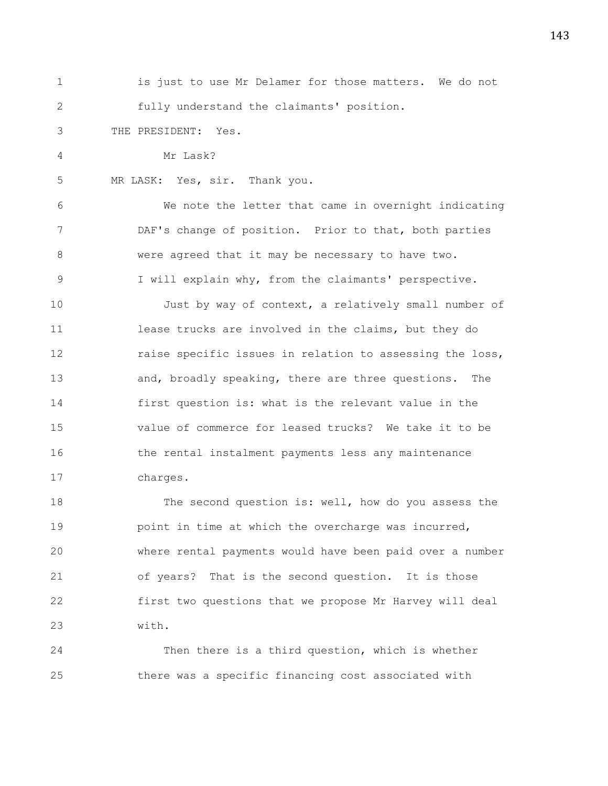1 is just to use Mr Delamer for those matters. We do not 2 fully understand the claimants' position. 3 THE PRESIDENT: Yes. 4 Mr Lask? 5 MR LASK: Yes, sir. Thank you. 6 We note the letter that came in overnight indicating 7 DAF's change of position. Prior to that, both parties 8 were agreed that it may be necessary to have two. 9 I will explain why, from the claimants' perspective. 10 Just by way of context, a relatively small number of 11 lease trucks are involved in the claims, but they do 12 raise specific issues in relation to assessing the loss, 13 and, broadly speaking, there are three questions. The 14 first question is: what is the relevant value in the 15 value of commerce for leased trucks? We take it to be 16 the rental instalment payments less any maintenance 17 charges. 18 The second question is: well, how do you assess the 19 **point in time at which the overcharge was incurred,** 

20 where rental payments would have been paid over a number 21 of years? That is the second question. It is those 22 first two questions that we propose Mr Harvey will deal 23 with.

24 Then there is a third question, which is whether 25 there was a specific financing cost associated with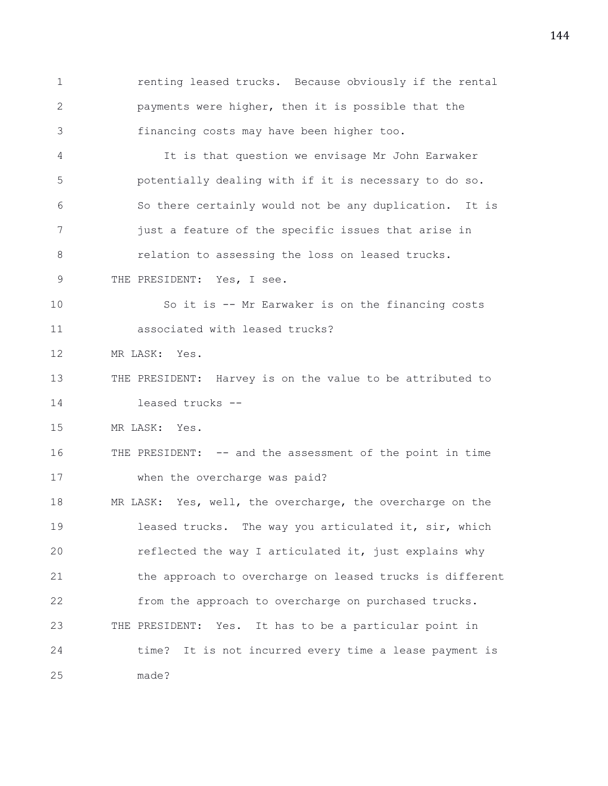1 renting leased trucks. Because obviously if the rental 2 payments were higher, then it is possible that the 3 financing costs may have been higher too. 4 It is that question we envisage Mr John Earwaker 5 potentially dealing with if it is necessary to do so. 6 So there certainly would not be any duplication. It is 7 just a feature of the specific issues that arise in 8 **8** relation to assessing the loss on leased trucks. 9 THE PRESIDENT: Yes, I see. 10 So it is -- Mr Earwaker is on the financing costs 11 associated with leased trucks? 12 MR LASK: Yes. 13 THE PRESIDENT: Harvey is on the value to be attributed to 14 leased trucks -- 15 MR LASK: Yes. 16 THE PRESIDENT: -- and the assessment of the point in time 17 when the overcharge was paid? 18 MR LASK: Yes, well, the overcharge, the overcharge on the 19 leased trucks. The way you articulated it, sir, which 20 reflected the way I articulated it, just explains why 21 the approach to overcharge on leased trucks is different 22 from the approach to overcharge on purchased trucks. 23 THE PRESIDENT: Yes. It has to be a particular point in 24 time? It is not incurred every time a lease payment is 25 made?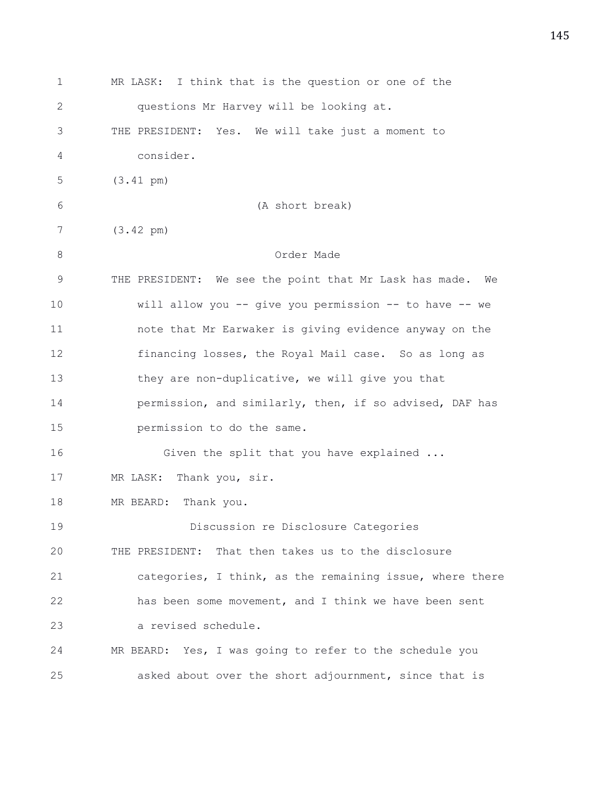| 1            | MR LASK: I think that is the question or one of the       |
|--------------|-----------------------------------------------------------|
| $\mathbf{2}$ | questions Mr Harvey will be looking at.                   |
| 3            | THE PRESIDENT: Yes. We will take just a moment to         |
| 4            | consider.                                                 |
| 5            | $(3.41 \text{ pm})$                                       |
| 6            | (A short break)                                           |
| 7            | $(3.42 \text{ pm})$                                       |
| 8            | Order Made                                                |
| $\mathsf 9$  | THE PRESIDENT: We see the point that Mr Lask has made. We |
| 10           | will allow you -- give you permission -- to have -- we    |
| 11           | note that Mr Earwaker is giving evidence anyway on the    |
| 12           | financing losses, the Royal Mail case. So as long as      |
| 13           | they are non-duplicative, we will give you that           |
| 14           | permission, and similarly, then, if so advised, DAF has   |
| 15           | permission to do the same.                                |
| 16           | Given the split that you have explained                   |
| 17           | MR LASK: Thank you, sir.                                  |
| 18           | MR BEARD: Thank you.                                      |
| 19           | Discussion re Disclosure Categories                       |
| 20           | THE PRESIDENT: That then takes us to the disclosure       |
| 21           | categories, I think, as the remaining issue, where there  |
| 22           | has been some movement, and I think we have been sent     |
| 23           | a revised schedule.                                       |
| 24           | MR BEARD: Yes, I was going to refer to the schedule you   |
| 25           | asked about over the short adjournment, since that is     |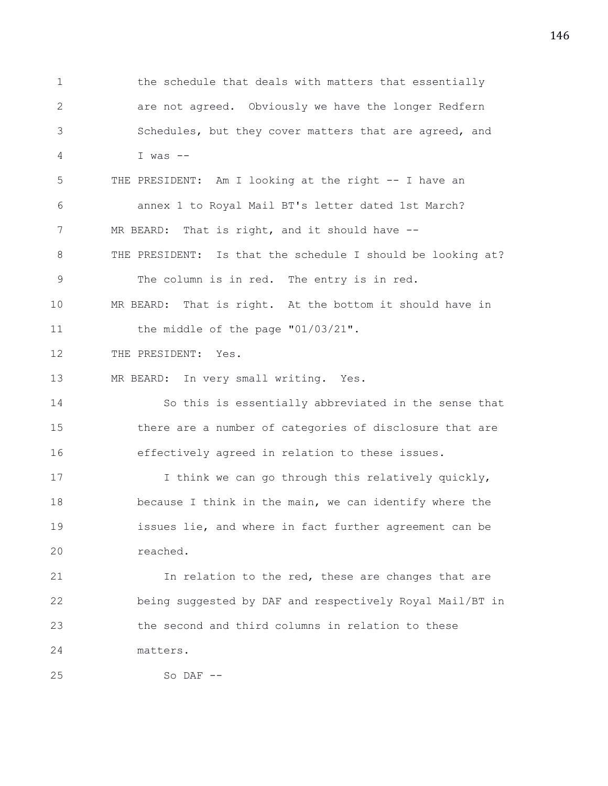1 the schedule that deals with matters that essentially 2 are not agreed. Obviously we have the longer Redfern 3 Schedules, but they cover matters that are agreed, and 4 I was -- 5 THE PRESIDENT: Am I looking at the right -- I have an 6 annex 1 to Royal Mail BT's letter dated 1st March? 7 MR BEARD: That is right, and it should have --8 THE PRESIDENT: Is that the schedule I should be looking at? 9 The column is in red. The entry is in red. 10 MR BEARD: That is right. At the bottom it should have in 11 the middle of the page "01/03/21". 12 THE PRESIDENT: Yes. 13 MR BEARD: In very small writing. Yes. 14 So this is essentially abbreviated in the sense that 15 there are a number of categories of disclosure that are 16 effectively agreed in relation to these issues. 17 I think we can go through this relatively quickly, 18 because I think in the main, we can identify where the 19 issues lie, and where in fact further agreement can be 20 reached. 21 In relation to the red, these are changes that are 22 being suggested by DAF and respectively Royal Mail/BT in 23 the second and third columns in relation to these 24 matters.

25 So DAF --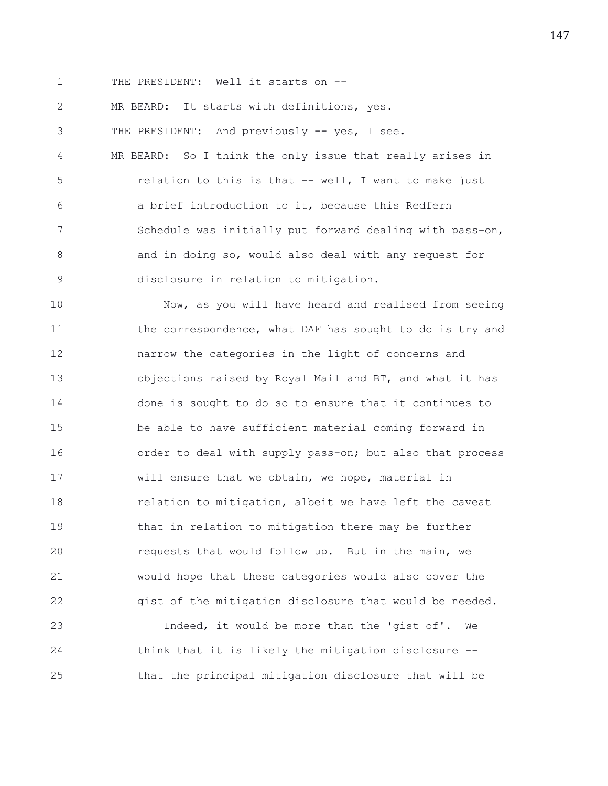1 THE PRESIDENT: Well it starts on --

2 MR BEARD: It starts with definitions, yes.

3 THE PRESIDENT: And previously -- yes, I see.

4 MR BEARD: So I think the only issue that really arises in 5 relation to this is that -- well, I want to make just 6 a brief introduction to it, because this Redfern 7 Schedule was initially put forward dealing with pass-on, 8 and in doing so, would also deal with any request for 9 disclosure in relation to mitigation.

10 Now, as you will have heard and realised from seeing 11 the correspondence, what DAF has sought to do is try and 12 narrow the categories in the light of concerns and 13 objections raised by Royal Mail and BT, and what it has 14 done is sought to do so to ensure that it continues to 15 be able to have sufficient material coming forward in 16 order to deal with supply pass-on; but also that process 17 will ensure that we obtain, we hope, material in 18 relation to mitigation, albeit we have left the caveat 19 that in relation to mitigation there may be further 20 requests that would follow up. But in the main, we 21 would hope that these categories would also cover the 22 gist of the mitigation disclosure that would be needed.

23 Indeed, it would be more than the 'gist of'. We 24 think that it is likely the mitigation disclosure -- 25 that the principal mitigation disclosure that will be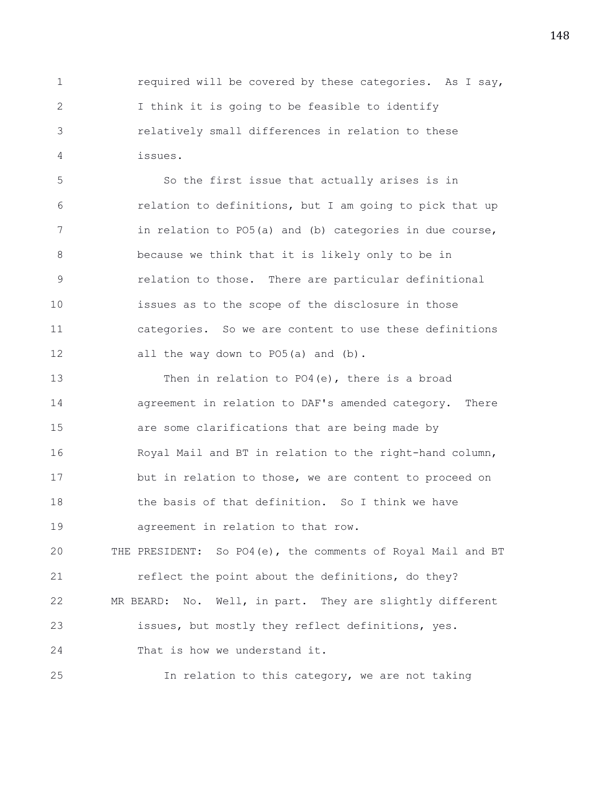1 required will be covered by these categories. As I say, 2 I think it is going to be feasible to identify 3 relatively small differences in relation to these 4 issues.

5 So the first issue that actually arises is in 6 relation to definitions, but I am going to pick that up 7 in relation to PO5(a) and (b) categories in due course, 8 because we think that it is likely only to be in 9 relation to those. There are particular definitional 10 issues as to the scope of the disclosure in those 11 categories. So we are content to use these definitions 12 all the way down to PO5(a) and (b).

13 Then in relation to PO4(e), there is a broad 14 agreement in relation to DAF's amended category. There 15 are some clarifications that are being made by 16 Royal Mail and BT in relation to the right-hand column, 17 but in relation to those, we are content to proceed on 18 the basis of that definition. So I think we have 19 agreement in relation to that row.

20 THE PRESIDENT: So PO4(e), the comments of Royal Mail and BT 21 reflect the point about the definitions, do they? 22 MR BEARD: No. Well, in part. They are slightly different 23 issues, but mostly they reflect definitions, yes. 24 That is how we understand it.

25 In relation to this category, we are not taking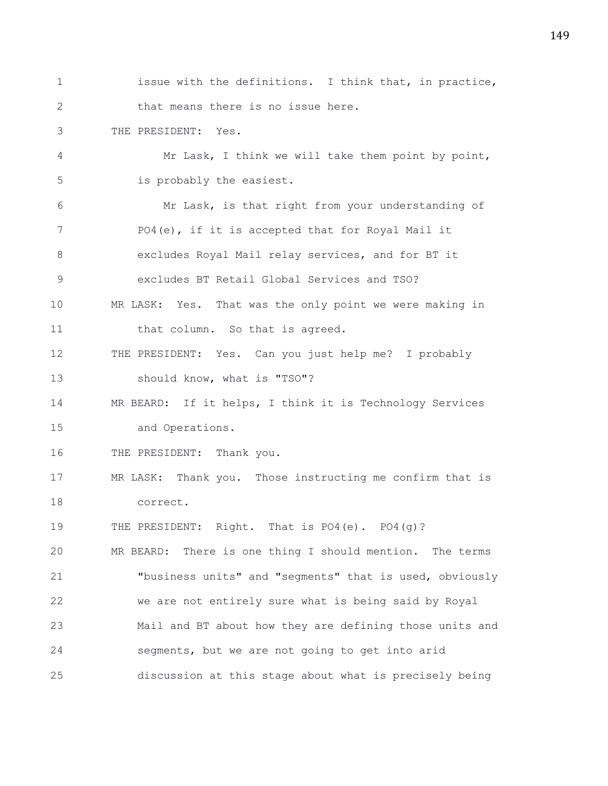1 issue with the definitions. I think that, in practice, 2 that means there is no issue here. 3 THE PRESIDENT: Yes. 4 Mr Lask, I think we will take them point by point, 5 is probably the easiest. 6 Mr Lask, is that right from your understanding of 7 PO4(e), if it is accepted that for Royal Mail it 8 excludes Royal Mail relay services, and for BT it 9 excludes BT Retail Global Services and TSO? 10 MR LASK: Yes. That was the only point we were making in 11 that column. So that is agreed. 12 THE PRESIDENT: Yes. Can you just help me? I probably 13 should know, what is "TSO"? 14 MR BEARD: If it helps, I think it is Technology Services 15 and Operations. 16 THE PRESIDENT: Thank you. 17 MR LASK: Thank you. Those instructing me confirm that is 18 correct. 19 THE PRESIDENT: Right. That is PO4(e). PO4(g)? 20 MR BEARD: There is one thing I should mention. The terms 21 "business units" and "segments" that is used, obviously 22 we are not entirely sure what is being said by Royal 23 Mail and BT about how they are defining those units and 24 segments, but we are not going to get into arid 25 discussion at this stage about what is precisely being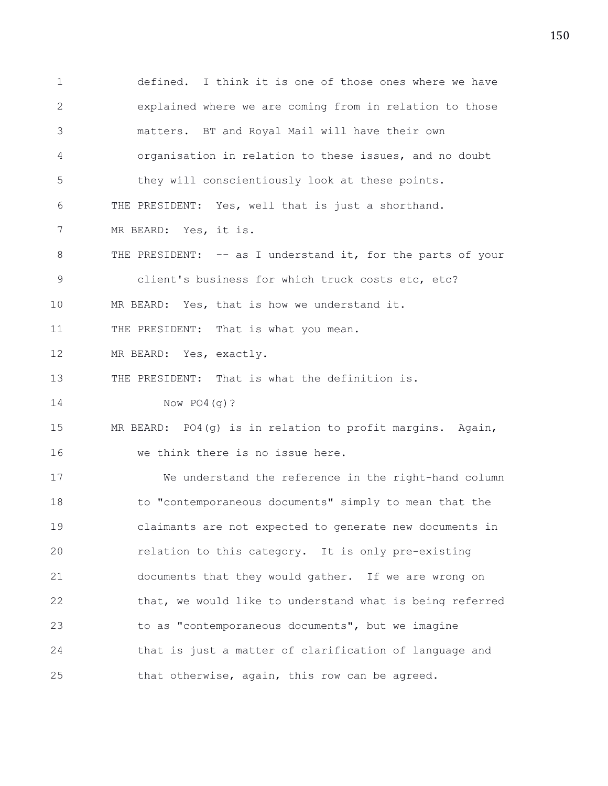1 defined. I think it is one of those ones where we have 2 explained where we are coming from in relation to those 3 matters. BT and Royal Mail will have their own 4 organisation in relation to these issues, and no doubt 5 they will conscientiously look at these points. 6 THE PRESIDENT: Yes, well that is just a shorthand. 7 MR BEARD: Yes, it is. 8 THE PRESIDENT: -- as I understand it, for the parts of your 9 client's business for which truck costs etc, etc? 10 MR BEARD: Yes, that is how we understand it. 11 THE PRESIDENT: That is what you mean. 12 MR BEARD: Yes, exactly. 13 THE PRESIDENT: That is what the definition is. 14 Now PO4(g)? 15 MR BEARD: PO4(g) is in relation to profit margins. Again, 16 we think there is no issue here. 17 We understand the reference in the right-hand column 18 to "contemporaneous documents" simply to mean that the 19 claimants are not expected to generate new documents in 20 relation to this category. It is only pre-existing 21 documents that they would gather. If we are wrong on 22 that, we would like to understand what is being referred 23 to as "contemporaneous documents", but we imagine 24 that is just a matter of clarification of language and 25 that otherwise, again, this row can be agreed.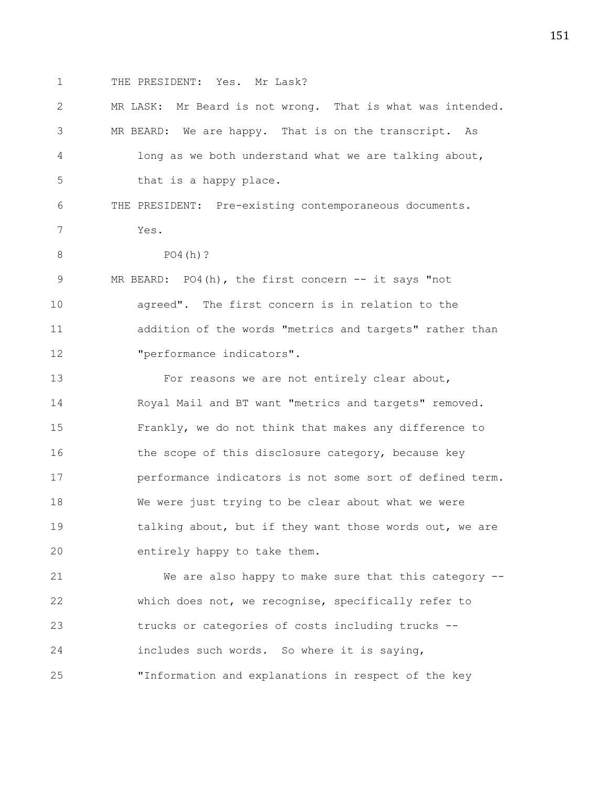1 THE PRESIDENT: Yes. Mr Lask?

| $\mathbf{2}$ | MR LASK: Mr Beard is not wrong. That is what was intended. |
|--------------|------------------------------------------------------------|
| 3            | MR BEARD: We are happy. That is on the transcript. As      |
| 4            | long as we both understand what we are talking about,      |
| 5            | that is a happy place.                                     |
| 6            | THE PRESIDENT: Pre-existing contemporaneous documents.     |
| 7            | Yes.                                                       |
| 8            | $PO4(h)$ ?                                                 |
| 9            | MR BEARD: PO4(h), the first concern -- it says "not        |
| 10           | agreed". The first concern is in relation to the           |
| 11           | addition of the words "metrics and targets" rather than    |
| 12           | "performance indicators".                                  |
| 13           | For reasons we are not entirely clear about,               |
| 14           | Royal Mail and BT want "metrics and targets" removed.      |
| 15           | Frankly, we do not think that makes any difference to      |
| 16           | the scope of this disclosure category, because key         |
| 17           | performance indicators is not some sort of defined term.   |
| 18           | We were just trying to be clear about what we were         |
| 19           | talking about, but if they want those words out, we are    |
| 20           | entirely happy to take them.                               |
| 21           | We are also happy to make sure that this category --       |
| 22           | which does not, we recognise, specifically refer to        |
| 23           | trucks or categories of costs including trucks --          |
| 24           | includes such words. So where it is saying,                |

25 "Information and explanations in respect of the key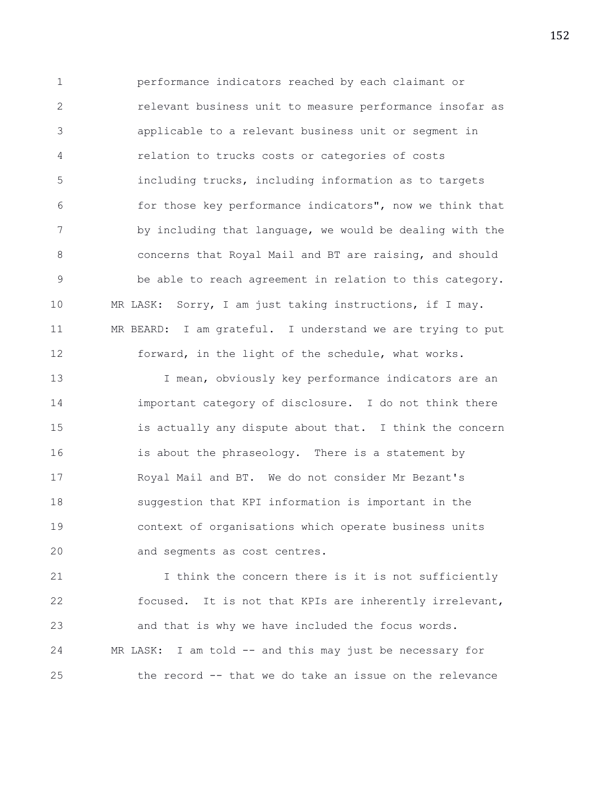1 performance indicators reached by each claimant or 2 relevant business unit to measure performance insofar as 3 applicable to a relevant business unit or segment in 4 relation to trucks costs or categories of costs 5 including trucks, including information as to targets 6 for those key performance indicators", now we think that 7 by including that language, we would be dealing with the 8 concerns that Royal Mail and BT are raising, and should 9 be able to reach agreement in relation to this category. 10 MR LASK: Sorry, I am just taking instructions, if I may. 11 MR BEARD: I am grateful. I understand we are trying to put 12 forward, in the light of the schedule, what works.

13 13 I mean, obviously key performance indicators are an 14 important category of disclosure. I do not think there 15 is actually any dispute about that. I think the concern 16 is about the phraseology. There is a statement by 17 Royal Mail and BT. We do not consider Mr Bezant's 18 suggestion that KPI information is important in the 19 context of organisations which operate business units 20 and segments as cost centres.

21 1 I think the concern there is it is not sufficiently 22 focused. It is not that KPIs are inherently irrelevant, 23 and that is why we have included the focus words. 24 MR LASK: I am told -- and this may just be necessary for 25 the record -- that we do take an issue on the relevance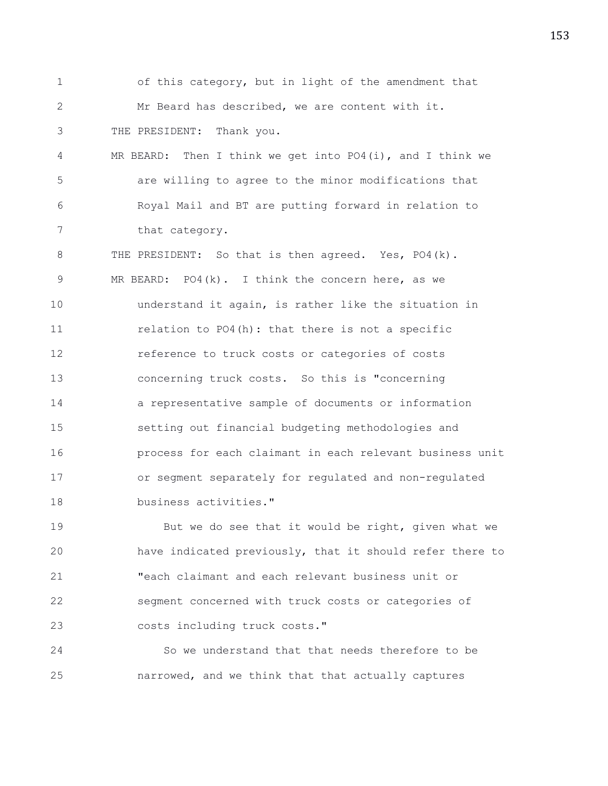1 of this category, but in light of the amendment that 2 Mr Beard has described, we are content with it. 3 THE PRESIDENT: Thank you. 4 MR BEARD: Then I think we get into PO4(i), and I think we 5 are willing to agree to the minor modifications that 6 Royal Mail and BT are putting forward in relation to 7 that category.

8 THE PRESIDENT: So that is then agreed. Yes, PO4(k). 9 MR BEARD: PO4(k). I think the concern here, as we 10 understand it again, is rather like the situation in 11 relation to PO4(h): that there is not a specific 12 reference to truck costs or categories of costs 13 concerning truck costs. So this is "concerning 14 a representative sample of documents or information 15 setting out financial budgeting methodologies and 16 process for each claimant in each relevant business unit 17 or segment separately for regulated and non-regulated 18 business activities."

19 But we do see that it would be right, given what we 20 have indicated previously, that it should refer there to 21 "each claimant and each relevant business unit or 22 segment concerned with truck costs or categories of 23 costs including truck costs."

24 So we understand that that needs therefore to be 25 narrowed, and we think that that actually captures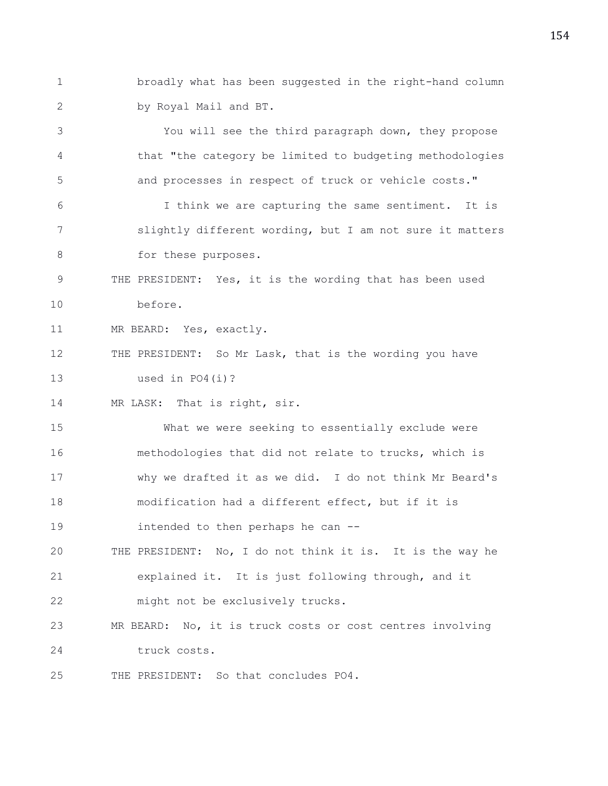1 broadly what has been suggested in the right-hand column 2 by Royal Mail and BT.

3 You will see the third paragraph down, they propose 4 that "the category be limited to budgeting methodologies 5 and processes in respect of truck or vehicle costs." 6 I think we are capturing the same sentiment. It is 7 slightly different wording, but I am not sure it matters 8 for these purposes. 9 THE PRESIDENT: Yes, it is the wording that has been used 10 before. 11 MR BEARD: Yes, exactly. 12 THE PRESIDENT: So Mr Lask, that is the wording you have 13 used in PO4(i)? 14 MR LASK: That is right, sir. 15 What we were seeking to essentially exclude were 16 methodologies that did not relate to trucks, which is 17 why we drafted it as we did. I do not think Mr Beard's 18 modification had a different effect, but if it is 19 intended to then perhaps he can -- 20 THE PRESIDENT: No, I do not think it is. It is the way he 21 explained it. It is just following through, and it 22 might not be exclusively trucks. 23 MR BEARD: No, it is truck costs or cost centres involving 24 truck costs.

25 THE PRESIDENT: So that concludes PO4.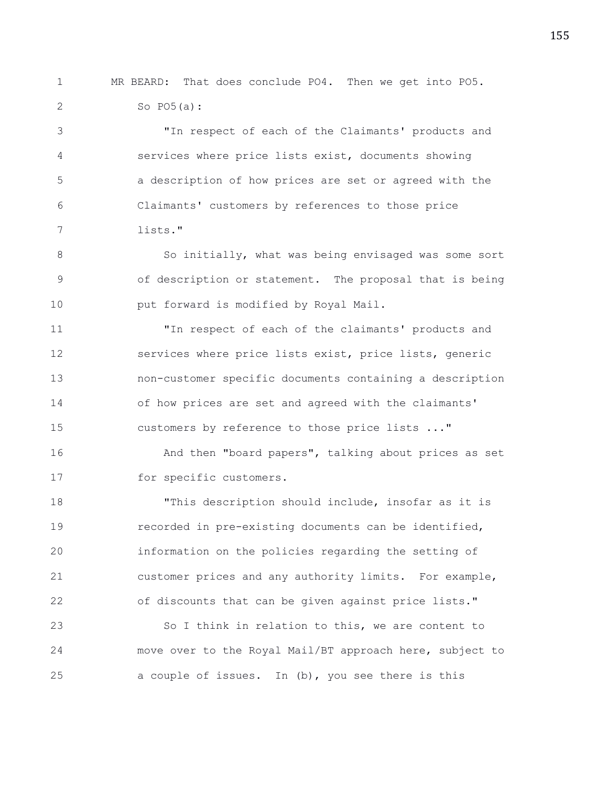1 MR BEARD: That does conclude PO4. Then we get into PO5. 2 So PO5(a):

3 "In respect of each of the Claimants' products and 4 services where price lists exist, documents showing 5 a description of how prices are set or agreed with the 6 Claimants' customers by references to those price 7 lists."

8 So initially, what was being envisaged was some sort 9 of description or statement. The proposal that is being 10 put forward is modified by Royal Mail.

11 "In respect of each of the claimants' products and 12 services where price lists exist, price lists, generic 13 non-customer specific documents containing a description 14 of how prices are set and agreed with the claimants' 15 customers by reference to those price lists ..."

16 And then "board papers", talking about prices as set 17 for specific customers.

18 "This description should include, insofar as it is 19 recorded in pre-existing documents can be identified, 20 information on the policies regarding the setting of 21 customer prices and any authority limits. For example, 22 of discounts that can be given against price lists."

23 So I think in relation to this, we are content to 24 move over to the Royal Mail/BT approach here, subject to 25 a couple of issues. In (b), you see there is this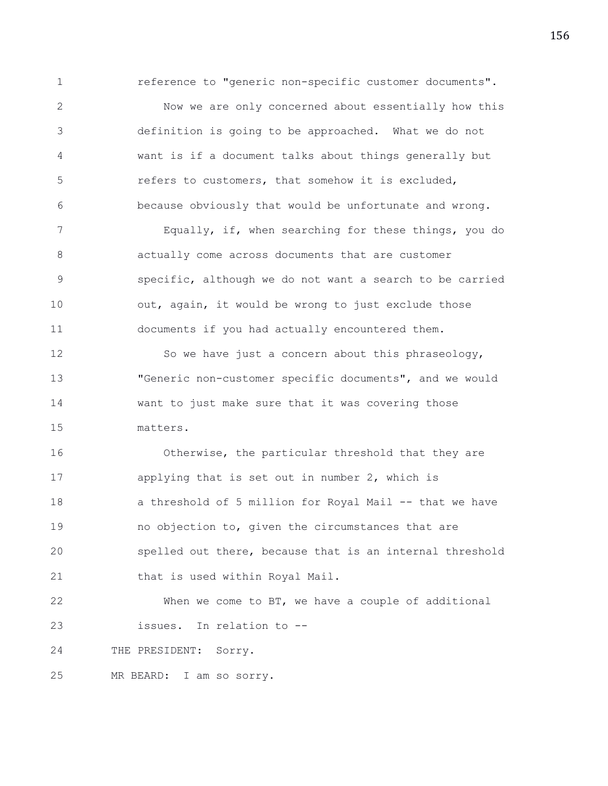1 reference to "generic non-specific customer documents".

2 Now we are only concerned about essentially how this 3 definition is going to be approached. What we do not 4 want is if a document talks about things generally but 5 refers to customers, that somehow it is excluded, 6 because obviously that would be unfortunate and wrong.

7 Equally, if, when searching for these things, you do 8 actually come across documents that are customer 9 specific, although we do not want a search to be carried 10 out, again, it would be wrong to just exclude those 11 documents if you had actually encountered them.

12 So we have just a concern about this phraseology, 13 "Generic non-customer specific documents", and we would 14 want to just make sure that it was covering those 15 matters.

16 Otherwise, the particular threshold that they are 17 applying that is set out in number 2, which is 18 a threshold of 5 million for Royal Mail -- that we have 19 no objection to, given the circumstances that are 20 spelled out there, because that is an internal threshold 21 that is used within Royal Mail.

22 When we come to BT, we have a couple of additional 23 issues. In relation to --

24 THE PRESIDENT: Sorry.

25 MR BEARD: I am so sorry.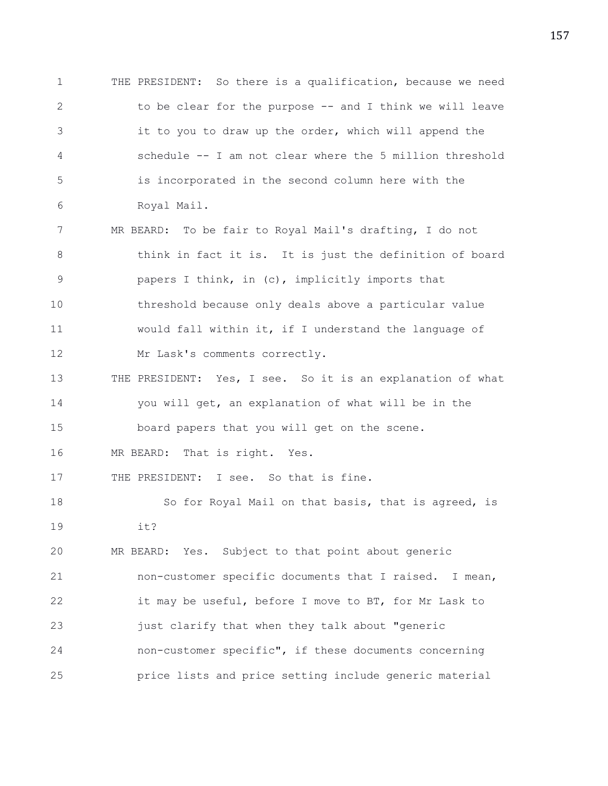1 THE PRESIDENT: So there is a qualification, because we need 2 to be clear for the purpose -- and I think we will leave 3 it to you to draw up the order, which will append the 4 schedule -- I am not clear where the 5 million threshold 5 is incorporated in the second column here with the 6 Royal Mail. 7 MR BEARD: To be fair to Royal Mail's drafting, I do not 8 think in fact it is. It is just the definition of board 9 papers I think, in (c), implicitly imports that 10 threshold because only deals above a particular value 11 would fall within it, if I understand the language of 12 Mr Lask's comments correctly. 13 THE PRESIDENT: Yes, I see. So it is an explanation of what 14 you will get, an explanation of what will be in the 15 board papers that you will get on the scene. 16 MR BEARD: That is right. Yes. 17 THE PRESIDENT: I see. So that is fine. 18 So for Royal Mail on that basis, that is agreed, is 19 it? 20 MR BEARD: Yes. Subject to that point about generic 21 non-customer specific documents that I raised. I mean, 22 it may be useful, before I move to BT, for Mr Lask to 23 just clarify that when they talk about "generic 24 non-customer specific", if these documents concerning 25 price lists and price setting include generic material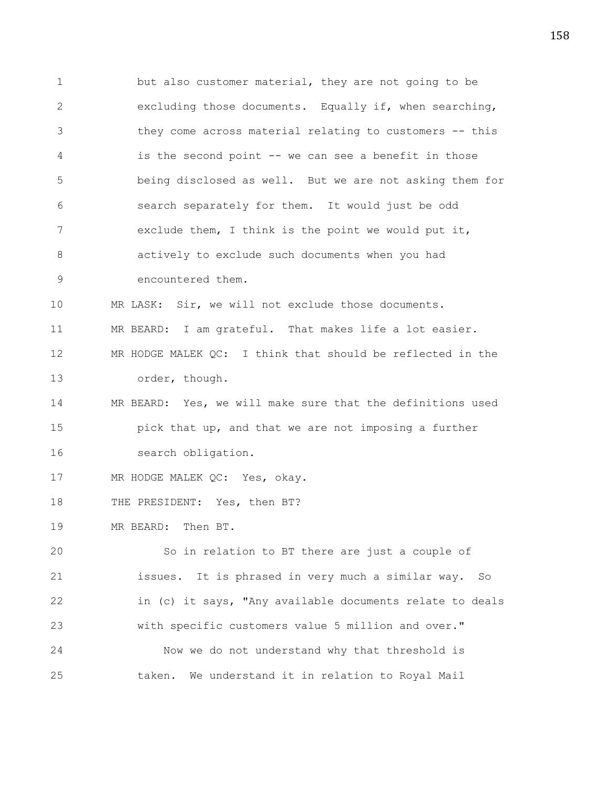1 but also customer material, they are not going to be 2 excluding those documents. Equally if, when searching, 3 they come across material relating to customers -- this 4 is the second point -- we can see a benefit in those 5 being disclosed as well. But we are not asking them for 6 search separately for them. It would just be odd 7 exclude them, I think is the point we would put it, 8 actively to exclude such documents when you had 9 encountered them. 10 MR LASK: Sir, we will not exclude those documents. 11 MR BEARD: I am grateful. That makes life a lot easier. 12 MR HODGE MALEK QC: I think that should be reflected in the 13 order, though. 14 MR BEARD: Yes, we will make sure that the definitions used 15 pick that up, and that we are not imposing a further 16 search obligation. 17 MR HODGE MALEK QC: Yes, okay. 18 THE PRESIDENT: Yes, then BT? 19 MR BEARD: Then BT. 20 So in relation to BT there are just a couple of 21 issues. It is phrased in very much a similar way. So 22 in (c) it says, "Any available documents relate to deals 23 with specific customers value 5 million and over." 24 Now we do not understand why that threshold is 25 taken. We understand it in relation to Royal Mail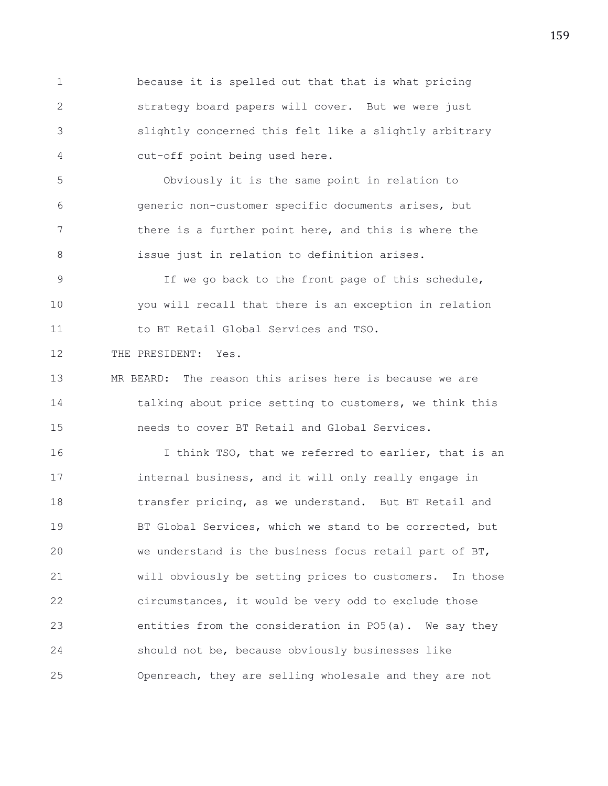1 because it is spelled out that that is what pricing 2 strategy board papers will cover. But we were just 3 slightly concerned this felt like a slightly arbitrary 4 cut-off point being used here.

5 Obviously it is the same point in relation to 6 generic non-customer specific documents arises, but 7 there is a further point here, and this is where the 8 issue just in relation to definition arises.

9 If we go back to the front page of this schedule, 10 you will recall that there is an exception in relation 11 to BT Retail Global Services and TSO.

12 THE PRESIDENT: Yes.

13 MR BEARD: The reason this arises here is because we are 14 talking about price setting to customers, we think this 15 needs to cover BT Retail and Global Services.

16 16 I think TSO, that we referred to earlier, that is an 17 internal business, and it will only really engage in 18 transfer pricing, as we understand. But BT Retail and 19 BT Global Services, which we stand to be corrected, but 20 we understand is the business focus retail part of BT, 21 will obviously be setting prices to customers. In those 22 circumstances, it would be very odd to exclude those 23 entities from the consideration in PO5(a). We say they 24 should not be, because obviously businesses like 25 Openreach, they are selling wholesale and they are not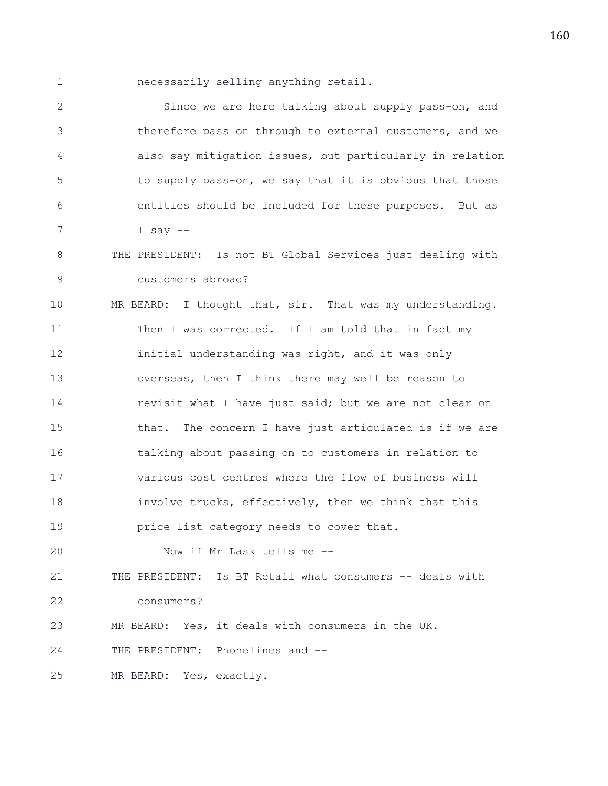1 necessarily selling anything retail.

2 Since we are here talking about supply pass-on, and 3 therefore pass on through to external customers, and we 4 also say mitigation issues, but particularly in relation 5 to supply pass-on, we say that it is obvious that those 6 entities should be included for these purposes. But as 7 I say -- 8 THE PRESIDENT: Is not BT Global Services just dealing with 9 customers abroad? 10 MR BEARD: I thought that, sir. That was my understanding. 11 Then I was corrected. If I am told that in fact my 12 initial understanding was right, and it was only 13 overseas, then I think there may well be reason to 14 **revisit what I have just said; but we are not clear on** 15 that. The concern I have just articulated is if we are 16 talking about passing on to customers in relation to 17 various cost centres where the flow of business will 18 involve trucks, effectively, then we think that this 19 **price list category needs to cover that.** 20 Now if Mr Lask tells me -- 21 THE PRESIDENT: Is BT Retail what consumers -- deals with 22 consumers? 23 MR BEARD: Yes, it deals with consumers in the UK. 24 THE PRESIDENT: Phonelines and -- 25 MR BEARD: Yes, exactly.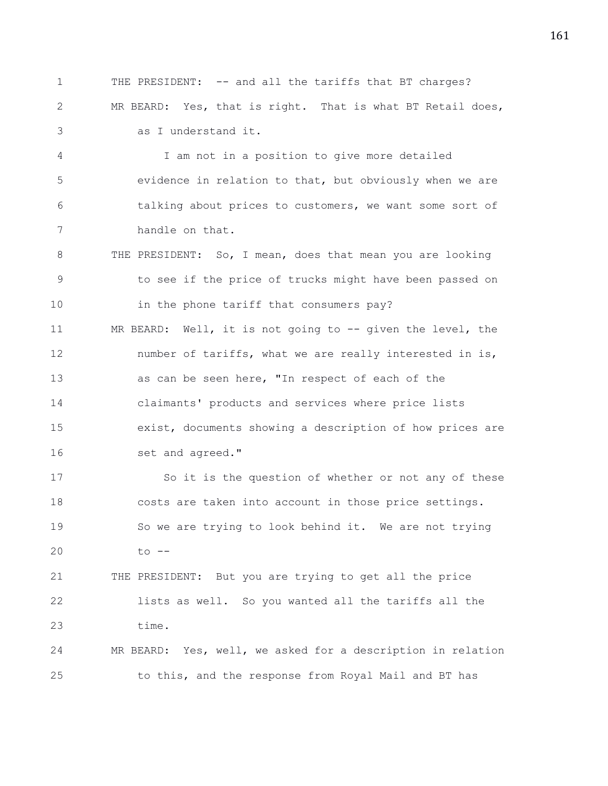1 THE PRESIDENT: -- and all the tariffs that BT charges? 2 MR BEARD: Yes, that is right. That is what BT Retail does, 3 as I understand it. 4 I am not in a position to give more detailed 5 evidence in relation to that, but obviously when we are 6 talking about prices to customers, we want some sort of 7 handle on that. 8 THE PRESIDENT: So, I mean, does that mean you are looking 9 to see if the price of trucks might have been passed on 10 in the phone tariff that consumers pay? 11 MR BEARD: Well, it is not going to -- given the level, the 12 number of tariffs, what we are really interested in is, 13 as can be seen here, "In respect of each of the 14 claimants' products and services where price lists 15 exist, documents showing a description of how prices are 16 set and agreed." 17 So it is the question of whether or not any of these 18 costs are taken into account in those price settings. 19 So we are trying to look behind it. We are not trying 20 to -- 21 THE PRESIDENT: But you are trying to get all the price 22 lists as well. So you wanted all the tariffs all the 23 time. 24 MR BEARD: Yes, well, we asked for a description in relation 25 to this, and the response from Royal Mail and BT has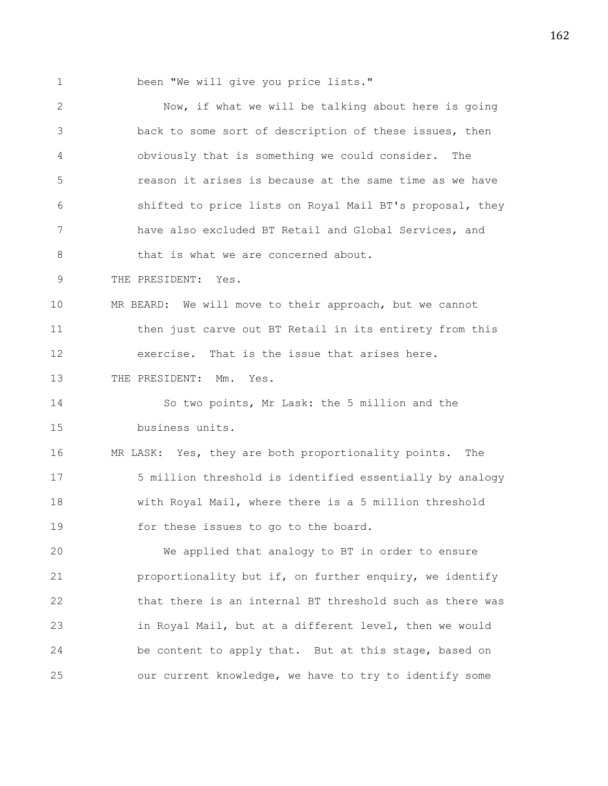1 been "We will give you price lists."

2 Now, if what we will be talking about here is going 3 back to some sort of description of these issues, then 4 obviously that is something we could consider. The 5 reason it arises is because at the same time as we have 6 shifted to price lists on Royal Mail BT's proposal, they 7 have also excluded BT Retail and Global Services, and 8 that is what we are concerned about. 9 THE PRESIDENT: Yes. 10 MR BEARD: We will move to their approach, but we cannot 11 then just carve out BT Retail in its entirety from this 12 exercise. That is the issue that arises here. 13 THE PRESIDENT: Mm. Yes. 14 So two points, Mr Lask: the 5 million and the 15 business units. 16 MR LASK: Yes, they are both proportionality points. The 17 5 million threshold is identified essentially by analogy 18 with Royal Mail, where there is a 5 million threshold 19 for these issues to go to the board. 20 We applied that analogy to BT in order to ensure 21 **proportionality but if, on further enquiry, we identify** 22 that there is an internal BT threshold such as there was 23 in Royal Mail, but at a different level, then we would 24 be content to apply that. But at this stage, based on 25 our current knowledge, we have to try to identify some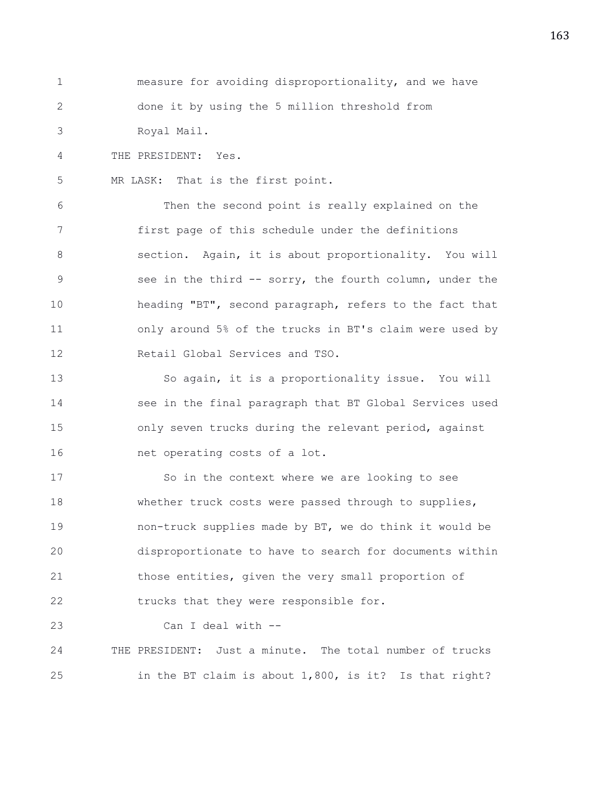1 measure for avoiding disproportionality, and we have 2 done it by using the 5 million threshold from 3 Royal Mail.

4 THE PRESIDENT: Yes.

5 MR LASK: That is the first point.

6 Then the second point is really explained on the 7 first page of this schedule under the definitions 8 section. Again, it is about proportionality. You will 9 see in the third -- sorry, the fourth column, under the 10 heading "BT", second paragraph, refers to the fact that 11 only around 5% of the trucks in BT's claim were used by 12 Retail Global Services and TSO.

13 So again, it is a proportionality issue. You will 14 see in the final paragraph that BT Global Services used 15 only seven trucks during the relevant period, against 16 net operating costs of a lot.

17 So in the context where we are looking to see 18 whether truck costs were passed through to supplies, 19 non-truck supplies made by BT, we do think it would be 20 disproportionate to have to search for documents within 21 those entities, given the very small proportion of 22 trucks that they were responsible for.

23 Can I deal with --

24 THE PRESIDENT: Just a minute. The total number of trucks 25 in the BT claim is about 1,800, is it? Is that right?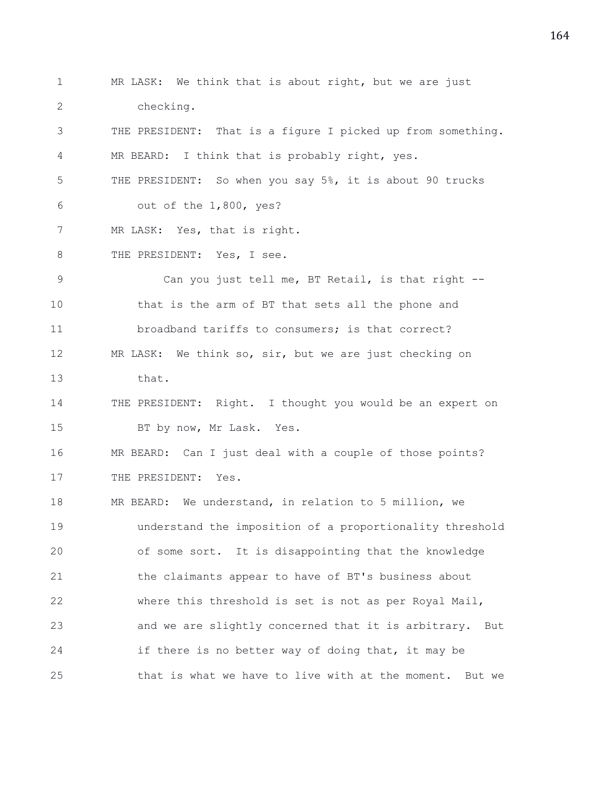1 MR LASK: We think that is about right, but we are just 2 checking. 3 THE PRESIDENT: That is a figure I picked up from something. 4 MR BEARD: I think that is probably right, yes. 5 THE PRESIDENT: So when you say 5%, it is about 90 trucks 6 out of the 1,800, yes? 7 MR LASK: Yes, that is right. 8 THE PRESIDENT: Yes, I see. 9 Can you just tell me, BT Retail, is that right -- 10 that is the arm of BT that sets all the phone and 11 broadband tariffs to consumers; is that correct? 12 MR LASK: We think so, sir, but we are just checking on 13 that. 14 THE PRESIDENT: Right. I thought you would be an expert on 15 BT by now, Mr Lask. Yes. 16 MR BEARD: Can I just deal with a couple of those points? 17 THE PRESIDENT: Yes. 18 MR BEARD: We understand, in relation to 5 million, we 19 understand the imposition of a proportionality threshold 20 of some sort. It is disappointing that the knowledge 21 the claimants appear to have of BT's business about 22 where this threshold is set is not as per Royal Mail, 23 and we are slightly concerned that it is arbitrary. But 24 if there is no better way of doing that, it may be 25 that is what we have to live with at the moment. But we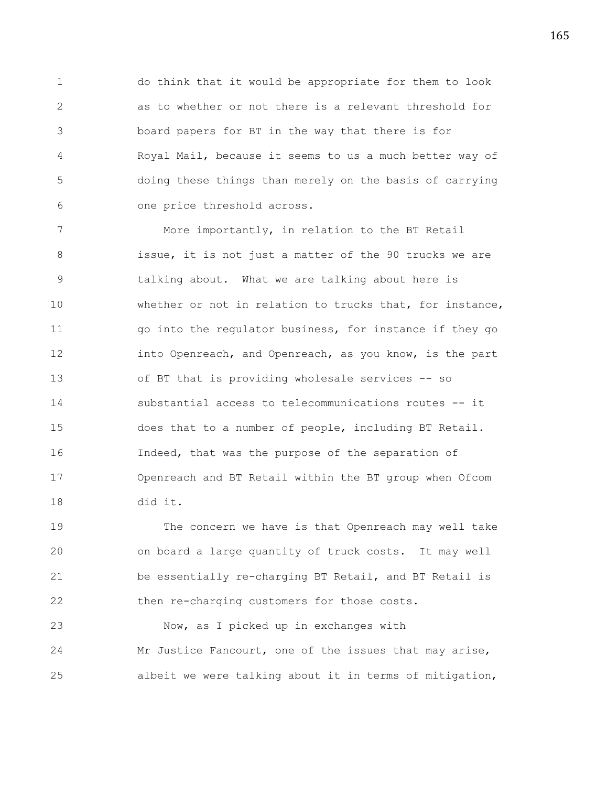1 do think that it would be appropriate for them to look 2 as to whether or not there is a relevant threshold for 3 board papers for BT in the way that there is for 4 Royal Mail, because it seems to us a much better way of 5 doing these things than merely on the basis of carrying 6 one price threshold across.

7 More importantly, in relation to the BT Retail 8 issue, it is not just a matter of the 90 trucks we are 9 talking about. What we are talking about here is 10 whether or not in relation to trucks that, for instance, 11 go into the regulator business, for instance if they go 12 **into Openreach, and Openreach, as you know, is the part** 13 of BT that is providing wholesale services -- so 14 substantial access to telecommunications routes -- it 15 does that to a number of people, including BT Retail. 16 Indeed, that was the purpose of the separation of 17 Openreach and BT Retail within the BT group when Ofcom 18 did it.

19 The concern we have is that Openreach may well take 20 on board a large quantity of truck costs. It may well 21 be essentially re-charging BT Retail, and BT Retail is 22 then re-charging customers for those costs.

23 Now, as I picked up in exchanges with 24 Mr Justice Fancourt, one of the issues that may arise, 25 albeit we were talking about it in terms of mitigation,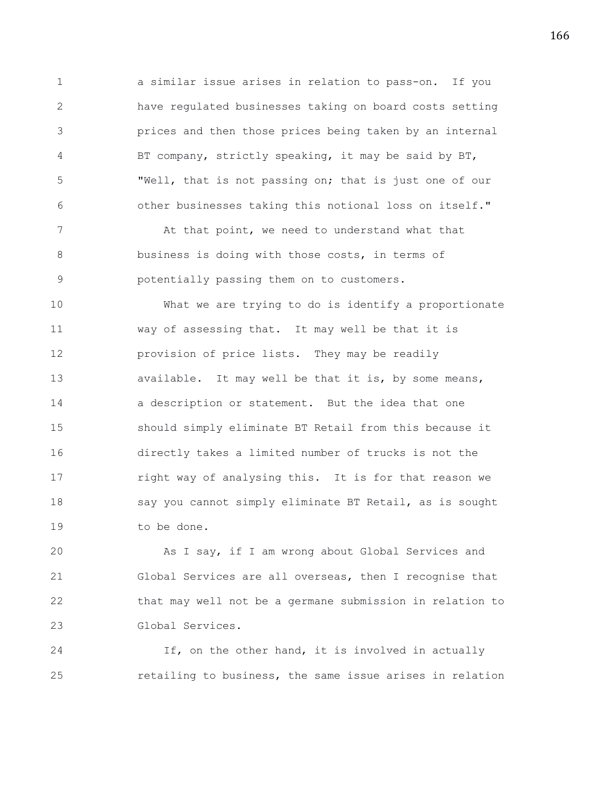1 a similar issue arises in relation to pass-on. If you 2 have regulated businesses taking on board costs setting 3 prices and then those prices being taken by an internal 4 BT company, strictly speaking, it may be said by BT, 5 "Well, that is not passing on; that is just one of our 6 other businesses taking this notional loss on itself."

7 At that point, we need to understand what that 8 business is doing with those costs, in terms of 9 potentially passing them on to customers.

10 What we are trying to do is identify a proportionate 11 way of assessing that. It may well be that it is 12 provision of price lists. They may be readily 13 available. It may well be that it is, by some means, 14 a description or statement. But the idea that one 15 should simply eliminate BT Retail from this because it 16 directly takes a limited number of trucks is not the 17 right way of analysing this. It is for that reason we 18 say you cannot simply eliminate BT Retail, as is sought 19 to be done.

20 As I say, if I am wrong about Global Services and 21 Global Services are all overseas, then I recognise that 22 that may well not be a germane submission in relation to 23 Global Services.

24 If, on the other hand, it is involved in actually 25 retailing to business, the same issue arises in relation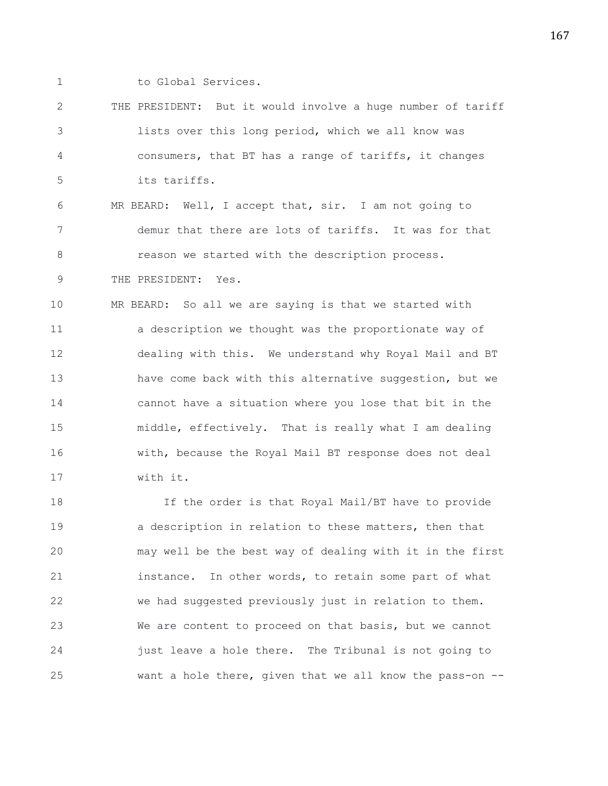- 
- 1 to Global Services.

9 THE PRESIDENT: Yes.

2 THE PRESIDENT: But it would involve a huge number of tariff 3 lists over this long period, which we all know was 4 consumers, that BT has a range of tariffs, it changes 5 its tariffs.

6 MR BEARD: Well, I accept that, sir. I am not going to 7 demur that there are lots of tariffs. It was for that 8 **8** reason we started with the description process.

10 MR BEARD: So all we are saying is that we started with 11 a description we thought was the proportionate way of 12 dealing with this. We understand why Royal Mail and BT 13 have come back with this alternative suggestion, but we 14 cannot have a situation where you lose that bit in the 15 middle, effectively. That is really what I am dealing

16 with, because the Royal Mail BT response does not deal 17 with it.

18 If the order is that Royal Mail/BT have to provide 19 a description in relation to these matters, then that 20 may well be the best way of dealing with it in the first 21 instance. In other words, to retain some part of what 22 we had suggested previously just in relation to them. 23 We are content to proceed on that basis, but we cannot 24 just leave a hole there. The Tribunal is not going to 25 want a hole there, given that we all know the pass-on --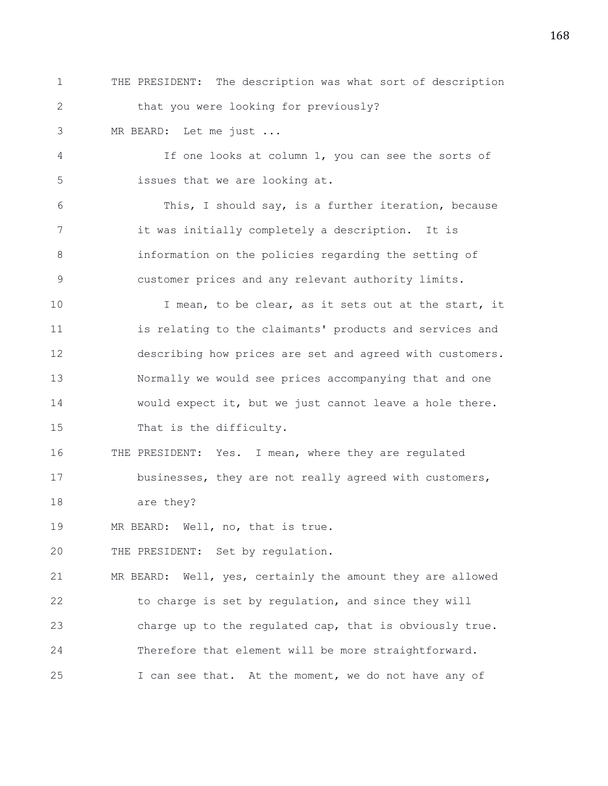1 THE PRESIDENT: The description was what sort of description 2 that you were looking for previously?

3 MR BEARD: Let me just ...

4 If one looks at column 1, you can see the sorts of 5 issues that we are looking at.

6 This, I should say, is a further iteration, because 7 it was initially completely a description. It is 8 information on the policies regarding the setting of 9 customer prices and any relevant authority limits.

10 I mean, to be clear, as it sets out at the start, it 11 is relating to the claimants' products and services and 12 describing how prices are set and agreed with customers. 13 Normally we would see prices accompanying that and one 14 would expect it, but we just cannot leave a hole there. 15 That is the difficulty.

16 THE PRESIDENT: Yes. I mean, where they are regulated 17 businesses, they are not really agreed with customers,

18 are they?

19 MR BEARD: Well, no, that is true.

20 THE PRESIDENT: Set by regulation.

21 MR BEARD: Well, yes, certainly the amount they are allowed 22 to charge is set by regulation, and since they will 23 charge up to the regulated cap, that is obviously true. 24 Therefore that element will be more straightforward. 25 I can see that. At the moment, we do not have any of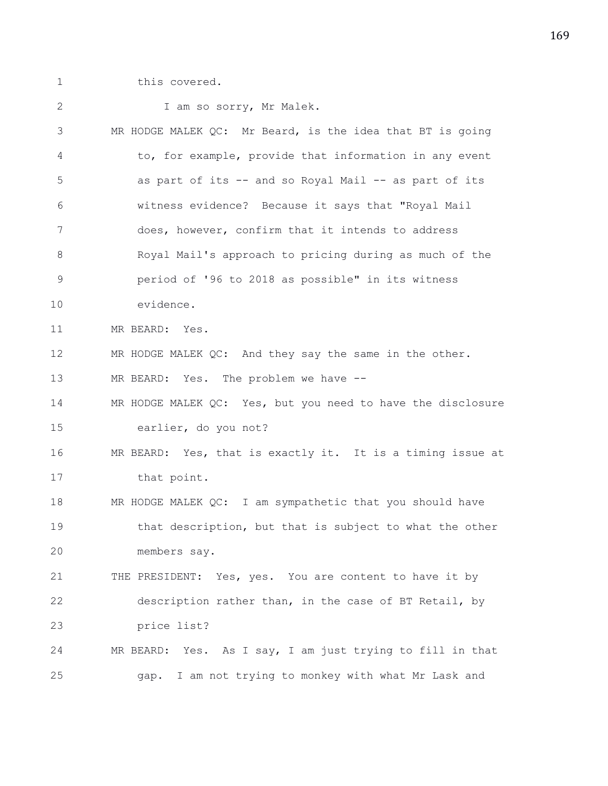1 this covered.

| $\mathbf{2}$ | I am so sorry, Mr Malek.                                    |
|--------------|-------------------------------------------------------------|
| 3            | MR HODGE MALEK QC: Mr Beard, is the idea that BT is going   |
| 4            | to, for example, provide that information in any event      |
| 5            | as part of its -- and so Royal Mail -- as part of its       |
| 6            | witness evidence? Because it says that "Royal Mail          |
| 7            | does, however, confirm that it intends to address           |
| 8            | Royal Mail's approach to pricing during as much of the      |
| $\mathsf 9$  | period of '96 to 2018 as possible" in its witness           |
| 10           | evidence.                                                   |
| 11           | MR BEARD: Yes.                                              |
| 12           | MR HODGE MALEK QC: And they say the same in the other.      |
| 13           | MR BEARD: Yes. The problem we have --                       |
| 14           | MR HODGE MALEK QC: Yes, but you need to have the disclosure |
| 15           | earlier, do you not?                                        |
| 16           | MR BEARD: Yes, that is exactly it. It is a timing issue at  |
| 17           | that point.                                                 |
| 18           | MR HODGE MALEK QC: I am sympathetic that you should have    |
| 19           | that description, but that is subject to what the other     |
| 20           | members say.                                                |
| 21           | THE PRESIDENT: Yes, yes. You are content to have it by      |
| 22           | description rather than, in the case of BT Retail, by       |
| 23           | price list?                                                 |
| 24           | MR BEARD: Yes. As I say, I am just trying to fill in that   |
| 25           | I am not trying to monkey with what Mr Lask and<br>gap.     |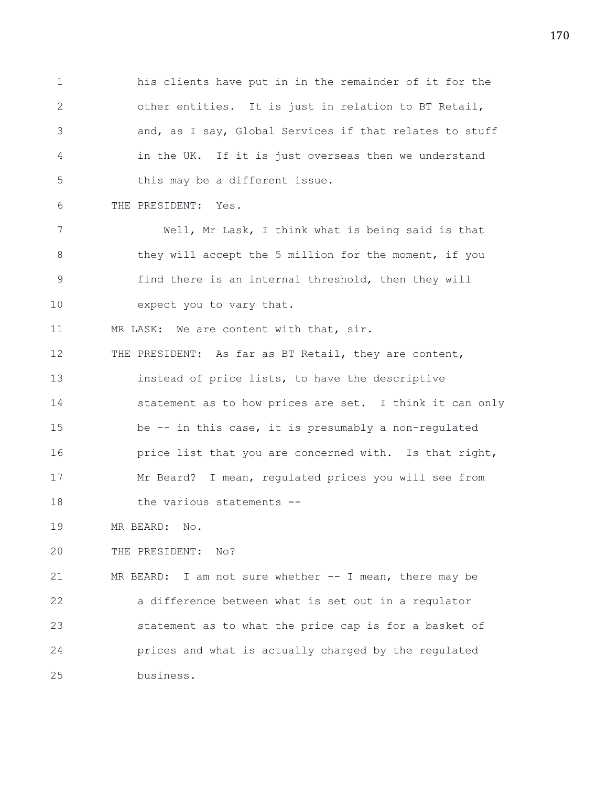1 his clients have put in in the remainder of it for the 2 other entities. It is just in relation to BT Retail, 3 and, as I say, Global Services if that relates to stuff 4 in the UK. If it is just overseas then we understand 5 this may be a different issue.

6 THE PRESIDENT: Yes.

7 Well, Mr Lask, I think what is being said is that 8 they will accept the 5 million for the moment, if you 9 find there is an internal threshold, then they will 10 expect you to vary that.

11 MR LASK: We are content with that, sir.

12 THE PRESIDENT: As far as BT Retail, they are content, 13 instead of price lists, to have the descriptive 14 statement as to how prices are set. I think it can only 15 be -- in this case, it is presumably a non-regulated 16 **price list that you are concerned with.** Is that right, 17 Mr Beard? I mean, regulated prices you will see from 18 the various statements --

19 MR BEARD: No.

20 THE PRESIDENT: No?

21 MR BEARD: I am not sure whether -- I mean, there may be 22 a difference between what is set out in a regulator 23 statement as to what the price cap is for a basket of 24 prices and what is actually charged by the regulated 25 business.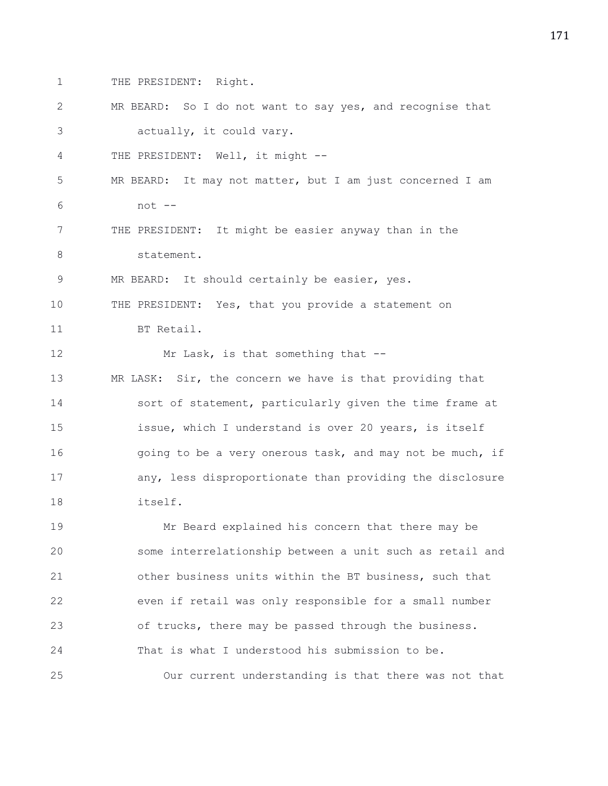1 THE PRESIDENT: Right.

2 MR BEARD: So I do not want to say yes, and recognise that 3 actually, it could vary. 4 THE PRESIDENT: Well, it might -- 5 MR BEARD: It may not matter, but I am just concerned I am 6 not -- 7 THE PRESIDENT: It might be easier anyway than in the 8 statement. 9 MR BEARD: It should certainly be easier, yes. 10 THE PRESIDENT: Yes, that you provide a statement on 11 BT Retail. 12 Mr Lask, is that something that --13 MR LASK: Sir, the concern we have is that providing that 14 sort of statement, particularly given the time frame at 15 issue, which I understand is over 20 years, is itself 16 901 going to be a very onerous task, and may not be much, if 17 any, less disproportionate than providing the disclosure 18 itself. 19 Mr Beard explained his concern that there may be 20 some interrelationship between a unit such as retail and 21 other business units within the BT business, such that 22 even if retail was only responsible for a small number 23 of trucks, there may be passed through the business. 24 That is what I understood his submission to be. 25 Our current understanding is that there was not that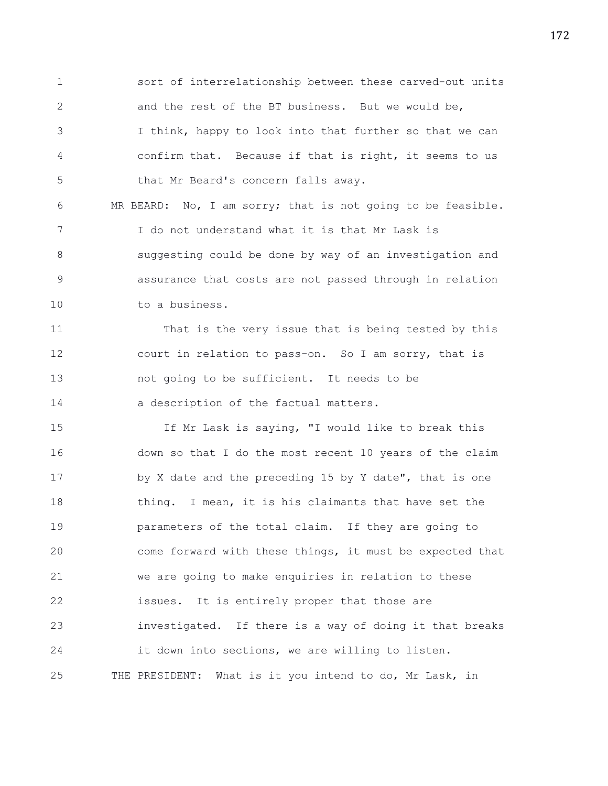1 sort of interrelationship between these carved-out units 2 and the rest of the BT business. But we would be, 3 I think, happy to look into that further so that we can 4 confirm that. Because if that is right, it seems to us 5 that Mr Beard's concern falls away.

6 MR BEARD: No, I am sorry; that is not going to be feasible. 7 I do not understand what it is that Mr Lask is 8 suggesting could be done by way of an investigation and 9 assurance that costs are not passed through in relation 10 to a business.

11 That is the very issue that is being tested by this 12 court in relation to pass-on. So I am sorry, that is 13 not going to be sufficient. It needs to be 14 a description of the factual matters.

15 If Mr Lask is saying, "I would like to break this 16 down so that I do the most recent 10 years of the claim 17 by X date and the preceding 15 by Y date", that is one 18 thing. I mean, it is his claimants that have set the 19 parameters of the total claim. If they are going to 20 come forward with these things, it must be expected that 21 we are going to make enquiries in relation to these 22 issues. It is entirely proper that those are 23 investigated. If there is a way of doing it that breaks 24 it down into sections, we are willing to listen. 25 THE PRESIDENT: What is it you intend to do, Mr Lask, in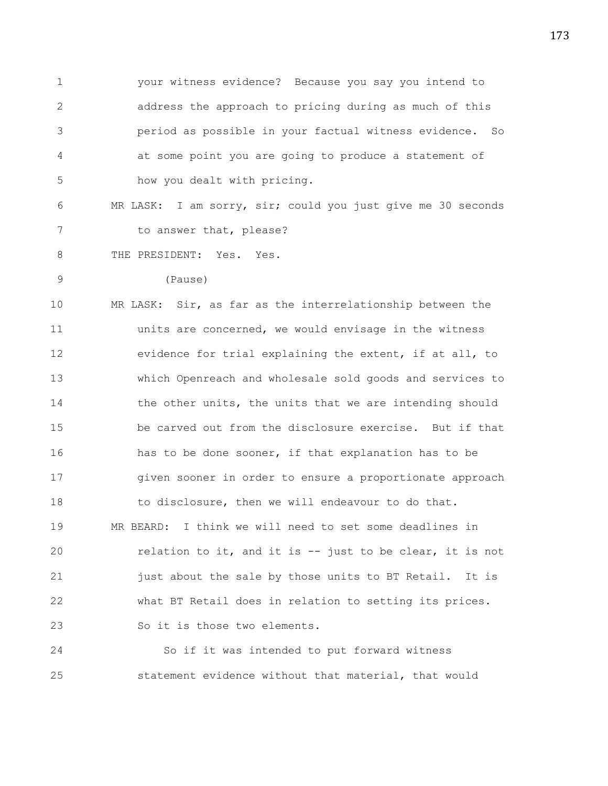1 your witness evidence? Because you say you intend to 2 address the approach to pricing during as much of this 3 period as possible in your factual witness evidence. So 4 at some point you are going to produce a statement of 5 how you dealt with pricing.

6 MR LASK: I am sorry, sir; could you just give me 30 seconds 7 to answer that, please?

8 THE PRESIDENT: Yes. Yes.

9 (Pause)

10 MR LASK: Sir, as far as the interrelationship between the 11 units are concerned, we would envisage in the witness 12 evidence for trial explaining the extent, if at all, to 13 which Openreach and wholesale sold goods and services to 14 the other units, the units that we are intending should 15 be carved out from the disclosure exercise. But if that 16 has to be done sooner, if that explanation has to be 17 given sooner in order to ensure a proportionate approach 18 to disclosure, then we will endeavour to do that. 19 MR BEARD: I think we will need to set some deadlines in 20 relation to it, and it is -- just to be clear, it is not 21 fust about the sale by those units to BT Retail. It is 22 what BT Retail does in relation to setting its prices. 23 So it is those two elements.

24 So if it was intended to put forward witness 25 statement evidence without that material, that would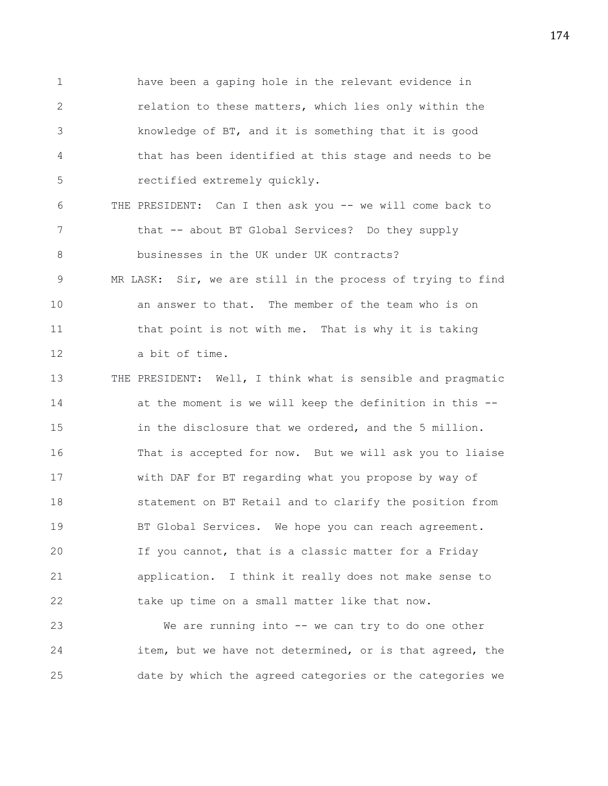1 have been a gaping hole in the relevant evidence in 2 relation to these matters, which lies only within the 3 knowledge of BT, and it is something that it is good 4 that has been identified at this stage and needs to be 5 rectified extremely quickly.

6 THE PRESIDENT: Can I then ask you -- we will come back to 7 that -- about BT Global Services? Do they supply 8 businesses in the UK under UK contracts? 9 MR LASK: Sir, we are still in the process of trying to find 10 an answer to that. The member of the team who is on 11 that point is not with me. That is why it is taking 12 a bit of time.

13 THE PRESIDENT: Well, I think what is sensible and pragmatic 14 at the moment is we will keep the definition in this -- 15 in the disclosure that we ordered, and the 5 million. 16 That is accepted for now. But we will ask you to liaise 17 with DAF for BT regarding what you propose by way of 18 statement on BT Retail and to clarify the position from 19 BT Global Services. We hope you can reach agreement. 20 If you cannot, that is a classic matter for a Friday 21 application. I think it really does not make sense to 22 take up time on a small matter like that now.

23 We are running into -- we can try to do one other 24 item, but we have not determined, or is that agreed, the 25 date by which the agreed categories or the categories we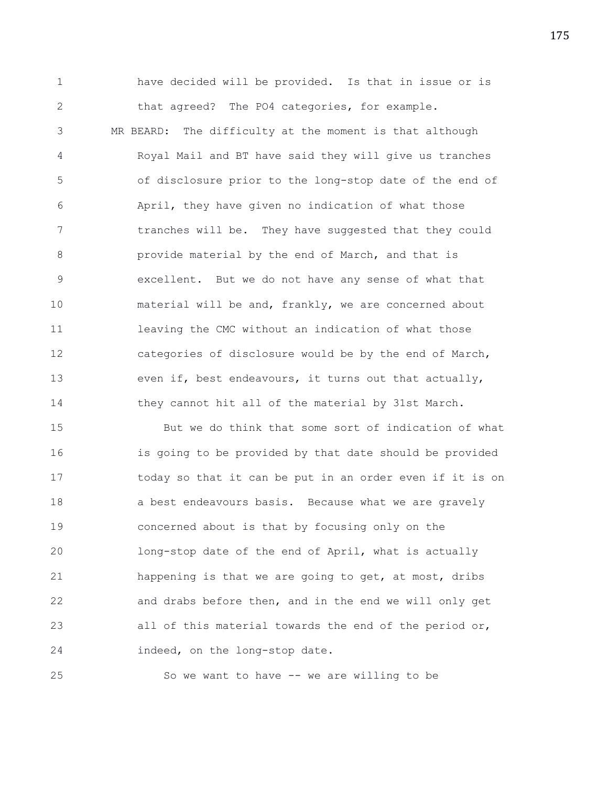1 have decided will be provided. Is that in issue or is 2 that agreed? The PO4 categories, for example. 3 MR BEARD: The difficulty at the moment is that although

4 Royal Mail and BT have said they will give us tranches 5 of disclosure prior to the long-stop date of the end of 6 April, they have given no indication of what those 7 tranches will be. They have suggested that they could 8 provide material by the end of March, and that is 9 excellent. But we do not have any sense of what that 10 material will be and, frankly, we are concerned about 11 leaving the CMC without an indication of what those 12 categories of disclosure would be by the end of March, 13 even if, best endeavours, it turns out that actually, 14 they cannot hit all of the material by 31st March.

15 But we do think that some sort of indication of what 16 is going to be provided by that date should be provided 17 today so that it can be put in an order even if it is on 18 a best endeavours basis. Because what we are gravely 19 concerned about is that by focusing only on the 20 long-stop date of the end of April, what is actually 21 happening is that we are going to get, at most, dribs 22 and drabs before then, and in the end we will only get 23 all of this material towards the end of the period or, 24 indeed, on the long-stop date.

25 So we want to have -- we are willing to be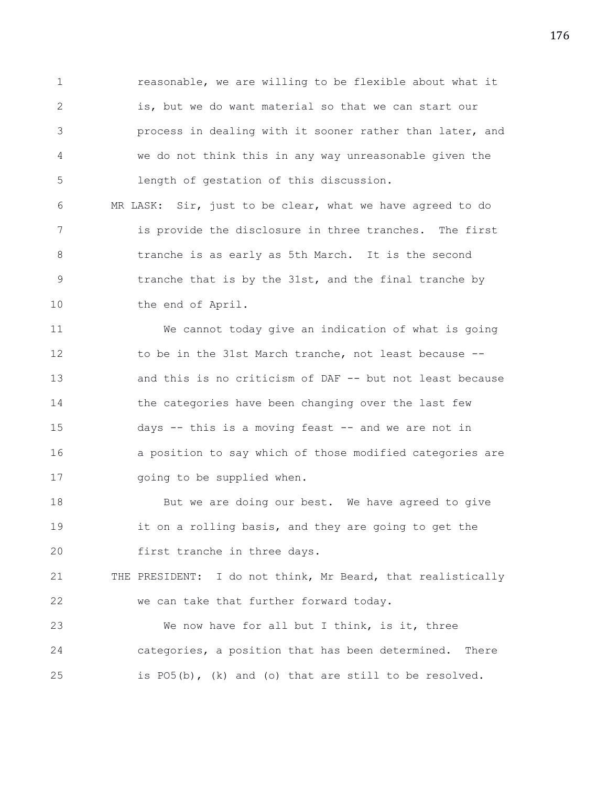1 reasonable, we are willing to be flexible about what it 2 is, but we do want material so that we can start our 3 process in dealing with it sooner rather than later, and 4 we do not think this in any way unreasonable given the 5 length of gestation of this discussion.

6 MR LASK: Sir, just to be clear, what we have agreed to do 7 is provide the disclosure in three tranches. The first 8 tranche is as early as 5th March. It is the second 9 tranche that is by the 31st, and the final tranche by 10 the end of April.

11 We cannot today give an indication of what is going 12 to be in the 31st March tranche, not least because -- 13 and this is no criticism of DAF -- but not least because 14 the categories have been changing over the last few 15 days -- this is a moving feast -- and we are not in 16 a position to say which of those modified categories are 17 **going to be supplied when.** 

18 But we are doing our best. We have agreed to give 19 it on a rolling basis, and they are going to get the 20 first tranche in three days.

21 THE PRESIDENT: I do not think, Mr Beard, that realistically 22 we can take that further forward today.

23 We now have for all but I think, is it, three 24 categories, a position that has been determined. There 25 is PO5(b), (k) and (o) that are still to be resolved.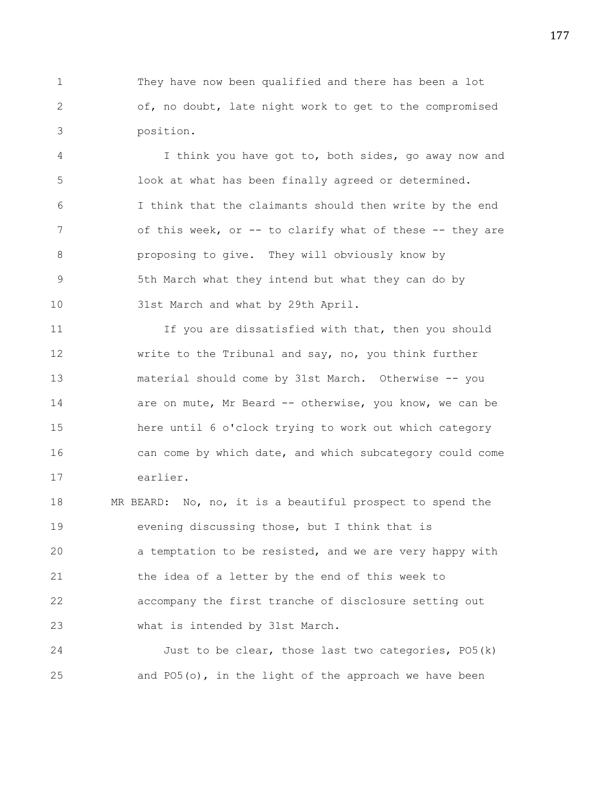1 They have now been qualified and there has been a lot 2 of, no doubt, late night work to get to the compromised 3 position.

4 I think you have got to, both sides, go away now and 5 look at what has been finally agreed or determined. 6 I think that the claimants should then write by the end 7 of this week, or -- to clarify what of these -- they are 8 proposing to give. They will obviously know by 9 5th March what they intend but what they can do by 10 31st March and what by 29th April.

11 If you are dissatisfied with that, then you should 12 write to the Tribunal and say, no, you think further 13 material should come by 31st March. Otherwise -- you 14 are on mute, Mr Beard -- otherwise, you know, we can be 15 here until 6 o'clock trying to work out which category 16 can come by which date, and which subcategory could come 17 earlier.

18 MR BEARD: No, no, it is a beautiful prospect to spend the 19 evening discussing those, but I think that is 20 a temptation to be resisted, and we are very happy with 21 the idea of a letter by the end of this week to 22 accompany the first tranche of disclosure setting out 23 what is intended by 31st March.

24 Just to be clear, those last two categories, PO5(k) 25 and PO5(o), in the light of the approach we have been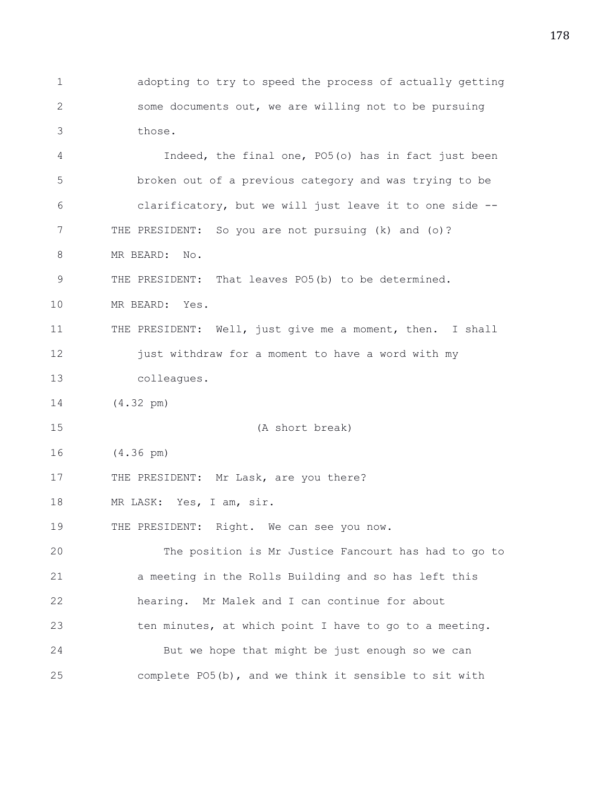1 adopting to try to speed the process of actually getting 2 some documents out, we are willing not to be pursuing 3 those.

4 Indeed, the final one, PO5(o) has in fact just been 5 broken out of a previous category and was trying to be 6 clarificatory, but we will just leave it to one side -- 7 THE PRESIDENT: So you are not pursuing (k) and (o)? 8 MR BEARD: No.

9 THE PRESIDENT: That leaves PO5(b) to be determined.

10 MR BEARD: Yes.

11 THE PRESIDENT: Well, just give me a moment, then. I shall 12 **just withdraw for a moment to have a word with my** 13 colleagues.

14 (4.32 pm)

15 (A short break)

16 (4.36 pm)

17 THE PRESIDENT: Mr Lask, are you there?

18 MR LASK: Yes, I am, sir.

19 THE PRESIDENT: Right. We can see you now.

20 The position is Mr Justice Fancourt has had to go to 21 a meeting in the Rolls Building and so has left this 22 hearing. Mr Malek and I can continue for about 23 ten minutes, at which point I have to go to a meeting. 24 But we hope that might be just enough so we can 25 complete PO5(b), and we think it sensible to sit with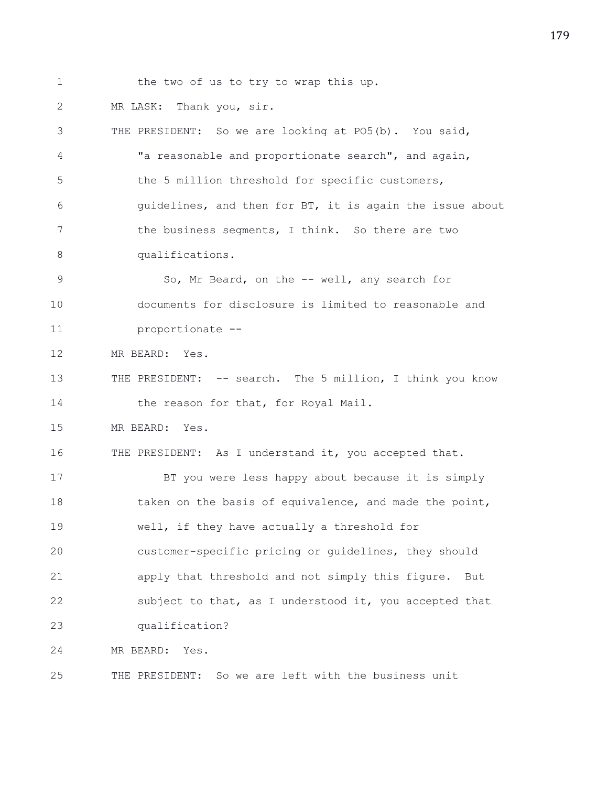1 the two of us to try to wrap this up.

2 MR LASK: Thank you, sir.

3 THE PRESIDENT: So we are looking at PO5(b). You said, 4 "a reasonable and proportionate search", and again, 5 the 5 million threshold for specific customers, 6 guidelines, and then for BT, it is again the issue about 7 the business segments, I think. So there are two 8 qualifications. 9 So, Mr Beard, on the -- well, any search for 10 documents for disclosure is limited to reasonable and 11 proportionate -- 12 MR BEARD: Yes. 13 THE PRESIDENT: -- search. The 5 million, I think you know 14 the reason for that, for Royal Mail. 15 MR BEARD: Yes. 16 THE PRESIDENT: As I understand it, you accepted that. 17 BT you were less happy about because it is simply 18 taken on the basis of equivalence, and made the point, 19 well, if they have actually a threshold for 20 customer-specific pricing or guidelines, they should 21 apply that threshold and not simply this figure. But 22 subject to that, as I understood it, you accepted that 23 qualification? 24 MR BEARD: Yes. 25 THE PRESIDENT: So we are left with the business unit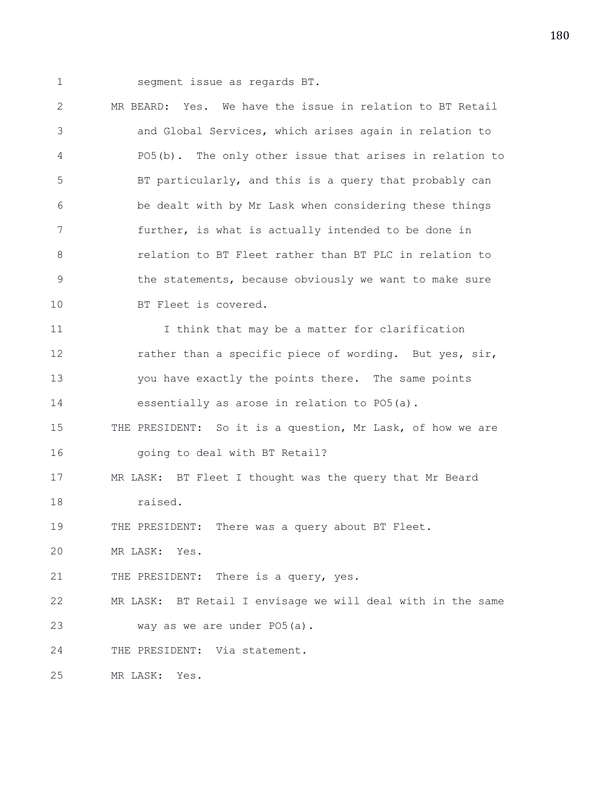1 segment issue as regards BT.

2 MR BEARD: Yes. We have the issue in relation to BT Retail 3 and Global Services, which arises again in relation to 4 PO5(b). The only other issue that arises in relation to 5 BT particularly, and this is a query that probably can 6 be dealt with by Mr Lask when considering these things 7 further, is what is actually intended to be done in 8 relation to BT Fleet rather than BT PLC in relation to 9 the statements, because obviously we want to make sure 10 BT Fleet is covered. 11 I think that may be a matter for clarification 12 rather than a specific piece of wording. But yes, sir, 13 you have exactly the points there. The same points 14 essentially as arose in relation to PO5(a). 15 THE PRESIDENT: So it is a question, Mr Lask, of how we are 16 going to deal with BT Retail? 17 MR LASK: BT Fleet I thought was the query that Mr Beard 18 raised. 19 THE PRESIDENT: There was a query about BT Fleet. 20 MR LASK: Yes. 21 THE PRESIDENT: There is a query, yes. 22 MR LASK: BT Retail I envisage we will deal with in the same 23 way as we are under PO5(a). 24 THE PRESIDENT: Via statement. 25 MR LASK: Yes.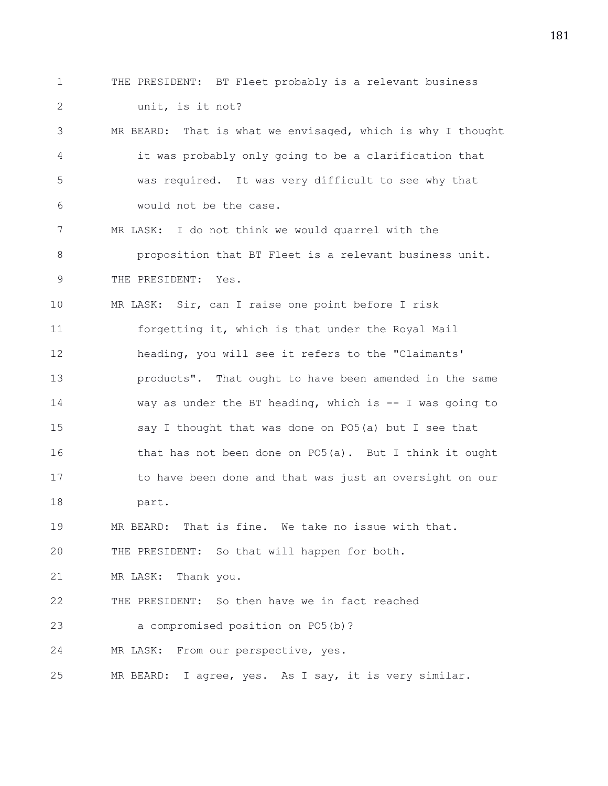1 THE PRESIDENT: BT Fleet probably is a relevant business 2 unit, is it not? 3 MR BEARD: That is what we envisaged, which is why I thought 4 it was probably only going to be a clarification that 5 was required. It was very difficult to see why that 6 would not be the case. 7 MR LASK: I do not think we would quarrel with the 8 proposition that BT Fleet is a relevant business unit. 9 THE PRESIDENT: Yes. 10 MR LASK: Sir, can I raise one point before I risk 11 forgetting it, which is that under the Royal Mail 12 heading, you will see it refers to the "Claimants' 13 products". That ought to have been amended in the same 14 way as under the BT heading, which is -- I was going to 15 say I thought that was done on PO5(a) but I see that 16 that has not been done on PO5(a). But I think it ought 17 to have been done and that was just an oversight on our 18 part. 19 MR BEARD: That is fine. We take no issue with that. 20 THE PRESIDENT: So that will happen for both. 21 MR LASK: Thank you. 22 THE PRESIDENT: So then have we in fact reached 23 a compromised position on PO5(b)? 24 MR LASK: From our perspective, yes. 25 MR BEARD: I agree, yes. As I say, it is very similar.

181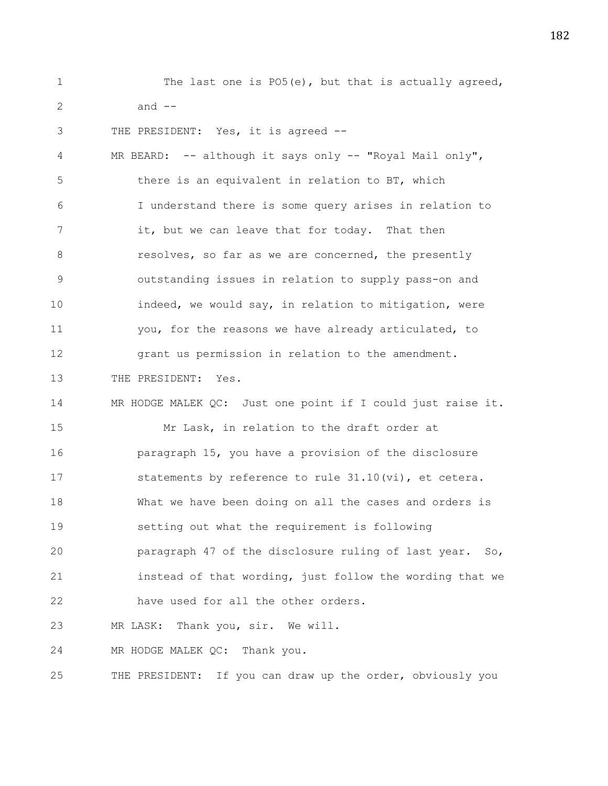1 The last one is PO5(e), but that is actually agreed,  $2$  and  $-$ 3 THE PRESIDENT: Yes, it is agreed -- 4 MR BEARD: -- although it says only -- "Royal Mail only", 5 there is an equivalent in relation to BT, which 6 I understand there is some query arises in relation to 7 it, but we can leave that for today. That then 8 **8** resolves, so far as we are concerned, the presently 9 outstanding issues in relation to supply pass-on and 10 indeed, we would say, in relation to mitigation, were 11 you, for the reasons we have already articulated, to 12 grant us permission in relation to the amendment. 13 THE PRESIDENT: Yes. 14 MR HODGE MALEK QC: Just one point if I could just raise it. 15 Mr Lask, in relation to the draft order at 16 paragraph 15, you have a provision of the disclosure 17 statements by reference to rule 31.10(vi), et cetera. 18 What we have been doing on all the cases and orders is 19 setting out what the requirement is following 20 paragraph 47 of the disclosure ruling of last year. So, 21 instead of that wording, just follow the wording that we 22 have used for all the other orders. 23 MR LASK: Thank you, sir. We will. 24 MR HODGE MALEK QC: Thank you. 25 THE PRESIDENT: If you can draw up the order, obviously you

182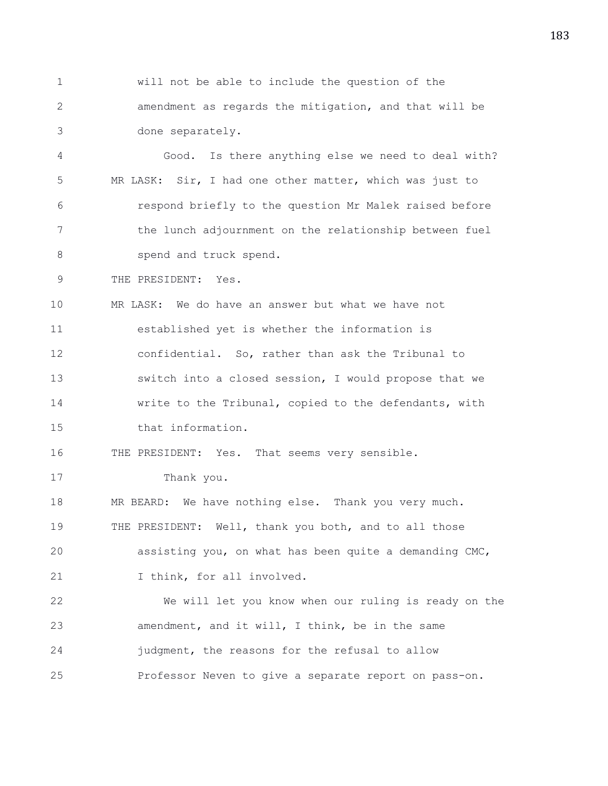1 will not be able to include the question of the 2 amendment as regards the mitigation, and that will be 3 done separately.

4 Good. Is there anything else we need to deal with? 5 MR LASK: Sir, I had one other matter, which was just to 6 respond briefly to the question Mr Malek raised before 7 the lunch adjournment on the relationship between fuel 8 spend and truck spend.

9 THE PRESIDENT: Yes.

10 MR LASK: We do have an answer but what we have not 11 established yet is whether the information is 12 confidential. So, rather than ask the Tribunal to 13 switch into a closed session, I would propose that we 14 write to the Tribunal, copied to the defendants, with 15 that information.

16 THE PRESIDENT: Yes. That seems very sensible.

17 Thank you.

18 MR BEARD: We have nothing else. Thank you very much. 19 THE PRESIDENT: Well, thank you both, and to all those 20 assisting you, on what has been quite a demanding CMC,

21 I think, for all involved.

22 We will let you know when our ruling is ready on the 23 amendment, and it will, I think, be in the same 24 judgment, the reasons for the refusal to allow 25 Professor Neven to give a separate report on pass-on.